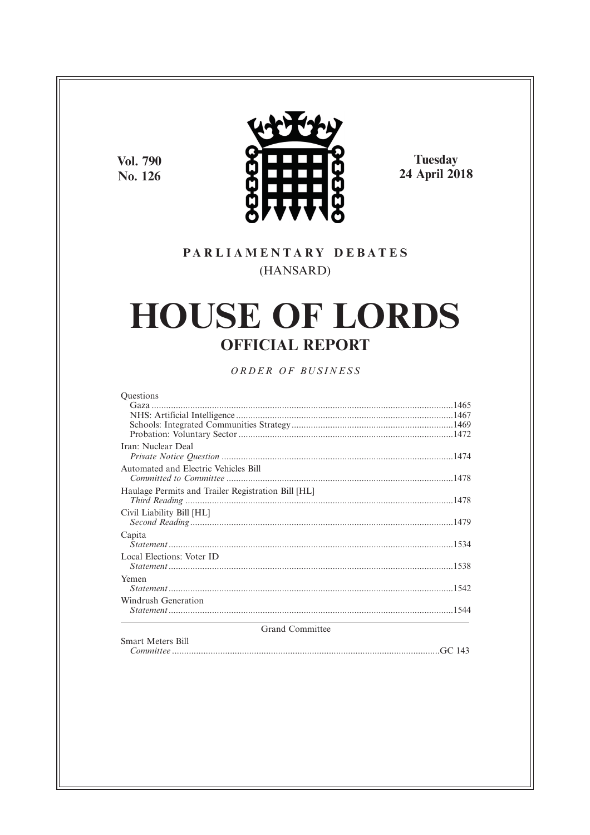**Vol. 790** No. 126



Tuesday<br>24 April 2018

### PARLIAMENTARY DEBATES (HANSARD)

# **HOUSE OF LORDS OFFICIAL REPORT**

ORDER OF BUSINESS

| <b>Ouestions</b>                                   |        |
|----------------------------------------------------|--------|
|                                                    |        |
|                                                    |        |
|                                                    |        |
|                                                    |        |
| Iran: Nuclear Deal                                 |        |
| Automated and Electric Vehicles Bill               |        |
|                                                    |        |
| Haulage Permits and Trailer Registration Bill [HL] |        |
|                                                    |        |
| Civil Liability Bill [HL]                          |        |
|                                                    |        |
| Capita                                             |        |
|                                                    |        |
| Local Elections: Voter ID                          |        |
|                                                    |        |
| Yemen                                              |        |
|                                                    |        |
| Windrush Generation                                |        |
|                                                    |        |
| <b>Grand Committee</b>                             |        |
| <b>Smart Meters Bill</b>                           |        |
| Committee                                          | GC 143 |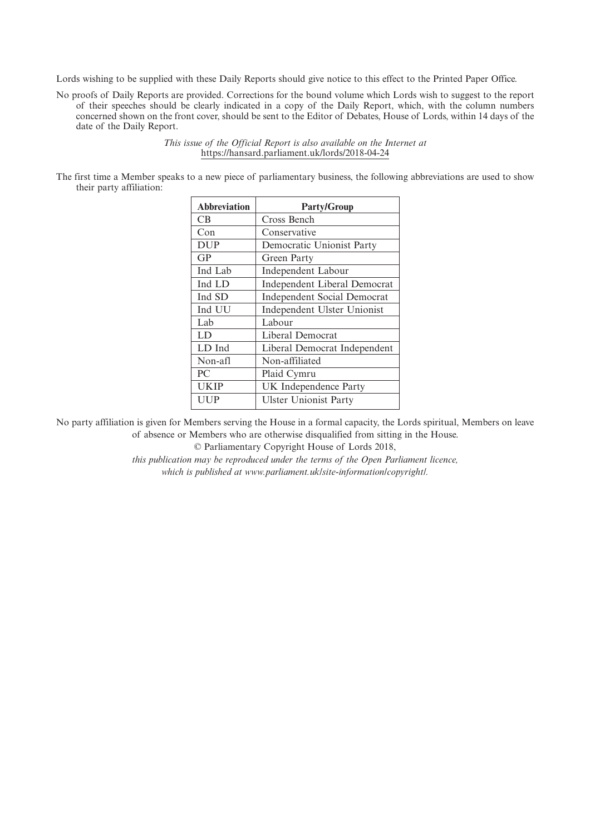Lords wishing to be supplied with these Daily Reports should give notice to this effect to the Printed Paper Office.

No proofs of Daily Reports are provided. Corrections for the bound volume which Lords wish to suggest to the report of their speeches should be clearly indicated in a copy of the Daily Report, which, with the column numbers concerned shown on the front cover, should be sent to the Editor of Debates, House of Lords, within 14 days of the date of the Daily Report.

> *This issue of the Official Report is also available on the Internet at* https://hansard.parliament.uk/lords/2018-04-24

The first time a Member speaks to a new piece of parliamentary business, the following abbreviations are used to show their party affiliation:

| <b>Abbreviation</b> | <b>Party/Group</b>                 |
|---------------------|------------------------------------|
| CВ                  | Cross Bench                        |
| Con                 | Conservative                       |
| <b>DUP</b>          | Democratic Unionist Party          |
| GP                  | Green Party                        |
| Ind Lab             | Independent Labour                 |
| Ind LD              | Independent Liberal Democrat       |
| Ind SD              | <b>Independent Social Democrat</b> |
| Ind UU              | Independent Ulster Unionist        |
| Lab                 | Labour                             |
| LD                  | Liberal Democrat                   |
| LD Ind              | Liberal Democrat Independent       |
| Non-afl             | Non-affiliated                     |
| PC                  | Plaid Cymru                        |
| <b>UKIP</b>         | UK Independence Party              |
| UUP                 | <b>Ulster Unionist Party</b>       |
|                     |                                    |

No party affiliation is given for Members serving the House in a formal capacity, the Lords spiritual, Members on leave of absence or Members who are otherwise disqualified from sitting in the House.

© Parliamentary Copyright House of Lords 2018,

*this publication may be reproduced under the terms of the Open Parliament licence, which is published at www.parliament.uk/site-information/copyright/.*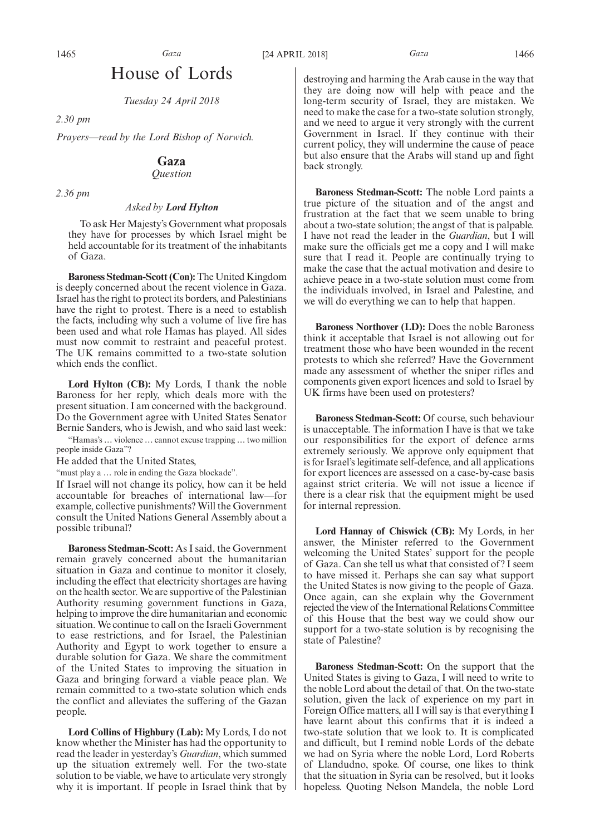## House of Lords

*Tuesday 24 April 2018*

*2.30 pm*

*Prayers—read by the Lord Bishop of Norwich.*

### **Gaza**

*Question*

*2.36 pm*

#### *Asked by Lord Hylton*

To ask Her Majesty's Government what proposals they have for processes by which Israel might be held accountable for its treatment of the inhabitants of Gaza.

**Baroness Stedman-Scott (Con):** The United Kingdom is deeply concerned about the recent violence in Gaza. Israel has the right to protect its borders, and Palestinians have the right to protest. There is a need to establish the facts, including why such a volume of live fire has been used and what role Hamas has played. All sides must now commit to restraint and peaceful protest. The UK remains committed to a two-state solution which ends the conflict.

**Lord Hylton (CB):** My Lords, I thank the noble Baroness for her reply, which deals more with the present situation. I am concerned with the background. Do the Government agree with United States Senator Bernie Sanders, who is Jewish, and who said last week:

"Hamas's … violence … cannot excuse trapping … two million people inside Gaza"?

He added that the United States,

"must play a ... role in ending the Gaza blockade".

If Israel will not change its policy, how can it be held accountable for breaches of international law—for example, collective punishments? Will the Government consult the United Nations General Assembly about a possible tribunal?

**Baroness Stedman-Scott:** As I said, the Government remain gravely concerned about the humanitarian situation in Gaza and continue to monitor it closely, including the effect that electricity shortages are having on the health sector. We are supportive of the Palestinian Authority resuming government functions in Gaza, helping to improve the dire humanitarian and economic situation. We continue to call on the Israeli Government to ease restrictions, and for Israel, the Palestinian Authority and Egypt to work together to ensure a durable solution for Gaza. We share the commitment of the United States to improving the situation in Gaza and bringing forward a viable peace plan. We remain committed to a two-state solution which ends the conflict and alleviates the suffering of the Gazan people.

**Lord Collins of Highbury (Lab):** My Lords, I do not know whether the Minister has had the opportunity to read the leader in yesterday's *Guardian*, which summed up the situation extremely well. For the two-state solution to be viable, we have to articulate very strongly why it is important. If people in Israel think that by destroying and harming the Arab cause in the way that they are doing now will help with peace and the long-term security of Israel, they are mistaken. We need to make the case for a two-state solution strongly, and we need to argue it very strongly with the current Government in Israel. If they continue with their current policy, they will undermine the cause of peace but also ensure that the Arabs will stand up and fight back strongly.

**Baroness Stedman-Scott:** The noble Lord paints a true picture of the situation and of the angst and frustration at the fact that we seem unable to bring about a two-state solution; the angst of that is palpable. I have not read the leader in the *Guardian*, but I will make sure the officials get me a copy and I will make sure that I read it. People are continually trying to make the case that the actual motivation and desire to achieve peace in a two-state solution must come from the individuals involved, in Israel and Palestine, and we will do everything we can to help that happen.

**Baroness Northover (LD):** Does the noble Baroness think it acceptable that Israel is not allowing out for treatment those who have been wounded in the recent protests to which she referred? Have the Government made any assessment of whether the sniper rifles and components given export licences and sold to Israel by UK firms have been used on protesters?

**Baroness Stedman-Scott:** Of course, such behaviour is unacceptable. The information I have is that we take our responsibilities for the export of defence arms extremely seriously. We approve only equipment that is for Israel's legitimate self-defence, and all applications for export licences are assessed on a case-by-case basis against strict criteria. We will not issue a licence if there is a clear risk that the equipment might be used for internal repression.

**Lord Hannay of Chiswick (CB):** My Lords, in her answer, the Minister referred to the Government welcoming the United States' support for the people of Gaza. Can she tell us what that consisted of? I seem to have missed it. Perhaps she can say what support the United States is now giving to the people of Gaza. Once again, can she explain why the Government rejected the view of the International Relations Committee of this House that the best way we could show our support for a two-state solution is by recognising the state of Palestine?

**Baroness Stedman-Scott:** On the support that the United States is giving to Gaza, I will need to write to the noble Lord about the detail of that. On the two-state solution, given the lack of experience on my part in Foreign Office matters, all I will say is that everything I have learnt about this confirms that it is indeed a two-state solution that we look to. It is complicated and difficult, but I remind noble Lords of the debate we had on Syria where the noble Lord, Lord Roberts of Llandudno, spoke. Of course, one likes to think that the situation in Syria can be resolved, but it looks hopeless. Quoting Nelson Mandela, the noble Lord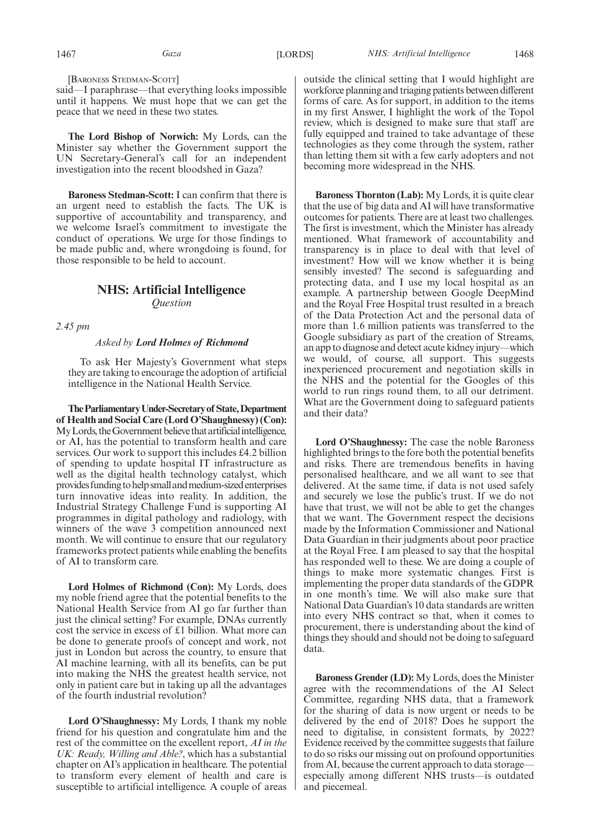[BARONESS STEDMAN-SCOTT]

said—I paraphrase—that everything looks impossible until it happens. We must hope that we can get the peace that we need in these two states.

**The Lord Bishop of Norwich:** My Lords, can the Minister say whether the Government support the UN Secretary-General's call for an independent investigation into the recent bloodshed in Gaza?

**Baroness Stedman-Scott:** I can confirm that there is an urgent need to establish the facts. The UK is supportive of accountability and transparency, and we welcome Israel's commitment to investigate the conduct of operations. We urge for those findings to be made public and, where wrongdoing is found, for those responsible to be held to account.

### **NHS: Artificial Intelligence**

*Question*

*2.45 pm*

#### *Asked by Lord Holmes of Richmond*

To ask Her Majesty's Government what steps they are taking to encourage the adoption of artificial intelligence in the National Health Service.

**TheParliamentaryUnder-Secretaryof State,Department of Health and Social Care (Lord O'Shaughnessy) (Con):** My Lords, the Government believe that artificial intelligence, or AI, has the potential to transform health and care services. Our work to support this includes £4.2 billion of spending to update hospital IT infrastructure as well as the digital health technology catalyst, which provides funding to help small and medium-sized enterprises turn innovative ideas into reality. In addition, the Industrial Strategy Challenge Fund is supporting AI programmes in digital pathology and radiology, with winners of the wave 3 competition announced next month. We will continue to ensure that our regulatory frameworks protect patients while enabling the benefits of AI to transform care.

**Lord Holmes of Richmond (Con):** My Lords, does my noble friend agree that the potential benefits to the National Health Service from AI go far further than just the clinical setting? For example, DNAs currently cost the service in excess of £1 billion. What more can be done to generate proofs of concept and work, not just in London but across the country, to ensure that AI machine learning, with all its benefits, can be put into making the NHS the greatest health service, not only in patient care but in taking up all the advantages of the fourth industrial revolution?

**Lord O'Shaughnessy:** My Lords, I thank my noble friend for his question and congratulate him and the rest of the committee on the excellent report, *AI in the UK: Ready, Willing and Able?*, which has a substantial chapter on AI's application in healthcare. The potential to transform every element of health and care is susceptible to artificial intelligence. A couple of areas outside the clinical setting that I would highlight are workforce planning and triaging patients between different forms of care. As for support, in addition to the items in my first Answer, I highlight the work of the Topol review, which is designed to make sure that staff are fully equipped and trained to take advantage of these technologies as they come through the system, rather than letting them sit with a few early adopters and not becoming more widespread in the NHS.

**Baroness Thornton (Lab):** My Lords, it is quite clear that the use of big data and AI will have transformative outcomes for patients. There are at least two challenges. The first is investment, which the Minister has already mentioned. What framework of accountability and transparency is in place to deal with that level of investment? How will we know whether it is being sensibly invested? The second is safeguarding and protecting data, and I use my local hospital as an example. A partnership between Google DeepMind and the Royal Free Hospital trust resulted in a breach of the Data Protection Act and the personal data of more than 1.6 million patients was transferred to the Google subsidiary as part of the creation of Streams, an app to diagnose and detect acute kidney injury—which we would, of course, all support. This suggests inexperienced procurement and negotiation skills in the NHS and the potential for the Googles of this world to run rings round them, to all our detriment. What are the Government doing to safeguard patients and their data?

**Lord O'Shaughnessy:** The case the noble Baroness highlighted brings to the fore both the potential benefits and risks. There are tremendous benefits in having personalised healthcare, and we all want to see that delivered. At the same time, if data is not used safely and securely we lose the public's trust. If we do not have that trust, we will not be able to get the changes that we want. The Government respect the decisions made by the Information Commissioner and National Data Guardian in their judgments about poor practice at the Royal Free. I am pleased to say that the hospital has responded well to these. We are doing a couple of things to make more systematic changes. First is implementing the proper data standards of the GDPR in one month's time. We will also make sure that National Data Guardian's 10 data standards are written into every NHS contract so that, when it comes to procurement, there is understanding about the kind of things they should and should not be doing to safeguard data.

**Baroness Grender (LD):** My Lords, does the Minister agree with the recommendations of the AI Select Committee, regarding NHS data, that a framework for the sharing of data is now urgent or needs to be delivered by the end of 2018? Does he support the need to digitalise, in consistent formats, by 2022? Evidence received by the committee suggests that failure to do so risks our missing out on profound opportunities from AI, because the current approach to data storage especially among different NHS trusts—is outdated and piecemeal.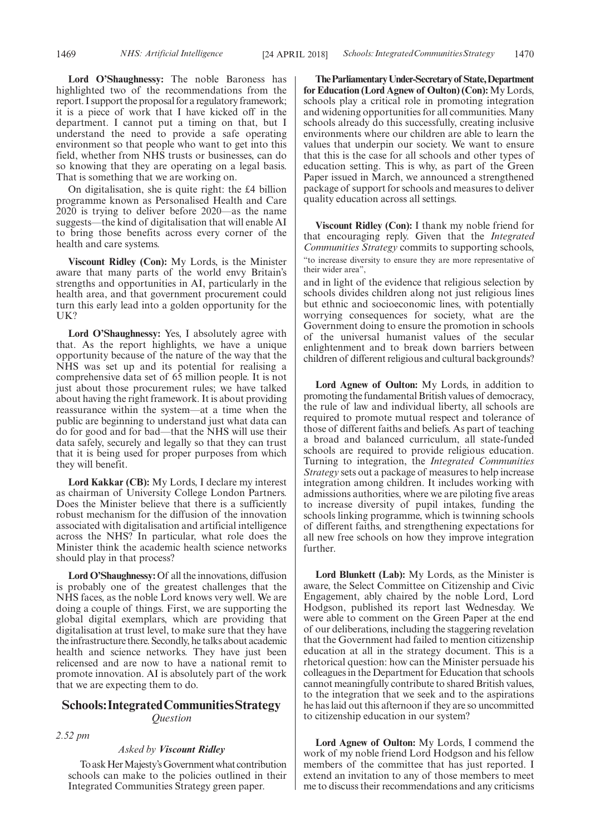**Lord O'Shaughnessy:** The noble Baroness has highlighted two of the recommendations from the report. I support the proposal for a regulatory framework; it is a piece of work that I have kicked off in the department. I cannot put a timing on that, but I understand the need to provide a safe operating environment so that people who want to get into this field, whether from NHS trusts or businesses, can do so knowing that they are operating on a legal basis. That is something that we are working on.

On digitalisation, she is quite right: the £4 billion programme known as Personalised Health and Care 2020 is trying to deliver before 2020—as the name suggests—the kind of digitalisation that will enable AI to bring those benefits across every corner of the health and care systems.

**Viscount Ridley (Con):** My Lords, is the Minister aware that many parts of the world envy Britain's strengths and opportunities in AI, particularly in the health area, and that government procurement could turn this early lead into a golden opportunity for the UK?

Lord O'Shaughnessy: Yes, I absolutely agree with that. As the report highlights, we have a unique opportunity because of the nature of the way that the NHS was set up and its potential for realising a comprehensive data set of 65 million people. It is not just about those procurement rules; we have talked about having the right framework. It is about providing reassurance within the system—at a time when the public are beginning to understand just what data can do for good and for bad—that the NHS will use their data safely, securely and legally so that they can trust that it is being used for proper purposes from which they will benefit.

**Lord Kakkar (CB):** My Lords, I declare my interest as chairman of University College London Partners. Does the Minister believe that there is a sufficiently robust mechanism for the diffusion of the innovation associated with digitalisation and artificial intelligence across the NHS? In particular, what role does the Minister think the academic health science networks should play in that process?

**Lord O'Shaughnessy:** Of all the innovations, diffusion is probably one of the greatest challenges that the NHS faces, as the noble Lord knows very well. We are doing a couple of things. First, we are supporting the global digital exemplars, which are providing that digitalisation at trust level, to make sure that they have the infrastructure there. Secondly, he talks about academic health and science networks. They have just been relicensed and are now to have a national remit to promote innovation. AI is absolutely part of the work that we are expecting them to do.

### **Schools:IntegratedCommunitiesStrategy** *Question*

*2.52 pm*

#### *Asked by Viscount Ridley*

To ask Her Majesty's Government what contribution schools can make to the policies outlined in their Integrated Communities Strategy green paper.

**TheParliamentaryUnder-Secretaryof State,Department for Education (Lord Agnew of Oulton) (Con):** My Lords, schools play a critical role in promoting integration and widening opportunities for all communities. Many schools already do this successfully, creating inclusive environments where our children are able to learn the values that underpin our society. We want to ensure that this is the case for all schools and other types of education setting. This is why, as part of the Green Paper issued in March, we announced a strengthened package of support for schools and measures to deliver quality education across all settings.

**Viscount Ridley (Con):** I thank my noble friend for that encouraging reply. Given that the *Integrated Communities Strategy* commits to supporting schools, "to increase diversity to ensure they are more representative of their wider area",

and in light of the evidence that religious selection by schools divides children along not just religious lines but ethnic and socioeconomic lines, with potentially worrying consequences for society, what are the Government doing to ensure the promotion in schools of the universal humanist values of the secular enlightenment and to break down barriers between children of different religious and cultural backgrounds?

**Lord Agnew of Oulton:** My Lords, in addition to promoting the fundamental British values of democracy, the rule of law and individual liberty, all schools are required to promote mutual respect and tolerance of those of different faiths and beliefs. As part of teaching a broad and balanced curriculum, all state-funded schools are required to provide religious education. Turning to integration, the *Integrated Communities Strategy* sets out a package of measures to help increase integration among children. It includes working with admissions authorities, where we are piloting five areas to increase diversity of pupil intakes, funding the schools linking programme, which is twinning schools of different faiths, and strengthening expectations for all new free schools on how they improve integration further.

**Lord Blunkett (Lab):** My Lords, as the Minister is aware, the Select Committee on Citizenship and Civic Engagement, ably chaired by the noble Lord, Lord Hodgson, published its report last Wednesday. We were able to comment on the Green Paper at the end of our deliberations, including the staggering revelation that the Government had failed to mention citizenship education at all in the strategy document. This is a rhetorical question: how can the Minister persuade his colleagues in the Department for Education that schools cannot meaningfully contribute to shared British values, to the integration that we seek and to the aspirations he has laid out this afternoon if they are so uncommitted to citizenship education in our system?

**Lord Agnew of Oulton:** My Lords, I commend the work of my noble friend Lord Hodgson and his fellow members of the committee that has just reported. I extend an invitation to any of those members to meet me to discuss their recommendations and any criticisms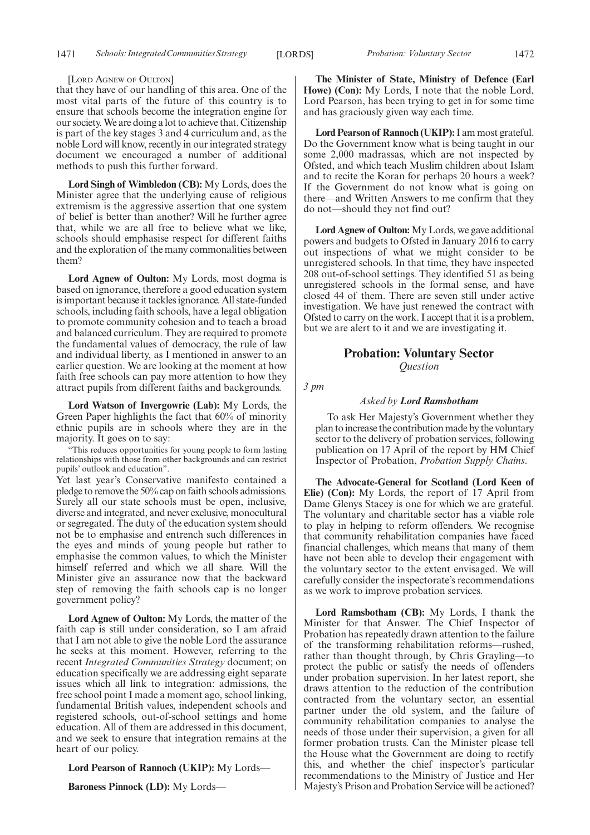#### [LORD AGNEW OF OULTON]

that they have of our handling of this area. One of the most vital parts of the future of this country is to ensure that schools become the integration engine for our society. We are doing a lot to achieve that. Citizenship is part of the key stages 3 and 4 curriculum and, as the noble Lord will know, recently in our integrated strategy document we encouraged a number of additional methods to push this further forward.

**Lord Singh of Wimbledon (CB):** My Lords, does the Minister agree that the underlying cause of religious extremism is the aggressive assertion that one system of belief is better than another? Will he further agree that, while we are all free to believe what we like, schools should emphasise respect for different faiths and the exploration of the many commonalities between them?

**Lord Agnew of Oulton:** My Lords, most dogma is based on ignorance, therefore a good education system is important because it tackles ignorance. All state-funded schools, including faith schools, have a legal obligation to promote community cohesion and to teach a broad and balanced curriculum. They are required to promote the fundamental values of democracy, the rule of law and individual liberty, as I mentioned in answer to an earlier question. We are looking at the moment at how faith free schools can pay more attention to how they attract pupils from different faiths and backgrounds.

**Lord Watson of Invergowrie (Lab):** My Lords, the Green Paper highlights the fact that 60% of minority ethnic pupils are in schools where they are in the majority. It goes on to say:

"This reduces opportunities for young people to form lasting relationships with those from other backgrounds and can restrict pupils' outlook and education".

Yet last year's Conservative manifesto contained a pledge to remove the 50% cap on faith schools admissions. Surely all our state schools must be open, inclusive, diverse and integrated, and never exclusive, monocultural or segregated. The duty of the education system should not be to emphasise and entrench such differences in the eyes and minds of young people but rather to emphasise the common values, to which the Minister himself referred and which we all share. Will the Minister give an assurance now that the backward step of removing the faith schools cap is no longer government policy?

**Lord Agnew of Oulton:** My Lords, the matter of the faith cap is still under consideration, so I am afraid that I am not able to give the noble Lord the assurance he seeks at this moment. However, referring to the recent *Integrated Communities Strategy* document; on education specifically we are addressing eight separate issues which all link to integration: admissions, the free school point I made a moment ago, school linking, fundamental British values, independent schools and registered schools, out-of-school settings and home education. All of them are addressed in this document, and we seek to ensure that integration remains at the heart of our policy.

**Lord Pearson of Rannoch (UKIP):** My Lords—

**Baroness Pinnock (LD):** My Lords—

**The Minister of State, Ministry of Defence (Earl Howe) (Con):** My Lords, I note that the noble Lord, Lord Pearson, has been trying to get in for some time and has graciously given way each time.

**Lord Pearson of Rannoch (UKIP):**I am most grateful. Do the Government know what is being taught in our some 2,000 madrassas, which are not inspected by Ofsted, and which teach Muslim children about Islam and to recite the Koran for perhaps 20 hours a week? If the Government do not know what is going on there—and Written Answers to me confirm that they do not—should they not find out?

**Lord Agnew of Oulton:** My Lords, we gave additional powers and budgets to Ofsted in January 2016 to carry out inspections of what we might consider to be unregistered schools. In that time, they have inspected 208 out-of-school settings. They identified 51 as being unregistered schools in the formal sense, and have closed 44 of them. There are seven still under active investigation. We have just renewed the contract with Ofsted to carry on the work. I accept that it is a problem, but we are alert to it and we are investigating it.

#### **Probation: Voluntary Sector** *Question*

*3 pm*

#### *Asked by Lord Ramsbotham*

To ask Her Majesty's Government whether they plan to increase the contribution made by the voluntary sector to the delivery of probation services, following publication on 17 April of the report by HM Chief Inspector of Probation, *Probation Supply Chains*.

**The Advocate-General for Scotland (Lord Keen of Elie) (Con):** My Lords, the report of 17 April from Dame Glenys Stacey is one for which we are grateful. The voluntary and charitable sector has a viable role to play in helping to reform offenders. We recognise that community rehabilitation companies have faced financial challenges, which means that many of them have not been able to develop their engagement with the voluntary sector to the extent envisaged. We will carefully consider the inspectorate's recommendations as we work to improve probation services.

**Lord Ramsbotham (CB):** My Lords, I thank the Minister for that Answer. The Chief Inspector of Probation has repeatedly drawn attention to the failure of the transforming rehabilitation reforms—rushed, rather than thought through, by Chris Grayling—to protect the public or satisfy the needs of offenders under probation supervision. In her latest report, she draws attention to the reduction of the contribution contracted from the voluntary sector, an essential partner under the old system, and the failure of community rehabilitation companies to analyse the needs of those under their supervision, a given for all former probation trusts. Can the Minister please tell the House what the Government are doing to rectify this, and whether the chief inspector's particular recommendations to the Ministry of Justice and Her Majesty's Prison and Probation Service will be actioned?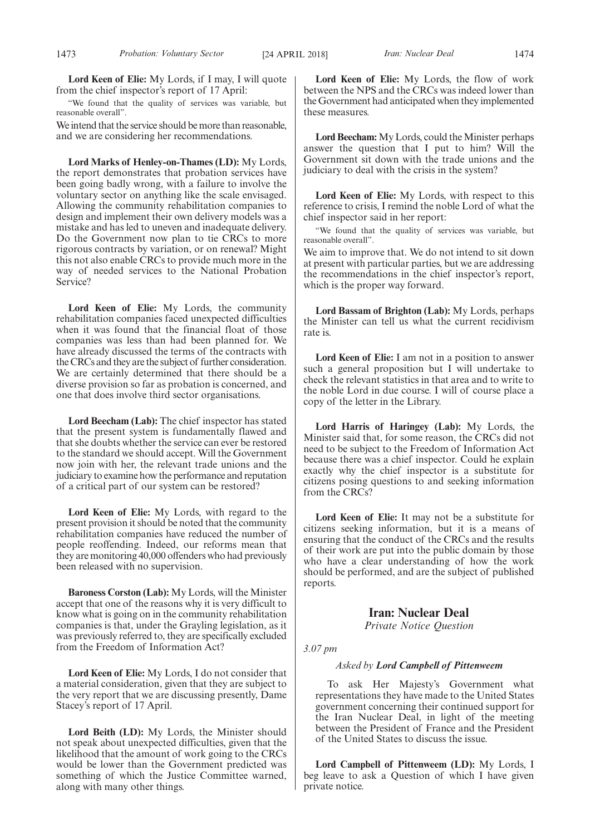**Lord Keen of Elie:** My Lords, if I may, I will quote from the chief inspector's report of 17 April:

"We found that the quality of services was variable, but reasonable overall".

We intend that the service should be more than reasonable, and we are considering her recommendations.

**Lord Marks of Henley-on-Thames (LD):** My Lords, the report demonstrates that probation services have been going badly wrong, with a failure to involve the voluntary sector on anything like the scale envisaged. Allowing the community rehabilitation companies to design and implement their own delivery models was a mistake and has led to uneven and inadequate delivery. Do the Government now plan to tie CRCs to more rigorous contracts by variation, or on renewal? Might this not also enable CRCs to provide much more in the way of needed services to the National Probation Service?

**Lord Keen of Elie:** My Lords, the community rehabilitation companies faced unexpected difficulties when it was found that the financial float of those companies was less than had been planned for. We have already discussed the terms of the contracts with the CRCs and they are the subject of further consideration. We are certainly determined that there should be a diverse provision so far as probation is concerned, and one that does involve third sector organisations.

**Lord Beecham (Lab):** The chief inspector has stated that the present system is fundamentally flawed and that she doubts whether the service can ever be restored to the standard we should accept. Will the Government now join with her, the relevant trade unions and the judiciary to examine how the performance and reputation of a critical part of our system can be restored?

**Lord Keen of Elie:** My Lords, with regard to the present provision it should be noted that the community rehabilitation companies have reduced the number of people reoffending. Indeed, our reforms mean that they are monitoring 40,000 offenders who had previously been released with no supervision.

**Baroness Corston (Lab):** My Lords, will the Minister accept that one of the reasons why it is very difficult to know what is going on in the community rehabilitation companies is that, under the Grayling legislation, as it was previously referred to, they are specifically excluded from the Freedom of Information Act?

**Lord Keen of Elie:** My Lords, I do not consider that a material consideration, given that they are subject to the very report that we are discussing presently, Dame Stacey's report of 17 April.

**Lord Beith (LD):** My Lords, the Minister should not speak about unexpected difficulties, given that the likelihood that the amount of work going to the CRCs would be lower than the Government predicted was something of which the Justice Committee warned, along with many other things.

**Lord Keen of Elie:** My Lords, the flow of work between the NPS and the CRCs was indeed lower than the Government had anticipated when they implemented these measures.

**Lord Beecham:** My Lords, could the Minister perhaps answer the question that I put to him? Will the Government sit down with the trade unions and the judiciary to deal with the crisis in the system?

**Lord Keen of Elie:** My Lords, with respect to this reference to crisis, I remind the noble Lord of what the chief inspector said in her report:

"We found that the quality of services was variable, but reasonable overall".

We aim to improve that. We do not intend to sit down at present with particular parties, but we are addressing the recommendations in the chief inspector's report, which is the proper way forward.

**Lord Bassam of Brighton (Lab):** My Lords, perhaps the Minister can tell us what the current recidivism rate is.

**Lord Keen of Elie:** I am not in a position to answer such a general proposition but I will undertake to check the relevant statistics in that area and to write to the noble Lord in due course. I will of course place a copy of the letter in the Library.

**Lord Harris of Haringey (Lab):** My Lords, the Minister said that, for some reason, the CRCs did not need to be subject to the Freedom of Information Act because there was a chief inspector. Could he explain exactly why the chief inspector is a substitute for citizens posing questions to and seeking information from the CRCs?

**Lord Keen of Elie:** It may not be a substitute for citizens seeking information, but it is a means of ensuring that the conduct of the CRCs and the results of their work are put into the public domain by those who have a clear understanding of how the work should be performed, and are the subject of published reports.

**Iran: Nuclear Deal**

*Private Notice Question*

*3.07 pm*

#### *Asked by Lord Campbell of Pittenweem*

To ask Her Majesty's Government what representations they have made to the United States government concerning their continued support for the Iran Nuclear Deal, in light of the meeting between the President of France and the President of the United States to discuss the issue.

**Lord Campbell of Pittenweem (LD):** My Lords, I beg leave to ask a Question of which I have given private notice.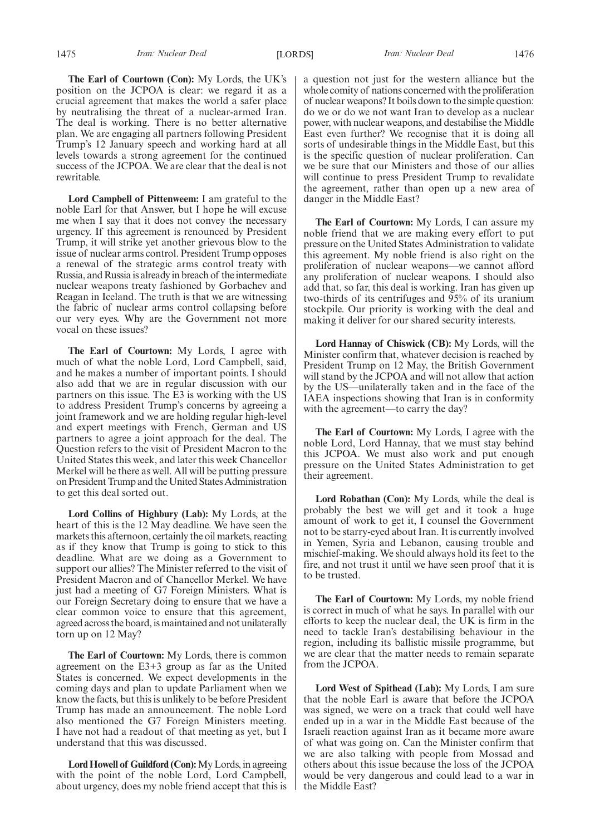**The Earl of Courtown (Con):** My Lords, the UK's position on the JCPOA is clear: we regard it as a crucial agreement that makes the world a safer place by neutralising the threat of a nuclear-armed Iran. The deal is working. There is no better alternative plan. We are engaging all partners following President Trump's 12 January speech and working hard at all levels towards a strong agreement for the continued success of the JCPOA. We are clear that the deal is not rewritable.

**Lord Campbell of Pittenweem:** I am grateful to the noble Earl for that Answer, but I hope he will excuse me when I say that it does not convey the necessary urgency. If this agreement is renounced by President Trump, it will strike yet another grievous blow to the issue of nuclear arms control. President Trump opposes a renewal of the strategic arms control treaty with Russia, and Russia is already in breach of the intermediate nuclear weapons treaty fashioned by Gorbachev and Reagan in Iceland. The truth is that we are witnessing the fabric of nuclear arms control collapsing before our very eyes. Why are the Government not more vocal on these issues?

**The Earl of Courtown:** My Lords, I agree with much of what the noble Lord, Lord Campbell, said, and he makes a number of important points. I should also add that we are in regular discussion with our partners on this issue. The E3 is working with the US to address President Trump's concerns by agreeing a joint framework and we are holding regular high-level and expert meetings with French, German and US partners to agree a joint approach for the deal. The Question refers to the visit of President Macron to the United States this week, and later this week Chancellor Merkel will be there as well. All will be putting pressure on President Trump and the United States Administration to get this deal sorted out.

**Lord Collins of Highbury (Lab):** My Lords, at the heart of this is the 12 May deadline. We have seen the markets this afternoon, certainly the oil markets, reacting as if they know that Trump is going to stick to this deadline. What are we doing as a Government to support our allies? The Minister referred to the visit of President Macron and of Chancellor Merkel. We have just had a meeting of G7 Foreign Ministers. What is our Foreign Secretary doing to ensure that we have a clear common voice to ensure that this agreement, agreed across the board, is maintained and not unilaterally torn up on 12 May?

**The Earl of Courtown:** My Lords, there is common agreement on the E3+3 group as far as the United States is concerned. We expect developments in the coming days and plan to update Parliament when we know the facts, but this is unlikely to be before President Trump has made an announcement. The noble Lord also mentioned the G7 Foreign Ministers meeting. I have not had a readout of that meeting as yet, but I understand that this was discussed.

**Lord Howell of Guildford (Con):**My Lords, in agreeing with the point of the noble Lord, Lord Campbell, about urgency, does my noble friend accept that this is a question not just for the western alliance but the whole comity of nations concerned with the proliferation of nuclear weapons? It boils down to the simple question: do we or do we not want Iran to develop as a nuclear power, with nuclear weapons, and destabilise the Middle East even further? We recognise that it is doing all sorts of undesirable things in the Middle East, but this is the specific question of nuclear proliferation. Can we be sure that our Ministers and those of our allies will continue to press President Trump to revalidate the agreement, rather than open up a new area of danger in the Middle East?

**The Earl of Courtown:** My Lords, I can assure my noble friend that we are making every effort to put pressure on the United States Administration to validate this agreement. My noble friend is also right on the proliferation of nuclear weapons—we cannot afford any proliferation of nuclear weapons. I should also add that, so far, this deal is working. Iran has given up two-thirds of its centrifuges and 95% of its uranium stockpile. Our priority is working with the deal and making it deliver for our shared security interests.

**Lord Hannay of Chiswick (CB):** My Lords, will the Minister confirm that, whatever decision is reached by President Trump on 12 May, the British Government will stand by the JCPOA and will not allow that action by the US—unilaterally taken and in the face of the IAEA inspections showing that Iran is in conformity with the agreement—to carry the day?

**The Earl of Courtown:** My Lords, I agree with the noble Lord, Lord Hannay, that we must stay behind this JCPOA. We must also work and put enough pressure on the United States Administration to get their agreement.

**Lord Robathan (Con):** My Lords, while the deal is probably the best we will get and it took a huge amount of work to get it, I counsel the Government not to be starry-eyed about Iran. It is currently involved in Yemen, Syria and Lebanon, causing trouble and mischief-making. We should always hold its feet to the fire, and not trust it until we have seen proof that it is to be trusted.

**The Earl of Courtown:** My Lords, my noble friend is correct in much of what he says. In parallel with our efforts to keep the nuclear deal, the UK is firm in the need to tackle Iran's destabilising behaviour in the region, including its ballistic missile programme, but we are clear that the matter needs to remain separate from the JCPOA.

**Lord West of Spithead (Lab):** My Lords, I am sure that the noble Earl is aware that before the JCPOA was signed, we were on a track that could well have ended up in a war in the Middle East because of the Israeli reaction against Iran as it became more aware of what was going on. Can the Minister confirm that we are also talking with people from Mossad and others about this issue because the loss of the JCPOA would be very dangerous and could lead to a war in the Middle East?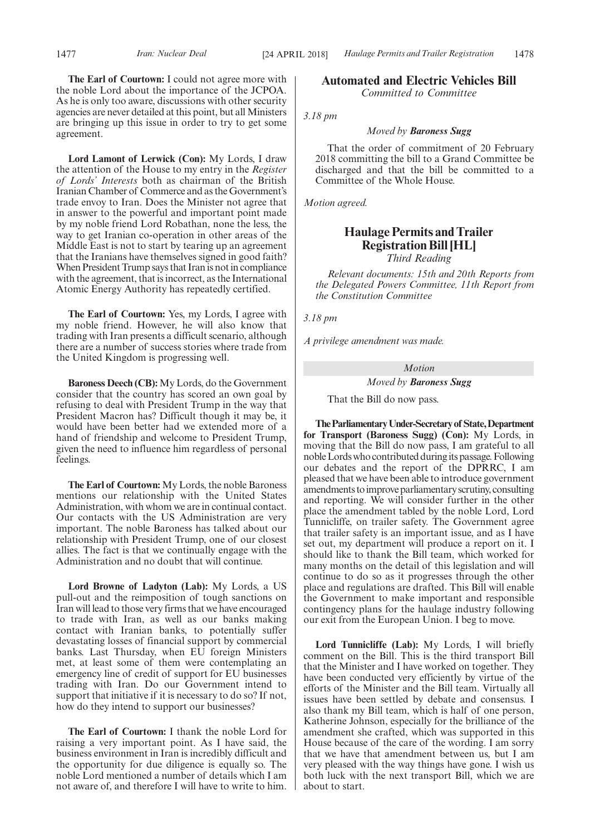**The Earl of Courtown:** I could not agree more with the noble Lord about the importance of the JCPOA. As he is only too aware, discussions with other security agencies are never detailed at this point, but all Ministers are bringing up this issue in order to try to get some agreement.

**Lord Lamont of Lerwick (Con):** My Lords, I draw the attention of the House to my entry in the *Register of Lords' Interests* both as chairman of the British Iranian Chamber of Commerce and as the Government's trade envoy to Iran. Does the Minister not agree that in answer to the powerful and important point made by my noble friend Lord Robathan, none the less, the way to get Iranian co-operation in other areas of the Middle East is not to start by tearing up an agreement that the Iranians have themselves signed in good faith? When President Trump says that Iran is not in compliance with the agreement, that is incorrect, as the International Atomic Energy Authority has repeatedly certified.

**The Earl of Courtown:** Yes, my Lords, I agree with my noble friend. However, he will also know that trading with Iran presents a difficult scenario, although there are a number of success stories where trade from the United Kingdom is progressing well.

**Baroness Deech (CB):** My Lords, do the Government consider that the country has scored an own goal by refusing to deal with President Trump in the way that President Macron has? Difficult though it may be, it would have been better had we extended more of a hand of friendship and welcome to President Trump, given the need to influence him regardless of personal feelings.

**The Earl of Courtown:** My Lords, the noble Baroness mentions our relationship with the United States Administration, with whom we are in continual contact. Our contacts with the US Administration are very important. The noble Baroness has talked about our relationship with President Trump, one of our closest allies. The fact is that we continually engage with the Administration and no doubt that will continue.

**Lord Browne of Ladyton (Lab):** My Lords, a US pull-out and the reimposition of tough sanctions on Iran will lead to those very firms that we have encouraged to trade with Iran, as well as our banks making contact with Iranian banks, to potentially suffer devastating losses of financial support by commercial banks. Last Thursday, when EU foreign Ministers met, at least some of them were contemplating an emergency line of credit of support for EU businesses trading with Iran. Do our Government intend to support that initiative if it is necessary to do so? If not, how do they intend to support our businesses?

**The Earl of Courtown:** I thank the noble Lord for raising a very important point. As I have said, the business environment in Iran is incredibly difficult and the opportunity for due diligence is equally so. The noble Lord mentioned a number of details which I am not aware of, and therefore I will have to write to him. **Automated and Electric Vehicles Bill** *Committed to Committee*

*3.18 pm*

#### *Moved by Baroness Sugg*

That the order of commitment of 20 February 2018 committing the bill to a Grand Committee be discharged and that the bill be committed to a Committee of the Whole House.

*Motion agreed.*

### **Haulage Permits and Trailer Registration Bill [HL]**

*Third Reading*

*Relevant documents: 15th and 20th Reports from the Delegated Powers Committee, 11th Report from the Constitution Committee*

*3.18 pm*

*A privilege amendment was made.*

*Motion*

#### *Moved by Baroness Sugg*

That the Bill do now pass.

**TheParliamentaryUnder-Secretaryof State,Department for Transport (Baroness Sugg) (Con):** My Lords, in moving that the Bill do now pass, I am grateful to all noble Lords who contributed during its passage. Following our debates and the report of the DPRRC, I am pleased that we have been able to introduce government amendments to improve parliamentary scrutiny, consulting and reporting. We will consider further in the other place the amendment tabled by the noble Lord, Lord Tunnicliffe, on trailer safety. The Government agree that trailer safety is an important issue, and as I have set out, my department will produce a report on it. I should like to thank the Bill team, which worked for many months on the detail of this legislation and will continue to do so as it progresses through the other place and regulations are drafted. This Bill will enable the Government to make important and responsible contingency plans for the haulage industry following our exit from the European Union. I beg to move.

**Lord Tunnicliffe (Lab):** My Lords, I will briefly comment on the Bill. This is the third transport Bill that the Minister and I have worked on together. They have been conducted very efficiently by virtue of the efforts of the Minister and the Bill team. Virtually all issues have been settled by debate and consensus. I also thank my Bill team, which is half of one person, Katherine Johnson, especially for the brilliance of the amendment she crafted, which was supported in this House because of the care of the wording. I am sorry that we have that amendment between us, but I am very pleased with the way things have gone. I wish us both luck with the next transport Bill, which we are about to start.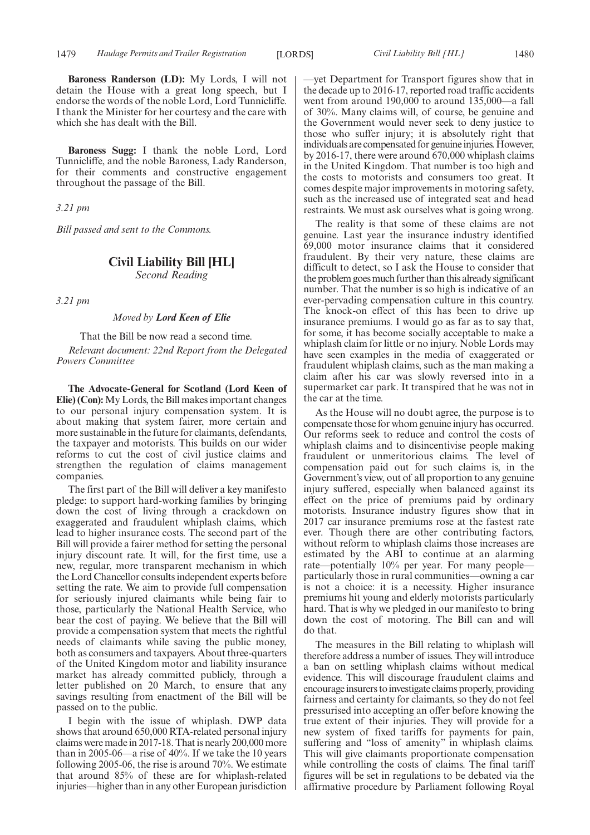**Baroness Randerson (LD):** My Lords, I will not detain the House with a great long speech, but I endorse the words of the noble Lord, Lord Tunnicliffe. I thank the Minister for her courtesy and the care with which she has dealt with the Bill.

**Baroness Sugg:** I thank the noble Lord, Lord Tunnicliffe, and the noble Baroness, Lady Randerson, for their comments and constructive engagement throughout the passage of the Bill.

*3.21 pm*

*Bill passed and sent to the Commons.*

### **Civil Liability Bill [HL]**

*Second Reading*

*3.21 pm*

#### *Moved by Lord Keen of Elie*

That the Bill be now read a second time. *Relevant document: 22nd Report from the Delegated Powers Committee*

**The Advocate-General for Scotland (Lord Keen of Elie) (Con):** My Lords, the Bill makes important changes to our personal injury compensation system. It is about making that system fairer, more certain and more sustainable in the future for claimants, defendants, the taxpayer and motorists. This builds on our wider reforms to cut the cost of civil justice claims and strengthen the regulation of claims management companies.

The first part of the Bill will deliver a key manifesto pledge: to support hard-working families by bringing down the cost of living through a crackdown on exaggerated and fraudulent whiplash claims, which lead to higher insurance costs. The second part of the Bill will provide a fairer method for setting the personal injury discount rate. It will, for the first time, use a new, regular, more transparent mechanism in which the Lord Chancellor consults independent experts before setting the rate. We aim to provide full compensation for seriously injured claimants while being fair to those, particularly the National Health Service, who bear the cost of paying. We believe that the Bill will provide a compensation system that meets the rightful needs of claimants while saving the public money, both as consumers and taxpayers. About three-quarters of the United Kingdom motor and liability insurance market has already committed publicly, through a letter published on 20 March, to ensure that any savings resulting from enactment of the Bill will be passed on to the public.

I begin with the issue of whiplash. DWP data shows that around 650,000 RTA-related personal injury claims were made in 2017-18. That is nearly 200,000 more than in 2005-06—a rise of 40%. If we take the 10 years following 2005-06, the rise is around 70%. We estimate that around 85% of these are for whiplash-related injuries—higher than in any other European jurisdiction

—yet Department for Transport figures show that in the decade up to 2016-17, reported road traffic accidents went from around 190,000 to around 135,000—a fall of 30%. Many claims will, of course, be genuine and the Government would never seek to deny justice to those who suffer injury; it is absolutely right that individuals are compensated for genuine injuries. However, by 2016-17, there were around 670,000 whiplash claims in the United Kingdom. That number is too high and the costs to motorists and consumers too great. It comes despite major improvements in motoring safety, such as the increased use of integrated seat and head restraints. We must ask ourselves what is going wrong.

The reality is that some of these claims are not genuine. Last year the insurance industry identified 69,000 motor insurance claims that it considered fraudulent. By their very nature, these claims are difficult to detect, so I ask the House to consider that the problem goes much further than this already significant number. That the number is so high is indicative of an ever-pervading compensation culture in this country. The knock-on effect of this has been to drive up insurance premiums. I would go as far as to say that, for some, it has become socially acceptable to make a whiplash claim for little or no injury. Noble Lords may have seen examples in the media of exaggerated or fraudulent whiplash claims, such as the man making a claim after his car was slowly reversed into in a supermarket car park. It transpired that he was not in the car at the time.

As the House will no doubt agree, the purpose is to compensate those for whom genuine injury has occurred. Our reforms seek to reduce and control the costs of whiplash claims and to disincentivise people making fraudulent or unmeritorious claims. The level of compensation paid out for such claims is, in the Government's view, out of all proportion to any genuine injury suffered, especially when balanced against its effect on the price of premiums paid by ordinary motorists. Insurance industry figures show that in 2017 car insurance premiums rose at the fastest rate ever. Though there are other contributing factors, without reform to whiplash claims those increases are estimated by the ABI to continue at an alarming rate—potentially 10% per year. For many people particularly those in rural communities—owning a car is not a choice: it is a necessity. Higher insurance premiums hit young and elderly motorists particularly hard. That is why we pledged in our manifesto to bring down the cost of motoring. The Bill can and will do that.

The measures in the Bill relating to whiplash will therefore address a number of issues. They will introduce a ban on settling whiplash claims without medical evidence. This will discourage fraudulent claims and encourage insurers to investigate claims properly, providing fairness and certainty for claimants, so they do not feel pressurised into accepting an offer before knowing the true extent of their injuries. They will provide for a new system of fixed tariffs for payments for pain, suffering and "loss of amenity" in whiplash claims. This will give claimants proportionate compensation while controlling the costs of claims. The final tariff figures will be set in regulations to be debated via the affirmative procedure by Parliament following Royal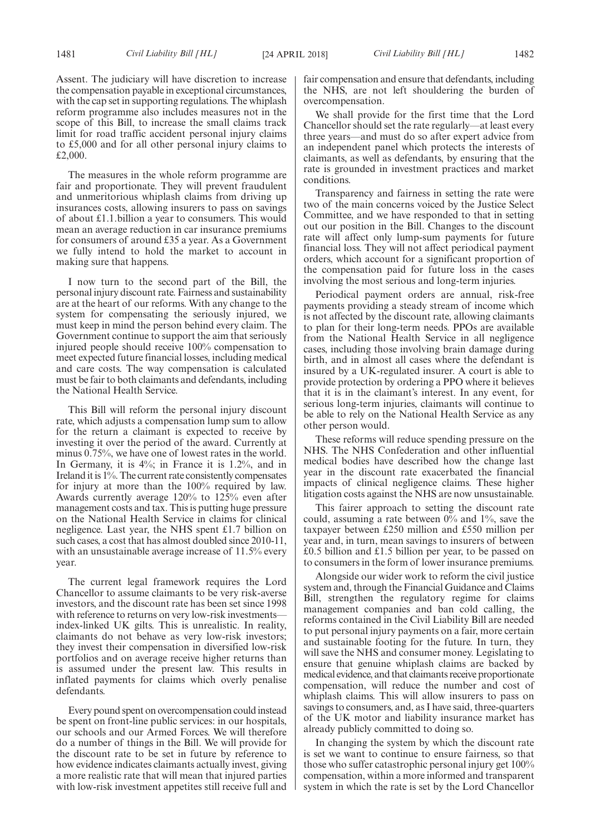Assent. The judiciary will have discretion to increase the compensation payable in exceptional circumstances, with the cap set in supporting regulations. The whiplash reform programme also includes measures not in the scope of this Bill, to increase the small claims track limit for road traffic accident personal injury claims to £5,000 and for all other personal injury claims to £2,000.

The measures in the whole reform programme are fair and proportionate. They will prevent fraudulent and unmeritorious whiplash claims from driving up insurances costs, allowing insurers to pass on savings of about £1.1.billion a year to consumers. This would mean an average reduction in car insurance premiums for consumers of around £35 a year. As a Government we fully intend to hold the market to account in making sure that happens.

I now turn to the second part of the Bill, the personal injury discount rate. Fairness and sustainability are at the heart of our reforms. With any change to the system for compensating the seriously injured, we must keep in mind the person behind every claim. The Government continue to support the aim that seriously injured people should receive 100% compensation to meet expected future financial losses, including medical and care costs. The way compensation is calculated must be fair to both claimants and defendants, including the National Health Service.

This Bill will reform the personal injury discount rate, which adjusts a compensation lump sum to allow for the return a claimant is expected to receive by investing it over the period of the award. Currently at minus 0.75%, we have one of lowest rates in the world. In Germany, it is  $4\%$ ; in France it is 1.2%, and in Ireland it is 1%. The current rate consistently compensates for injury at more than the 100% required by law. Awards currently average 120% to 125% even after management costs and tax. This is putting huge pressure on the National Health Service in claims for clinical negligence. Last year, the NHS spent £1.7 billion on such cases, a cost that has almost doubled since 2010-11, with an unsustainable average increase of 11.5% every year.

The current legal framework requires the Lord Chancellor to assume claimants to be very risk-averse investors, and the discount rate has been set since 1998 with reference to returns on very low-risk investments index-linked UK gilts. This is unrealistic. In reality, claimants do not behave as very low-risk investors; they invest their compensation in diversified low-risk portfolios and on average receive higher returns than is assumed under the present law. This results in inflated payments for claims which overly penalise defendants.

Every pound spent on overcompensation could instead be spent on front-line public services: in our hospitals, our schools and our Armed Forces. We will therefore do a number of things in the Bill. We will provide for the discount rate to be set in future by reference to how evidence indicates claimants actually invest, giving a more realistic rate that will mean that injured parties with low-risk investment appetites still receive full and fair compensation and ensure that defendants, including the NHS, are not left shouldering the burden of overcompensation.

We shall provide for the first time that the Lord Chancellor should set the rate regularly—at least every three years—and must do so after expert advice from an independent panel which protects the interests of claimants, as well as defendants, by ensuring that the rate is grounded in investment practices and market conditions.

Transparency and fairness in setting the rate were two of the main concerns voiced by the Justice Select Committee, and we have responded to that in setting out our position in the Bill. Changes to the discount rate will affect only lump-sum payments for future financial loss. They will not affect periodical payment orders, which account for a significant proportion of the compensation paid for future loss in the cases involving the most serious and long-term injuries.

Periodical payment orders are annual, risk-free payments providing a steady stream of income which is not affected by the discount rate, allowing claimants to plan for their long-term needs. PPOs are available from the National Health Service in all negligence cases, including those involving brain damage during birth, and in almost all cases where the defendant is insured by a UK-regulated insurer. A court is able to provide protection by ordering a PPO where it believes that it is in the claimant's interest. In any event, for serious long-term injuries, claimants will continue to be able to rely on the National Health Service as any other person would.

These reforms will reduce spending pressure on the NHS. The NHS Confederation and other influential medical bodies have described how the change last year in the discount rate exacerbated the financial impacts of clinical negligence claims. These higher litigation costs against the NHS are now unsustainable.

This fairer approach to setting the discount rate could, assuming a rate between 0% and 1%, save the taxpayer between £250 million and £550 million per year and, in turn, mean savings to insurers of between £0.5 billion and £1.5 billion per year, to be passed on to consumers in the form of lower insurance premiums.

Alongside our wider work to reform the civil justice system and, through the Financial Guidance and Claims Bill, strengthen the regulatory regime for claims management companies and ban cold calling, the reforms contained in the Civil Liability Bill are needed to put personal injury payments on a fair, more certain and sustainable footing for the future. In turn, they will save the NHS and consumer money. Legislating to ensure that genuine whiplash claims are backed by medical evidence, and that claimants receive proportionate compensation, will reduce the number and cost of whiplash claims. This will allow insurers to pass on savings to consumers, and, as I have said, three-quarters of the UK motor and liability insurance market has already publicly committed to doing so.

In changing the system by which the discount rate is set we want to continue to ensure fairness, so that those who suffer catastrophic personal injury get 100% compensation, within a more informed and transparent system in which the rate is set by the Lord Chancellor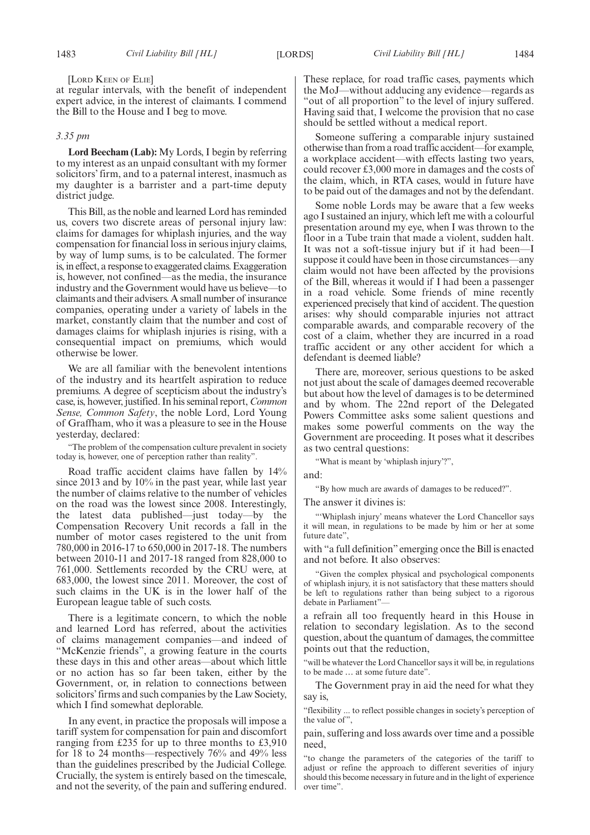#### [LORD KEEN OF ELIE]

at regular intervals, with the benefit of independent expert advice, in the interest of claimants. I commend the Bill to the House and I beg to move.

#### *3.35 pm*

**Lord Beecham (Lab):** My Lords, I begin by referring to my interest as an unpaid consultant with my former solicitors' firm, and to a paternal interest, inasmuch as my daughter is a barrister and a part-time deputy district judge.

This Bill, as the noble and learned Lord has reminded us, covers two discrete areas of personal injury law: claims for damages for whiplash injuries, and the way compensation for financial loss in serious injury claims, by way of lump sums, is to be calculated. The former is, in effect, a response to exaggerated claims. Exaggeration is, however, not confined—as the media, the insurance industry and the Government would have us believe—to claimants and their advisers. A small number of insurance companies, operating under a variety of labels in the market, constantly claim that the number and cost of damages claims for whiplash injuries is rising, with a consequential impact on premiums, which would otherwise be lower.

We are all familiar with the benevolent intentions of the industry and its heartfelt aspiration to reduce premiums. A degree of scepticism about the industry's case, is, however, justified. In his seminal report, *Common Sense, Common Safety*, the noble Lord, Lord Young of Graffham, who it was a pleasure to see in the House yesterday, declared:

"The problem of the compensation culture prevalent in society today is, however, one of perception rather than reality".

Road traffic accident claims have fallen by 14% since 2013 and by 10% in the past year, while last year the number of claims relative to the number of vehicles on the road was the lowest since 2008. Interestingly, the latest data published—just today—by the Compensation Recovery Unit records a fall in the number of motor cases registered to the unit from 780,000 in 2016-17 to 650,000 in 2017-18. The numbers between 2010-11 and 2017-18 ranged from 828,000 to 761,000. Settlements recorded by the CRU were, at 683,000, the lowest since 2011. Moreover, the cost of such claims in the UK is in the lower half of the European league table of such costs.

There is a legitimate concern, to which the noble and learned Lord has referred, about the activities of claims management companies—and indeed of "McKenzie friends", a growing feature in the courts these days in this and other areas—about which little or no action has so far been taken, either by the Government, or, in relation to connections between solicitors' firms and such companies by the Law Society, which I find somewhat deplorable.

In any event, in practice the proposals will impose a tariff system for compensation for pain and discomfort ranging from £235 for up to three months to £3,910 for 18 to 24 months—respectively 76% and 49% less than the guidelines prescribed by the Judicial College. Crucially, the system is entirely based on the timescale, and not the severity, of the pain and suffering endured. These replace, for road traffic cases, payments which the MoJ—without adducing any evidence—regards as "out of all proportion" to the level of injury suffered. Having said that, I welcome the provision that no case should be settled without a medical report.

Someone suffering a comparable injury sustained otherwise than from a road traffic accident—for example, a workplace accident—with effects lasting two years, could recover £3,000 more in damages and the costs of the claim, which, in RTA cases, would in future have to be paid out of the damages and not by the defendant.

Some noble Lords may be aware that a few weeks ago I sustained an injury, which left me with a colourful presentation around my eye, when I was thrown to the floor in a Tube train that made a violent, sudden halt. It was not a soft-tissue injury but if it had been—I suppose it could have been in those circumstances—any claim would not have been affected by the provisions of the Bill, whereas it would if I had been a passenger in a road vehicle. Some friends of mine recently experienced precisely that kind of accident. The question arises: why should comparable injuries not attract comparable awards, and comparable recovery of the cost of a claim, whether they are incurred in a road traffic accident or any other accident for which a defendant is deemed liable?

There are, moreover, serious questions to be asked not just about the scale of damages deemed recoverable but about how the level of damages is to be determined and by whom. The 22nd report of the Delegated Powers Committee asks some salient questions and makes some powerful comments on the way the Government are proceeding. It poses what it describes as two central questions:

"What is meant by 'whiplash injury'?",

and:

"By how much are awards of damages to be reduced?".

The answer it divines is:

"'Whiplash injury' means whatever the Lord Chancellor says it will mean, in regulations to be made by him or her at some future date",

with "a full definition"emerging once the Bill is enacted and not before. It also observes:

"Given the complex physical and psychological components of whiplash injury, it is not satisfactory that these matters should be left to regulations rather than being subject to a rigorous debate in Parliament"—

a refrain all too frequently heard in this House in relation to secondary legislation. As to the second question, about the quantum of damages, the committee points out that the reduction,

"will be whatever the Lord Chancellor says it will be, in regulations to be made … at some future date".

The Government pray in aid the need for what they say is,

"flexibility ... to reflect possible changes in society's perception of the value of",

pain, suffering and loss awards over time and a possible need,

"to change the parameters of the categories of the tariff to adjust or refine the approach to different severities of injury should this become necessary in future and in the light of experience over time".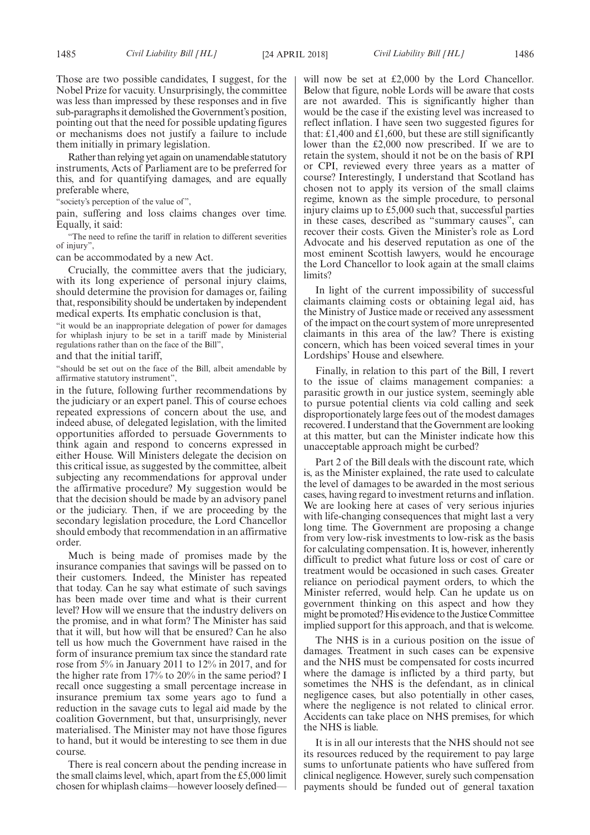Those are two possible candidates, I suggest, for the Nobel Prize for vacuity. Unsurprisingly, the committee was less than impressed by these responses and in five sub-paragraphs it demolished the Government's position, pointing out that the need for possible updating figures or mechanisms does not justify a failure to include them initially in primary legislation.

Rather than relying yet again on unamendable statutory instruments, Acts of Parliament are to be preferred for this, and for quantifying damages, and are equally preferable where,

"society's perception of the value of",

pain, suffering and loss claims changes over time. Equally, it said:

"The need to refine the tariff in relation to different severities of injury",

can be accommodated by a new Act.

Crucially, the committee avers that the judiciary, with its long experience of personal injury claims, should determine the provision for damages or, failing that, responsibility should be undertaken by independent medical experts. Its emphatic conclusion is that,

"it would be an inappropriate delegation of power for damages for whiplash injury to be set in a tariff made by Ministerial regulations rather than on the face of the Bill",

and that the initial tariff,

"should be set out on the face of the Bill, albeit amendable by affirmative statutory instrument",

in the future, following further recommendations by the judiciary or an expert panel. This of course echoes repeated expressions of concern about the use, and indeed abuse, of delegated legislation, with the limited opportunities afforded to persuade Governments to think again and respond to concerns expressed in either House. Will Ministers delegate the decision on this critical issue, as suggested by the committee, albeit subjecting any recommendations for approval under the affirmative procedure? My suggestion would be that the decision should be made by an advisory panel or the judiciary. Then, if we are proceeding by the secondary legislation procedure, the Lord Chancellor should embody that recommendation in an affirmative order.

Much is being made of promises made by the insurance companies that savings will be passed on to their customers. Indeed, the Minister has repeated that today. Can he say what estimate of such savings has been made over time and what is their current level? How will we ensure that the industry delivers on the promise, and in what form? The Minister has said that it will, but how will that be ensured? Can he also tell us how much the Government have raised in the form of insurance premium tax since the standard rate rose from 5% in January 2011 to 12% in 2017, and for the higher rate from 17% to 20% in the same period? I recall once suggesting a small percentage increase in insurance premium tax some years ago to fund a reduction in the savage cuts to legal aid made by the coalition Government, but that, unsurprisingly, never materialised. The Minister may not have those figures to hand, but it would be interesting to see them in due course.

There is real concern about the pending increase in the small claims level, which, apart from the £5,000 limit chosen for whiplash claims—however loosely definedwill now be set at £2,000 by the Lord Chancellor. Below that figure, noble Lords will be aware that costs are not awarded. This is significantly higher than would be the case if the existing level was increased to reflect inflation. I have seen two suggested figures for that: £1,400 and £1,600, but these are still significantly lower than the £2,000 now prescribed. If we are to retain the system, should it not be on the basis of RPI or CPI, reviewed every three years as a matter of course? Interestingly, I understand that Scotland has chosen not to apply its version of the small claims regime, known as the simple procedure, to personal injury claims up to £5,000 such that, successful parties in these cases, described as "summary causes", can recover their costs. Given the Minister's role as Lord Advocate and his deserved reputation as one of the most eminent Scottish lawyers, would he encourage the Lord Chancellor to look again at the small claims limits?

In light of the current impossibility of successful claimants claiming costs or obtaining legal aid, has the Ministry of Justice made or received any assessment of the impact on the court system of more unrepresented claimants in this area of the law? There is existing concern, which has been voiced several times in your Lordships' House and elsewhere.

Finally, in relation to this part of the Bill, I revert to the issue of claims management companies: a parasitic growth in our justice system, seemingly able to pursue potential clients via cold calling and seek disproportionately large fees out of the modest damages recovered. I understand that the Government are looking at this matter, but can the Minister indicate how this unacceptable approach might be curbed?

Part 2 of the Bill deals with the discount rate, which is, as the Minister explained, the rate used to calculate the level of damages to be awarded in the most serious cases, having regard to investment returns and inflation. We are looking here at cases of very serious injuries with life-changing consequences that might last a very long time. The Government are proposing a change from very low-risk investments to low-risk as the basis for calculating compensation. It is, however, inherently difficult to predict what future loss or cost of care or treatment would be occasioned in such cases. Greater reliance on periodical payment orders, to which the Minister referred, would help. Can he update us on government thinking on this aspect and how they might be promoted? His evidence to the Justice Committee implied support for this approach, and that is welcome.

The NHS is in a curious position on the issue of damages. Treatment in such cases can be expensive and the NHS must be compensated for costs incurred where the damage is inflicted by a third party, but sometimes the NHS is the defendant, as in clinical negligence cases, but also potentially in other cases, where the negligence is not related to clinical error. Accidents can take place on NHS premises, for which the NHS is liable.

It is in all our interests that the NHS should not see its resources reduced by the requirement to pay large sums to unfortunate patients who have suffered from clinical negligence. However, surely such compensation payments should be funded out of general taxation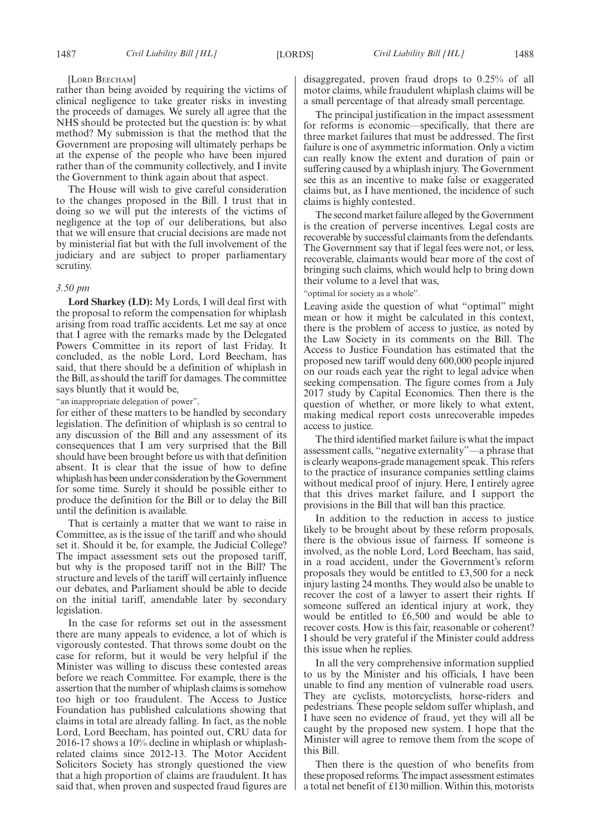#### [LORD BEECHAM]

rather than being avoided by requiring the victims of clinical negligence to take greater risks in investing the proceeds of damages. We surely all agree that the NHS should be protected but the question is: by what method? My submission is that the method that the Government are proposing will ultimately perhaps be at the expense of the people who have been injured rather than of the community collectively, and I invite the Government to think again about that aspect.

The House will wish to give careful consideration to the changes proposed in the Bill. I trust that in doing so we will put the interests of the victims of negligence at the top of our deliberations, but also that we will ensure that crucial decisions are made not by ministerial fiat but with the full involvement of the judiciary and are subject to proper parliamentary scrutiny.

#### *3.50 pm*

**Lord Sharkey (LD):** My Lords, I will deal first with the proposal to reform the compensation for whiplash arising from road traffic accidents. Let me say at once that I agree with the remarks made by the Delegated Powers Committee in its report of last Friday. It concluded, as the noble Lord, Lord Beecham, has said, that there should be a definition of whiplash in the Bill, as should the tariff for damages. The committee says bluntly that it would be,

"an inappropriate delegation of power",

for either of these matters to be handled by secondary legislation. The definition of whiplash is so central to any discussion of the Bill and any assessment of its consequences that I am very surprised that the Bill should have been brought before us with that definition absent. It is clear that the issue of how to define whiplash has been under consideration by the Government for some time. Surely it should be possible either to produce the definition for the Bill or to delay the Bill until the definition is available.

That is certainly a matter that we want to raise in Committee, as is the issue of the tariff and who should set it. Should it be, for example, the Judicial College? The impact assessment sets out the proposed tariff, but why is the proposed tariff not in the Bill? The structure and levels of the tariff will certainly influence our debates, and Parliament should be able to decide on the initial tariff, amendable later by secondary legislation.

In the case for reforms set out in the assessment there are many appeals to evidence, a lot of which is vigorously contested. That throws some doubt on the case for reform, but it would be very helpful if the Minister was willing to discuss these contested areas before we reach Committee. For example, there is the assertion that the number of whiplash claims is somehow too high or too fraudulent. The Access to Justice Foundation has published calculations showing that claims in total are already falling. In fact, as the noble Lord, Lord Beecham, has pointed out, CRU data for 2016-17 shows a 10% decline in whiplash or whiplashrelated claims since 2012-13. The Motor Accident Solicitors Society has strongly questioned the view that a high proportion of claims are fraudulent. It has said that, when proven and suspected fraud figures are

disaggregated, proven fraud drops to 0.25% of all motor claims, while fraudulent whiplash claims will be a small percentage of that already small percentage.

The principal justification in the impact assessment for reforms is economic—specifically, that there are three market failures that must be addressed. The first failure is one of asymmetric information. Only a victim can really know the extent and duration of pain or suffering caused by a whiplash injury. The Government see this as an incentive to make false or exaggerated claims but, as I have mentioned, the incidence of such claims is highly contested.

The second market failure alleged by the Government is the creation of perverse incentives. Legal costs are recoverable by successful claimants from the defendants. The Government say that if legal fees were not, or less, recoverable, claimants would bear more of the cost of bringing such claims, which would help to bring down their volume to a level that was,

"optimal for society as a whole".

Leaving aside the question of what "optimal" might mean or how it might be calculated in this context, there is the problem of access to justice, as noted by the Law Society in its comments on the Bill. The Access to Justice Foundation has estimated that the proposed new tariff would deny 600,000 people injured on our roads each year the right to legal advice when seeking compensation. The figure comes from a July 2017 study by Capital Economics. Then there is the question of whether, or more likely to what extent, making medical report costs unrecoverable impedes access to justice.

The third identified market failure is what the impact assessment calls, "negative externality"—a phrase that is clearly weapons-grade management speak. This refers to the practice of insurance companies settling claims without medical proof of injury. Here, I entirely agree that this drives market failure, and I support the provisions in the Bill that will ban this practice.

In addition to the reduction in access to justice likely to be brought about by these reform proposals, there is the obvious issue of fairness. If someone is involved, as the noble Lord, Lord Beecham, has said, in a road accident, under the Government's reform proposals they would be entitled to £3,500 for a neck injury lasting 24 months. They would also be unable to recover the cost of a lawyer to assert their rights. If someone suffered an identical injury at work, they would be entitled to £6,500 and would be able to recover costs. How is this fair, reasonable or coherent? I should be very grateful if the Minister could address this issue when he replies.

In all the very comprehensive information supplied to us by the Minister and his officials, I have been unable to find any mention of vulnerable road users. They are cyclists, motorcyclists, horse-riders and pedestrians. These people seldom suffer whiplash, and I have seen no evidence of fraud, yet they will all be caught by the proposed new system. I hope that the Minister will agree to remove them from the scope of this Bill.

Then there is the question of who benefits from these proposed reforms. The impact assessment estimates a total net benefit of £130 million. Within this, motorists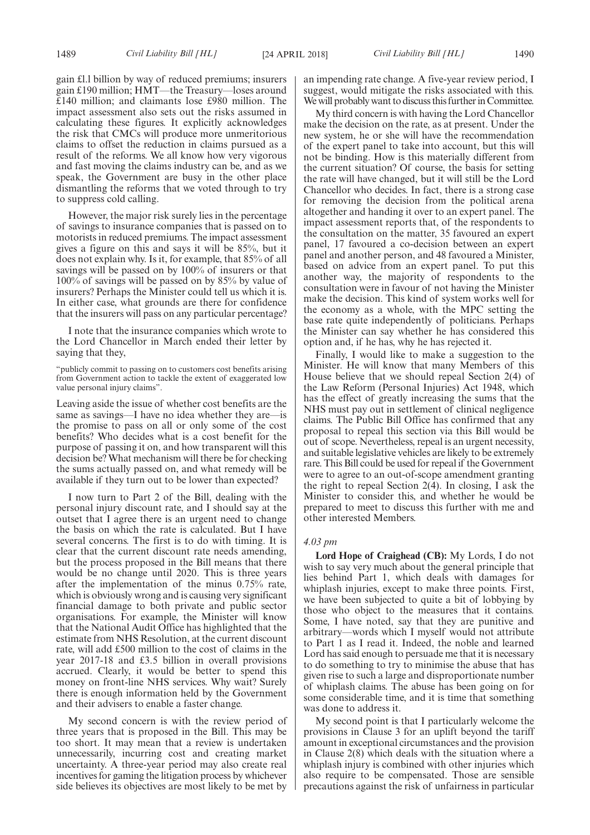gain £l.l billion by way of reduced premiums; insurers gain £190 million; HMT—the Treasury—loses around £140 million; and claimants lose £980 million. The impact assessment also sets out the risks assumed in calculating these figures. It explicitly acknowledges the risk that CMCs will produce more unmeritorious claims to offset the reduction in claims pursued as a result of the reforms. We all know how very vigorous and fast moving the claims industry can be, and as we speak, the Government are busy in the other place dismantling the reforms that we voted through to try to suppress cold calling.

However, the major risk surely lies in the percentage of savings to insurance companies that is passed on to motorists in reduced premiums. The impact assessment gives a figure on this and says it will be 85%, but it does not explain why. Is it, for example, that 85% of all savings will be passed on by 100% of insurers or that 100% of savings will be passed on by 85% by value of insurers? Perhaps the Minister could tell us which it is. In either case, what grounds are there for confidence that the insurers will pass on any particular percentage?

I note that the insurance companies which wrote to the Lord Chancellor in March ended their letter by saying that they,

"publicly commit to passing on to customers cost benefits arising from Government action to tackle the extent of exaggerated low value personal injury claims".

Leaving aside the issue of whether cost benefits are the same as savings—I have no idea whether they are—is the promise to pass on all or only some of the cost benefits? Who decides what is a cost benefit for the purpose of passing it on, and how transparent will this decision be? What mechanism will there be for checking the sums actually passed on, and what remedy will be available if they turn out to be lower than expected?

I now turn to Part 2 of the Bill, dealing with the personal injury discount rate, and I should say at the outset that I agree there is an urgent need to change the basis on which the rate is calculated. But I have several concerns. The first is to do with timing. It is clear that the current discount rate needs amending, but the process proposed in the Bill means that there would be no change until 2020. This is three years after the implementation of the minus 0.75% rate, which is obviously wrong and is causing very significant financial damage to both private and public sector organisations. For example, the Minister will know that the National Audit Office has highlighted that the estimate from NHS Resolution, at the current discount rate, will add £500 million to the cost of claims in the year 2017-18 and £3.5 billion in overall provisions accrued. Clearly, it would be better to spend this money on front-line NHS services. Why wait? Surely there is enough information held by the Government and their advisers to enable a faster change.

My second concern is with the review period of three years that is proposed in the Bill. This may be too short. It may mean that a review is undertaken unnecessarily, incurring cost and creating market uncertainty. A three-year period may also create real incentives for gaming the litigation process by whichever side believes its objectives are most likely to be met by an impending rate change. A five-year review period, I suggest, would mitigate the risks associated with this. We will probably want to discuss this further in Committee.

My third concern is with having the Lord Chancellor make the decision on the rate, as at present. Under the new system, he or she will have the recommendation of the expert panel to take into account, but this will not be binding. How is this materially different from the current situation? Of course, the basis for setting the rate will have changed, but it will still be the Lord Chancellor who decides. In fact, there is a strong case for removing the decision from the political arena altogether and handing it over to an expert panel. The impact assessment reports that, of the respondents to the consultation on the matter, 35 favoured an expert panel, 17 favoured a co-decision between an expert panel and another person, and 48 favoured a Minister, based on advice from an expert panel. To put this another way, the majority of respondents to the consultation were in favour of not having the Minister make the decision. This kind of system works well for the economy as a whole, with the MPC setting the base rate quite independently of politicians. Perhaps the Minister can say whether he has considered this option and, if he has, why he has rejected it.

Finally, I would like to make a suggestion to the Minister. He will know that many Members of this House believe that we should repeal Section 2(4) of the Law Reform (Personal Injuries) Act 1948, which has the effect of greatly increasing the sums that the NHS must pay out in settlement of clinical negligence claims. The Public Bill Office has confirmed that any proposal to repeal this section via this Bill would be out of scope. Nevertheless, repeal is an urgent necessity, and suitable legislative vehicles are likely to be extremely rare. This Bill could be used for repeal if the Government were to agree to an out-of-scope amendment granting the right to repeal Section 2(4). In closing, I ask the Minister to consider this, and whether he would be prepared to meet to discuss this further with me and other interested Members.

#### *4.03 pm*

**Lord Hope of Craighead (CB):** My Lords, I do not wish to say very much about the general principle that lies behind Part 1, which deals with damages for whiplash injuries, except to make three points. First, we have been subjected to quite a bit of lobbying by those who object to the measures that it contains. Some, I have noted, say that they are punitive and arbitrary—words which I myself would not attribute to Part 1 as I read it. Indeed, the noble and learned Lord has said enough to persuade me that it is necessary to do something to try to minimise the abuse that has given rise to such a large and disproportionate number of whiplash claims. The abuse has been going on for some considerable time, and it is time that something was done to address it.

My second point is that I particularly welcome the provisions in Clause 3 for an uplift beyond the tariff amount in exceptional circumstances and the provision in Clause 2(8) which deals with the situation where a whiplash injury is combined with other injuries which also require to be compensated. Those are sensible precautions against the risk of unfairness in particular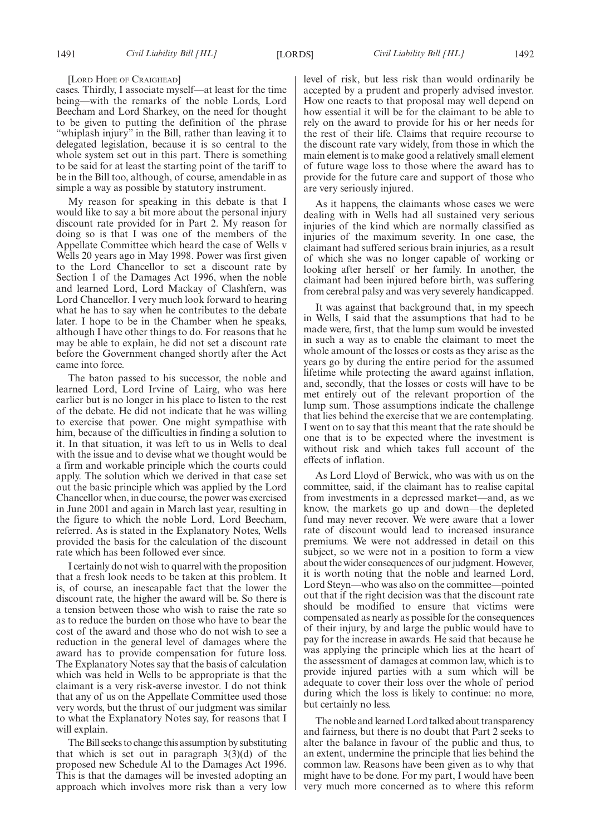[LORD HOPE OF CRAIGHEAD]

cases. Thirdly, I associate myself—at least for the time being—with the remarks of the noble Lords, Lord Beecham and Lord Sharkey, on the need for thought to be given to putting the definition of the phrase "whiplash injury" in the Bill, rather than leaving it to delegated legislation, because it is so central to the whole system set out in this part. There is something to be said for at least the starting point of the tariff to be in the Bill too, although, of course, amendable in as simple a way as possible by statutory instrument.

My reason for speaking in this debate is that I would like to say a bit more about the personal injury discount rate provided for in Part 2. My reason for doing so is that I was one of the members of the Appellate Committee which heard the case of Wells v Wells 20 years ago in May 1998. Power was first given to the Lord Chancellor to set a discount rate by Section 1 of the Damages Act 1996, when the noble and learned Lord, Lord Mackay of Clashfern, was Lord Chancellor. I very much look forward to hearing what he has to say when he contributes to the debate later. I hope to be in the Chamber when he speaks, although I have other things to do. For reasons that he may be able to explain, he did not set a discount rate before the Government changed shortly after the Act came into force.

The baton passed to his successor, the noble and learned Lord, Lord Irvine of Lairg, who was here earlier but is no longer in his place to listen to the rest of the debate. He did not indicate that he was willing to exercise that power. One might sympathise with him, because of the difficulties in finding a solution to it. In that situation, it was left to us in Wells to deal with the issue and to devise what we thought would be a firm and workable principle which the courts could apply. The solution which we derived in that case set out the basic principle which was applied by the Lord Chancellor when, in due course, the power was exercised in June 2001 and again in March last year, resulting in the figure to which the noble Lord, Lord Beecham, referred. As is stated in the Explanatory Notes, Wells provided the basis for the calculation of the discount rate which has been followed ever since.

I certainly do not wish to quarrel with the proposition that a fresh look needs to be taken at this problem. It is, of course, an inescapable fact that the lower the discount rate, the higher the award will be. So there is a tension between those who wish to raise the rate so as to reduce the burden on those who have to bear the cost of the award and those who do not wish to see a reduction in the general level of damages where the award has to provide compensation for future loss. The Explanatory Notes say that the basis of calculation which was held in Wells to be appropriate is that the claimant is a very risk-averse investor. I do not think that any of us on the Appellate Committee used those very words, but the thrust of our judgment was similar to what the Explanatory Notes say, for reasons that I will explain.

The Bill seeks to change this assumption by substituting that which is set out in paragraph  $3(3)(d)$  of the proposed new Schedule Al to the Damages Act 1996. This is that the damages will be invested adopting an approach which involves more risk than a very low level of risk, but less risk than would ordinarily be accepted by a prudent and properly advised investor. How one reacts to that proposal may well depend on how essential it will be for the claimant to be able to rely on the award to provide for his or her needs for the rest of their life. Claims that require recourse to the discount rate vary widely, from those in which the main element is to make good a relatively small element of future wage loss to those where the award has to provide for the future care and support of those who are very seriously injured.

As it happens, the claimants whose cases we were dealing with in Wells had all sustained very serious injuries of the kind which are normally classified as injuries of the maximum severity. In one case, the claimant had suffered serious brain injuries, as a result of which she was no longer capable of working or looking after herself or her family. In another, the claimant had been injured before birth, was suffering from cerebral palsy and was very severely handicapped.

It was against that background that, in my speech in Wells, I said that the assumptions that had to be made were, first, that the lump sum would be invested in such a way as to enable the claimant to meet the whole amount of the losses or costs as they arise as the years go by during the entire period for the assumed lifetime while protecting the award against inflation, and, secondly, that the losses or costs will have to be met entirely out of the relevant proportion of the lump sum. Those assumptions indicate the challenge that lies behind the exercise that we are contemplating. I went on to say that this meant that the rate should be one that is to be expected where the investment is without risk and which takes full account of the effects of inflation.

As Lord Lloyd of Berwick, who was with us on the committee, said, if the claimant has to realise capital from investments in a depressed market—and, as we know, the markets go up and down—the depleted fund may never recover. We were aware that a lower rate of discount would lead to increased insurance premiums. We were not addressed in detail on this subject, so we were not in a position to form a view about the wider consequences of our judgment. However, it is worth noting that the noble and learned Lord, Lord Steyn—who was also on the committee—pointed out that if the right decision was that the discount rate should be modified to ensure that victims were compensated as nearly as possible for the consequences of their injury, by and large the public would have to pay for the increase in awards. He said that because he was applying the principle which lies at the heart of the assessment of damages at common law, which is to provide injured parties with a sum which will be adequate to cover their loss over the whole of period during which the loss is likely to continue: no more, but certainly no less.

The noble and learned Lord talked about transparency and fairness, but there is no doubt that Part 2 seeks to alter the balance in favour of the public and thus, to an extent, undermine the principle that lies behind the common law. Reasons have been given as to why that might have to be done. For my part, I would have been very much more concerned as to where this reform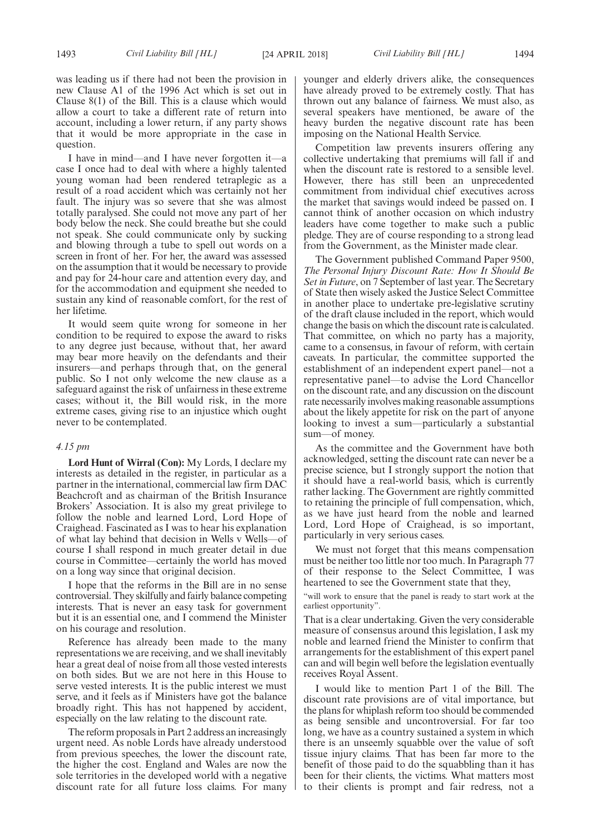was leading us if there had not been the provision in new Clause A1 of the 1996 Act which is set out in Clause 8(1) of the Bill. This is a clause which would allow a court to take a different rate of return into account, including a lower return, if any party shows that it would be more appropriate in the case in question.

I have in mind—and I have never forgotten it—a case I once had to deal with where a highly talented young woman had been rendered tetraplegic as a result of a road accident which was certainly not her fault. The injury was so severe that she was almost totally paralysed. She could not move any part of her body below the neck. She could breathe but she could not speak. She could communicate only by sucking and blowing through a tube to spell out words on a screen in front of her. For her, the award was assessed on the assumption that it would be necessary to provide and pay for 24-hour care and attention every day, and for the accommodation and equipment she needed to sustain any kind of reasonable comfort, for the rest of her lifetime.

It would seem quite wrong for someone in her condition to be required to expose the award to risks to any degree just because, without that, her award may bear more heavily on the defendants and their insurers—and perhaps through that, on the general public. So I not only welcome the new clause as a safeguard against the risk of unfairness in these extreme cases; without it, the Bill would risk, in the more extreme cases, giving rise to an injustice which ought never to be contemplated.

#### *4.15 pm*

**Lord Hunt of Wirral (Con):** My Lords, I declare my interests as detailed in the register, in particular as a partner in the international, commercial law firm DAC Beachcroft and as chairman of the British Insurance Brokers' Association. It is also my great privilege to follow the noble and learned Lord, Lord Hope of Craighead. Fascinated as I was to hear his explanation of what lay behind that decision in Wells v Wells—of course I shall respond in much greater detail in due course in Committee—certainly the world has moved on a long way since that original decision.

I hope that the reforms in the Bill are in no sense controversial. They skilfully and fairly balance competing interests. That is never an easy task for government but it is an essential one, and I commend the Minister on his courage and resolution.

Reference has already been made to the many representations we are receiving, and we shall inevitably hear a great deal of noise from all those vested interests on both sides. But we are not here in this House to serve vested interests. It is the public interest we must serve, and it feels as if Ministers have got the balance broadly right. This has not happened by accident, especially on the law relating to the discount rate.

The reform proposals in Part 2 address an increasingly urgent need. As noble Lords have already understood from previous speeches, the lower the discount rate, the higher the cost. England and Wales are now the sole territories in the developed world with a negative discount rate for all future loss claims. For many younger and elderly drivers alike, the consequences have already proved to be extremely costly. That has thrown out any balance of fairness. We must also, as several speakers have mentioned, be aware of the heavy burden the negative discount rate has been imposing on the National Health Service.

Competition law prevents insurers offering any collective undertaking that premiums will fall if and when the discount rate is restored to a sensible level. However, there has still been an unprecedented commitment from individual chief executives across the market that savings would indeed be passed on. I cannot think of another occasion on which industry leaders have come together to make such a public pledge. They are of course responding to a strong lead from the Government, as the Minister made clear.

The Government published Command Paper 9500, *The Personal Injury Discount Rate: How It Should Be Set in Future*, on 7 September of last year. The Secretary of State then wisely asked the Justice Select Committee in another place to undertake pre-legislative scrutiny of the draft clause included in the report, which would change the basis on which the discount rate is calculated. That committee, on which no party has a majority, came to a consensus, in favour of reform, with certain caveats. In particular, the committee supported the establishment of an independent expert panel—not a representative panel—to advise the Lord Chancellor on the discount rate, and any discussion on the discount rate necessarily involves making reasonable assumptions about the likely appetite for risk on the part of anyone looking to invest a sum—particularly a substantial sum—of money.

As the committee and the Government have both acknowledged, setting the discount rate can never be a precise science, but I strongly support the notion that it should have a real-world basis, which is currently rather lacking. The Government are rightly committed to retaining the principle of full compensation, which, as we have just heard from the noble and learned Lord, Lord Hope of Craighead, is so important, particularly in very serious cases.

We must not forget that this means compensation must be neither too little nor too much. In Paragraph 77 of their response to the Select Committee, I was heartened to see the Government state that they,

"will work to ensure that the panel is ready to start work at the earliest opportunity".

That is a clear undertaking. Given the very considerable measure of consensus around this legislation, I ask my noble and learned friend the Minister to confirm that arrangements for the establishment of this expert panel can and will begin well before the legislation eventually receives Royal Assent.

I would like to mention Part 1 of the Bill. The discount rate provisions are of vital importance, but the plans for whiplash reform too should be commended as being sensible and uncontroversial. For far too long, we have as a country sustained a system in which there is an unseemly squabble over the value of soft tissue injury claims. That has been far more to the benefit of those paid to do the squabbling than it has been for their clients, the victims. What matters most to their clients is prompt and fair redress, not a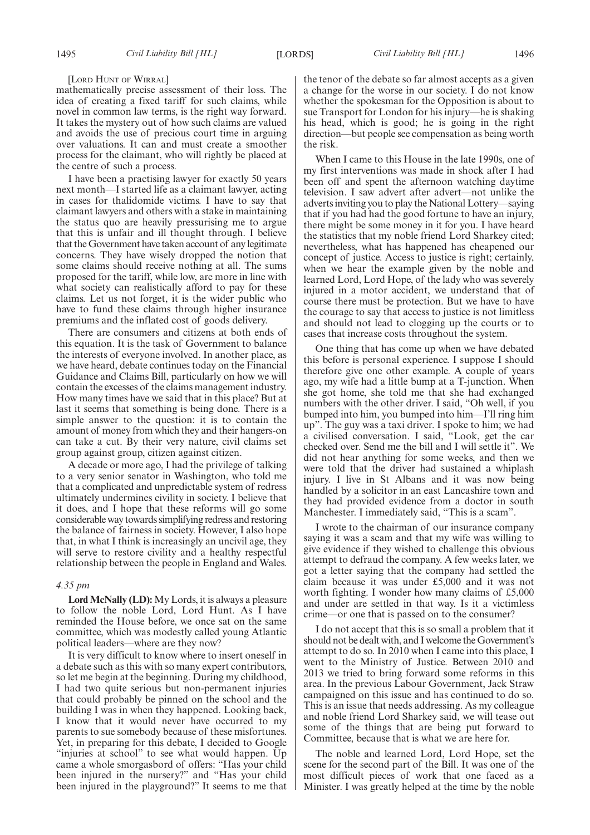[LORD HUNT OF WIRRAL]

mathematically precise assessment of their loss. The idea of creating a fixed tariff for such claims, while novel in common law terms, is the right way forward. It takes the mystery out of how such claims are valued and avoids the use of precious court time in arguing over valuations. It can and must create a smoother process for the claimant, who will rightly be placed at the centre of such a process.

I have been a practising lawyer for exactly 50 years next month—I started life as a claimant lawyer, acting in cases for thalidomide victims. I have to say that claimant lawyers and others with a stake in maintaining the status quo are heavily pressurising me to argue that this is unfair and ill thought through. I believe that the Government have taken account of any legitimate concerns. They have wisely dropped the notion that some claims should receive nothing at all. The sums proposed for the tariff, while low, are more in line with what society can realistically afford to pay for these claims. Let us not forget, it is the wider public who have to fund these claims through higher insurance premiums and the inflated cost of goods delivery.

There are consumers and citizens at both ends of this equation. It is the task of Government to balance the interests of everyone involved. In another place, as we have heard, debate continues today on the Financial Guidance and Claims Bill, particularly on how we will contain the excesses of the claims management industry. How many times have we said that in this place? But at last it seems that something is being done. There is a simple answer to the question: it is to contain the amount of money from which they and their hangers-on can take a cut. By their very nature, civil claims set group against group, citizen against citizen.

A decade or more ago, I had the privilege of talking to a very senior senator in Washington, who told me that a complicated and unpredictable system of redress ultimately undermines civility in society. I believe that it does, and I hope that these reforms will go some considerable way towards simplifying redress and restoring the balance of fairness in society. However, I also hope that, in what I think is increasingly an uncivil age, they will serve to restore civility and a healthy respectful relationship between the people in England and Wales.

#### *4.35 pm*

**Lord McNally (LD):** My Lords, it is always a pleasure to follow the noble Lord, Lord Hunt. As I have reminded the House before, we once sat on the same committee, which was modestly called young Atlantic political leaders—where are they now?

It is very difficult to know where to insert oneself in a debate such as this with so many expert contributors, so let me begin at the beginning. During my childhood, I had two quite serious but non-permanent injuries that could probably be pinned on the school and the building I was in when they happened. Looking back, I know that it would never have occurred to my parents to sue somebody because of these misfortunes. Yet, in preparing for this debate, I decided to Google "injuries at school" to see what would happen. Up came a whole smorgasbord of offers: "Has your child been injured in the nursery?" and "Has your child been injured in the playground?" It seems to me that the tenor of the debate so far almost accepts as a given a change for the worse in our society. I do not know whether the spokesman for the Opposition is about to sue Transport for London for his injury—he is shaking his head, which is good; he is going in the right direction—but people see compensation as being worth the risk.

When I came to this House in the late 1990s, one of my first interventions was made in shock after I had been off and spent the afternoon watching daytime television. I saw advert after advert—not unlike the adverts inviting you to play the National Lottery—saying that if you had had the good fortune to have an injury, there might be some money in it for you. I have heard the statistics that my noble friend Lord Sharkey cited; nevertheless, what has happened has cheapened our concept of justice. Access to justice is right; certainly, when we hear the example given by the noble and learned Lord, Lord Hope, of the lady who was severely injured in a motor accident, we understand that of course there must be protection. But we have to have the courage to say that access to justice is not limitless and should not lead to clogging up the courts or to cases that increase costs throughout the system.

One thing that has come up when we have debated this before is personal experience. I suppose I should therefore give one other example. A couple of years ago, my wife had a little bump at a T-junction. When she got home, she told me that she had exchanged numbers with the other driver. I said, "Oh well, if you bumped into him, you bumped into him—I'll ring him up". The guy was a taxi driver. I spoke to him; we had a civilised conversation. I said, "Look, get the car checked over. Send me the bill and I will settle it". We did not hear anything for some weeks, and then we were told that the driver had sustained a whiplash injury. I live in St Albans and it was now being handled by a solicitor in an east Lancashire town and they had provided evidence from a doctor in south Manchester. I immediately said, "This is a scam".

I wrote to the chairman of our insurance company saying it was a scam and that my wife was willing to give evidence if they wished to challenge this obvious attempt to defraud the company. A few weeks later, we got a letter saying that the company had settled the claim because it was under £5,000 and it was not worth fighting. I wonder how many claims of £5,000 and under are settled in that way. Is it a victimless crime—or one that is passed on to the consumer?

I do not accept that this is so small a problem that it should not be dealt with, and I welcome the Government's attempt to do so. In 2010 when I came into this place, I went to the Ministry of Justice. Between 2010 and 2013 we tried to bring forward some reforms in this area. In the previous Labour Government, Jack Straw campaigned on this issue and has continued to do so. This is an issue that needs addressing. As my colleague and noble friend Lord Sharkey said, we will tease out some of the things that are being put forward to Committee, because that is what we are here for.

The noble and learned Lord, Lord Hope, set the scene for the second part of the Bill. It was one of the most difficult pieces of work that one faced as a Minister. I was greatly helped at the time by the noble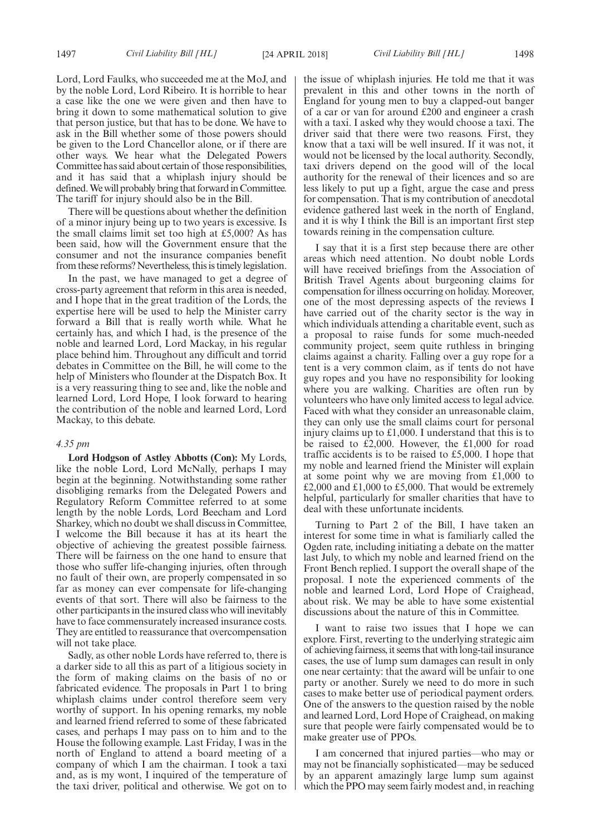Lord, Lord Faulks, who succeeded me at the MoJ, and by the noble Lord, Lord Ribeiro. It is horrible to hear a case like the one we were given and then have to bring it down to some mathematical solution to give that person justice, but that has to be done. We have to ask in the Bill whether some of those powers should be given to the Lord Chancellor alone, or if there are other ways. We hear what the Delegated Powers Committee has said about certain of those responsibilities, and it has said that a whiplash injury should be defined. We will probably bring that forward in Committee. The tariff for injury should also be in the Bill.

There will be questions about whether the definition of a minor injury being up to two years is excessive. Is the small claims limit set too high at £5,000? As has been said, how will the Government ensure that the consumer and not the insurance companies benefit from these reforms? Nevertheless, this is timely legislation.

In the past, we have managed to get a degree of cross-party agreement that reform in this area is needed, and I hope that in the great tradition of the Lords, the expertise here will be used to help the Minister carry forward a Bill that is really worth while. What he certainly has, and which I had, is the presence of the noble and learned Lord, Lord Mackay, in his regular place behind him. Throughout any difficult and torrid debates in Committee on the Bill, he will come to the help of Ministers who flounder at the Dispatch Box. It is a very reassuring thing to see and, like the noble and learned Lord, Lord Hope, I look forward to hearing the contribution of the noble and learned Lord, Lord Mackay, to this debate.

#### *4.35 pm*

**Lord Hodgson of Astley Abbotts (Con):** My Lords, like the noble Lord, Lord McNally, perhaps I may begin at the beginning. Notwithstanding some rather disobliging remarks from the Delegated Powers and Regulatory Reform Committee referred to at some length by the noble Lords, Lord Beecham and Lord Sharkey, which no doubt we shall discuss in Committee, I welcome the Bill because it has at its heart the objective of achieving the greatest possible fairness. There will be fairness on the one hand to ensure that those who suffer life-changing injuries, often through no fault of their own, are properly compensated in so far as money can ever compensate for life-changing events of that sort. There will also be fairness to the other participants in the insured class who will inevitably have to face commensurately increased insurance costs. They are entitled to reassurance that overcompensation will not take place.

Sadly, as other noble Lords have referred to, there is a darker side to all this as part of a litigious society in the form of making claims on the basis of no or fabricated evidence. The proposals in Part 1 to bring whiplash claims under control therefore seem very worthy of support. In his opening remarks, my noble and learned friend referred to some of these fabricated cases, and perhaps I may pass on to him and to the House the following example. Last Friday, I was in the north of England to attend a board meeting of a company of which I am the chairman. I took a taxi and, as is my wont, I inquired of the temperature of the taxi driver, political and otherwise. We got on to the issue of whiplash injuries. He told me that it was prevalent in this and other towns in the north of England for young men to buy a clapped-out banger of a car or van for around £200 and engineer a crash with a taxi. I asked why they would choose a taxi. The driver said that there were two reasons. First, they know that a taxi will be well insured. If it was not, it would not be licensed by the local authority. Secondly, taxi drivers depend on the good will of the local authority for the renewal of their licences and so are less likely to put up a fight, argue the case and press for compensation. That is my contribution of anecdotal evidence gathered last week in the north of England, and it is why I think the Bill is an important first step towards reining in the compensation culture.

I say that it is a first step because there are other areas which need attention. No doubt noble Lords will have received briefings from the Association of British Travel Agents about burgeoning claims for compensation for illness occurring on holiday. Moreover, one of the most depressing aspects of the reviews I have carried out of the charity sector is the way in which individuals attending a charitable event, such as a proposal to raise funds for some much-needed community project, seem quite ruthless in bringing claims against a charity. Falling over a guy rope for a tent is a very common claim, as if tents do not have guy ropes and you have no responsibility for looking where you are walking. Charities are often run by volunteers who have only limited access to legal advice. Faced with what they consider an unreasonable claim, they can only use the small claims court for personal injury claims up to £1,000. I understand that this is to be raised to  $\text{\pounds}2,000$ . However, the  $\text{\pounds}1,000$  for road traffic accidents is to be raised to £5,000. I hope that my noble and learned friend the Minister will explain at some point why we are moving from £1,000 to £2,000 and £1,000 to £5,000. That would be extremely helpful, particularly for smaller charities that have to deal with these unfortunate incidents.

Turning to Part 2 of the Bill, I have taken an interest for some time in what is familiarly called the Ogden rate, including initiating a debate on the matter last July, to which my noble and learned friend on the Front Bench replied. I support the overall shape of the proposal. I note the experienced comments of the noble and learned Lord, Lord Hope of Craighead, about risk. We may be able to have some existential discussions about the nature of this in Committee.

I want to raise two issues that I hope we can explore. First, reverting to the underlying strategic aim of achieving fairness, it seems that with long-tail insurance cases, the use of lump sum damages can result in only one near certainty: that the award will be unfair to one party or another. Surely we need to do more in such cases to make better use of periodical payment orders. One of the answers to the question raised by the noble and learned Lord, Lord Hope of Craighead, on making sure that people were fairly compensated would be to make greater use of PPOs.

I am concerned that injured parties—who may or may not be financially sophisticated—may be seduced by an apparent amazingly large lump sum against which the PPO may seem fairly modest and, in reaching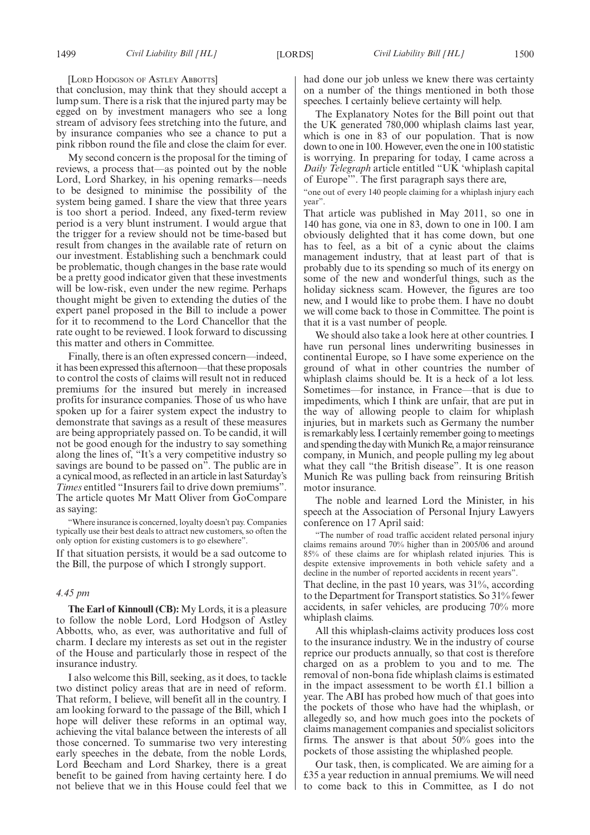#### [LORD HODGSON OF ASTLEY ABBOTTS]

that conclusion, may think that they should accept a lump sum. There is a risk that the injured party may be egged on by investment managers who see a long stream of advisory fees stretching into the future, and by insurance companies who see a chance to put a pink ribbon round the file and close the claim for ever.

My second concern is the proposal for the timing of reviews, a process that—as pointed out by the noble Lord, Lord Sharkey, in his opening remarks—needs to be designed to minimise the possibility of the system being gamed. I share the view that three years is too short a period. Indeed, any fixed-term review period is a very blunt instrument. I would argue that the trigger for a review should not be time-based but result from changes in the available rate of return on our investment. Establishing such a benchmark could be problematic, though changes in the base rate would be a pretty good indicator given that these investments will be low-risk, even under the new regime. Perhaps thought might be given to extending the duties of the expert panel proposed in the Bill to include a power for it to recommend to the Lord Chancellor that the rate ought to be reviewed. I look forward to discussing this matter and others in Committee.

Finally, there is an often expressed concern—indeed, it has been expressed this afternoon—that these proposals to control the costs of claims will result not in reduced premiums for the insured but merely in increased profits for insurance companies. Those of us who have spoken up for a fairer system expect the industry to demonstrate that savings as a result of these measures are being appropriately passed on. To be candid, it will not be good enough for the industry to say something along the lines of, "It's a very competitive industry so savings are bound to be passed on<sup>3</sup>. The public are in a cynical mood, as reflected in an article in last Saturday's *Times* entitled "Insurers fail to drive down premiums". The article quotes Mr Matt Oliver from GoCompare as saying:

"Where insurance is concerned, loyalty doesn't pay. Companies typically use their best deals to attract new customers, so often the only option for existing customers is to go elsewhere".

If that situation persists, it would be a sad outcome to the Bill, the purpose of which I strongly support.

#### *4.45 pm*

**The Earl of Kinnoull (CB):** My Lords, it is a pleasure to follow the noble Lord, Lord Hodgson of Astley Abbotts, who, as ever, was authoritative and full of charm. I declare my interests as set out in the register of the House and particularly those in respect of the insurance industry.

I also welcome this Bill, seeking, as it does, to tackle two distinct policy areas that are in need of reform. That reform, I believe, will benefit all in the country. I am looking forward to the passage of the Bill, which I hope will deliver these reforms in an optimal way, achieving the vital balance between the interests of all those concerned. To summarise two very interesting early speeches in the debate, from the noble Lords, Lord Beecham and Lord Sharkey, there is a great benefit to be gained from having certainty here. I do not believe that we in this House could feel that we had done our job unless we knew there was certainty on a number of the things mentioned in both those speeches. I certainly believe certainty will help.

The Explanatory Notes for the Bill point out that the UK generated 780,000 whiplash claims last year, which is one in 83 of our population. That is now down to one in 100. However, even the one in 100 statistic is worrying. In preparing for today, I came across a *Daily Telegraph* article entitled "UK 'whiplash capital of Europe'". The first paragraph says there are,

"one out of every 140 people claiming for a whiplash injury each year".

That article was published in May 2011, so one in 140 has gone, via one in 83, down to one in 100. I am obviously delighted that it has come down, but one has to feel, as a bit of a cynic about the claims management industry, that at least part of that is probably due to its spending so much of its energy on some of the new and wonderful things, such as the holiday sickness scam. However, the figures are too new, and I would like to probe them. I have no doubt we will come back to those in Committee. The point is that it is a vast number of people.

We should also take a look here at other countries. I have run personal lines underwriting businesses in continental Europe, so I have some experience on the ground of what in other countries the number of whiplash claims should be. It is a heck of a lot less. Sometimes—for instance, in France—that is due to impediments, which I think are unfair, that are put in the way of allowing people to claim for whiplash injuries, but in markets such as Germany the number is remarkably less. I certainly remember going to meetings and spending the day with Munich Re, a major reinsurance company, in Munich, and people pulling my leg about what they call "the British disease". It is one reason Munich Re was pulling back from reinsuring British motor insurance.

The noble and learned Lord the Minister, in his speech at the Association of Personal Injury Lawyers conference on 17 April said:

"The number of road traffic accident related personal injury claims remains around 70% higher than in 2005/06 and around 85% of these claims are for whiplash related injuries. This is despite extensive improvements in both vehicle safety and a decline in the number of reported accidents in recent years".

That decline, in the past 10 years, was 31%, according to the Department for Transport statistics. So 31% fewer accidents, in safer vehicles, are producing 70% more whiplash claims.

All this whiplash-claims activity produces loss cost to the insurance industry. We in the industry of course reprice our products annually, so that cost is therefore charged on as a problem to you and to me. The removal of non-bona fide whiplash claims is estimated in the impact assessment to be worth £1.1 billion a year. The ABI has probed how much of that goes into the pockets of those who have had the whiplash, or allegedly so, and how much goes into the pockets of claims management companies and specialist solicitors firms. The answer is that about 50% goes into the pockets of those assisting the whiplashed people.

Our task, then, is complicated. We are aiming for a £35 a year reduction in annual premiums. We will need to come back to this in Committee, as I do not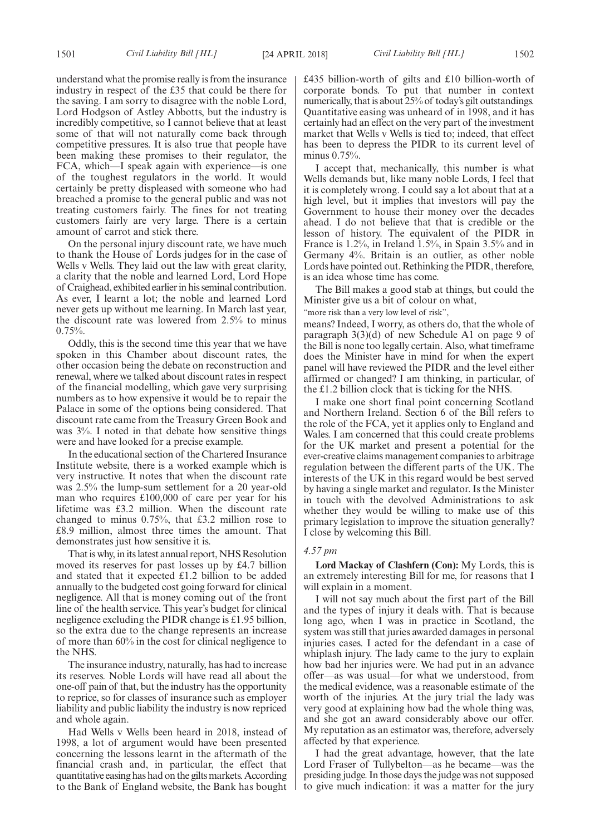understand what the promise really is from the insurance industry in respect of the £35 that could be there for the saving. I am sorry to disagree with the noble Lord, Lord Hodgson of Astley Abbotts, but the industry is incredibly competitive, so I cannot believe that at least some of that will not naturally come back through competitive pressures. It is also true that people have been making these promises to their regulator, the FCA, which—I speak again with experience—is one of the toughest regulators in the world. It would certainly be pretty displeased with someone who had breached a promise to the general public and was not treating customers fairly. The fines for not treating customers fairly are very large. There is a certain amount of carrot and stick there.

On the personal injury discount rate, we have much to thank the House of Lords judges for in the case of Wells v Wells. They laid out the law with great clarity, a clarity that the noble and learned Lord, Lord Hope of Craighead, exhibited earlier in his seminal contribution. As ever, I learnt a lot; the noble and learned Lord never gets up without me learning. In March last year, the discount rate was lowered from 2.5% to minus  $0.75%$ .

Oddly, this is the second time this year that we have spoken in this Chamber about discount rates, the other occasion being the debate on reconstruction and renewal, where we talked about discount rates in respect of the financial modelling, which gave very surprising numbers as to how expensive it would be to repair the Palace in some of the options being considered. That discount rate came from the Treasury Green Book and was 3%. I noted in that debate how sensitive things were and have looked for a precise example.

In the educational section of the Chartered Insurance Institute website, there is a worked example which is very instructive. It notes that when the discount rate was 2.5% the lump-sum settlement for a 20 year-old man who requires £100,000 of care per year for his lifetime was £3.2 million. When the discount rate changed to minus 0.75%, that £3.2 million rose to £8.9 million, almost three times the amount. That demonstrates just how sensitive it is.

That is why, in its latest annual report, NHS Resolution moved its reserves for past losses up by £4.7 billion and stated that it expected £1.2 billion to be added annually to the budgeted cost going forward for clinical negligence. All that is money coming out of the front line of the health service. This year's budget for clinical negligence excluding the PIDR change is £1.95 billion, so the extra due to the change represents an increase of more than 60% in the cost for clinical negligence to the NHS.

The insurance industry, naturally, has had to increase its reserves. Noble Lords will have read all about the one-off pain of that, but the industry has the opportunity to reprice, so for classes of insurance such as employer liability and public liability the industry is now repriced and whole again.

Had Wells v Wells been heard in 2018, instead of 1998, a lot of argument would have been presented concerning the lessons learnt in the aftermath of the financial crash and, in particular, the effect that quantitative easing has had on the gilts markets. According to the Bank of England website, the Bank has bought £435 billion-worth of gilts and £10 billion-worth of corporate bonds. To put that number in context numerically, that is about 25% of today's gilt outstandings. Quantitative easing was unheard of in 1998, and it has certainly had an effect on the very part of the investment market that Wells v Wells is tied to; indeed, that effect has been to depress the PIDR to its current level of minus 0.75%.

I accept that, mechanically, this number is what Wells demands but, like many noble Lords, I feel that it is completely wrong. I could say a lot about that at a high level, but it implies that investors will pay the Government to house their money over the decades ahead. I do not believe that that is credible or the lesson of history. The equivalent of the PIDR in France is 1.2%, in Ireland 1.5%, in Spain 3.5% and in Germany 4%. Britain is an outlier, as other noble Lords have pointed out. Rethinking the PIDR, therefore, is an idea whose time has come.

The Bill makes a good stab at things, but could the Minister give us a bit of colour on what,

"more risk than a very low level of risk",

means? Indeed, I worry, as others do, that the whole of paragraph 3(3)(d) of new Schedule A1 on page 9 of the Bill is none too legally certain. Also, what timeframe does the Minister have in mind for when the expert panel will have reviewed the PIDR and the level either affirmed or changed? I am thinking, in particular, of the £1.2 billion clock that is ticking for the NHS.

I make one short final point concerning Scotland and Northern Ireland. Section 6 of the Bill refers to the role of the FCA, yet it applies only to England and Wales. I am concerned that this could create problems for the UK market and present a potential for the ever-creative claims management companies to arbitrage regulation between the different parts of the UK. The interests of the UK in this regard would be best served by having a single market and regulator. Is the Minister in touch with the devolved Administrations to ask whether they would be willing to make use of this primary legislation to improve the situation generally? I close by welcoming this Bill.

#### *4.57 pm*

**Lord Mackay of Clashfern (Con):** My Lords, this is an extremely interesting Bill for me, for reasons that I will explain in a moment.

I will not say much about the first part of the Bill and the types of injury it deals with. That is because long ago, when I was in practice in Scotland, the system was still that juries awarded damages in personal injuries cases. I acted for the defendant in a case of whiplash injury. The lady came to the jury to explain how bad her injuries were. We had put in an advance offer—as was usual—for what we understood, from the medical evidence, was a reasonable estimate of the worth of the injuries. At the jury trial the lady was very good at explaining how bad the whole thing was, and she got an award considerably above our offer. My reputation as an estimator was, therefore, adversely affected by that experience.

I had the great advantage, however, that the late Lord Fraser of Tullybelton—as he became—was the presiding judge. In those days the judge was not supposed to give much indication: it was a matter for the jury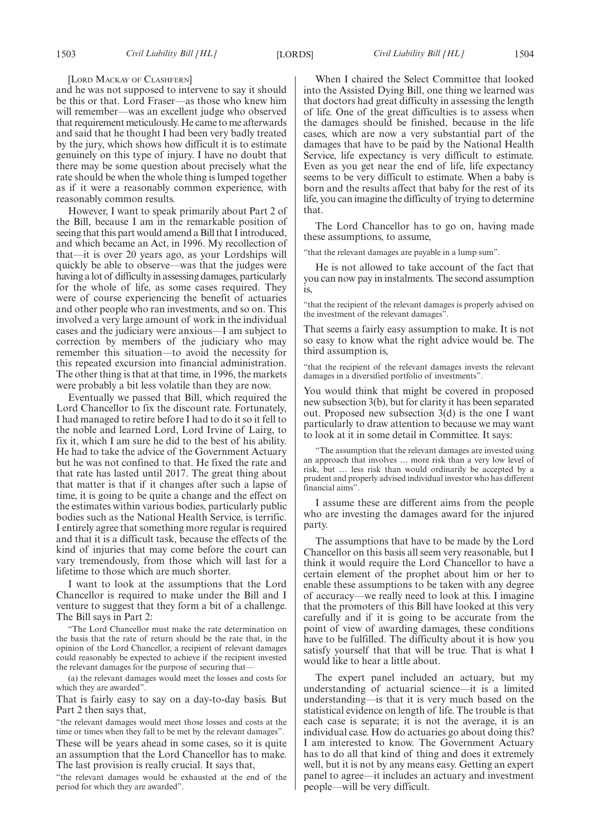#### [LORD MACKAY OF CLASHFERN]

and he was not supposed to intervene to say it should be this or that. Lord Fraser—as those who knew him will remember—was an excellent judge who observed that requirement meticulously. He came to me afterwards and said that he thought I had been very badly treated by the jury, which shows how difficult it is to estimate genuinely on this type of injury. I have no doubt that there may be some question about precisely what the rate should be when the whole thing is lumped together as if it were a reasonably common experience, with reasonably common results.

However, I want to speak primarily about Part 2 of the Bill, because I am in the remarkable position of seeing that this part would amend a Bill that I introduced, and which became an Act, in 1996. My recollection of that—it is over 20 years ago, as your Lordships will quickly be able to observe—was that the judges were having a lot of difficulty in assessing damages, particularly for the whole of life, as some cases required. They were of course experiencing the benefit of actuaries and other people who ran investments, and so on. This involved a very large amount of work in the individual cases and the judiciary were anxious—I am subject to correction by members of the judiciary who may remember this situation—to avoid the necessity for this repeated excursion into financial administration. The other thing is that at that time, in 1996, the markets were probably a bit less volatile than they are now.

Eventually we passed that Bill, which required the Lord Chancellor to fix the discount rate. Fortunately, I had managed to retire before I had to do it so it fell to the noble and learned Lord, Lord Irvine of Lairg, to fix it, which I am sure he did to the best of his ability. He had to take the advice of the Government Actuary but he was not confined to that. He fixed the rate and that rate has lasted until 2017. The great thing about that matter is that if it changes after such a lapse of time, it is going to be quite a change and the effect on the estimates within various bodies, particularly public bodies such as the National Health Service, is terrific. I entirely agree that something more regular is required and that it is a difficult task, because the effects of the kind of injuries that may come before the court can vary tremendously, from those which will last for a lifetime to those which are much shorter.

I want to look at the assumptions that the Lord Chancellor is required to make under the Bill and I venture to suggest that they form a bit of a challenge. The Bill says in Part 2:

The Lord Chancellor must make the rate determination on the basis that the rate of return should be the rate that, in the opinion of the Lord Chancellor, a recipient of relevant damages could reasonably be expected to achieve if the recipient invested the relevant damages for the purpose of securing that—

(a) the relevant damages would meet the losses and costs for which they are awarded".

That is fairly easy to say on a day-to-day basis. But Part 2 then says that,

"the relevant damages would meet those losses and costs at the time or times when they fall to be met by the relevant damages". These will be years ahead in some cases, so it is quite an assumption that the Lord Chancellor has to make. The last provision is really crucial. It says that,

"the relevant damages would be exhausted at the end of the period for which they are awarded".

When I chaired the Select Committee that looked into the Assisted Dying Bill, one thing we learned was that doctors had great difficulty in assessing the length of life. One of the great difficulties is to assess when the damages should be finished, because in the life cases, which are now a very substantial part of the damages that have to be paid by the National Health Service, life expectancy is very difficult to estimate. Even as you get near the end of life, life expectancy seems to be very difficult to estimate. When a baby is born and the results affect that baby for the rest of its life, you can imagine the difficulty of trying to determine that.

The Lord Chancellor has to go on, having made these assumptions, to assume,

"that the relevant damages are payable in a lump sum".

He is not allowed to take account of the fact that you can now pay in instalments. The second assumption is,

"that the recipient of the relevant damages is properly advised on the investment of the relevant damages".

That seems a fairly easy assumption to make. It is not so easy to know what the right advice would be. The third assumption is,

"that the recipient of the relevant damages invests the relevant damages in a diversified portfolio of investments".

You would think that might be covered in proposed new subsection 3(b), but for clarity it has been separated out. Proposed new subsection 3(d) is the one I want particularly to draw attention to because we may want to look at it in some detail in Committee. It says:

"The assumption that the relevant damages are invested using an approach that involves … more risk than a very low level of risk, but … less risk than would ordinarily be accepted by a prudent and properly advised individual investor who has different financial aims".

I assume these are different aims from the people who are investing the damages award for the injured party.

The assumptions that have to be made by the Lord Chancellor on this basis all seem very reasonable, but I think it would require the Lord Chancellor to have a certain element of the prophet about him or her to enable these assumptions to be taken with any degree of accuracy—we really need to look at this. I imagine that the promoters of this Bill have looked at this very carefully and if it is going to be accurate from the point of view of awarding damages, these conditions have to be fulfilled. The difficulty about it is how you satisfy yourself that that will be true. That is what I would like to hear a little about.

The expert panel included an actuary, but my understanding of actuarial science—it is a limited understanding—is that it is very much based on the statistical evidence on length of life. The trouble is that each case is separate; it is not the average, it is an individual case. How do actuaries go about doing this? I am interested to know. The Government Actuary has to do all that kind of thing and does it extremely well, but it is not by any means easy. Getting an expert panel to agree—it includes an actuary and investment people—will be very difficult.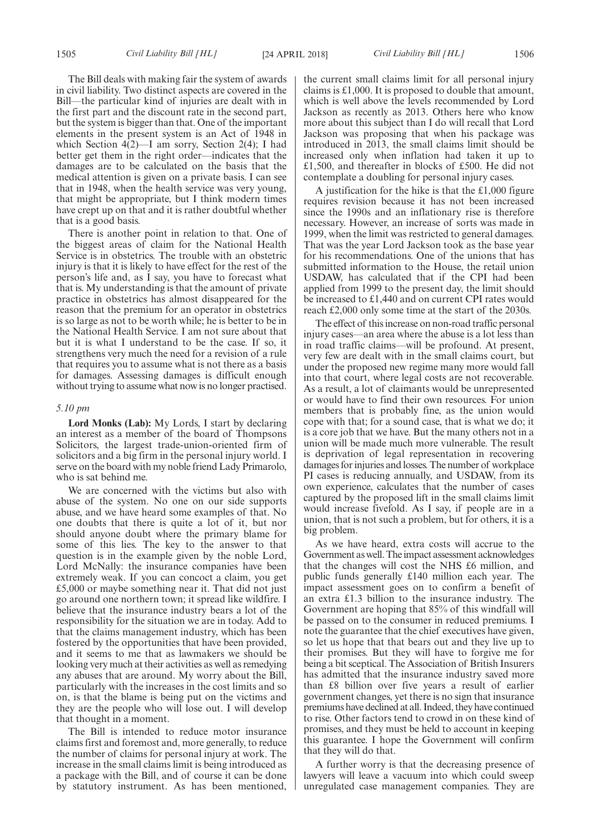The Bill deals with making fair the system of awards in civil liability. Two distinct aspects are covered in the Bill—the particular kind of injuries are dealt with in the first part and the discount rate in the second part, but the system is bigger than that. One of the important elements in the present system is an Act of 1948 in which Section 4(2)—I am sorry, Section 2(4); I had better get them in the right order—indicates that the damages are to be calculated on the basis that the medical attention is given on a private basis. I can see that in 1948, when the health service was very young, that might be appropriate, but I think modern times have crept up on that and it is rather doubtful whether that is a good basis.

There is another point in relation to that. One of the biggest areas of claim for the National Health Service is in obstetrics. The trouble with an obstetric injury is that it is likely to have effect for the rest of the person's life and, as I say, you have to forecast what that is. My understanding is that the amount of private practice in obstetrics has almost disappeared for the reason that the premium for an operator in obstetrics is so large as not to be worth while; he is better to be in the National Health Service. I am not sure about that but it is what I understand to be the case. If so, it strengthens very much the need for a revision of a rule that requires you to assume what is not there as a basis for damages. Assessing damages is difficult enough without trying to assume what now is no longer practised.

#### *5.10 pm*

**Lord Monks (Lab):** My Lords, I start by declaring an interest as a member of the board of Thompsons Solicitors, the largest trade-union-oriented firm of solicitors and a big firm in the personal injury world. I serve on the board with my noble friend Lady Primarolo, who is sat behind me.

We are concerned with the victims but also with abuse of the system. No one on our side supports abuse, and we have heard some examples of that. No one doubts that there is quite a lot of it, but nor should anyone doubt where the primary blame for some of this lies. The key to the answer to that question is in the example given by the noble Lord, Lord McNally: the insurance companies have been extremely weak. If you can concoct a claim, you get £5,000 or maybe something near it. That did not just go around one northern town; it spread like wildfire. I believe that the insurance industry bears a lot of the responsibility for the situation we are in today. Add to that the claims management industry, which has been fostered by the opportunities that have been provided, and it seems to me that as lawmakers we should be looking very much at their activities as well as remedying any abuses that are around. My worry about the Bill, particularly with the increases in the cost limits and so on, is that the blame is being put on the victims and they are the people who will lose out. I will develop that thought in a moment.

The Bill is intended to reduce motor insurance claims first and foremost and, more generally, to reduce the number of claims for personal injury at work. The increase in the small claims limit is being introduced as a package with the Bill, and of course it can be done by statutory instrument. As has been mentioned, the current small claims limit for all personal injury claims is £1,000. It is proposed to double that amount, which is well above the levels recommended by Lord Jackson as recently as 2013. Others here who know more about this subject than I do will recall that Lord Jackson was proposing that when his package was introduced in 2013, the small claims limit should be increased only when inflation had taken it up to £1,500, and thereafter in blocks of £500. He did not contemplate a doubling for personal injury cases.

A justification for the hike is that the  $£1,000$  figure requires revision because it has not been increased since the 1990s and an inflationary rise is therefore necessary. However, an increase of sorts was made in 1999, when the limit was restricted to general damages. That was the year Lord Jackson took as the base year for his recommendations. One of the unions that has submitted information to the House, the retail union USDAW, has calculated that if the CPI had been applied from 1999 to the present day, the limit should be increased to £1,440 and on current CPI rates would reach £2,000 only some time at the start of the 2030s.

The effect of this increase on non-road traffic personal injury cases—an area where the abuse is a lot less than in road traffic claims—will be profound. At present, very few are dealt with in the small claims court, but under the proposed new regime many more would fall into that court, where legal costs are not recoverable. As a result, a lot of claimants would be unrepresented or would have to find their own resources. For union members that is probably fine, as the union would cope with that; for a sound case, that is what we do; it is a core job that we have. But the many others not in a union will be made much more vulnerable. The result is deprivation of legal representation in recovering damages for injuries and losses. The number of workplace PI cases is reducing annually, and USDAW, from its own experience, calculates that the number of cases captured by the proposed lift in the small claims limit would increase fivefold. As I say, if people are in a union, that is not such a problem, but for others, it is a big problem.

As we have heard, extra costs will accrue to the Government as well. The impact assessment acknowledges that the changes will cost the NHS £6 million, and public funds generally £140 million each year. The impact assessment goes on to confirm a benefit of an extra £1.3 billion to the insurance industry. The Government are hoping that 85% of this windfall will be passed on to the consumer in reduced premiums. I note the guarantee that the chief executives have given, so let us hope that that bears out and they live up to their promises. But they will have to forgive me for being a bit sceptical. The Association of British Insurers has admitted that the insurance industry saved more than £8 billion over five years a result of earlier government changes, yet there is no sign that insurance premiums have declined at all. Indeed, they have continued to rise. Other factors tend to crowd in on these kind of promises, and they must be held to account in keeping this guarantee. I hope the Government will confirm that they will do that.

A further worry is that the decreasing presence of lawyers will leave a vacuum into which could sweep unregulated case management companies. They are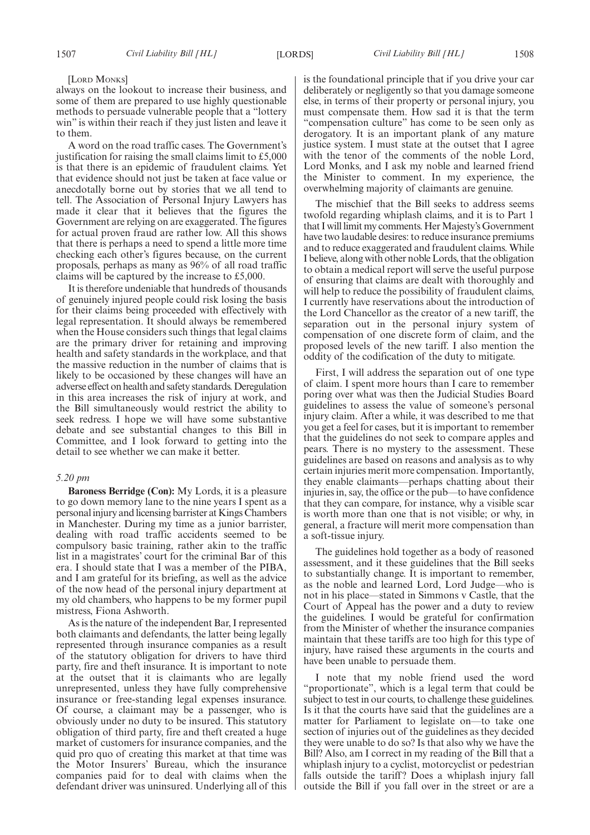#### [LORD MONKS]

always on the lookout to increase their business, and some of them are prepared to use highly questionable methods to persuade vulnerable people that a "lottery win" is within their reach if they just listen and leave it to them.

A word on the road traffic cases. The Government's justification for raising the small claims limit to £5,000 is that there is an epidemic of fraudulent claims. Yet that evidence should not just be taken at face value or anecdotally borne out by stories that we all tend to tell. The Association of Personal Injury Lawyers has made it clear that it believes that the figures the Government are relying on are exaggerated. The figures for actual proven fraud are rather low. All this shows that there is perhaps a need to spend a little more time checking each other's figures because, on the current proposals, perhaps as many as 96% of all road traffic claims will be captured by the increase to £5,000.

It is therefore undeniable that hundreds of thousands of genuinely injured people could risk losing the basis for their claims being proceeded with effectively with legal representation. It should always be remembered when the House considers such things that legal claims are the primary driver for retaining and improving health and safety standards in the workplace, and that the massive reduction in the number of claims that is likely to be occasioned by these changes will have an adverse effect on health and safety standards. Deregulation in this area increases the risk of injury at work, and the Bill simultaneously would restrict the ability to seek redress. I hope we will have some substantive debate and see substantial changes to this Bill in Committee, and I look forward to getting into the detail to see whether we can make it better.

#### *5.20 pm*

**Baroness Berridge (Con):** My Lords, it is a pleasure to go down memory lane to the nine years I spent as a personal injury and licensing barrister at Kings Chambers in Manchester. During my time as a junior barrister, dealing with road traffic accidents seemed to be compulsory basic training, rather akin to the traffic list in a magistrates' court for the criminal Bar of this era. I should state that I was a member of the PIBA, and I am grateful for its briefing, as well as the advice of the now head of the personal injury department at my old chambers, who happens to be my former pupil mistress, Fiona Ashworth.

As is the nature of the independent Bar, I represented both claimants and defendants, the latter being legally represented through insurance companies as a result of the statutory obligation for drivers to have third party, fire and theft insurance. It is important to note at the outset that it is claimants who are legally unrepresented, unless they have fully comprehensive insurance or free-standing legal expenses insurance. Of course, a claimant may be a passenger, who is obviously under no duty to be insured. This statutory obligation of third party, fire and theft created a huge market of customers for insurance companies, and the quid pro quo of creating this market at that time was the Motor Insurers' Bureau, which the insurance companies paid for to deal with claims when the defendant driver was uninsured. Underlying all of this is the foundational principle that if you drive your car deliberately or negligently so that you damage someone else, in terms of their property or personal injury, you must compensate them. How sad it is that the term "compensation culture" has come to be seen only as derogatory. It is an important plank of any mature justice system. I must state at the outset that I agree with the tenor of the comments of the noble Lord, Lord Monks, and I ask my noble and learned friend the Minister to comment. In my experience, the overwhelming majority of claimants are genuine.

The mischief that the Bill seeks to address seems twofold regarding whiplash claims, and it is to Part 1 that I will limit my comments. Her Majesty's Government have two laudable desires: to reduce insurance premiums and to reduce exaggerated and fraudulent claims. While I believe, along with other noble Lords, that the obligation to obtain a medical report will serve the useful purpose of ensuring that claims are dealt with thoroughly and will help to reduce the possibility of fraudulent claims, I currently have reservations about the introduction of the Lord Chancellor as the creator of a new tariff, the separation out in the personal injury system of compensation of one discrete form of claim, and the proposed levels of the new tariff. I also mention the oddity of the codification of the duty to mitigate.

First, I will address the separation out of one type of claim. I spent more hours than I care to remember poring over what was then the Judicial Studies Board guidelines to assess the value of someone's personal injury claim. After a while, it was described to me that you get a feel for cases, but it is important to remember that the guidelines do not seek to compare apples and pears. There is no mystery to the assessment. These guidelines are based on reasons and analysis as to why certain injuries merit more compensation. Importantly, they enable claimants—perhaps chatting about their injuries in, say, the office or the pub—to have confidence that they can compare, for instance, why a visible scar is worth more than one that is not visible; or why, in general, a fracture will merit more compensation than a soft-tissue injury.

The guidelines hold together as a body of reasoned assessment, and it these guidelines that the Bill seeks to substantially change. It is important to remember, as the noble and learned Lord, Lord Judge—who is not in his place—stated in Simmons v Castle, that the Court of Appeal has the power and a duty to review the guidelines. I would be grateful for confirmation from the Minister of whether the insurance companies maintain that these tariffs are too high for this type of injury, have raised these arguments in the courts and have been unable to persuade them.

I note that my noble friend used the word "proportionate", which is a legal term that could be subject to test in our courts, to challenge these guidelines. Is it that the courts have said that the guidelines are a matter for Parliament to legislate on—to take one section of injuries out of the guidelines as they decided they were unable to do so? Is that also why we have the Bill? Also, am I correct in my reading of the Bill that a whiplash injury to a cyclist, motorcyclist or pedestrian falls outside the tariff? Does a whiplash injury fall outside the Bill if you fall over in the street or are a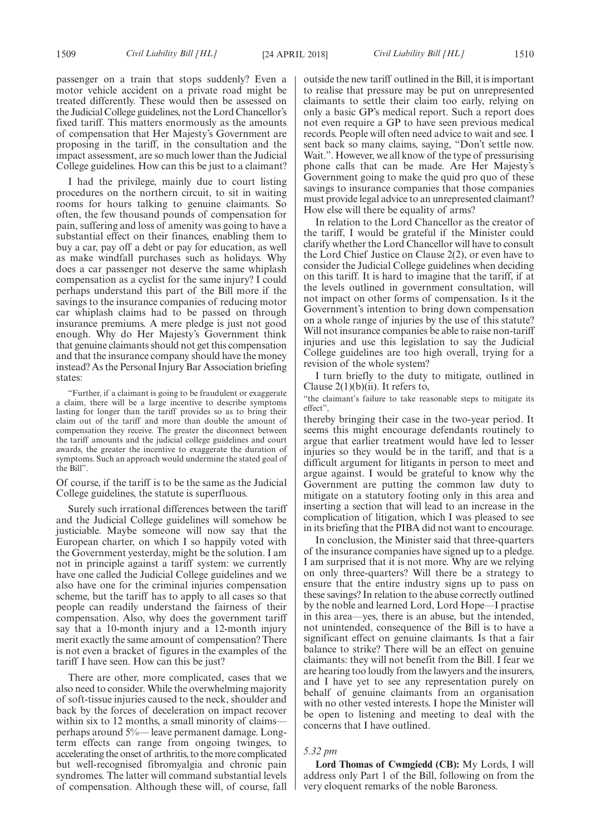passenger on a train that stops suddenly? Even a motor vehicle accident on a private road might be treated differently. These would then be assessed on the Judicial College guidelines, not the Lord Chancellor's fixed tariff. This matters enormously as the amounts of compensation that Her Majesty's Government are proposing in the tariff, in the consultation and the impact assessment, are so much lower than the Judicial College guidelines. How can this be just to a claimant?

I had the privilege, mainly due to court listing procedures on the northern circuit, to sit in waiting rooms for hours talking to genuine claimants. So often, the few thousand pounds of compensation for pain, suffering and loss of amenity was going to have a substantial effect on their finances, enabling them to buy a car, pay off a debt or pay for education, as well as make windfall purchases such as holidays. Why does a car passenger not deserve the same whiplash compensation as a cyclist for the same injury? I could perhaps understand this part of the Bill more if the savings to the insurance companies of reducing motor car whiplash claims had to be passed on through insurance premiums. A mere pledge is just not good enough. Why do Her Majesty's Government think that genuine claimants should not get this compensation and that the insurance company should have the money instead? As the Personal Injury Bar Association briefing states:

"Further, if a claimant is going to be fraudulent or exaggerate a claim, there will be a large incentive to describe symptoms lasting for longer than the tariff provides so as to bring their claim out of the tariff and more than double the amount of compensation they receive. The greater the disconnect between the tariff amounts and the judicial college guidelines and court awards, the greater the incentive to exaggerate the duration of symptoms. Such an approach would undermine the stated goal of the Bill".

Of course, if the tariff is to be the same as the Judicial College guidelines, the statute is superfluous.

Surely such irrational differences between the tariff and the Judicial College guidelines will somehow be justiciable. Maybe someone will now say that the European charter, on which I so happily voted with the Government yesterday, might be the solution. I am not in principle against a tariff system: we currently have one called the Judicial College guidelines and we also have one for the criminal injuries compensation scheme, but the tariff has to apply to all cases so that people can readily understand the fairness of their compensation. Also, why does the government tariff say that a 10-month injury and a 12-month injury merit exactly the same amount of compensation? There is not even a bracket of figures in the examples of the tariff I have seen. How can this be just?

There are other, more complicated, cases that we also need to consider. While the overwhelming majority of soft-tissue injuries caused to the neck, shoulder and back by the forces of deceleration on impact recover within six to 12 months, a small minority of claims perhaps around 5%— leave permanent damage. Longterm effects can range from ongoing twinges, to accelerating the onset of arthritis, to the more complicated but well-recognised fibromyalgia and chronic pain syndromes. The latter will command substantial levels of compensation. Although these will, of course, fall outside the new tariff outlined in the Bill, it is important to realise that pressure may be put on unrepresented claimants to settle their claim too early, relying on only a basic GP's medical report. Such a report does not even require a GP to have seen previous medical records. People will often need advice to wait and see. I sent back so many claims, saying, "Don't settle now. Wait.". However, we all know of the type of pressurising phone calls that can be made. Are Her Majesty's Government going to make the quid pro quo of these savings to insurance companies that those companies must provide legal advice to an unrepresented claimant? How else will there be equality of arms?

In relation to the Lord Chancellor as the creator of the tariff, I would be grateful if the Minister could clarify whether the Lord Chancellor will have to consult the Lord Chief Justice on Clause 2(2), or even have to consider the Judicial College guidelines when deciding on this tariff. It is hard to imagine that the tariff, if at the levels outlined in government consultation, will not impact on other forms of compensation. Is it the Government's intention to bring down compensation on a whole range of injuries by the use of this statute? Will not insurance companies be able to raise non-tariff injuries and use this legislation to say the Judicial College guidelines are too high overall, trying for a revision of the whole system?

I turn briefly to the duty to mitigate, outlined in Clause  $2(1)(b)(ii)$ . It refers to,

"the claimant's failure to take reasonable steps to mitigate its effect",

thereby bringing their case in the two-year period. It seems this might encourage defendants routinely to argue that earlier treatment would have led to lesser injuries so they would be in the tariff, and that is a difficult argument for litigants in person to meet and argue against. I would be grateful to know why the Government are putting the common law duty to mitigate on a statutory footing only in this area and inserting a section that will lead to an increase in the complication of litigation, which I was pleased to see in its briefing that the PIBA did not want to encourage.

In conclusion, the Minister said that three-quarters of the insurance companies have signed up to a pledge. I am surprised that it is not more. Why are we relying on only three-quarters? Will there be a strategy to ensure that the entire industry signs up to pass on these savings? In relation to the abuse correctly outlined by the noble and learned Lord, Lord Hope—I practise in this area—yes, there is an abuse, but the intended, not unintended, consequence of the Bill is to have a significant effect on genuine claimants. Is that a fair balance to strike? There will be an effect on genuine claimants: they will not benefit from the Bill. I fear we are hearing too loudly from the lawyers and the insurers, and I have yet to see any representation purely on behalf of genuine claimants from an organisation with no other vested interests. I hope the Minister will be open to listening and meeting to deal with the concerns that I have outlined.

#### *5.32 pm*

**Lord Thomas of Cwmgiedd (CB):** My Lords, I will address only Part 1 of the Bill, following on from the very eloquent remarks of the noble Baroness.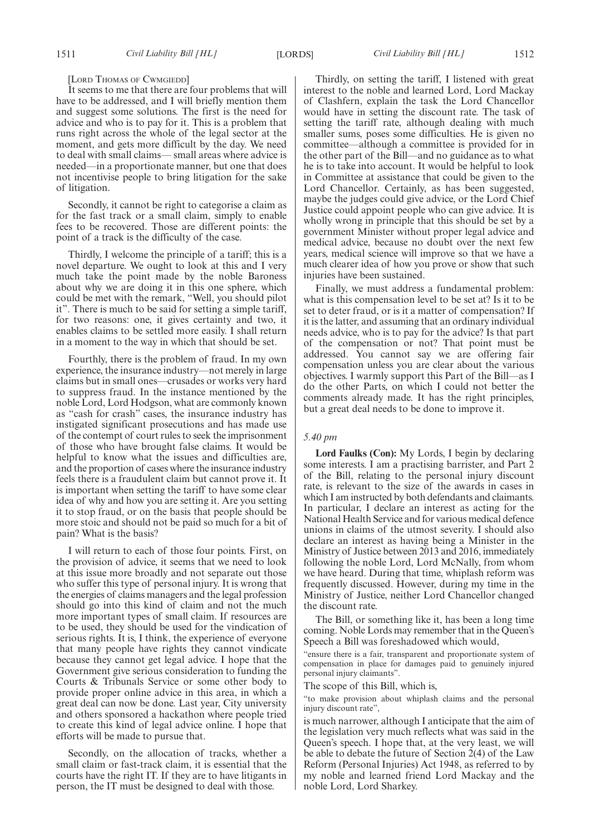#### [LORD THOMAS OF CWMGIEDD]

It seems to me that there are four problems that will have to be addressed, and I will briefly mention them and suggest some solutions. The first is the need for advice and who is to pay for it. This is a problem that runs right across the whole of the legal sector at the moment, and gets more difficult by the day. We need to deal with small claims— small areas where advice is needed—in a proportionate manner, but one that does not incentivise people to bring litigation for the sake of litigation.

Secondly, it cannot be right to categorise a claim as for the fast track or a small claim, simply to enable fees to be recovered. Those are different points: the point of a track is the difficulty of the case.

Thirdly, I welcome the principle of a tariff; this is a novel departure. We ought to look at this and I very much take the point made by the noble Baroness about why we are doing it in this one sphere, which could be met with the remark, "Well, you should pilot it". There is much to be said for setting a simple tariff, for two reasons: one, it gives certainty and two, it enables claims to be settled more easily. I shall return in a moment to the way in which that should be set.

Fourthly, there is the problem of fraud. In my own experience, the insurance industry—not merely in large claims but in small ones—crusades or works very hard to suppress fraud. In the instance mentioned by the noble Lord, Lord Hodgson, what are commonly known as "cash for crash" cases, the insurance industry has instigated significant prosecutions and has made use of the contempt of court rules to seek the imprisonment of those who have brought false claims. It would be helpful to know what the issues and difficulties are, and the proportion of cases where the insurance industry feels there is a fraudulent claim but cannot prove it. It is important when setting the tariff to have some clear idea of why and how you are setting it. Are you setting it to stop fraud, or on the basis that people should be more stoic and should not be paid so much for a bit of pain? What is the basis?

I will return to each of those four points. First, on the provision of advice, it seems that we need to look at this issue more broadly and not separate out those who suffer this type of personal injury. It is wrong that the energies of claims managers and the legal profession should go into this kind of claim and not the much more important types of small claim. If resources are to be used, they should be used for the vindication of serious rights. It is, I think, the experience of everyone that many people have rights they cannot vindicate because they cannot get legal advice. I hope that the Government give serious consideration to funding the Courts & Tribunals Service or some other body to provide proper online advice in this area, in which a great deal can now be done. Last year, City university and others sponsored a hackathon where people tried to create this kind of legal advice online. I hope that efforts will be made to pursue that.

Secondly, on the allocation of tracks, whether a small claim or fast-track claim, it is essential that the courts have the right IT. If they are to have litigants in person, the IT must be designed to deal with those.

Thirdly, on setting the tariff, I listened with great interest to the noble and learned Lord, Lord Mackay of Clashfern, explain the task the Lord Chancellor would have in setting the discount rate. The task of setting the tariff rate, although dealing with much smaller sums, poses some difficulties. He is given no committee—although a committee is provided for in the other part of the Bill—and no guidance as to what he is to take into account. It would be helpful to look in Committee at assistance that could be given to the Lord Chancellor. Certainly, as has been suggested, maybe the judges could give advice, or the Lord Chief Justice could appoint people who can give advice. It is wholly wrong in principle that this should be set by a government Minister without proper legal advice and medical advice, because no doubt over the next few years, medical science will improve so that we have a much clearer idea of how you prove or show that such injuries have been sustained.

Finally, we must address a fundamental problem: what is this compensation level to be set at? Is it to be set to deter fraud, or is it a matter of compensation? If it is the latter, and assuming that an ordinary individual needs advice, who is to pay for the advice? Is that part of the compensation or not? That point must be addressed. You cannot say we are offering fair compensation unless you are clear about the various objectives. I warmly support this Part of the Bill—as I do the other Parts, on which I could not better the comments already made. It has the right principles, but a great deal needs to be done to improve it.

#### *5.40 pm*

**Lord Faulks (Con):** My Lords, I begin by declaring some interests. I am a practising barrister, and Part 2 of the Bill, relating to the personal injury discount rate, is relevant to the size of the awards in cases in which I am instructed by both defendants and claimants. In particular, I declare an interest as acting for the National Health Service and for various medical defence unions in claims of the utmost severity. I should also declare an interest as having being a Minister in the Ministry of Justice between 2013 and 2016, immediately following the noble Lord, Lord McNally, from whom we have heard. During that time, whiplash reform was frequently discussed. However, during my time in the Ministry of Justice, neither Lord Chancellor changed the discount rate.

The Bill, or something like it, has been a long time coming. Noble Lords may remember that in the Queen's Speech a Bill was foreshadowed which would,

"ensure there is a fair, transparent and proportionate system of compensation in place for damages paid to genuinely injured personal injury claimants".

The scope of this Bill, which is,

"to make provision about whiplash claims and the personal injury discount rate",

is much narrower, although I anticipate that the aim of the legislation very much reflects what was said in the Queen's speech. I hope that, at the very least, we will be able to debate the future of Section 2(4) of the Law Reform (Personal Injuries) Act 1948, as referred to by my noble and learned friend Lord Mackay and the noble Lord, Lord Sharkey.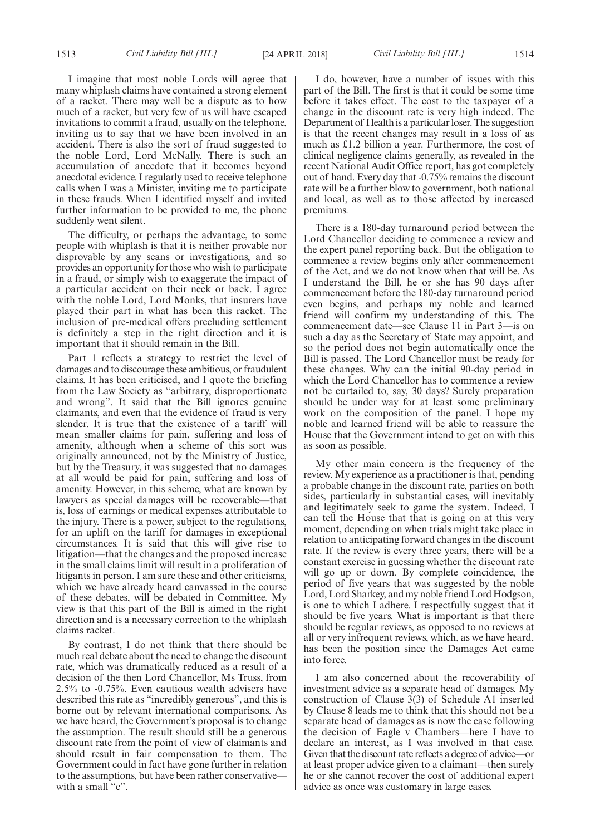I imagine that most noble Lords will agree that many whiplash claims have contained a strong element of a racket. There may well be a dispute as to how much of a racket, but very few of us will have escaped invitations to commit a fraud, usually on the telephone, inviting us to say that we have been involved in an accident. There is also the sort of fraud suggested to the noble Lord, Lord McNally. There is such an accumulation of anecdote that it becomes beyond anecdotal evidence. I regularly used to receive telephone calls when I was a Minister, inviting me to participate in these frauds. When I identified myself and invited further information to be provided to me, the phone suddenly went silent.

The difficulty, or perhaps the advantage, to some people with whiplash is that it is neither provable nor disprovable by any scans or investigations, and so provides an opportunity for those who wish to participate in a fraud, or simply wish to exaggerate the impact of a particular accident on their neck or back. I agree with the noble Lord, Lord Monks, that insurers have played their part in what has been this racket. The inclusion of pre-medical offers precluding settlement is definitely a step in the right direction and it is important that it should remain in the Bill.

Part 1 reflects a strategy to restrict the level of damages and to discourage these ambitious, or fraudulent claims. It has been criticised, and I quote the briefing from the Law Society as "arbitrary, disproportionate and wrong". It said that the Bill ignores genuine claimants, and even that the evidence of fraud is very slender. It is true that the existence of a tariff will mean smaller claims for pain, suffering and loss of amenity, although when a scheme of this sort was originally announced, not by the Ministry of Justice, but by the Treasury, it was suggested that no damages at all would be paid for pain, suffering and loss of amenity. However, in this scheme, what are known by lawyers as special damages will be recoverable—that is, loss of earnings or medical expenses attributable to the injury. There is a power, subject to the regulations, for an uplift on the tariff for damages in exceptional circumstances. It is said that this will give rise to litigation—that the changes and the proposed increase in the small claims limit will result in a proliferation of litigants in person. I am sure these and other criticisms, which we have already heard canvassed in the course of these debates, will be debated in Committee. My view is that this part of the Bill is aimed in the right direction and is a necessary correction to the whiplash claims racket.

By contrast, I do not think that there should be much real debate about the need to change the discount rate, which was dramatically reduced as a result of a decision of the then Lord Chancellor, Ms Truss, from 2.5% to -0.75%. Even cautious wealth advisers have described this rate as "incredibly generous", and this is borne out by relevant international comparisons. As we have heard, the Government's proposal is to change the assumption. The result should still be a generous discount rate from the point of view of claimants and should result in fair compensation to them. The Government could in fact have gone further in relation to the assumptions, but have been rather conservative with a small " $c$ ".

I do, however, have a number of issues with this part of the Bill. The first is that it could be some time before it takes effect. The cost to the taxpayer of a change in the discount rate is very high indeed. The Department of Health is a particular loser. The suggestion is that the recent changes may result in a loss of as much as £1.2 billion a year. Furthermore, the cost of clinical negligence claims generally, as revealed in the recent National Audit Office report, has got completely out of hand. Every day that -0.75% remains the discount rate will be a further blow to government, both national and local, as well as to those affected by increased premiums.

There is a 180-day turnaround period between the Lord Chancellor deciding to commence a review and the expert panel reporting back. But the obligation to commence a review begins only after commencement of the Act, and we do not know when that will be. As I understand the Bill, he or she has 90 days after commencement before the 180-day turnaround period even begins, and perhaps my noble and learned friend will confirm my understanding of this. The commencement date—see Clause 11 in Part 3—is on such a day as the Secretary of State may appoint, and so the period does not begin automatically once the Bill is passed. The Lord Chancellor must be ready for these changes. Why can the initial 90-day period in which the Lord Chancellor has to commence a review not be curtailed to, say, 30 days? Surely preparation should be under way for at least some preliminary work on the composition of the panel. I hope my noble and learned friend will be able to reassure the House that the Government intend to get on with this as soon as possible.

My other main concern is the frequency of the review. My experience as a practitioner is that, pending a probable change in the discount rate, parties on both sides, particularly in substantial cases, will inevitably and legitimately seek to game the system. Indeed, I can tell the House that that is going on at this very moment, depending on when trials might take place in relation to anticipating forward changes in the discount rate. If the review is every three years, there will be a constant exercise in guessing whether the discount rate will go up or down. By complete coincidence, the period of five years that was suggested by the noble Lord, Lord Sharkey, and my noble friend Lord Hodgson, is one to which I adhere. I respectfully suggest that it should be five years. What is important is that there should be regular reviews, as opposed to no reviews at all or very infrequent reviews, which, as we have heard, has been the position since the Damages Act came into force.

I am also concerned about the recoverability of investment advice as a separate head of damages. My construction of Clause  $3(3)$  of Schedule A1 inserted by Clause 8 leads me to think that this should not be a separate head of damages as is now the case following the decision of Eagle v Chambers—here I have to declare an interest, as I was involved in that case. Given that the discount rate reflects a degree of advice—or at least proper advice given to a claimant—then surely he or she cannot recover the cost of additional expert advice as once was customary in large cases.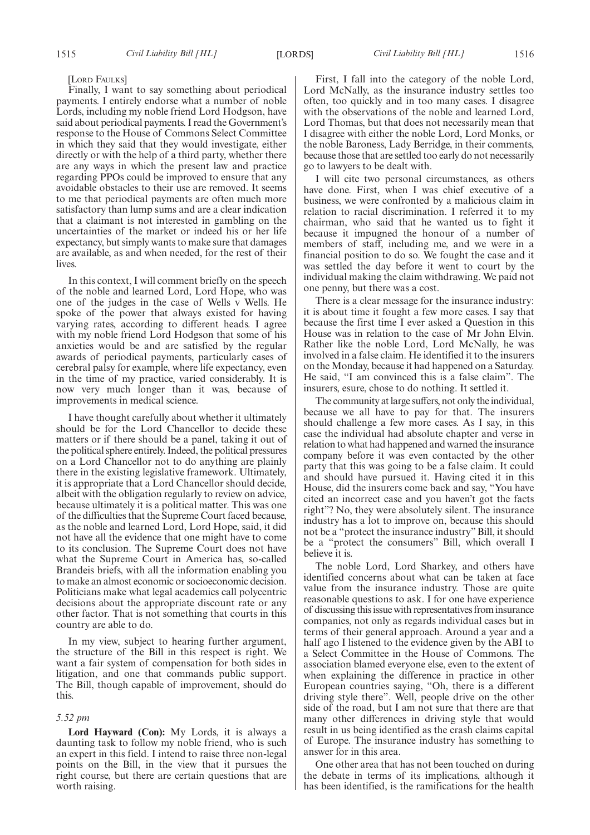[LORD FAULKS]

Finally, I want to say something about periodical payments. I entirely endorse what a number of noble Lords, including my noble friend Lord Hodgson, have said about periodical payments. I read the Government's response to the House of Commons Select Committee in which they said that they would investigate, either directly or with the help of a third party, whether there are any ways in which the present law and practice regarding PPOs could be improved to ensure that any avoidable obstacles to their use are removed. It seems to me that periodical payments are often much more satisfactory than lump sums and are a clear indication that a claimant is not interested in gambling on the uncertainties of the market or indeed his or her life expectancy, but simply wants to make sure that damages are available, as and when needed, for the rest of their lives.

In this context, I will comment briefly on the speech of the noble and learned Lord, Lord Hope, who was one of the judges in the case of Wells v Wells. He spoke of the power that always existed for having varying rates, according to different heads. I agree with my noble friend Lord Hodgson that some of his anxieties would be and are satisfied by the regular awards of periodical payments, particularly cases of cerebral palsy for example, where life expectancy, even in the time of my practice, varied considerably. It is now very much longer than it was, because of improvements in medical science.

I have thought carefully about whether it ultimately should be for the Lord Chancellor to decide these matters or if there should be a panel, taking it out of the political sphere entirely. Indeed, the political pressures on a Lord Chancellor not to do anything are plainly there in the existing legislative framework. Ultimately, it is appropriate that a Lord Chancellor should decide, albeit with the obligation regularly to review on advice, because ultimately it is a political matter. This was one of the difficulties that the Supreme Court faced because, as the noble and learned Lord, Lord Hope, said, it did not have all the evidence that one might have to come to its conclusion. The Supreme Court does not have what the Supreme Court in America has, so-called Brandeis briefs, with all the information enabling you to make an almost economic or socioeconomic decision. Politicians make what legal academics call polycentric decisions about the appropriate discount rate or any other factor. That is not something that courts in this country are able to do.

In my view, subject to hearing further argument, the structure of the Bill in this respect is right. We want a fair system of compensation for both sides in litigation, and one that commands public support. The Bill, though capable of improvement, should do this.

#### *5.52 pm*

**Lord Hayward (Con):** My Lords, it is always a daunting task to follow my noble friend, who is such an expert in this field. I intend to raise three non-legal points on the Bill, in the view that it pursues the right course, but there are certain questions that are worth raising.

First, I fall into the category of the noble Lord, Lord McNally, as the insurance industry settles too often, too quickly and in too many cases. I disagree with the observations of the noble and learned Lord, Lord Thomas, but that does not necessarily mean that I disagree with either the noble Lord, Lord Monks, or the noble Baroness, Lady Berridge, in their comments, because those that are settled too early do not necessarily go to lawyers to be dealt with.

I will cite two personal circumstances, as others have done. First, when I was chief executive of a business, we were confronted by a malicious claim in relation to racial discrimination. I referred it to my chairman, who said that he wanted us to fight it because it impugned the honour of a number of members of staff, including me, and we were in a financial position to do so. We fought the case and it was settled the day before it went to court by the individual making the claim withdrawing. We paid not one penny, but there was a cost.

There is a clear message for the insurance industry: it is about time it fought a few more cases. I say that because the first time I ever asked a Question in this House was in relation to the case of Mr John Elvin. Rather like the noble Lord, Lord McNally, he was involved in a false claim. He identified it to the insurers on the Monday, because it had happened on a Saturday. He said, "I am convinced this is a false claim". The insurers, esure, chose to do nothing. It settled it.

The community at large suffers, not only the individual, because we all have to pay for that. The insurers should challenge a few more cases. As I say, in this case the individual had absolute chapter and verse in relation to what had happened and warned the insurance company before it was even contacted by the other party that this was going to be a false claim. It could and should have pursued it. Having cited it in this House, did the insurers come back and say, "You have cited an incorrect case and you haven't got the facts right"? No, they were absolutely silent. The insurance industry has a lot to improve on, because this should not be a "protect the insurance industry" Bill, it should be a "protect the consumers" Bill, which overall I believe it is.

The noble Lord, Lord Sharkey, and others have identified concerns about what can be taken at face value from the insurance industry. Those are quite reasonable questions to ask. I for one have experience of discussing this issue with representatives from insurance companies, not only as regards individual cases but in terms of their general approach. Around a year and a half ago I listened to the evidence given by the ABI to a Select Committee in the House of Commons. The association blamed everyone else, even to the extent of when explaining the difference in practice in other European countries saying, "Oh, there is a different driving style there". Well, people drive on the other side of the road, but I am not sure that there are that many other differences in driving style that would result in us being identified as the crash claims capital of Europe. The insurance industry has something to answer for in this area.

One other area that has not been touched on during the debate in terms of its implications, although it has been identified, is the ramifications for the health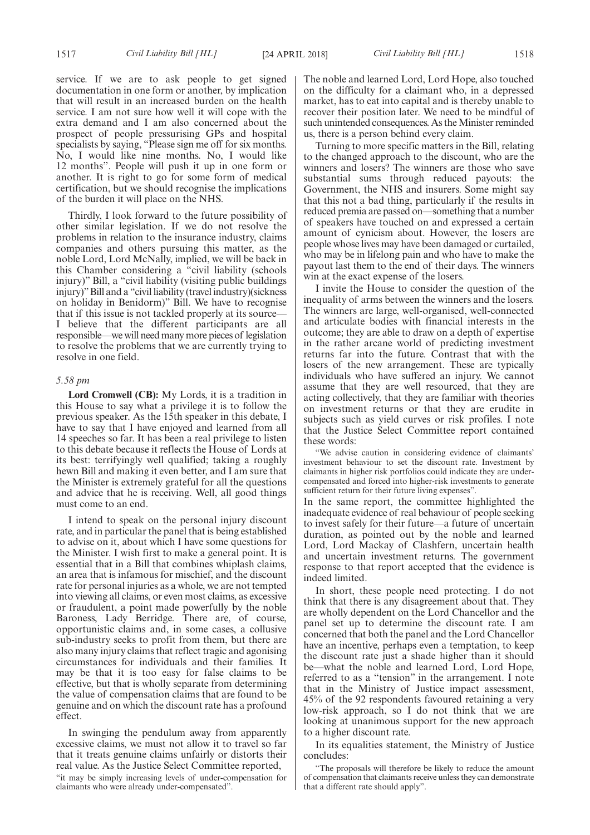service. If we are to ask people to get signed documentation in one form or another, by implication that will result in an increased burden on the health service. I am not sure how well it will cope with the extra demand and I am also concerned about the prospect of people pressurising GPs and hospital specialists by saying, "Please sign me off for six months. No, I would like nine months. No, I would like 12 months". People will push it up in one form or another. It is right to go for some form of medical certification, but we should recognise the implications of the burden it will place on the NHS.

Thirdly, I look forward to the future possibility of other similar legislation. If we do not resolve the problems in relation to the insurance industry, claims companies and others pursuing this matter, as the noble Lord, Lord McNally, implied, we will be back in this Chamber considering a "civil liability (schools injury)" Bill, a "civil liability (visiting public buildings injury)"Bill and a "civil liability (travel industry)(sickness on holiday in Benidorm)" Bill. We have to recognise that if this issue is not tackled properly at its source— I believe that the different participants are all responsible—we will need many more pieces of legislation to resolve the problems that we are currently trying to resolve in one field.

#### *5.58 pm*

**Lord Cromwell (CB):** My Lords, it is a tradition in this House to say what a privilege it is to follow the previous speaker. As the 15th speaker in this debate, I have to say that I have enjoyed and learned from all 14 speeches so far. It has been a real privilege to listen to this debate because it reflects the House of Lords at its best: terrifyingly well qualified; taking a roughly hewn Bill and making it even better, and I am sure that the Minister is extremely grateful for all the questions and advice that he is receiving. Well, all good things must come to an end.

I intend to speak on the personal injury discount rate, and in particular the panel that is being established to advise on it, about which I have some questions for the Minister. I wish first to make a general point. It is essential that in a Bill that combines whiplash claims, an area that is infamous for mischief, and the discount rate for personal injuries as a whole, we are not tempted into viewing all claims, or even most claims, as excessive or fraudulent, a point made powerfully by the noble Baroness, Lady Berridge. There are, of course, opportunistic claims and, in some cases, a collusive sub-industry seeks to profit from them, but there are also many injury claims that reflect tragic and agonising circumstances for individuals and their families. It may be that it is too easy for false claims to be effective, but that is wholly separate from determining the value of compensation claims that are found to be genuine and on which the discount rate has a profound effect.

In swinging the pendulum away from apparently excessive claims, we must not allow it to travel so far that it treats genuine claims unfairly or distorts their real value. As the Justice Select Committee reported,

"it may be simply increasing levels of under-compensation for claimants who were already under-compensated".

The noble and learned Lord, Lord Hope, also touched on the difficulty for a claimant who, in a depressed market, has to eat into capital and is thereby unable to recover their position later. We need to be mindful of such unintended consequences. As the Minister reminded us, there is a person behind every claim.

Turning to more specific matters in the Bill, relating to the changed approach to the discount, who are the winners and losers? The winners are those who save substantial sums through reduced payouts: the Government, the NHS and insurers. Some might say that this not a bad thing, particularly if the results in reduced premia are passed on—something that a number of speakers have touched on and expressed a certain amount of cynicism about. However, the losers are people whose lives may have been damaged or curtailed, who may be in lifelong pain and who have to make the payout last them to the end of their days. The winners win at the exact expense of the losers.

I invite the House to consider the question of the inequality of arms between the winners and the losers. The winners are large, well-organised, well-connected and articulate bodies with financial interests in the outcome; they are able to draw on a depth of expertise in the rather arcane world of predicting investment returns far into the future. Contrast that with the losers of the new arrangement. These are typically individuals who have suffered an injury. We cannot assume that they are well resourced, that they are acting collectively, that they are familiar with theories on investment returns or that they are erudite in subjects such as yield curves or risk profiles. I note that the Justice Select Committee report contained these words:

"We advise caution in considering evidence of claimants' investment behaviour to set the discount rate. Investment by claimants in higher risk portfolios could indicate they are undercompensated and forced into higher-risk investments to generate sufficient return for their future living expenses".

In the same report, the committee highlighted the inadequate evidence of real behaviour of people seeking to invest safely for their future—a future of uncertain duration, as pointed out by the noble and learned Lord, Lord Mackay of Clashfern, uncertain health and uncertain investment returns. The government response to that report accepted that the evidence is indeed limited.

In short, these people need protecting. I do not think that there is any disagreement about that. They are wholly dependent on the Lord Chancellor and the panel set up to determine the discount rate. I am concerned that both the panel and the Lord Chancellor have an incentive, perhaps even a temptation, to keep the discount rate just a shade higher than it should be—what the noble and learned Lord, Lord Hope, referred to as a "tension" in the arrangement. I note that in the Ministry of Justice impact assessment, 45% of the 92 respondents favoured retaining a very low-risk approach, so I do not think that we are looking at unanimous support for the new approach to a higher discount rate.

In its equalities statement, the Ministry of Justice concludes:

"The proposals will therefore be likely to reduce the amount of compensation that claimants receive unless they can demonstrate that a different rate should apply".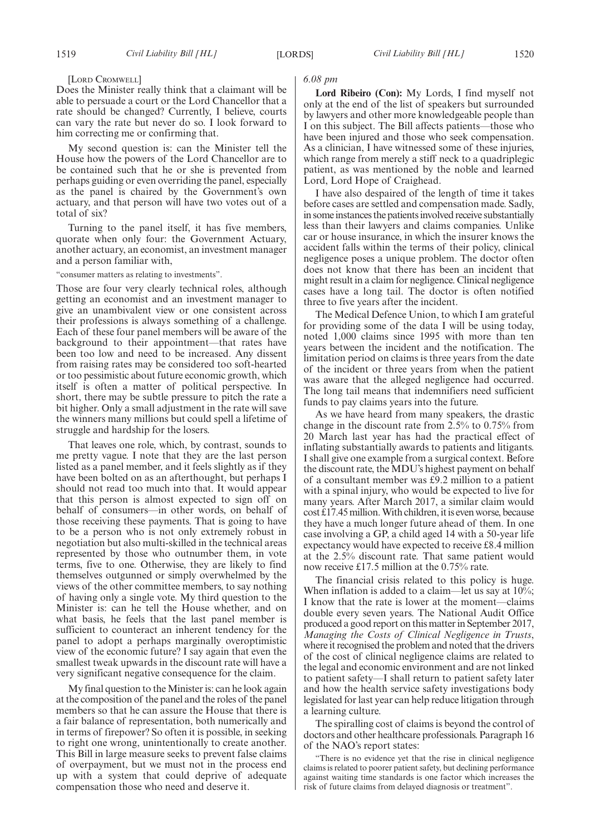#### [LORD CROMWELL]

Does the Minister really think that a claimant will be able to persuade a court or the Lord Chancellor that a rate should be changed? Currently, I believe, courts can vary the rate but never do so. I look forward to him correcting me or confirming that.

My second question is: can the Minister tell the House how the powers of the Lord Chancellor are to be contained such that he or she is prevented from perhaps guiding or even overriding the panel, especially as the panel is chaired by the Government's own actuary, and that person will have two votes out of a total of six?

Turning to the panel itself, it has five members, quorate when only four: the Government Actuary, another actuary, an economist, an investment manager and a person familiar with,

"consumer matters as relating to investments".

Those are four very clearly technical roles, although getting an economist and an investment manager to give an unambivalent view or one consistent across their professions is always something of a challenge. Each of these four panel members will be aware of the background to their appointment—that rates have been too low and need to be increased. Any dissent from raising rates may be considered too soft-hearted or too pessimistic about future economic growth, which itself is often a matter of political perspective. In short, there may be subtle pressure to pitch the rate a bit higher. Only a small adjustment in the rate will save the winners many millions but could spell a lifetime of struggle and hardship for the losers.

That leaves one role, which, by contrast, sounds to me pretty vague. I note that they are the last person listed as a panel member, and it feels slightly as if they have been bolted on as an afterthought, but perhaps I should not read too much into that. It would appear that this person is almost expected to sign off on behalf of consumers—in other words, on behalf of those receiving these payments. That is going to have to be a person who is not only extremely robust in negotiation but also multi-skilled in the technical areas represented by those who outnumber them, in vote terms, five to one. Otherwise, they are likely to find themselves outgunned or simply overwhelmed by the views of the other committee members, to say nothing of having only a single vote. My third question to the Minister is: can he tell the House whether, and on what basis, he feels that the last panel member is sufficient to counteract an inherent tendency for the panel to adopt a perhaps marginally overoptimistic view of the economic future? I say again that even the smallest tweak upwards in the discount rate will have a very significant negative consequence for the claim.

My final question to the Minister is: can he look again at the composition of the panel and the roles of the panel members so that he can assure the House that there is a fair balance of representation, both numerically and in terms of firepower? So often it is possible, in seeking to right one wrong, unintentionally to create another. This Bill in large measure seeks to prevent false claims of overpayment, but we must not in the process end up with a system that could deprive of adequate compensation those who need and deserve it.

#### *6.08 pm*

**Lord Ribeiro (Con):** My Lords, I find myself not only at the end of the list of speakers but surrounded by lawyers and other more knowledgeable people than I on this subject. The Bill affects patients—those who have been injured and those who seek compensation. As a clinician, I have witnessed some of these injuries, which range from merely a stiff neck to a quadriplegic patient, as was mentioned by the noble and learned Lord, Lord Hope of Craighead.

I have also despaired of the length of time it takes before cases are settled and compensation made. Sadly, in some instances the patients involved receive substantially less than their lawyers and claims companies. Unlike car or house insurance, in which the insurer knows the accident falls within the terms of their policy, clinical negligence poses a unique problem. The doctor often does not know that there has been an incident that might result in a claim for negligence. Clinical negligence cases have a long tail. The doctor is often notified three to five years after the incident.

The Medical Defence Union, to which I am grateful for providing some of the data I will be using today, noted 1,000 claims since 1995 with more than ten years between the incident and the notification. The limitation period on claims is three years from the date of the incident or three years from when the patient was aware that the alleged negligence had occurred. The long tail means that indemnifiers need sufficient funds to pay claims years into the future.

As we have heard from many speakers, the drastic change in the discount rate from 2.5% to 0.75% from 20 March last year has had the practical effect of inflating substantially awards to patients and litigants. I shall give one example from a surgical context. Before the discount rate, the MDU's highest payment on behalf of a consultant member was £9.2 million to a patient with a spinal injury, who would be expected to live for many years. After March 2017, a similar claim would cost £17.45 million. With children, it is even worse, because they have a much longer future ahead of them. In one case involving a GP, a child aged 14 with a 50-year life expectancy would have expected to receive £8.4 million at the 2.5% discount rate. That same patient would now receive £17.5 million at the 0.75% rate.

The financial crisis related to this policy is huge. When inflation is added to a claim—let us say at 10%; I know that the rate is lower at the moment—claims double every seven years. The National Audit Office produced a good report on this matter in September 2017, *Managing the Costs of Clinical Negligence in Trusts*, where it recognised the problem and noted that the drivers of the cost of clinical negligence claims are related to the legal and economic environment and are not linked to patient safety—I shall return to patient safety later and how the health service safety investigations body legislated for last year can help reduce litigation through a learning culture.

The spiralling cost of claims is beyond the control of doctors and other healthcare professionals. Paragraph 16 of the NAO's report states:

"There is no evidence yet that the rise in clinical negligence claims is related to poorer patient safety, but declining performance against waiting time standards is one factor which increases the risk of future claims from delayed diagnosis or treatment".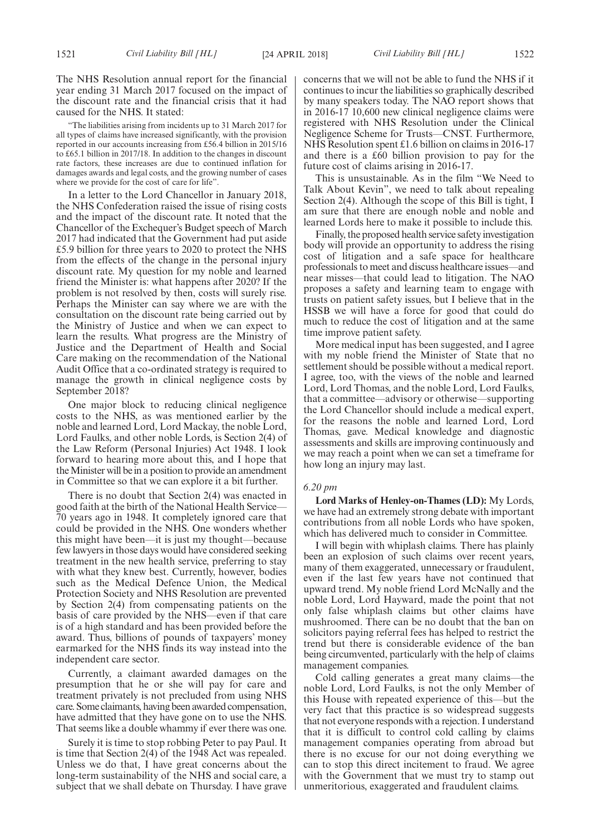"The liabilities arising from incidents up to 31 March 2017 for all types of claims have increased significantly, with the provision reported in our accounts increasing from £56.4 billion in 2015/16 to £65.1 billion in 2017/18. In addition to the changes in discount rate factors, these increases are due to continued inflation for damages awards and legal costs, and the growing number of cases where we provide for the cost of care for life".

In a letter to the Lord Chancellor in January 2018, the NHS Confederation raised the issue of rising costs and the impact of the discount rate. It noted that the Chancellor of the Exchequer's Budget speech of March 2017 had indicated that the Government had put aside £5.9 billion for three years to 2020 to protect the NHS from the effects of the change in the personal injury discount rate. My question for my noble and learned friend the Minister is: what happens after 2020? If the problem is not resolved by then, costs will surely rise. Perhaps the Minister can say where we are with the consultation on the discount rate being carried out by the Ministry of Justice and when we can expect to learn the results. What progress are the Ministry of Justice and the Department of Health and Social Care making on the recommendation of the National Audit Office that a co-ordinated strategy is required to manage the growth in clinical negligence costs by September 2018?

One major block to reducing clinical negligence costs to the NHS, as was mentioned earlier by the noble and learned Lord, Lord Mackay, the noble Lord, Lord Faulks, and other noble Lords, is Section 2(4) of the Law Reform (Personal Injuries) Act 1948. I look forward to hearing more about this, and I hope that the Minister will be in a position to provide an amendment in Committee so that we can explore it a bit further.

There is no doubt that Section 2(4) was enacted in good faith at the birth of the National Health Service— 70 years ago in 1948. It completely ignored care that could be provided in the NHS. One wonders whether this might have been—it is just my thought—because few lawyers in those days would have considered seeking treatment in the new health service, preferring to stay with what they knew best. Currently, however, bodies such as the Medical Defence Union, the Medical Protection Society and NHS Resolution are prevented by Section 2(4) from compensating patients on the basis of care provided by the NHS—even if that care is of a high standard and has been provided before the award. Thus, billions of pounds of taxpayers' money earmarked for the NHS finds its way instead into the independent care sector.

Currently, a claimant awarded damages on the presumption that he or she will pay for care and treatment privately is not precluded from using NHS care. Some claimants, having been awarded compensation, have admitted that they have gone on to use the NHS. That seems like a double whammy if ever there was one.

Surely it is time to stop robbing Peter to pay Paul. It is time that Section 2(4) of the 1948 Act was repealed. Unless we do that, I have great concerns about the long-term sustainability of the NHS and social care, a subject that we shall debate on Thursday. I have grave concerns that we will not be able to fund the NHS if it continues to incur the liabilities so graphically described by many speakers today. The NAO report shows that in 2016-17 10,600 new clinical negligence claims were registered with NHS Resolution under the Clinical Negligence Scheme for Trusts—CNST. Furthermore, NHS Resolution spent £1.6 billion on claims in 2016-17 and there is a £60 billion provision to pay for the future cost of claims arising in 2016-17.

This is unsustainable. As in the film "We Need to Talk About Kevin", we need to talk about repealing Section 2(4). Although the scope of this Bill is tight, I am sure that there are enough noble and noble and learned Lords here to make it possible to include this.

Finally, the proposed health service safety investigation body will provide an opportunity to address the rising cost of litigation and a safe space for healthcare professionals to meet and discuss healthcare issues—and near misses—that could lead to litigation. The NAO proposes a safety and learning team to engage with trusts on patient safety issues, but I believe that in the HSSB we will have a force for good that could do much to reduce the cost of litigation and at the same time improve patient safety.

More medical input has been suggested, and I agree with my noble friend the Minister of State that no settlement should be possible without a medical report. I agree, too, with the views of the noble and learned Lord, Lord Thomas, and the noble Lord, Lord Faulks, that a committee—advisory or otherwise—supporting the Lord Chancellor should include a medical expert, for the reasons the noble and learned Lord, Lord Thomas, gave. Medical knowledge and diagnostic assessments and skills are improving continuously and we may reach a point when we can set a timeframe for how long an injury may last.

#### *6.20 pm*

**Lord Marks of Henley-on-Thames (LD):** My Lords, we have had an extremely strong debate with important contributions from all noble Lords who have spoken, which has delivered much to consider in Committee.

I will begin with whiplash claims. There has plainly been an explosion of such claims over recent years, many of them exaggerated, unnecessary or fraudulent, even if the last few years have not continued that upward trend. My noble friend Lord McNally and the noble Lord, Lord Hayward, made the point that not only false whiplash claims but other claims have mushroomed. There can be no doubt that the ban on solicitors paying referral fees has helped to restrict the trend but there is considerable evidence of the ban being circumvented, particularly with the help of claims management companies.

Cold calling generates a great many claims—the noble Lord, Lord Faulks, is not the only Member of this House with repeated experience of this—but the very fact that this practice is so widespread suggests that not everyone responds with a rejection. I understand that it is difficult to control cold calling by claims management companies operating from abroad but there is no excuse for our not doing everything we can to stop this direct incitement to fraud. We agree with the Government that we must try to stamp out unmeritorious, exaggerated and fraudulent claims.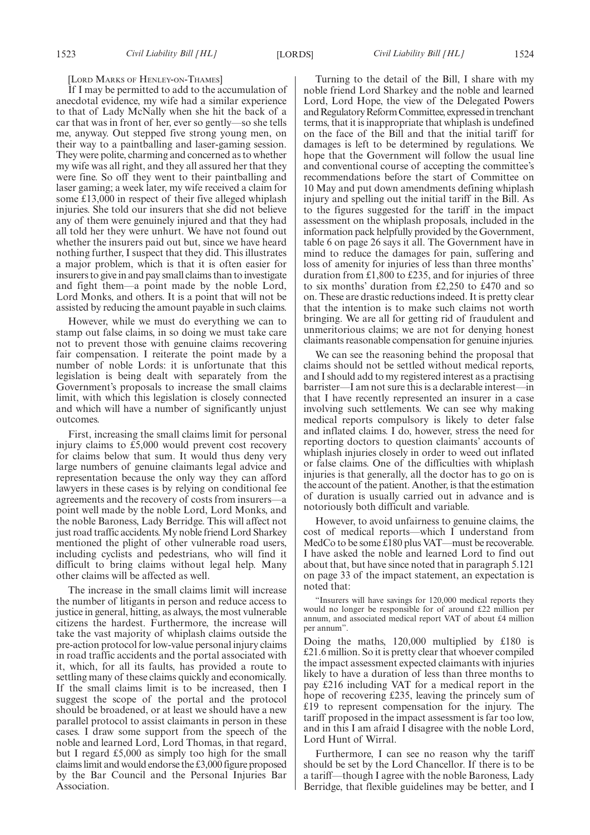#### [LORD MARKS OF HENLEY-ON-THAMES]

If I may be permitted to add to the accumulation of anecdotal evidence, my wife had a similar experience to that of Lady McNally when she hit the back of a car that was in front of her, ever so gently—so she tells me, anyway. Out stepped five strong young men, on their way to a paintballing and laser-gaming session. They were polite, charming and concerned as to whether my wife was all right, and they all assured her that they were fine. So off they went to their paintballing and laser gaming; a week later, my wife received a claim for some £13,000 in respect of their five alleged whiplash injuries. She told our insurers that she did not believe any of them were genuinely injured and that they had all told her they were unhurt. We have not found out whether the insurers paid out but, since we have heard nothing further, I suspect that they did. This illustrates a major problem, which is that it is often easier for insurers to give in and pay small claims than to investigate and fight them—a point made by the noble Lord, Lord Monks, and others. It is a point that will not be assisted by reducing the amount payable in such claims.

However, while we must do everything we can to stamp out false claims, in so doing we must take care not to prevent those with genuine claims recovering fair compensation. I reiterate the point made by a number of noble Lords: it is unfortunate that this legislation is being dealt with separately from the Government's proposals to increase the small claims limit, with which this legislation is closely connected and which will have a number of significantly unjust outcomes.

First, increasing the small claims limit for personal injury claims to £5,000 would prevent cost recovery for claims below that sum. It would thus deny very large numbers of genuine claimants legal advice and representation because the only way they can afford lawyers in these cases is by relying on conditional fee agreements and the recovery of costs from insurers—a point well made by the noble Lord, Lord Monks, and the noble Baroness, Lady Berridge. This will affect not just road traffic accidents. My noble friend Lord Sharkey mentioned the plight of other vulnerable road users, including cyclists and pedestrians, who will find it difficult to bring claims without legal help. Many other claims will be affected as well.

The increase in the small claims limit will increase the number of litigants in person and reduce access to justice in general, hitting, as always, the most vulnerable citizens the hardest. Furthermore, the increase will take the vast majority of whiplash claims outside the pre-action protocol for low-value personal injury claims in road traffic accidents and the portal associated with it, which, for all its faults, has provided a route to settling many of these claims quickly and economically. If the small claims limit is to be increased, then I suggest the scope of the portal and the protocol should be broadened, or at least we should have a new parallel protocol to assist claimants in person in these cases. I draw some support from the speech of the noble and learned Lord, Lord Thomas, in that regard, but I regard £5,000 as simply too high for the small claims limit and would endorse the £3,000 figure proposed by the Bar Council and the Personal Injuries Bar Association.

Turning to the detail of the Bill, I share with my noble friend Lord Sharkey and the noble and learned Lord, Lord Hope, the view of the Delegated Powers and Regulatory Reform Committee, expressed in trenchant terms, that it is inappropriate that whiplash is undefined on the face of the Bill and that the initial tariff for damages is left to be determined by regulations. We hope that the Government will follow the usual line and conventional course of accepting the committee's recommendations before the start of Committee on 10 May and put down amendments defining whiplash injury and spelling out the initial tariff in the Bill. As to the figures suggested for the tariff in the impact assessment on the whiplash proposals, included in the information pack helpfully provided by the Government, table 6 on page 26 says it all. The Government have in mind to reduce the damages for pain, suffering and loss of amenity for injuries of less than three months' duration from £1,800 to £235, and for injuries of three to six months' duration from £2,250 to £470 and so on. These are drastic reductions indeed. It is pretty clear that the intention is to make such claims not worth bringing. We are all for getting rid of fraudulent and unmeritorious claims; we are not for denying honest claimants reasonable compensation for genuine injuries.

We can see the reasoning behind the proposal that claims should not be settled without medical reports, and I should add to my registered interest as a practising barrister—I am not sure this is a declarable interest—in that I have recently represented an insurer in a case involving such settlements. We can see why making medical reports compulsory is likely to deter false and inflated claims. I do, however, stress the need for reporting doctors to question claimants' accounts of whiplash injuries closely in order to weed out inflated or false claims. One of the difficulties with whiplash injuries is that generally, all the doctor has to go on is the account of the patient. Another, is that the estimation of duration is usually carried out in advance and is notoriously both difficult and variable.

However, to avoid unfairness to genuine claims, the cost of medical reports—which I understand from MedCo to be some £180 plus VAT—must be recoverable. I have asked the noble and learned Lord to find out about that, but have since noted that in paragraph 5.121 on page 33 of the impact statement, an expectation is noted that:

"Insurers will have savings for 120,000 medical reports they would no longer be responsible for of around £22 million per annum, and associated medical report VAT of about £4 million per annum".

Doing the maths, 120,000 multiplied by £180 is £21.6 million. So it is pretty clear that whoever compiled the impact assessment expected claimants with injuries likely to have a duration of less than three months to pay £216 including VAT for a medical report in the hope of recovering £235, leaving the princely sum of £19 to represent compensation for the injury. The tariff proposed in the impact assessment is far too low, and in this I am afraid I disagree with the noble Lord, Lord Hunt of Wirral.

Furthermore, I can see no reason why the tariff should be set by the Lord Chancellor. If there is to be a tariff—though I agree with the noble Baroness, Lady Berridge, that flexible guidelines may be better, and I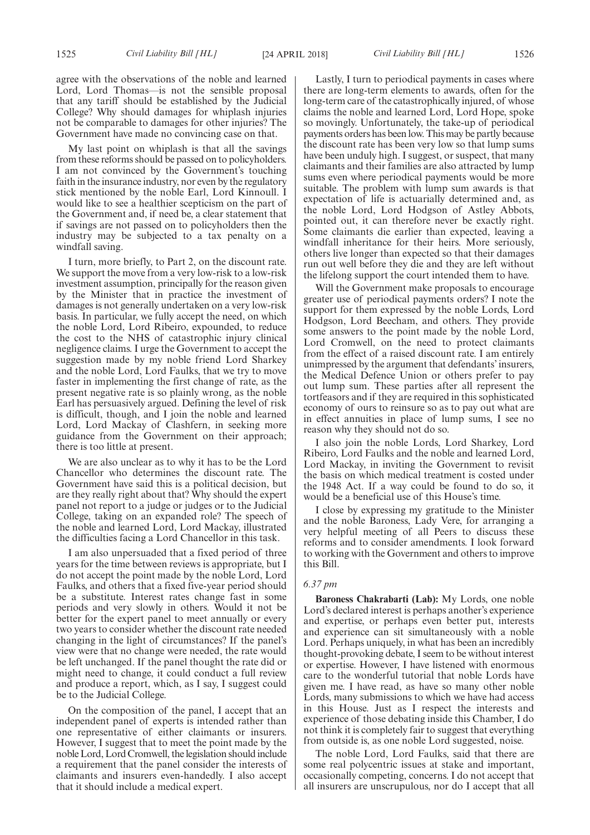agree with the observations of the noble and learned Lord, Lord Thomas—is not the sensible proposal that any tariff should be established by the Judicial College? Why should damages for whiplash injuries not be comparable to damages for other injuries? The Government have made no convincing case on that.

My last point on whiplash is that all the savings from these reforms should be passed on to policyholders. I am not convinced by the Government's touching faith in the insurance industry, nor even by the regulatory stick mentioned by the noble Earl, Lord Kinnoull. I would like to see a healthier scepticism on the part of the Government and, if need be, a clear statement that if savings are not passed on to policyholders then the industry may be subjected to a tax penalty on a windfall saving.

I turn, more briefly, to Part 2, on the discount rate. We support the move from a very low-risk to a low-risk investment assumption, principally for the reason given by the Minister that in practice the investment of damages is not generally undertaken on a very low-risk basis. In particular, we fully accept the need, on which the noble Lord, Lord Ribeiro, expounded, to reduce the cost to the NHS of catastrophic injury clinical negligence claims. I urge the Government to accept the suggestion made by my noble friend Lord Sharkey and the noble Lord, Lord Faulks, that we try to move faster in implementing the first change of rate, as the present negative rate is so plainly wrong, as the noble Earl has persuasively argued. Defining the level of risk is difficult, though, and I join the noble and learned Lord, Lord Mackay of Clashfern, in seeking more guidance from the Government on their approach; there is too little at present.

We are also unclear as to why it has to be the Lord Chancellor who determines the discount rate. The Government have said this is a political decision, but are they really right about that? Why should the expert panel not report to a judge or judges or to the Judicial College, taking on an expanded role? The speech of the noble and learned Lord, Lord Mackay, illustrated the difficulties facing a Lord Chancellor in this task.

I am also unpersuaded that a fixed period of three years for the time between reviews is appropriate, but I do not accept the point made by the noble Lord, Lord Faulks, and others that a fixed five-year period should be a substitute. Interest rates change fast in some periods and very slowly in others. Would it not be better for the expert panel to meet annually or every two years to consider whether the discount rate needed changing in the light of circumstances? If the panel's view were that no change were needed, the rate would be left unchanged. If the panel thought the rate did or might need to change, it could conduct a full review and produce a report, which, as I say, I suggest could be to the Judicial College.

On the composition of the panel, I accept that an independent panel of experts is intended rather than one representative of either claimants or insurers. However, I suggest that to meet the point made by the noble Lord, Lord Cromwell, the legislation should include a requirement that the panel consider the interests of claimants and insurers even-handedly. I also accept that it should include a medical expert.

Lastly, I turn to periodical payments in cases where there are long-term elements to awards, often for the long-term care of the catastrophically injured, of whose claims the noble and learned Lord, Lord Hope, spoke so movingly. Unfortunately, the take-up of periodical payments orders has been low. This may be partly because the discount rate has been very low so that lump sums have been unduly high. I suggest, or suspect, that many claimants and their families are also attracted by lump sums even where periodical payments would be more suitable. The problem with lump sum awards is that expectation of life is actuarially determined and, as the noble Lord, Lord Hodgson of Astley Abbots, pointed out, it can therefore never be exactly right. Some claimants die earlier than expected, leaving a windfall inheritance for their heirs. More seriously, others live longer than expected so that their damages run out well before they die and they are left without the lifelong support the court intended them to have.

Will the Government make proposals to encourage greater use of periodical payments orders? I note the support for them expressed by the noble Lords, Lord Hodgson, Lord Beecham, and others. They provide some answers to the point made by the noble Lord, Lord Cromwell, on the need to protect claimants from the effect of a raised discount rate. I am entirely unimpressed by the argument that defendants' insurers, the Medical Defence Union or others prefer to pay out lump sum. These parties after all represent the tortfeasors and if they are required in this sophisticated economy of ours to reinsure so as to pay out what are in effect annuities in place of lump sums, I see no reason why they should not do so.

I also join the noble Lords, Lord Sharkey, Lord Ribeiro, Lord Faulks and the noble and learned Lord, Lord Mackay, in inviting the Government to revisit the basis on which medical treatment is costed under the 1948 Act. If a way could be found to do so, it would be a beneficial use of this House's time.

I close by expressing my gratitude to the Minister and the noble Baroness, Lady Vere, for arranging a very helpful meeting of all Peers to discuss these reforms and to consider amendments. I look forward to working with the Government and others to improve this Bill.

#### *6.37 pm*

**Baroness Chakrabarti (Lab):** My Lords, one noble Lord's declared interest is perhaps another's experience and expertise, or perhaps even better put, interests and experience can sit simultaneously with a noble Lord. Perhaps uniquely, in what has been an incredibly thought-provoking debate, I seem to be without interest or expertise. However, I have listened with enormous care to the wonderful tutorial that noble Lords have given me. I have read, as have so many other noble Lords, many submissions to which we have had access in this House. Just as I respect the interests and experience of those debating inside this Chamber, I do not think it is completely fair to suggest that everything from outside is, as one noble Lord suggested, noise.

The noble Lord, Lord Faulks, said that there are some real polycentric issues at stake and important, occasionally competing, concerns. I do not accept that all insurers are unscrupulous, nor do I accept that all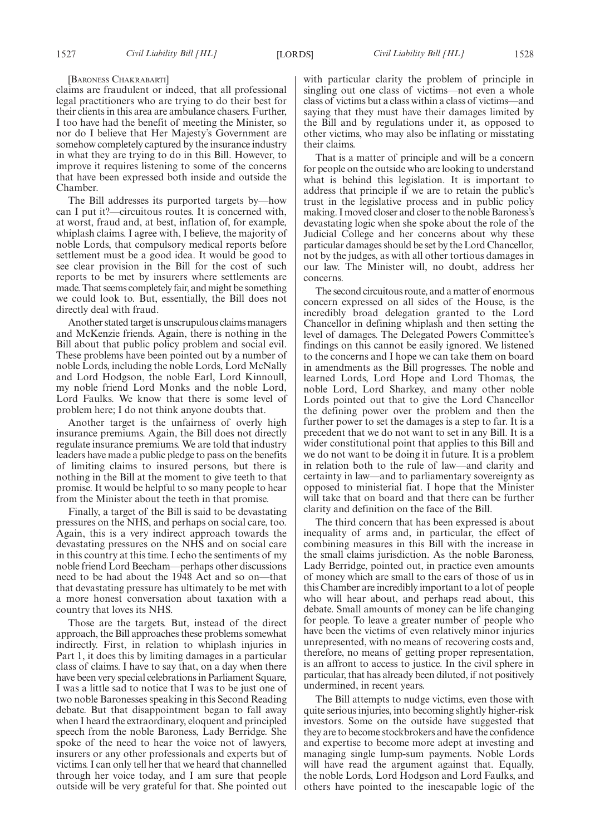claims are fraudulent or indeed, that all professional legal practitioners who are trying to do their best for their clients in this area are ambulance chasers. Further, I too have had the benefit of meeting the Minister, so nor do I believe that Her Majesty's Government are somehow completely captured by the insurance industry in what they are trying to do in this Bill. However, to improve it requires listening to some of the concerns that have been expressed both inside and outside the Chamber.

The Bill addresses its purported targets by—how can I put it?—circuitous routes. It is concerned with, at worst, fraud and, at best, inflation of, for example, whiplash claims. I agree with, I believe, the majority of noble Lords, that compulsory medical reports before settlement must be a good idea. It would be good to see clear provision in the Bill for the cost of such reports to be met by insurers where settlements are made. That seems completely fair, and might be something we could look to. But, essentially, the Bill does not directly deal with fraud.

Another stated target is unscrupulous claims managers and McKenzie friends. Again, there is nothing in the Bill about that public policy problem and social evil. These problems have been pointed out by a number of noble Lords, including the noble Lords, Lord McNally and Lord Hodgson, the noble Earl, Lord Kinnoull, my noble friend Lord Monks and the noble Lord, Lord Faulks. We know that there is some level of problem here; I do not think anyone doubts that.

Another target is the unfairness of overly high insurance premiums. Again, the Bill does not directly regulate insurance premiums. We are told that industry leaders have made a public pledge to pass on the benefits of limiting claims to insured persons, but there is nothing in the Bill at the moment to give teeth to that promise. It would be helpful to so many people to hear from the Minister about the teeth in that promise.

Finally, a target of the Bill is said to be devastating pressures on the NHS, and perhaps on social care, too. Again, this is a very indirect approach towards the devastating pressures on the NHS and on social care in this country at this time. I echo the sentiments of my noble friend Lord Beecham—perhaps other discussions need to be had about the 1948 Act and so on—that that devastating pressure has ultimately to be met with a more honest conversation about taxation with a country that loves its NHS.

Those are the targets. But, instead of the direct approach, the Bill approaches these problems somewhat indirectly. First, in relation to whiplash injuries in Part 1, it does this by limiting damages in a particular class of claims. I have to say that, on a day when there have been very special celebrations in Parliament Square, I was a little sad to notice that I was to be just one of two noble Baronesses speaking in this Second Reading debate. But that disappointment began to fall away when I heard the extraordinary, eloquent and principled speech from the noble Baroness, Lady Berridge. She spoke of the need to hear the voice not of lawyers, insurers or any other professionals and experts but of victims. I can only tell her that we heard that channelled through her voice today, and I am sure that people outside will be very grateful for that. She pointed out with particular clarity the problem of principle in singling out one class of victims—not even a whole class of victims but a class within a class of victims—and saying that they must have their damages limited by the Bill and by regulations under it, as opposed to other victims, who may also be inflating or misstating their claims.

That is a matter of principle and will be a concern for people on the outside who are looking to understand what is behind this legislation. It is important to address that principle if we are to retain the public's trust in the legislative process and in public policy making. I moved closer and closer to the noble Baroness's devastating logic when she spoke about the role of the Judicial College and her concerns about why these particular damages should be set by the Lord Chancellor, not by the judges, as with all other tortious damages in our law. The Minister will, no doubt, address her concerns.

The second circuitous route, and a matter of enormous concern expressed on all sides of the House, is the incredibly broad delegation granted to the Lord Chancellor in defining whiplash and then setting the level of damages. The Delegated Powers Committee's findings on this cannot be easily ignored. We listened to the concerns and I hope we can take them on board in amendments as the Bill progresses. The noble and learned Lords, Lord Hope and Lord Thomas, the noble Lord, Lord Sharkey, and many other noble Lords pointed out that to give the Lord Chancellor the defining power over the problem and then the further power to set the damages is a step to far. It is a precedent that we do not want to set in any Bill. It is a wider constitutional point that applies to this Bill and we do not want to be doing it in future. It is a problem in relation both to the rule of law—and clarity and certainty in law—and to parliamentary sovereignty as opposed to ministerial fiat. I hope that the Minister will take that on board and that there can be further clarity and definition on the face of the Bill.

The third concern that has been expressed is about inequality of arms and, in particular, the effect of combining measures in this Bill with the increase in the small claims jurisdiction. As the noble Baroness, Lady Berridge, pointed out, in practice even amounts of money which are small to the ears of those of us in this Chamber are incredibly important to a lot of people who will hear about, and perhaps read about, this debate. Small amounts of money can be life changing for people. To leave a greater number of people who have been the victims of even relatively minor injuries unrepresented, with no means of recovering costs and, therefore, no means of getting proper representation, is an affront to access to justice. In the civil sphere in particular, that has already been diluted, if not positively undermined, in recent years.

The Bill attempts to nudge victims, even those with quite serious injuries, into becoming slightly higher-risk investors. Some on the outside have suggested that they are to become stockbrokers and have the confidence and expertise to become more adept at investing and managing single lump-sum payments. Noble Lords will have read the argument against that. Equally, the noble Lords, Lord Hodgson and Lord Faulks, and others have pointed to the inescapable logic of the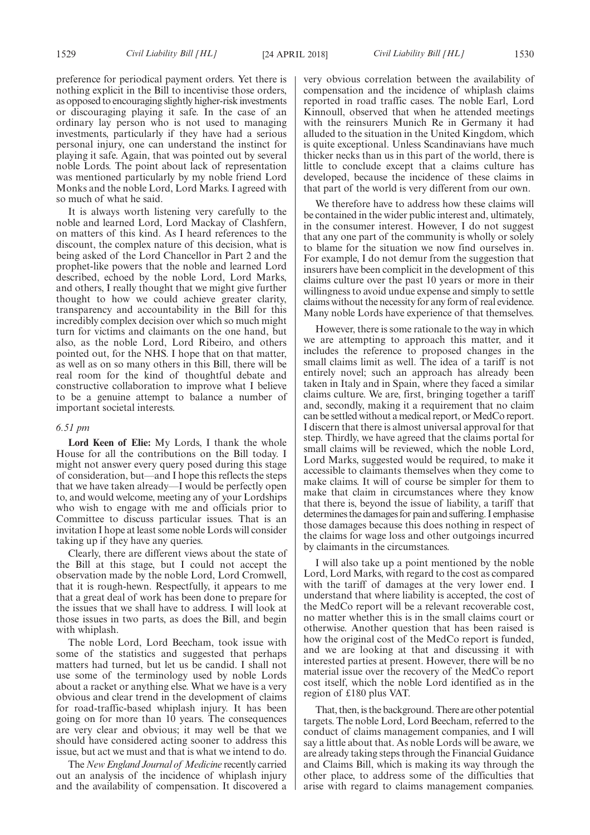preference for periodical payment orders. Yet there is nothing explicit in the Bill to incentivise those orders, as opposed to encouraging slightly higher-risk investments or discouraging playing it safe. In the case of an ordinary lay person who is not used to managing investments, particularly if they have had a serious personal injury, one can understand the instinct for playing it safe. Again, that was pointed out by several noble Lords. The point about lack of representation was mentioned particularly by my noble friend Lord Monks and the noble Lord, Lord Marks. I agreed with so much of what he said.

It is always worth listening very carefully to the noble and learned Lord, Lord Mackay of Clashfern, on matters of this kind. As I heard references to the discount, the complex nature of this decision, what is being asked of the Lord Chancellor in Part 2 and the prophet-like powers that the noble and learned Lord described, echoed by the noble Lord, Lord Marks, and others, I really thought that we might give further thought to how we could achieve greater clarity, transparency and accountability in the Bill for this incredibly complex decision over which so much might turn for victims and claimants on the one hand, but also, as the noble Lord, Lord Ribeiro, and others pointed out, for the NHS. I hope that on that matter, as well as on so many others in this Bill, there will be real room for the kind of thoughtful debate and constructive collaboration to improve what I believe to be a genuine attempt to balance a number of important societal interests.

#### *6.51 pm*

**Lord Keen of Elie:** My Lords, I thank the whole House for all the contributions on the Bill today. I might not answer every query posed during this stage of consideration, but—and I hope this reflects the steps that we have taken already—I would be perfectly open to, and would welcome, meeting any of your Lordships who wish to engage with me and officials prior to Committee to discuss particular issues. That is an invitation I hope at least some noble Lords will consider taking up if they have any queries.

Clearly, there are different views about the state of the Bill at this stage, but I could not accept the observation made by the noble Lord, Lord Cromwell, that it is rough-hewn. Respectfully, it appears to me that a great deal of work has been done to prepare for the issues that we shall have to address. I will look at those issues in two parts, as does the Bill, and begin with whiplash.

The noble Lord, Lord Beecham, took issue with some of the statistics and suggested that perhaps matters had turned, but let us be candid. I shall not use some of the terminology used by noble Lords about a racket or anything else. What we have is a very obvious and clear trend in the development of claims for road-traffic-based whiplash injury. It has been going on for more than 10 years. The consequences are very clear and obvious; it may well be that we should have considered acting sooner to address this issue, but act we must and that is what we intend to do.

The *New England Journal of Medicine* recently carried out an analysis of the incidence of whiplash injury and the availability of compensation. It discovered a very obvious correlation between the availability of compensation and the incidence of whiplash claims reported in road traffic cases. The noble Earl, Lord Kinnoull, observed that when he attended meetings with the reinsurers Munich Re in Germany it had alluded to the situation in the United Kingdom, which is quite exceptional. Unless Scandinavians have much thicker necks than us in this part of the world, there is little to conclude except that a claims culture has developed, because the incidence of these claims in that part of the world is very different from our own.

We therefore have to address how these claims will be contained in the wider public interest and, ultimately, in the consumer interest. However, I do not suggest that any one part of the community is wholly or solely to blame for the situation we now find ourselves in. For example, I do not demur from the suggestion that insurers have been complicit in the development of this claims culture over the past 10 years or more in their willingness to avoid undue expense and simply to settle claims without the necessity for any form of real evidence. Many noble Lords have experience of that themselves.

However, there is some rationale to the way in which we are attempting to approach this matter, and it includes the reference to proposed changes in the small claims limit as well. The idea of a tariff is not entirely novel; such an approach has already been taken in Italy and in Spain, where they faced a similar claims culture. We are, first, bringing together a tariff and, secondly, making it a requirement that no claim can be settled without a medical report, or MedCo report. I discern that there is almost universal approval for that step. Thirdly, we have agreed that the claims portal for small claims will be reviewed, which the noble Lord, Lord Marks, suggested would be required, to make it accessible to claimants themselves when they come to make claims. It will of course be simpler for them to make that claim in circumstances where they know that there is, beyond the issue of liability, a tariff that determines the damages for pain and suffering. I emphasise those damages because this does nothing in respect of the claims for wage loss and other outgoings incurred by claimants in the circumstances.

I will also take up a point mentioned by the noble Lord, Lord Marks, with regard to the cost as compared with the tariff of damages at the very lower end. I understand that where liability is accepted, the cost of the MedCo report will be a relevant recoverable cost, no matter whether this is in the small claims court or otherwise. Another question that has been raised is how the original cost of the MedCo report is funded, and we are looking at that and discussing it with interested parties at present. However, there will be no material issue over the recovery of the MedCo report cost itself, which the noble Lord identified as in the region of £180 plus VAT.

That, then, is the background. There are other potential targets. The noble Lord, Lord Beecham, referred to the conduct of claims management companies, and I will say a little about that. As noble Lords will be aware, we are already taking steps through the Financial Guidance and Claims Bill, which is making its way through the other place, to address some of the difficulties that arise with regard to claims management companies.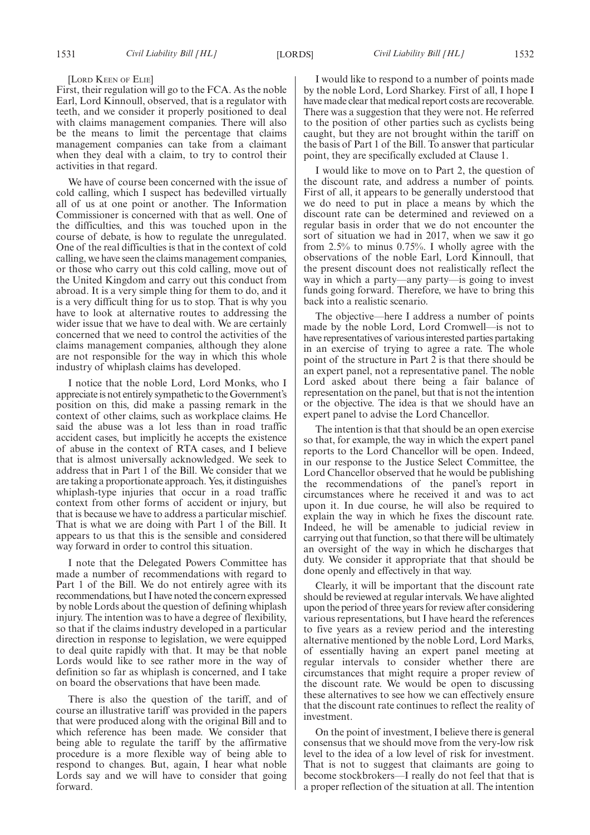#### [LORD KEEN OF ELIE]

First, their regulation will go to the FCA. As the noble Earl, Lord Kinnoull, observed, that is a regulator with teeth, and we consider it properly positioned to deal with claims management companies. There will also be the means to limit the percentage that claims management companies can take from a claimant when they deal with a claim, to try to control their activities in that regard.

We have of course been concerned with the issue of cold calling, which I suspect has bedevilled virtually all of us at one point or another. The Information Commissioner is concerned with that as well. One of the difficulties, and this was touched upon in the course of debate, is how to regulate the unregulated. One of the real difficulties is that in the context of cold calling, we have seen the claims management companies, or those who carry out this cold calling, move out of the United Kingdom and carry out this conduct from abroad. It is a very simple thing for them to do, and it is a very difficult thing for us to stop. That is why you have to look at alternative routes to addressing the wider issue that we have to deal with. We are certainly concerned that we need to control the activities of the claims management companies, although they alone are not responsible for the way in which this whole industry of whiplash claims has developed.

I notice that the noble Lord, Lord Monks, who I appreciate is not entirely sympathetic to the Government's position on this, did make a passing remark in the context of other claims, such as workplace claims. He said the abuse was a lot less than in road traffic accident cases, but implicitly he accepts the existence of abuse in the context of RTA cases, and I believe that is almost universally acknowledged. We seek to address that in Part 1 of the Bill. We consider that we are taking a proportionate approach. Yes, it distinguishes whiplash-type injuries that occur in a road traffic context from other forms of accident or injury, but that is because we have to address a particular mischief. That is what we are doing with Part 1 of the Bill. It appears to us that this is the sensible and considered way forward in order to control this situation.

I note that the Delegated Powers Committee has made a number of recommendations with regard to Part 1 of the Bill. We do not entirely agree with its recommendations, but I have noted the concern expressed by noble Lords about the question of defining whiplash injury. The intention was to have a degree of flexibility, so that if the claims industry developed in a particular direction in response to legislation, we were equipped to deal quite rapidly with that. It may be that noble Lords would like to see rather more in the way of definition so far as whiplash is concerned, and I take on board the observations that have been made.

There is also the question of the tariff, and of course an illustrative tariff was provided in the papers that were produced along with the original Bill and to which reference has been made. We consider that being able to regulate the tariff by the affirmative procedure is a more flexible way of being able to respond to changes. But, again, I hear what noble Lords say and we will have to consider that going forward.

I would like to respond to a number of points made by the noble Lord, Lord Sharkey. First of all, I hope I have made clear that medical report costs are recoverable. There was a suggestion that they were not. He referred to the position of other parties such as cyclists being caught, but they are not brought within the tariff on the basis of Part 1 of the Bill. To answer that particular point, they are specifically excluded at Clause 1.

I would like to move on to Part 2, the question of the discount rate, and address a number of points. First of all, it appears to be generally understood that we do need to put in place a means by which the discount rate can be determined and reviewed on a regular basis in order that we do not encounter the sort of situation we had in 2017, when we saw it go from 2.5% to minus 0.75%. I wholly agree with the observations of the noble Earl, Lord Kinnoull, that the present discount does not realistically reflect the way in which a party—any party—is going to invest funds going forward. Therefore, we have to bring this back into a realistic scenario.

The objective—here I address a number of points made by the noble Lord, Lord Cromwell—is not to have representatives of various interested parties partaking in an exercise of trying to agree a rate. The whole point of the structure in Part 2 is that there should be an expert panel, not a representative panel. The noble Lord asked about there being a fair balance of representation on the panel, but that is not the intention or the objective. The idea is that we should have an expert panel to advise the Lord Chancellor.

The intention is that that should be an open exercise so that, for example, the way in which the expert panel reports to the Lord Chancellor will be open. Indeed, in our response to the Justice Select Committee, the Lord Chancellor observed that he would be publishing the recommendations of the panel's report in circumstances where he received it and was to act upon it. In due course, he will also be required to explain the way in which he fixes the discount rate. Indeed, he will be amenable to judicial review in carrying out that function, so that there will be ultimately an oversight of the way in which he discharges that duty. We consider it appropriate that that should be done openly and effectively in that way.

Clearly, it will be important that the discount rate should be reviewed at regular intervals. We have alighted upon the period of three years for review after considering various representations, but I have heard the references to five years as a review period and the interesting alternative mentioned by the noble Lord, Lord Marks, of essentially having an expert panel meeting at regular intervals to consider whether there are circumstances that might require a proper review of the discount rate. We would be open to discussing these alternatives to see how we can effectively ensure that the discount rate continues to reflect the reality of investment.

On the point of investment, I believe there is general consensus that we should move from the very-low risk level to the idea of a low level of risk for investment. That is not to suggest that claimants are going to become stockbrokers—I really do not feel that that is a proper reflection of the situation at all. The intention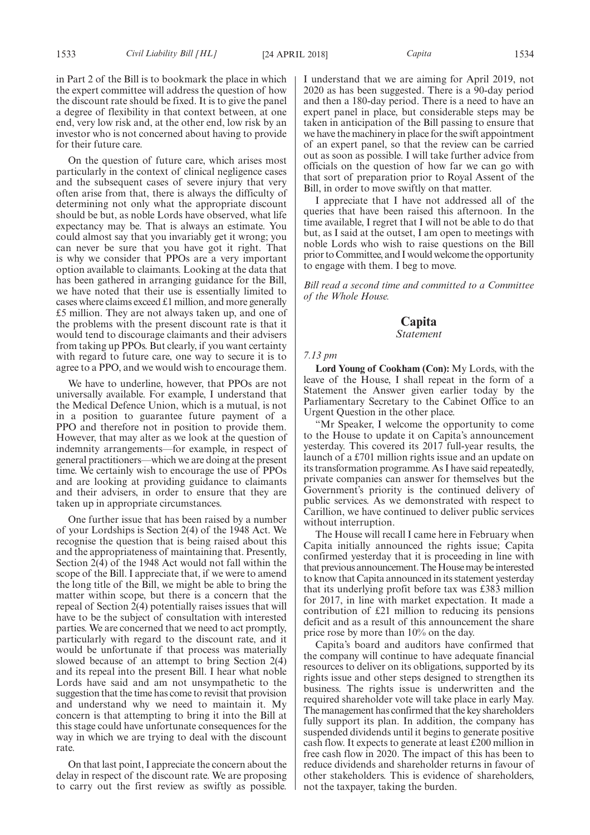in Part 2 of the Bill is to bookmark the place in which the expert committee will address the question of how the discount rate should be fixed. It is to give the panel a degree of flexibility in that context between, at one end, very low risk and, at the other end, low risk by an investor who is not concerned about having to provide for their future care.

On the question of future care, which arises most particularly in the context of clinical negligence cases and the subsequent cases of severe injury that very often arise from that, there is always the difficulty of determining not only what the appropriate discount should be but, as noble Lords have observed, what life expectancy may be. That is always an estimate. You could almost say that you invariably get it wrong; you can never be sure that you have got it right. That is why we consider that PPOs are a very important option available to claimants. Looking at the data that has been gathered in arranging guidance for the Bill, we have noted that their use is essentially limited to cases where claims exceed £1 million, and more generally £5 million. They are not always taken up, and one of the problems with the present discount rate is that it would tend to discourage claimants and their advisers from taking up PPOs. But clearly, if you want certainty with regard to future care, one way to secure it is to agree to a PPO, and we would wish to encourage them.

We have to underline, however, that PPOs are not universally available. For example, I understand that the Medical Defence Union, which is a mutual, is not in a position to guarantee future payment of a PPO and therefore not in position to provide them. However, that may alter as we look at the question of indemnity arrangements—for example, in respect of general practitioners—which we are doing at the present time. We certainly wish to encourage the use of PPOs and are looking at providing guidance to claimants and their advisers, in order to ensure that they are taken up in appropriate circumstances.

One further issue that has been raised by a number of your Lordships is Section 2(4) of the 1948 Act. We recognise the question that is being raised about this and the appropriateness of maintaining that. Presently, Section 2(4) of the 1948 Act would not fall within the scope of the Bill. I appreciate that, if we were to amend the long title of the Bill, we might be able to bring the matter within scope, but there is a concern that the repeal of Section 2(4) potentially raises issues that will have to be the subject of consultation with interested parties. We are concerned that we need to act promptly, particularly with regard to the discount rate, and it would be unfortunate if that process was materially slowed because of an attempt to bring Section 2(4) and its repeal into the present Bill. I hear what noble Lords have said and am not unsympathetic to the suggestion that the time has come to revisit that provision and understand why we need to maintain it. My concern is that attempting to bring it into the Bill at this stage could have unfortunate consequences for the way in which we are trying to deal with the discount rate.

On that last point, I appreciate the concern about the delay in respect of the discount rate. We are proposing to carry out the first review as swiftly as possible. I understand that we are aiming for April 2019, not 2020 as has been suggested. There is a 90-day period and then a 180-day period. There is a need to have an expert panel in place, but considerable steps may be taken in anticipation of the Bill passing to ensure that we have the machinery in place for the swift appointment of an expert panel, so that the review can be carried out as soon as possible. I will take further advice from officials on the question of how far we can go with that sort of preparation prior to Royal Assent of the Bill, in order to move swiftly on that matter.

I appreciate that I have not addressed all of the queries that have been raised this afternoon. In the time available, I regret that I will not be able to do that but, as I said at the outset, I am open to meetings with noble Lords who wish to raise questions on the Bill prior to Committee, and I would welcome the opportunity to engage with them. I beg to move.

*Bill read a second time and committed to a Committee of the Whole House.*

### **Capita**

#### *Statement*

#### *7.13 pm*

**Lord Young of Cookham (Con):** My Lords, with the leave of the House, I shall repeat in the form of a Statement the Answer given earlier today by the Parliamentary Secretary to the Cabinet Office to an Urgent Question in the other place.

"Mr Speaker, I welcome the opportunity to come to the House to update it on Capita's announcement yesterday. This covered its 2017 full-year results, the launch of a £701 million rights issue and an update on its transformation programme. As I have said repeatedly, private companies can answer for themselves but the Government's priority is the continued delivery of public services. As we demonstrated with respect to Carillion, we have continued to deliver public services without interruption.

The House will recall I came here in February when Capita initially announced the rights issue; Capita confirmed yesterday that it is proceeding in line with that previous announcement. The House may be interested to know that Capita announced in its statement yesterday that its underlying profit before tax was £383 million for 2017, in line with market expectation. It made a contribution of £21 million to reducing its pensions deficit and as a result of this announcement the share price rose by more than 10% on the day.

Capita's board and auditors have confirmed that the company will continue to have adequate financial resources to deliver on its obligations, supported by its rights issue and other steps designed to strengthen its business. The rights issue is underwritten and the required shareholder vote will take place in early May. The management has confirmed that the key shareholders fully support its plan. In addition, the company has suspended dividends until it begins to generate positive cash flow. It expects to generate at least £200 million in free cash flow in 2020. The impact of this has been to reduce dividends and shareholder returns in favour of other stakeholders. This is evidence of shareholders, not the taxpayer, taking the burden.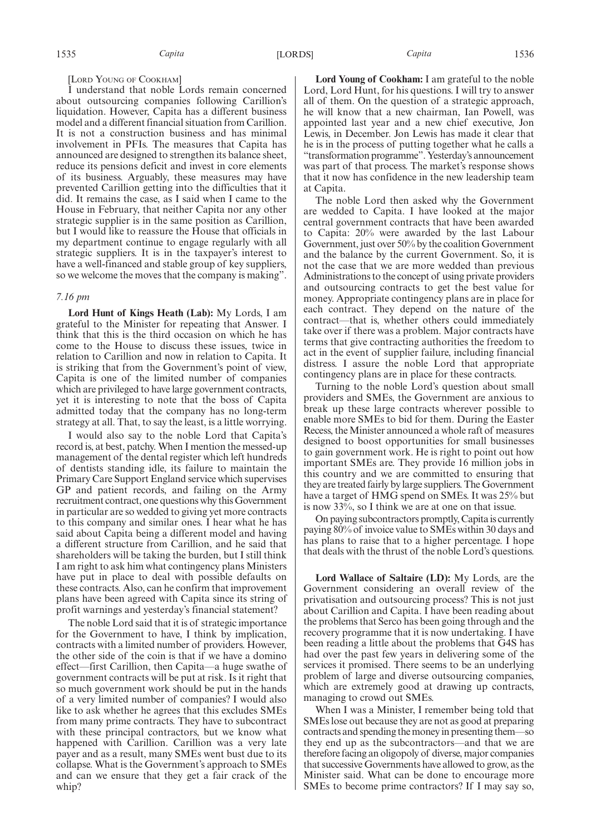#### [LORD YOUNG OF COOKHAM]

I understand that noble Lords remain concerned about outsourcing companies following Carillion's liquidation. However, Capita has a different business model and a different financial situation from Carillion. It is not a construction business and has minimal involvement in PFIs. The measures that Capita has announced are designed to strengthen its balance sheet, reduce its pensions deficit and invest in core elements of its business. Arguably, these measures may have prevented Carillion getting into the difficulties that it did. It remains the case, as I said when I came to the House in February, that neither Capita nor any other strategic supplier is in the same position as Carillion, but I would like to reassure the House that officials in my department continue to engage regularly with all strategic suppliers. It is in the taxpayer's interest to have a well-financed and stable group of key suppliers, so we welcome the moves that the company is making".

#### *7.16 pm*

**Lord Hunt of Kings Heath (Lab):** My Lords, I am grateful to the Minister for repeating that Answer. I think that this is the third occasion on which he has come to the House to discuss these issues, twice in relation to Carillion and now in relation to Capita. It is striking that from the Government's point of view, Capita is one of the limited number of companies which are privileged to have large government contracts, yet it is interesting to note that the boss of Capita admitted today that the company has no long-term strategy at all. That, to say the least, is a little worrying.

I would also say to the noble Lord that Capita's record is, at best, patchy. When I mention the messed-up management of the dental register which left hundreds of dentists standing idle, its failure to maintain the Primary Care Support England service which supervises GP and patient records, and failing on the Army recruitment contract, one questions why this Government in particular are so wedded to giving yet more contracts to this company and similar ones. I hear what he has said about Capita being a different model and having a different structure from Carillion, and he said that shareholders will be taking the burden, but I still think I am right to ask him what contingency plans Ministers have put in place to deal with possible defaults on these contracts. Also, can he confirm that improvement plans have been agreed with Capita since its string of profit warnings and yesterday's financial statement?

The noble Lord said that it is of strategic importance for the Government to have, I think by implication, contracts with a limited number of providers. However, the other side of the coin is that if we have a domino effect—first Carillion, then Capita—a huge swathe of government contracts will be put at risk. Is it right that so much government work should be put in the hands of a very limited number of companies? I would also like to ask whether he agrees that this excludes SMEs from many prime contracts. They have to subcontract with these principal contractors, but we know what happened with Carillion. Carillion was a very late payer and as a result, many SMEs went bust due to its collapse. What is the Government's approach to SMEs and can we ensure that they get a fair crack of the whin?

**Lord Young of Cookham:** I am grateful to the noble Lord, Lord Hunt, for his questions. I will try to answer all of them. On the question of a strategic approach, he will know that a new chairman, Ian Powell, was appointed last year and a new chief executive, Jon Lewis, in December. Jon Lewis has made it clear that he is in the process of putting together what he calls a "transformation programme". Yesterday's announcement was part of that process. The market's response shows that it now has confidence in the new leadership team at Capita.

The noble Lord then asked why the Government are wedded to Capita. I have looked at the major central government contracts that have been awarded to Capita: 20% were awarded by the last Labour Government, just over 50% by the coalition Government and the balance by the current Government. So, it is not the case that we are more wedded than previous Administrations to the concept of using private providers and outsourcing contracts to get the best value for money. Appropriate contingency plans are in place for each contract. They depend on the nature of the contract—that is, whether others could immediately take over if there was a problem. Major contracts have terms that give contracting authorities the freedom to act in the event of supplier failure, including financial distress. I assure the noble Lord that appropriate contingency plans are in place for these contracts.

Turning to the noble Lord's question about small providers and SMEs, the Government are anxious to break up these large contracts wherever possible to enable more SMEs to bid for them. During the Easter Recess, the Minister announced a whole raft of measures designed to boost opportunities for small businesses to gain government work. He is right to point out how important SMEs are. They provide 16 million jobs in this country and we are committed to ensuring that they are treated fairly by large suppliers. The Government have a target of HMG spend on SMEs. It was 25% but is now 33%, so I think we are at one on that issue.

On paying subcontractors promptly, Capita is currently paying 80% of invoice value to SMEs within 30 days and has plans to raise that to a higher percentage. I hope that deals with the thrust of the noble Lord's questions.

**Lord Wallace of Saltaire (LD):** My Lords, are the Government considering an overall review of the privatisation and outsourcing process? This is not just about Carillion and Capita. I have been reading about the problems that Serco has been going through and the recovery programme that it is now undertaking. I have been reading a little about the problems that G4S has had over the past few years in delivering some of the services it promised. There seems to be an underlying problem of large and diverse outsourcing companies, which are extremely good at drawing up contracts, managing to crowd out SMEs.

When I was a Minister, I remember being told that SMEs lose out because they are not as good at preparing contracts and spending the money in presenting them—so they end up as the subcontractors—and that we are therefore facing an oligopoly of diverse, major companies that successive Governments have allowed to grow, as the Minister said. What can be done to encourage more SMEs to become prime contractors? If I may say so,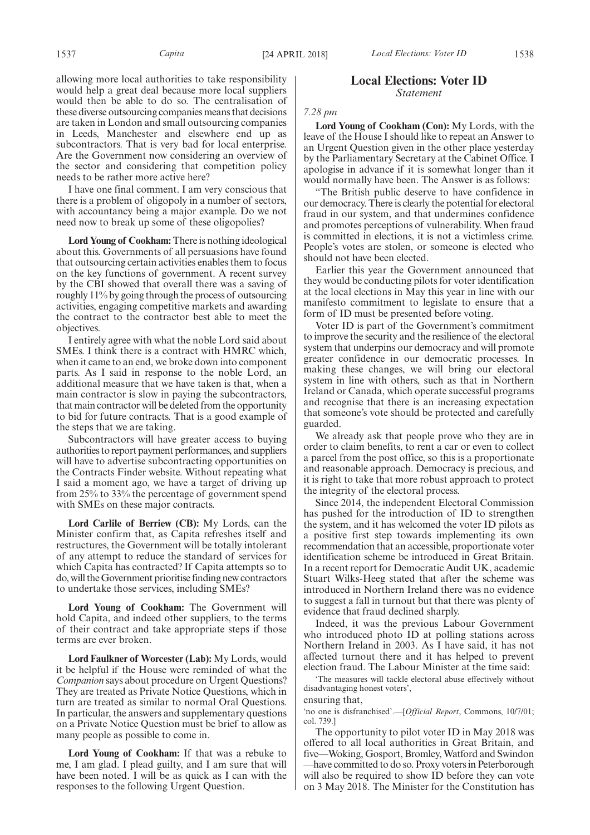allowing more local authorities to take responsibility would help a great deal because more local suppliers would then be able to do so. The centralisation of these diverse outsourcing companies means that decisions are taken in London and small outsourcing companies in Leeds, Manchester and elsewhere end up as subcontractors. That is very bad for local enterprise. Are the Government now considering an overview of the sector and considering that competition policy needs to be rather more active here?

I have one final comment. I am very conscious that there is a problem of oligopoly in a number of sectors, with accountancy being a major example. Do we not need now to break up some of these oligopolies?

**Lord Young of Cookham:** There is nothing ideological about this. Governments of all persuasions have found that outsourcing certain activities enables them to focus on the key functions of government. A recent survey by the CBI showed that overall there was a saving of roughly 11% by going through the process of outsourcing activities, engaging competitive markets and awarding the contract to the contractor best able to meet the objectives.

I entirely agree with what the noble Lord said about SMEs. I think there is a contract with HMRC which, when it came to an end, we broke down into component parts. As I said in response to the noble Lord, an additional measure that we have taken is that, when a main contractor is slow in paying the subcontractors, that main contractor will be deleted from the opportunity to bid for future contracts. That is a good example of the steps that we are taking.

Subcontractors will have greater access to buying authorities to report payment performances, and suppliers will have to advertise subcontracting opportunities on the Contracts Finder website. Without repeating what I said a moment ago, we have a target of driving up from 25% to 33% the percentage of government spend with SMEs on these major contracts.

**Lord Carlile of Berriew (CB):** My Lords, can the Minister confirm that, as Capita refreshes itself and restructures, the Government will be totally intolerant of any attempt to reduce the standard of services for which Capita has contracted? If Capita attempts so to do, will the Government prioritise finding new contractors to undertake those services, including SMEs?

**Lord Young of Cookham:** The Government will hold Capita, and indeed other suppliers, to the terms of their contract and take appropriate steps if those terms are ever broken.

**Lord Faulkner of Worcester (Lab):** My Lords, would it be helpful if the House were reminded of what the *Companion* says about procedure on Urgent Questions? They are treated as Private Notice Questions, which in turn are treated as similar to normal Oral Questions. In particular, the answers and supplementary questions on a Private Notice Question must be brief to allow as many people as possible to come in.

**Lord Young of Cookham:** If that was a rebuke to me, I am glad. I plead guilty, and I am sure that will have been noted. I will be as quick as I can with the responses to the following Urgent Question.

#### **Local Elections: Voter ID** *Statement*

#### *7.28 pm*

**Lord Young of Cookham (Con):** My Lords, with the leave of the House I should like to repeat an Answer to an Urgent Question given in the other place yesterday by the Parliamentary Secretary at the Cabinet Office. I apologise in advance if it is somewhat longer than it would normally have been. The Answer is as follows:

"The British public deserve to have confidence in our democracy. There is clearly the potential for electoral fraud in our system, and that undermines confidence and promotes perceptions of vulnerability. When fraud is committed in elections, it is not a victimless crime. People's votes are stolen, or someone is elected who should not have been elected.

Earlier this year the Government announced that they would be conducting pilots for voter identification at the local elections in May this year in line with our manifesto commitment to legislate to ensure that a form of ID must be presented before voting.

Voter ID is part of the Government's commitment to improve the security and the resilience of the electoral system that underpins our democracy and will promote greater confidence in our democratic processes. In making these changes, we will bring our electoral system in line with others, such as that in Northern Ireland or Canada, which operate successful programs and recognise that there is an increasing expectation that someone's vote should be protected and carefully guarded.

We already ask that people prove who they are in order to claim benefits, to rent a car or even to collect a parcel from the post office, so this is a proportionate and reasonable approach. Democracy is precious, and it is right to take that more robust approach to protect the integrity of the electoral process.

Since 2014, the independent Electoral Commission has pushed for the introduction of ID to strengthen the system, and it has welcomed the voter ID pilots as a positive first step towards implementing its own recommendation that an accessible, proportionate voter identification scheme be introduced in Great Britain. In a recent report for Democratic Audit UK, academic Stuart Wilks-Heeg stated that after the scheme was introduced in Northern Ireland there was no evidence to suggest a fall in turnout but that there was plenty of evidence that fraud declined sharply.

Indeed, it was the previous Labour Government who introduced photo ID at polling stations across Northern Ireland in 2003. As I have said, it has not affected turnout there and it has helped to prevent election fraud. The Labour Minister at the time said:

'The measures will tackle electoral abuse effectively without disadvantaging honest voters',

ensuring that,

'no one is disfranchised'.—[*Official Report*, Commons, 10/7/01; col. 739.]

The opportunity to pilot voter ID in May 2018 was offered to all local authorities in Great Britain, and five—Woking, Gosport, Bromley, Watford and Swindon —have committed to do so. Proxy voters in Peterborough will also be required to show ID before they can vote on 3 May 2018. The Minister for the Constitution has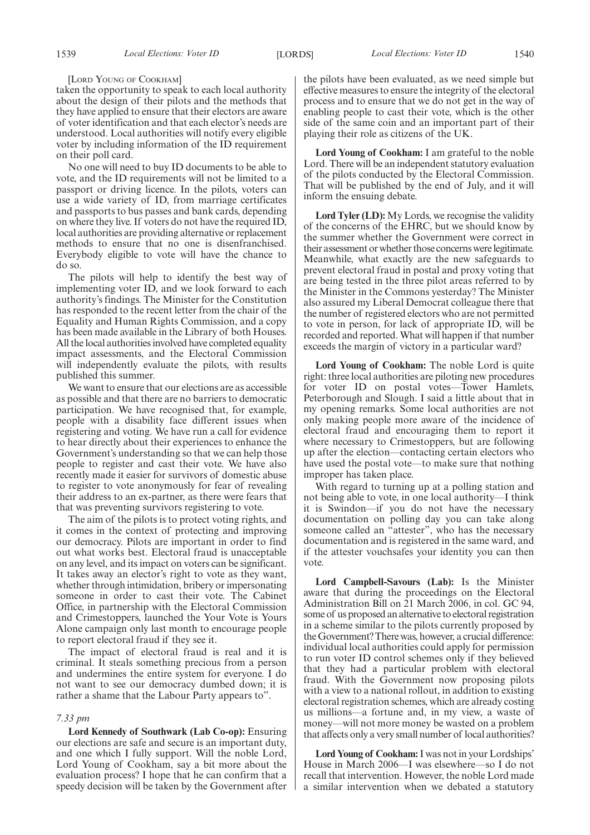[LORD YOUNG OF COOKHAM]

taken the opportunity to speak to each local authority about the design of their pilots and the methods that they have applied to ensure that their electors are aware of voter identification and that each elector's needs are understood. Local authorities will notify every eligible voter by including information of the ID requirement on their poll card.

No one will need to buy ID documents to be able to vote, and the ID requirements will not be limited to a passport or driving licence. In the pilots, voters can use a wide variety of ID, from marriage certificates and passports to bus passes and bank cards, depending on where they live. If voters do not have the required ID, local authorities are providing alternative or replacement methods to ensure that no one is disenfranchised. Everybody eligible to vote will have the chance to do so.

The pilots will help to identify the best way of implementing voter ID, and we look forward to each authority's findings. The Minister for the Constitution has responded to the recent letter from the chair of the Equality and Human Rights Commission, and a copy has been made available in the Library of both Houses. All the local authorities involved have completed equality impact assessments, and the Electoral Commission will independently evaluate the pilots, with results published this summer.

We want to ensure that our elections are as accessible as possible and that there are no barriers to democratic participation. We have recognised that, for example, people with a disability face different issues when registering and voting. We have run a call for evidence to hear directly about their experiences to enhance the Government's understanding so that we can help those people to register and cast their vote. We have also recently made it easier for survivors of domestic abuse to register to vote anonymously for fear of revealing their address to an ex-partner, as there were fears that that was preventing survivors registering to vote.

The aim of the pilots is to protect voting rights, and it comes in the context of protecting and improving our democracy. Pilots are important in order to find out what works best. Electoral fraud is unacceptable on any level, and its impact on voters can be significant. It takes away an elector's right to vote as they want, whether through intimidation, bribery or impersonating someone in order to cast their vote. The Cabinet Office, in partnership with the Electoral Commission and Crimestoppers, launched the Your Vote is Yours Alone campaign only last month to encourage people to report electoral fraud if they see it.

The impact of electoral fraud is real and it is criminal. It steals something precious from a person and undermines the entire system for everyone. I do not want to see our democracy dumbed down; it is rather a shame that the Labour Party appears to".

#### *7.33 pm*

**Lord Kennedy of Southwark (Lab Co-op):** Ensuring our elections are safe and secure is an important duty, and one which I fully support. Will the noble Lord, Lord Young of Cookham, say a bit more about the evaluation process? I hope that he can confirm that a speedy decision will be taken by the Government after the pilots have been evaluated, as we need simple but effective measures to ensure the integrity of the electoral process and to ensure that we do not get in the way of enabling people to cast their vote, which is the other side of the same coin and an important part of their playing their role as citizens of the UK.

**Lord Young of Cookham:** I am grateful to the noble Lord. There will be an independent statutory evaluation of the pilots conducted by the Electoral Commission. That will be published by the end of July, and it will inform the ensuing debate.

**Lord Tyler (LD):** My Lords, we recognise the validity of the concerns of the EHRC, but we should know by the summer whether the Government were correct in their assessment or whether those concerns were legitimate. Meanwhile, what exactly are the new safeguards to prevent electoral fraud in postal and proxy voting that are being tested in the three pilot areas referred to by the Minister in the Commons yesterday? The Minister also assured my Liberal Democrat colleague there that the number of registered electors who are not permitted to vote in person, for lack of appropriate ID, will be recorded and reported. What will happen if that number exceeds the margin of victory in a particular ward?

**Lord Young of Cookham:** The noble Lord is quite right: three local authorities are piloting new procedures for voter ID on postal votes—Tower Hamlets, Peterborough and Slough. I said a little about that in my opening remarks. Some local authorities are not only making people more aware of the incidence of electoral fraud and encouraging them to report it where necessary to Crimestoppers, but are following up after the election—contacting certain electors who have used the postal vote—to make sure that nothing improper has taken place.

With regard to turning up at a polling station and not being able to vote, in one local authority—I think it is Swindon—if you do not have the necessary documentation on polling day you can take along someone called an "attester", who has the necessary documentation and is registered in the same ward, and if the attester vouchsafes your identity you can then vote.

**Lord Campbell-Savours (Lab):** Is the Minister aware that during the proceedings on the Electoral Administration Bill on 21 March 2006, in col. GC 94, some of us proposed an alternative to electoral registration in a scheme similar to the pilots currently proposed by the Government? There was, however, a crucial difference: individual local authorities could apply for permission to run voter ID control schemes only if they believed that they had a particular problem with electoral fraud. With the Government now proposing pilots with a view to a national rollout, in addition to existing electoral registration schemes, which are already costing us millions—a fortune and, in my view, a waste of money—will not more money be wasted on a problem that affects only a very small number of local authorities?

**Lord Young of Cookham:**I was not in your Lordships' House in March 2006—I was elsewhere—so I do not recall that intervention. However, the noble Lord made a similar intervention when we debated a statutory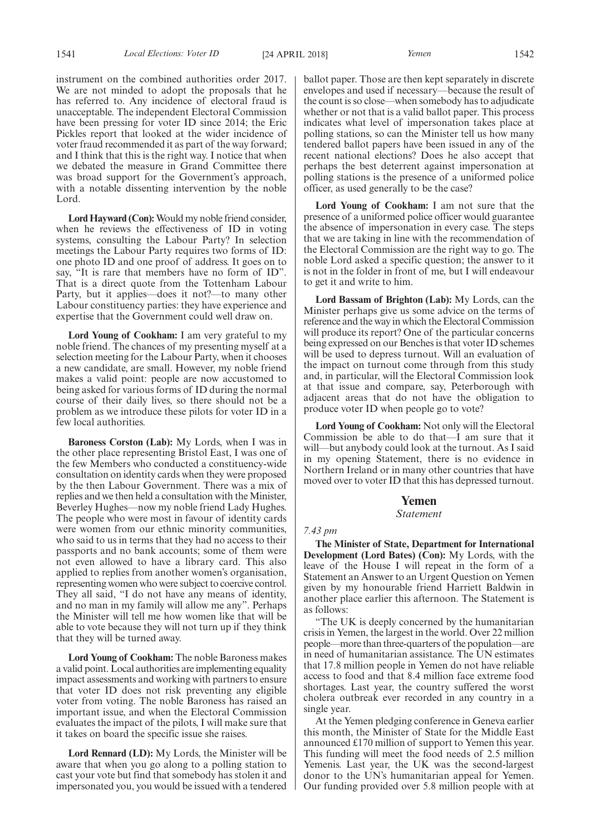instrument on the combined authorities order 2017. We are not minded to adopt the proposals that he has referred to. Any incidence of electoral fraud is unacceptable. The independent Electoral Commission have been pressing for voter ID since 2014; the Eric Pickles report that looked at the wider incidence of voter fraud recommended it as part of the way forward; and I think that this is the right way. I notice that when we debated the measure in Grand Committee there was broad support for the Government's approach, with a notable dissenting intervention by the noble Lord.

**Lord Hayward (Con):**Would my noble friend consider, when he reviews the effectiveness of ID in voting systems, consulting the Labour Party? In selection meetings the Labour Party requires two forms of ID: one photo ID and one proof of address. It goes on to say, "It is rare that members have no form of ID". That is a direct quote from the Tottenham Labour Party, but it applies—does it not?—to many other Labour constituency parties: they have experience and expertise that the Government could well draw on.

**Lord Young of Cookham:** I am very grateful to my noble friend. The chances of my presenting myself at a selection meeting for the Labour Party, when it chooses a new candidate, are small. However, my noble friend makes a valid point: people are now accustomed to being asked for various forms of ID during the normal course of their daily lives, so there should not be a problem as we introduce these pilots for voter ID in a few local authorities.

**Baroness Corston (Lab):** My Lords, when I was in the other place representing Bristol East, I was one of the few Members who conducted a constituency-wide consultation on identity cards when they were proposed by the then Labour Government. There was a mix of replies and we then held a consultation with the Minister, Beverley Hughes—now my noble friend Lady Hughes. The people who were most in favour of identity cards were women from our ethnic minority communities, who said to us in terms that they had no access to their passports and no bank accounts; some of them were not even allowed to have a library card. This also applied to replies from another women's organisation, representing women who were subject to coercive control. They all said, "I do not have any means of identity, and no man in my family will allow me any". Perhaps the Minister will tell me how women like that will be able to vote because they will not turn up if they think that they will be turned away.

**Lord Young of Cookham:** The noble Baroness makes a valid point. Local authorities are implementing equality impact assessments and working with partners to ensure that voter ID does not risk preventing any eligible voter from voting. The noble Baroness has raised an important issue, and when the Electoral Commission evaluates the impact of the pilots, I will make sure that it takes on board the specific issue she raises.

**Lord Rennard (LD):** My Lords, the Minister will be aware that when you go along to a polling station to cast your vote but find that somebody has stolen it and impersonated you, you would be issued with a tendered ballot paper. Those are then kept separately in discrete envelopes and used if necessary—because the result of the count is so close—when somebody has to adjudicate whether or not that is a valid ballot paper. This process indicates what level of impersonation takes place at polling stations, so can the Minister tell us how many tendered ballot papers have been issued in any of the recent national elections? Does he also accept that perhaps the best deterrent against impersonation at polling stations is the presence of a uniformed police officer, as used generally to be the case?

**Lord Young of Cookham:** I am not sure that the presence of a uniformed police officer would guarantee the absence of impersonation in every case. The steps that we are taking in line with the recommendation of the Electoral Commission are the right way to go. The noble Lord asked a specific question; the answer to it is not in the folder in front of me, but I will endeavour to get it and write to him.

**Lord Bassam of Brighton (Lab):** My Lords, can the Minister perhaps give us some advice on the terms of reference and the way in which the Electoral Commission will produce its report? One of the particular concerns being expressed on our Benches is that voter ID schemes will be used to depress turnout. Will an evaluation of the impact on turnout come through from this study and, in particular, will the Electoral Commission look at that issue and compare, say, Peterborough with adjacent areas that do not have the obligation to produce voter ID when people go to vote?

**Lord Young of Cookham:** Not only will the Electoral Commission be able to do that—I am sure that it will—but anybody could look at the turnout. As I said in my opening Statement, there is no evidence in Northern Ireland or in many other countries that have moved over to voter ID that this has depressed turnout.

### **Yemen**

#### *Statement*

#### *7.43 pm*

**The Minister of State, Department for International Development (Lord Bates) (Con):** My Lords, with the leave of the House I will repeat in the form of a Statement an Answer to an Urgent Question on Yemen given by my honourable friend Harriett Baldwin in another place earlier this afternoon. The Statement is as follows:

"The UK is deeply concerned by the humanitarian crisis in Yemen, the largest in the world. Over 22 million people—more than three-quarters of the population—are in need of humanitarian assistance. The UN estimates that 17.8 million people in Yemen do not have reliable access to food and that 8.4 million face extreme food shortages. Last year, the country suffered the worst cholera outbreak ever recorded in any country in a single year.

At the Yemen pledging conference in Geneva earlier this month, the Minister of State for the Middle East announced £170 million of support to Yemen this year. This funding will meet the food needs of 2.5 million Yemenis. Last year, the UK was the second-largest donor to the UN's humanitarian appeal for Yemen. Our funding provided over 5.8 million people with at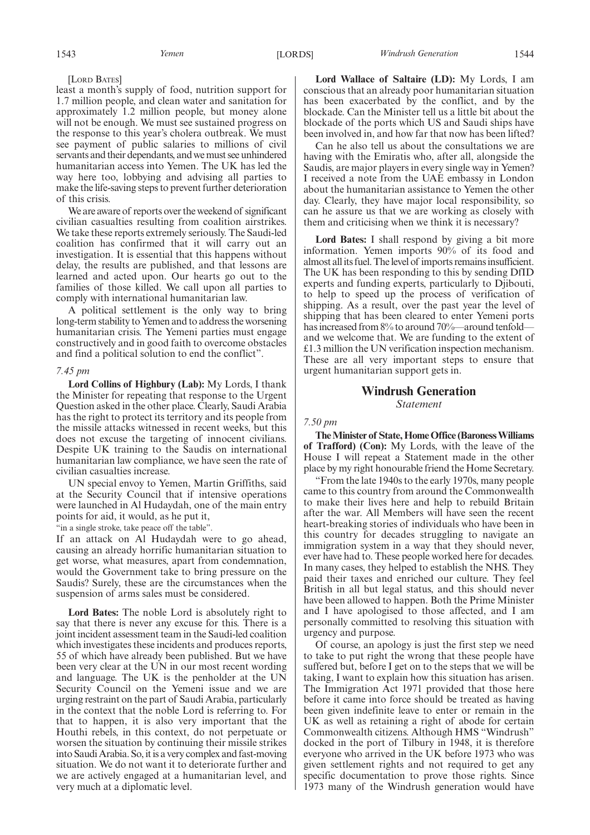[LORD BATES]

least a month's supply of food, nutrition support for 1.7 million people, and clean water and sanitation for approximately 1.2 million people, but money alone will not be enough. We must see sustained progress on the response to this year's cholera outbreak. We must see payment of public salaries to millions of civil servants and their dependants, and we must see unhindered humanitarian access into Yemen. The UK has led the way here too, lobbying and advising all parties to make the life-saving steps to prevent further deterioration of this crisis.

We are aware of reports over the weekend of significant civilian casualties resulting from coalition airstrikes. We take these reports extremely seriously. The Saudi-led coalition has confirmed that it will carry out an investigation. It is essential that this happens without delay, the results are published, and that lessons are learned and acted upon. Our hearts go out to the families of those killed. We call upon all parties to comply with international humanitarian law.

A political settlement is the only way to bring long-term stability to Yemen and to address the worsening humanitarian crisis. The Yemeni parties must engage constructively and in good faith to overcome obstacles and find a political solution to end the conflict".

#### *7.45 pm*

**Lord Collins of Highbury (Lab):** My Lords, I thank the Minister for repeating that response to the Urgent Question asked in the other place. Clearly, Saudi Arabia has the right to protect its territory and its people from the missile attacks witnessed in recent weeks, but this does not excuse the targeting of innocent civilians. Despite UK training to the Saudis on international humanitarian law compliance, we have seen the rate of civilian casualties increase.

UN special envoy to Yemen, Martin Griffiths, said at the Security Council that if intensive operations were launched in Al Hudaydah, one of the main entry points for aid, it would, as he put it,

"in a single stroke, take peace off the table".

If an attack on Al Hudaydah were to go ahead, causing an already horrific humanitarian situation to get worse, what measures, apart from condemnation, would the Government take to bring pressure on the Saudis? Surely, these are the circumstances when the suspension of arms sales must be considered.

**Lord Bates:** The noble Lord is absolutely right to say that there is never any excuse for this. There is a joint incident assessment team in the Saudi-led coalition which investigates these incidents and produces reports, 55 of which have already been published. But we have been very clear at the UN in our most recent wording and language. The UK is the penholder at the UN Security Council on the Yemeni issue and we are urging restraint on the part of Saudi Arabia, particularly in the context that the noble Lord is referring to. For that to happen, it is also very important that the Houthi rebels, in this context, do not perpetuate or worsen the situation by continuing their missile strikes into Saudi Arabia. So, it is a very complex and fast-moving situation. We do not want it to deteriorate further and we are actively engaged at a humanitarian level, and very much at a diplomatic level.

**Lord Wallace of Saltaire (LD):** My Lords, I am conscious that an already poor humanitarian situation has been exacerbated by the conflict, and by the blockade. Can the Minister tell us a little bit about the blockade of the ports which US and Saudi ships have been involved in, and how far that now has been lifted?

Can he also tell us about the consultations we are having with the Emiratis who, after all, alongside the Saudis, are major players in every single way in Yemen? I received a note from the UAE embassy in London about the humanitarian assistance to Yemen the other day. Clearly, they have major local responsibility, so can he assure us that we are working as closely with them and criticising when we think it is necessary?

**Lord Bates:** I shall respond by giving a bit more information. Yemen imports 90% of its food and almost all its fuel. The level of imports remains insufficient. The UK has been responding to this by sending DfID experts and funding experts, particularly to Djibouti, to help to speed up the process of verification of shipping. As a result, over the past year the level of shipping that has been cleared to enter Yemeni ports has increased from 8% to around 70%—around tenfold and we welcome that. We are funding to the extent of £1.3 million the UN verification inspection mechanism. These are all very important steps to ensure that urgent humanitarian support gets in.

#### **Windrush Generation** *Statement*

#### *7.50 pm*

**The Minister of State, Home Office (Baroness Williams of Trafford) (Con):** My Lords, with the leave of the House I will repeat a Statement made in the other place by my right honourable friend the Home Secretary.

"From the late 1940s to the early 1970s, many people came to this country from around the Commonwealth to make their lives here and help to rebuild Britain after the war. All Members will have seen the recent heart-breaking stories of individuals who have been in this country for decades struggling to navigate an immigration system in a way that they should never, ever have had to. These people worked here for decades. In many cases, they helped to establish the NHS. They paid their taxes and enriched our culture. They feel British in all but legal status, and this should never have been allowed to happen. Both the Prime Minister and I have apologised to those affected, and I am personally committed to resolving this situation with urgency and purpose.

Of course, an apology is just the first step we need to take to put right the wrong that these people have suffered but, before I get on to the steps that we will be taking, I want to explain how this situation has arisen. The Immigration Act 1971 provided that those here before it came into force should be treated as having been given indefinite leave to enter or remain in the UK as well as retaining a right of abode for certain Commonwealth citizens. Although HMS "Windrush" docked in the port of Tilbury in 1948, it is therefore everyone who arrived in the UK before 1973 who was given settlement rights and not required to get any specific documentation to prove those rights. Since 1973 many of the Windrush generation would have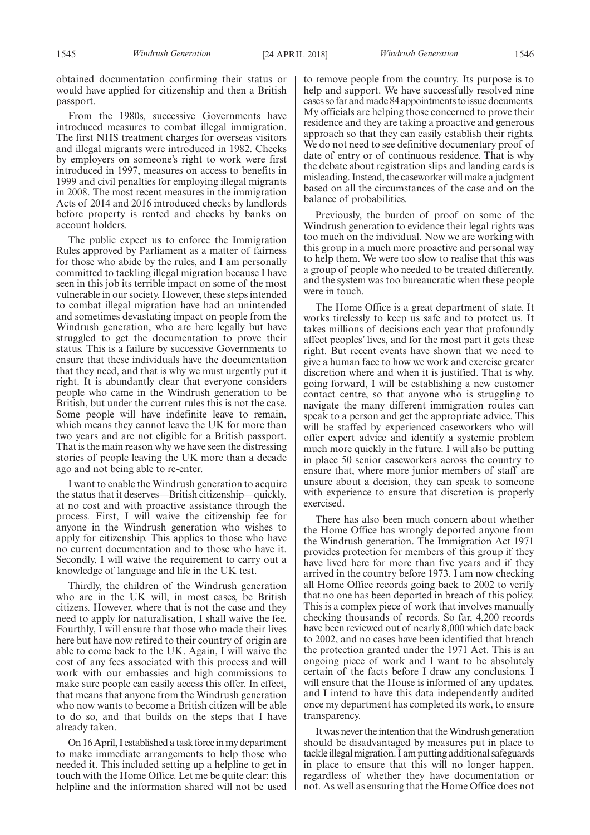obtained documentation confirming their status or would have applied for citizenship and then a British passport.

From the 1980s, successive Governments have introduced measures to combat illegal immigration. The first NHS treatment charges for overseas visitors and illegal migrants were introduced in 1982. Checks by employers on someone's right to work were first introduced in 1997, measures on access to benefits in 1999 and civil penalties for employing illegal migrants in 2008. The most recent measures in the immigration Acts of 2014 and 2016 introduced checks by landlords before property is rented and checks by banks on account holders.

The public expect us to enforce the Immigration Rules approved by Parliament as a matter of fairness for those who abide by the rules, and I am personally committed to tackling illegal migration because I have seen in this job its terrible impact on some of the most vulnerable in our society. However, these steps intended to combat illegal migration have had an unintended and sometimes devastating impact on people from the Windrush generation, who are here legally but have struggled to get the documentation to prove their status. This is a failure by successive Governments to ensure that these individuals have the documentation that they need, and that is why we must urgently put it right. It is abundantly clear that everyone considers people who came in the Windrush generation to be British, but under the current rules this is not the case. Some people will have indefinite leave to remain, which means they cannot leave the UK for more than two years and are not eligible for a British passport. That is the main reason why we have seen the distressing stories of people leaving the UK more than a decade ago and not being able to re-enter.

I want to enable the Windrush generation to acquire the status that it deserves—British citizenship—quickly, at no cost and with proactive assistance through the process. First, I will waive the citizenship fee for anyone in the Windrush generation who wishes to apply for citizenship. This applies to those who have no current documentation and to those who have it. Secondly, I will waive the requirement to carry out a knowledge of language and life in the UK test.

Thirdly, the children of the Windrush generation who are in the UK will, in most cases, be British citizens. However, where that is not the case and they need to apply for naturalisation, I shall waive the fee. Fourthly, I will ensure that those who made their lives here but have now retired to their country of origin are able to come back to the UK. Again, I will waive the cost of any fees associated with this process and will work with our embassies and high commissions to make sure people can easily access this offer. In effect, that means that anyone from the Windrush generation who now wants to become a British citizen will be able to do so, and that builds on the steps that I have already taken.

On 16 April, I established a task force in my department to make immediate arrangements to help those who needed it. This included setting up a helpline to get in touch with the Home Office. Let me be quite clear: this helpline and the information shared will not be used to remove people from the country. Its purpose is to help and support. We have successfully resolved nine cases so far and made 84 appointments to issue documents. My officials are helping those concerned to prove their residence and they are taking a proactive and generous approach so that they can easily establish their rights. We do not need to see definitive documentary proof of date of entry or of continuous residence. That is why the debate about registration slips and landing cards is misleading. Instead, the caseworker will make a judgment based on all the circumstances of the case and on the balance of probabilities.

Previously, the burden of proof on some of the Windrush generation to evidence their legal rights was too much on the individual. Now we are working with this group in a much more proactive and personal way to help them. We were too slow to realise that this was a group of people who needed to be treated differently, and the system was too bureaucratic when these people were in touch.

The Home Office is a great department of state. It works tirelessly to keep us safe and to protect us. It takes millions of decisions each year that profoundly affect peoples' lives, and for the most part it gets these right. But recent events have shown that we need to give a human face to how we work and exercise greater discretion where and when it is justified. That is why, going forward, I will be establishing a new customer contact centre, so that anyone who is struggling to navigate the many different immigration routes can speak to a person and get the appropriate advice. This will be staffed by experienced caseworkers who will offer expert advice and identify a systemic problem much more quickly in the future. I will also be putting in place 50 senior caseworkers across the country to ensure that, where more junior members of staff are unsure about a decision, they can speak to someone with experience to ensure that discretion is properly exercised.

There has also been much concern about whether the Home Office has wrongly deported anyone from the Windrush generation. The Immigration Act 1971 provides protection for members of this group if they have lived here for more than five years and if they arrived in the country before 1973. I am now checking all Home Office records going back to 2002 to verify that no one has been deported in breach of this policy. This is a complex piece of work that involves manually checking thousands of records. So far, 4,200 records have been reviewed out of nearly 8,000 which date back to 2002, and no cases have been identified that breach the protection granted under the 1971 Act. This is an ongoing piece of work and I want to be absolutely certain of the facts before I draw any conclusions. I will ensure that the House is informed of any updates, and I intend to have this data independently audited once my department has completed its work, to ensure transparency.

It was never the intention that the Windrush generation should be disadvantaged by measures put in place to tackle illegal migration. I am putting additional safeguards in place to ensure that this will no longer happen, regardless of whether they have documentation or not. As well as ensuring that the Home Office does not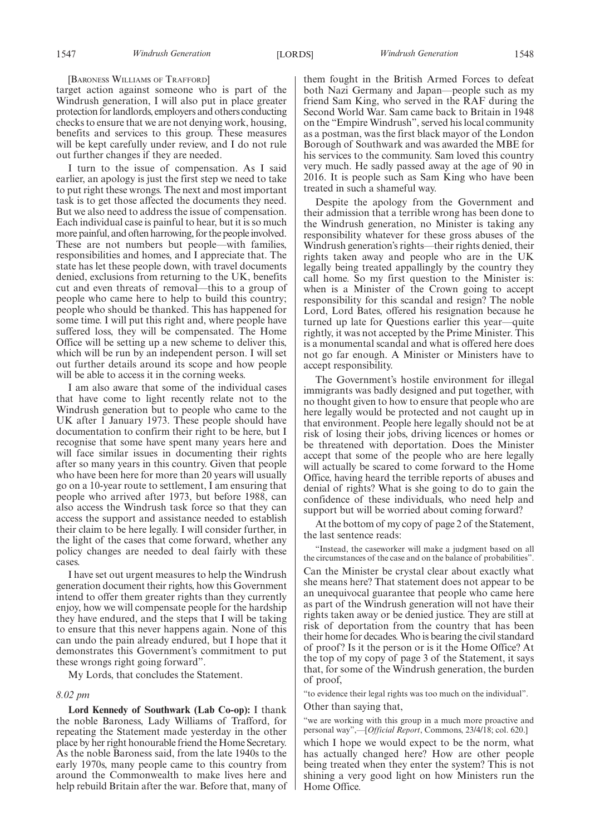[BARONESS WILLIAMS OF TRAFFORD]

target action against someone who is part of the Windrush generation, I will also put in place greater protection for landlords, employers and others conducting checks to ensure that we are not denying work, housing, benefits and services to this group. These measures will be kept carefully under review, and I do not rule out further changes if they are needed.

I turn to the issue of compensation. As I said earlier, an apology is just the first step we need to take to put right these wrongs. The next and most important task is to get those affected the documents they need. But we also need to address the issue of compensation. Each individual case is painful to hear, but it is so much more painful, and often harrowing, for the people involved. These are not numbers but people—with families, responsibilities and homes, and I appreciate that. The state has let these people down, with travel documents denied, exclusions from returning to the UK, benefits cut and even threats of removal—this to a group of people who came here to help to build this country; people who should be thanked. This has happened for some time. I will put this right and, where people have suffered loss, they will be compensated. The Home Office will be setting up a new scheme to deliver this, which will be run by an independent person. I will set out further details around its scope and how people will be able to access it in the corning weeks.

I am also aware that some of the individual cases that have come to light recently relate not to the Windrush generation but to people who came to the UK after 1 January 1973. These people should have documentation to confirm their right to be here, but I recognise that some have spent many years here and will face similar issues in documenting their rights after so many years in this country. Given that people who have been here for more than 20 years will usually go on a 10-year route to settlement, I am ensuring that people who arrived after 1973, but before 1988, can also access the Windrush task force so that they can access the support and assistance needed to establish their claim to be here legally. I will consider further, in the light of the cases that come forward, whether any policy changes are needed to deal fairly with these cases.

I have set out urgent measures to help the Windrush generation document their rights, how this Government intend to offer them greater rights than they currently enjoy, how we will compensate people for the hardship they have endured, and the steps that I will be taking to ensure that this never happens again. None of this can undo the pain already endured, but I hope that it demonstrates this Government's commitment to put these wrongs right going forward".

My Lords, that concludes the Statement.

#### *8.02 pm*

**Lord Kennedy of Southwark (Lab Co-op):** I thank the noble Baroness, Lady Williams of Trafford, for repeating the Statement made yesterday in the other place by her right honourable friend the Home Secretary. As the noble Baroness said, from the late 1940s to the early 1970s, many people came to this country from around the Commonwealth to make lives here and help rebuild Britain after the war. Before that, many of them fought in the British Armed Forces to defeat both Nazi Germany and Japan—people such as my friend Sam King, who served in the RAF during the Second World War. Sam came back to Britain in 1948 on the "Empire Windrush", served his local community as a postman, was the first black mayor of the London Borough of Southwark and was awarded the MBE for his services to the community. Sam loved this country very much. He sadly passed away at the age of 90 in 2016. It is people such as Sam King who have been treated in such a shameful way.

Despite the apology from the Government and their admission that a terrible wrong has been done to the Windrush generation, no Minister is taking any responsibility whatever for these gross abuses of the Windrush generation's rights—their rights denied, their rights taken away and people who are in the UK legally being treated appallingly by the country they call home. So my first question to the Minister is: when is a Minister of the Crown going to accept responsibility for this scandal and resign? The noble Lord, Lord Bates, offered his resignation because he turned up late for Questions earlier this year—quite rightly, it was not accepted by the Prime Minister. This is a monumental scandal and what is offered here does not go far enough. A Minister or Ministers have to accept responsibility.

The Government's hostile environment for illegal immigrants was badly designed and put together, with no thought given to how to ensure that people who are here legally would be protected and not caught up in that environment. People here legally should not be at risk of losing their jobs, driving licences or homes or be threatened with deportation. Does the Minister accept that some of the people who are here legally will actually be scared to come forward to the Home Office, having heard the terrible reports of abuses and denial of rights? What is she going to do to gain the confidence of these individuals, who need help and support but will be worried about coming forward?

At the bottom of my copy of page 2 of the Statement, the last sentence reads:

"Instead, the caseworker will make a judgment based on all the circumstances of the case and on the balance of probabilities". Can the Minister be crystal clear about exactly what she means here? That statement does not appear to be an unequivocal guarantee that people who came here as part of the Windrush generation will not have their rights taken away or be denied justice. They are still at risk of deportation from the country that has been their home for decades. Who is bearing the civil standard of proof? Is it the person or is it the Home Office? At the top of my copy of page 3 of the Statement, it says that, for some of the Windrush generation, the burden of proof,

"to evidence their legal rights was too much on the individual". Other than saying that,

"we are working with this group in a much more proactive and personal way",—[*Official Report*, Commons, 23/4/18; col. 620.]

which I hope we would expect to be the norm, what has actually changed here? How are other people being treated when they enter the system? This is not shining a very good light on how Ministers run the Home Office.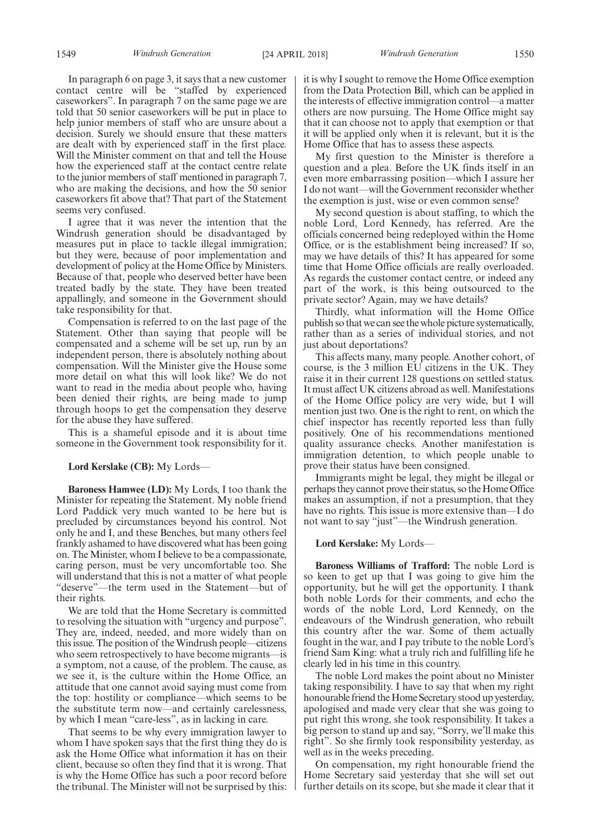In paragraph 6 on page 3, it says that a new customer contact centre will be "staffed by experienced caseworkers". In paragraph 7 on the same page we are told that 50 senior caseworkers will be put in place to help junior members of staff who are unsure about a decision. Surely we should ensure that these matters are dealt with by experienced staff in the first place. Will the Minister comment on that and tell the House how the experienced staff at the contact centre relate to the junior members of staff mentioned in paragraph 7, who are making the decisions, and how the 50 senior caseworkers fit above that? That part of the Statement seems very confused.

I agree that it was never the intention that the Windrush generation should be disadvantaged by measures put in place to tackle illegal immigration; but they were, because of poor implementation and development of policy at the Home Office by Ministers. Because of that, people who deserved better have been treated badly by the state. They have been treated appallingly, and someone in the Government should take responsibility for that.

Compensation is referred to on the last page of the Statement. Other than saying that people will be compensated and a scheme will be set up, run by an independent person, there is absolutely nothing about compensation. Will the Minister give the House some more detail on what this will look like? We do not want to read in the media about people who, having been denied their rights, are being made to jump through hoops to get the compensation they deserve for the abuse they have suffered.

This is a shameful episode and it is about time someone in the Government took responsibility for it.

#### **Lord Kerslake (CB):** My Lords—

**Baroness Hamwee (LD):** My Lords, I too thank the Minister for repeating the Statement. My noble friend Lord Paddick very much wanted to be here but is precluded by circumstances beyond his control. Not only he and I, and these Benches, but many others feel frankly ashamed to have discovered what has been going on. The Minister, whom I believe to be a compassionate, caring person, must be very uncomfortable too. She will understand that this is not a matter of what people "deserve"—the term used in the Statement—but of their rights.

We are told that the Home Secretary is committed to resolving the situation with "urgency and purpose". They are, indeed, needed, and more widely than on this issue. The position of the Windrush people—citizens who seem retrospectively to have become migrants—is a symptom, not a cause, of the problem. The cause, as we see it, is the culture within the Home Office, an attitude that one cannot avoid saying must come from the top: hostility or compliance—which seems to be the substitute term now—and certainly carelessness, by which I mean "care-less", as in lacking in care.

That seems to be why every immigration lawyer to whom I have spoken says that the first thing they do is ask the Home Office what information it has on their client, because so often they find that it is wrong. That is why the Home Office has such a poor record before the tribunal. The Minister will not be surprised by this:

it is why I sought to remove the Home Office exemption from the Data Protection Bill, which can be applied in the interests of effective immigration control—a matter others are now pursuing. The Home Office might say that it can choose not to apply that exemption or that it will be applied only when it is relevant, but it is the Home Office that has to assess these aspects.

My first question to the Minister is therefore a question and a plea. Before the UK finds itself in an even more embarrassing position—which I assure her I do not want—will the Government reconsider whether the exemption is just, wise or even common sense?

My second question is about staffing, to which the noble Lord, Lord Kennedy, has referred. Are the officials concerned being redeployed within the Home Office, or is the establishment being increased? If so, may we have details of this? It has appeared for some time that Home Office officials are really overloaded. As regards the customer contact centre, or indeed any part of the work, is this being outsourced to the private sector? Again, may we have details?

Thirdly, what information will the Home Office publish so that we can see the whole picture systematically, rather than as a series of individual stories, and not just about deportations?

This affects many, many people. Another cohort, of course, is the 3 million EU citizens in the UK. They raise it in their current 128 questions on settled status. It must affect UK citizens abroad as well. Manifestations of the Home Office policy are very wide, but I will mention just two. One is the right to rent, on which the chief inspector has recently reported less than fully positively. One of his recommendations mentioned quality assurance checks. Another manifestation is immigration detention, to which people unable to prove their status have been consigned.

Immigrants might be legal, they might be illegal or perhaps they cannot prove their status, so the Home Office makes an assumption, if not a presumption, that they have no rights. This issue is more extensive than—I do not want to say "just"—the Windrush generation.

#### **Lord Kerslake:** My Lords—

**Baroness Williams of Trafford:** The noble Lord is so keen to get up that I was going to give him the opportunity, but he will get the opportunity. I thank both noble Lords for their comments, and echo the words of the noble Lord, Lord Kennedy, on the endeavours of the Windrush generation, who rebuilt this country after the war. Some of them actually fought in the war, and I pay tribute to the noble Lord's friend Sam King: what a truly rich and fulfilling life he clearly led in his time in this country.

The noble Lord makes the point about no Minister taking responsibility. I have to say that when my right honourable friend the Home Secretary stood up yesterday, apologised and made very clear that she was going to put right this wrong, she took responsibility. It takes a big person to stand up and say, "Sorry, we'll make this right". So she firmly took responsibility yesterday, as well as in the weeks preceding.

On compensation, my right honourable friend the Home Secretary said yesterday that she will set out further details on its scope, but she made it clear that it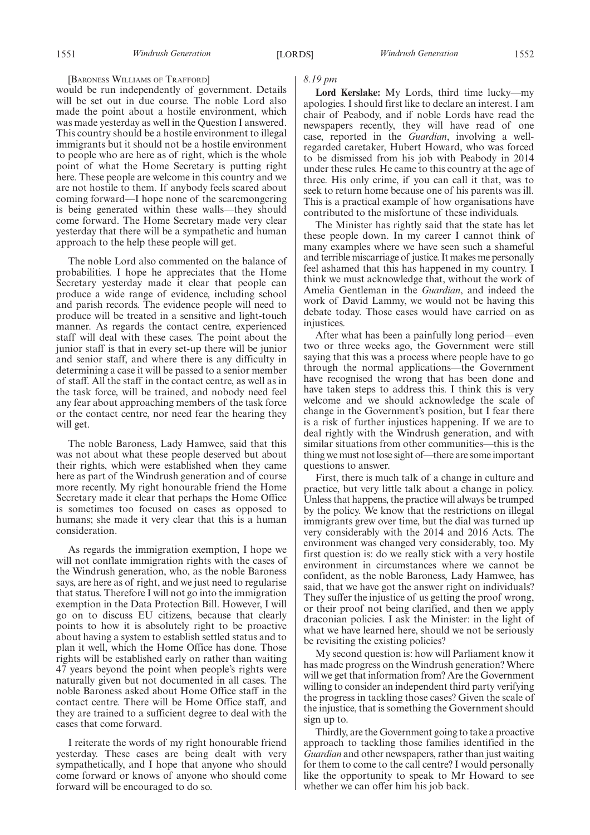#### [BARONESS WILLIAMS OF TRAFFORD]

would be run independently of government. Details will be set out in due course. The noble Lord also made the point about a hostile environment, which was made yesterday as well in the Question I answered. This country should be a hostile environment to illegal immigrants but it should not be a hostile environment to people who are here as of right, which is the whole point of what the Home Secretary is putting right here. These people are welcome in this country and we are not hostile to them. If anybody feels scared about coming forward—I hope none of the scaremongering is being generated within these walls—they should come forward. The Home Secretary made very clear yesterday that there will be a sympathetic and human approach to the help these people will get.

The noble Lord also commented on the balance of probabilities. I hope he appreciates that the Home Secretary yesterday made it clear that people can produce a wide range of evidence, including school and parish records. The evidence people will need to produce will be treated in a sensitive and light-touch manner. As regards the contact centre, experienced staff will deal with these cases. The point about the junior staff is that in every set-up there will be junior and senior staff, and where there is any difficulty in determining a case it will be passed to a senior member of staff. All the staff in the contact centre, as well as in the task force, will be trained, and nobody need feel any fear about approaching members of the task force or the contact centre, nor need fear the hearing they will get.

The noble Baroness, Lady Hamwee, said that this was not about what these people deserved but about their rights, which were established when they came here as part of the Windrush generation and of course more recently. My right honourable friend the Home Secretary made it clear that perhaps the Home Office is sometimes too focused on cases as opposed to humans; she made it very clear that this is a human consideration.

As regards the immigration exemption, I hope we will not conflate immigration rights with the cases of the Windrush generation, who, as the noble Baroness says, are here as of right, and we just need to regularise that status. Therefore I will not go into the immigration exemption in the Data Protection Bill. However, I will go on to discuss EU citizens, because that clearly points to how it is absolutely right to be proactive about having a system to establish settled status and to plan it well, which the Home Office has done. Those rights will be established early on rather than waiting 47 years beyond the point when people's rights were naturally given but not documented in all cases. The noble Baroness asked about Home Office staff in the contact centre. There will be Home Office staff, and they are trained to a sufficient degree to deal with the cases that come forward.

I reiterate the words of my right honourable friend yesterday. These cases are being dealt with very sympathetically, and I hope that anyone who should come forward or knows of anyone who should come forward will be encouraged to do so.

#### *8.19 pm*

**Lord Kerslake:** My Lords, third time lucky—my apologies. I should first like to declare an interest. I am chair of Peabody, and if noble Lords have read the newspapers recently, they will have read of one case, reported in the *Guardian*, involving a wellregarded caretaker, Hubert Howard, who was forced to be dismissed from his job with Peabody in 2014 under these rules. He came to this country at the age of three. His only crime, if you can call it that, was to seek to return home because one of his parents was ill. This is a practical example of how organisations have contributed to the misfortune of these individuals.

The Minister has rightly said that the state has let these people down. In my career I cannot think of many examples where we have seen such a shameful and terrible miscarriage of justice. It makes me personally feel ashamed that this has happened in my country. I think we must acknowledge that, without the work of Amelia Gentleman in the *Guardian*, and indeed the work of David Lammy, we would not be having this debate today. Those cases would have carried on as injustices.

After what has been a painfully long period—even two or three weeks ago, the Government were still saying that this was a process where people have to go through the normal applications—the Government have recognised the wrong that has been done and have taken steps to address this. I think this is very welcome and we should acknowledge the scale of change in the Government's position, but I fear there is a risk of further injustices happening. If we are to deal rightly with the Windrush generation, and with similar situations from other communities—this is the thing we must not lose sight of—there are some important questions to answer.

First, there is much talk of a change in culture and practice, but very little talk about a change in policy. Unless that happens, the practice will always be trumped by the policy. We know that the restrictions on illegal immigrants grew over time, but the dial was turned up very considerably with the 2014 and 2016 Acts. The environment was changed very considerably, too. My first question is: do we really stick with a very hostile environment in circumstances where we cannot be confident, as the noble Baroness, Lady Hamwee, has said, that we have got the answer right on individuals? They suffer the injustice of us getting the proof wrong, or their proof not being clarified, and then we apply draconian policies. I ask the Minister: in the light of what we have learned here, should we not be seriously be revisiting the existing policies?

My second question is: how will Parliament know it has made progress on the Windrush generation? Where will we get that information from? Are the Government willing to consider an independent third party verifying the progress in tackling those cases? Given the scale of the injustice, that is something the Government should sign up to.

Thirdly, are the Government going to take a proactive approach to tackling those families identified in the *Guardian* and other newspapers, rather than just waiting for them to come to the call centre? I would personally like the opportunity to speak to Mr Howard to see whether we can offer him his job back.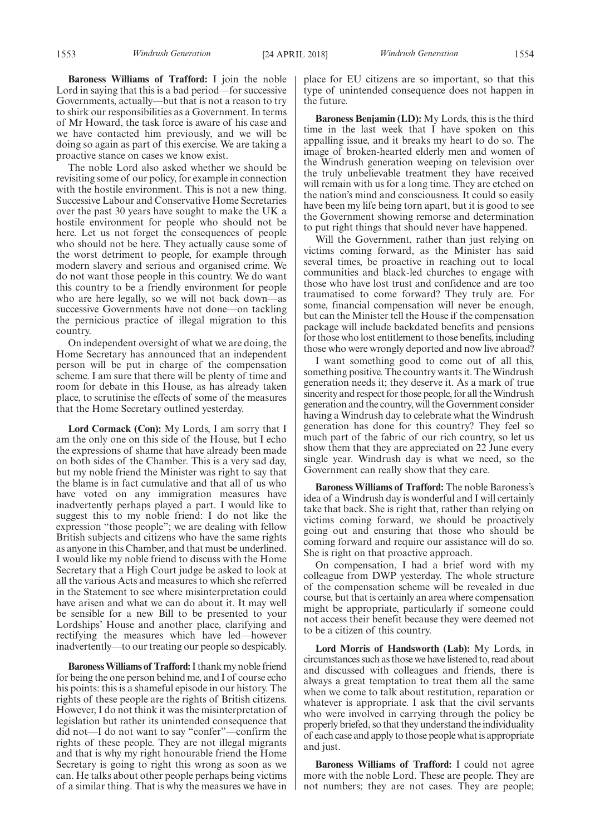**Baroness Williams of Trafford:** I join the noble Lord in saying that this is a bad period—for successive Governments, actually—but that is not a reason to try to shirk our responsibilities as a Government. In terms of Mr Howard, the task force is aware of his case and we have contacted him previously, and we will be doing so again as part of this exercise. We are taking a proactive stance on cases we know exist.

The noble Lord also asked whether we should be revisiting some of our policy, for example in connection with the hostile environment. This is not a new thing. Successive Labour and Conservative Home Secretaries over the past 30 years have sought to make the UK a hostile environment for people who should not be here. Let us not forget the consequences of people who should not be here. They actually cause some of the worst detriment to people, for example through modern slavery and serious and organised crime. We do not want those people in this country. We do want this country to be a friendly environment for people who are here legally, so we will not back down—as successive Governments have not done—on tackling the pernicious practice of illegal migration to this country.

On independent oversight of what we are doing, the Home Secretary has announced that an independent person will be put in charge of the compensation scheme. I am sure that there will be plenty of time and room for debate in this House, as has already taken place, to scrutinise the effects of some of the measures that the Home Secretary outlined yesterday.

**Lord Cormack (Con):** My Lords, I am sorry that I am the only one on this side of the House, but I echo the expressions of shame that have already been made on both sides of the Chamber. This is a very sad day, but my noble friend the Minister was right to say that the blame is in fact cumulative and that all of us who have voted on any immigration measures have inadvertently perhaps played a part. I would like to suggest this to my noble friend: I do not like the expression "those people"; we are dealing with fellow British subjects and citizens who have the same rights as anyone in this Chamber, and that must be underlined. I would like my noble friend to discuss with the Home Secretary that a High Court judge be asked to look at all the various Acts and measures to which she referred in the Statement to see where misinterpretation could have arisen and what we can do about it. It may well be sensible for a new Bill to be presented to your Lordships' House and another place, clarifying and rectifying the measures which have led—however inadvertently—to our treating our people so despicably.

**Baroness Williams of Trafford:**I thank my noble friend for being the one person behind me, and I of course echo his points: this is a shameful episode in our history. The rights of these people are the rights of British citizens. However, I do not think it was the misinterpretation of legislation but rather its unintended consequence that did not—I do not want to say "confer"—confirm the rights of these people. They are not illegal migrants and that is why my right honourable friend the Home Secretary is going to right this wrong as soon as we can. He talks about other people perhaps being victims of a similar thing. That is why the measures we have in place for EU citizens are so important, so that this type of unintended consequence does not happen in the future.

**Baroness Benjamin (LD):** My Lords, this is the third time in the last week that I have spoken on this appalling issue, and it breaks my heart to do so. The image of broken-hearted elderly men and women of the Windrush generation weeping on television over the truly unbelievable treatment they have received will remain with us for a long time. They are etched on the nation's mind and consciousness. It could so easily have been my life being torn apart, but it is good to see the Government showing remorse and determination to put right things that should never have happened.

Will the Government, rather than just relying on victims coming forward, as the Minister has said several times, be proactive in reaching out to local communities and black-led churches to engage with those who have lost trust and confidence and are too traumatised to come forward? They truly are. For some, financial compensation will never be enough, but can the Minister tell the House if the compensation package will include backdated benefits and pensions for those who lost entitlement to those benefits, including those who were wrongly deported and now live abroad?

I want something good to come out of all this, something positive. The country wants it. The Windrush generation needs it; they deserve it. As a mark of true sincerity and respect for those people, for all the Windrush generation and the country, will the Government consider having a Windrush day to celebrate what the Windrush generation has done for this country? They feel so much part of the fabric of our rich country, so let us show them that they are appreciated on 22 June every single year. Windrush day is what we need, so the Government can really show that they care.

**Baroness Williams of Trafford:** The noble Baroness's idea of a Windrush day is wonderful and I will certainly take that back. She is right that, rather than relying on victims coming forward, we should be proactively going out and ensuring that those who should be coming forward and require our assistance will do so. She is right on that proactive approach.

On compensation, I had a brief word with my colleague from DWP yesterday. The whole structure of the compensation scheme will be revealed in due course, but that is certainly an area where compensation might be appropriate, particularly if someone could not access their benefit because they were deemed not to be a citizen of this country.

**Lord Morris of Handsworth (Lab):** My Lords, in circumstances such as those we have listened to, read about and discussed with colleagues and friends, there is always a great temptation to treat them all the same when we come to talk about restitution, reparation or whatever is appropriate. I ask that the civil servants who were involved in carrying through the policy be properly briefed, so that they understand the individuality of each case and apply to those people what is appropriate and just.

**Baroness Williams of Trafford:** I could not agree more with the noble Lord. These are people. They are not numbers; they are not cases. They are people;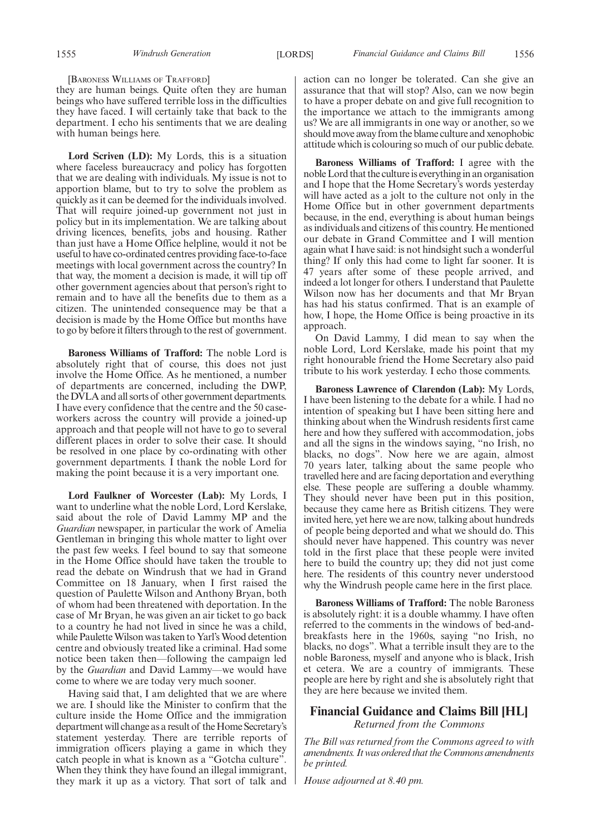#### [BARONESS WILLIAMS OF TRAFFORD]

they are human beings. Quite often they are human beings who have suffered terrible loss in the difficulties they have faced. I will certainly take that back to the department. I echo his sentiments that we are dealing with human beings here.

**Lord Scriven (LD):** My Lords, this is a situation where faceless bureaucracy and policy has forgotten that we are dealing with individuals. My issue is not to apportion blame, but to try to solve the problem as quickly as it can be deemed for the individuals involved. That will require joined-up government not just in policy but in its implementation. We are talking about driving licences, benefits, jobs and housing. Rather than just have a Home Office helpline, would it not be useful to have co-ordinated centres providing face-to-face meetings with local government across the country? In that way, the moment a decision is made, it will tip off other government agencies about that person's right to remain and to have all the benefits due to them as a citizen. The unintended consequence may be that a decision is made by the Home Office but months have to go by before it filters through to the rest of government.

**Baroness Williams of Trafford:** The noble Lord is absolutely right that of course, this does not just involve the Home Office. As he mentioned, a number of departments are concerned, including the DWP, the DVLA and all sorts of other government departments. I have every confidence that the centre and the 50 caseworkers across the country will provide a joined-up approach and that people will not have to go to several different places in order to solve their case. It should be resolved in one place by co-ordinating with other government departments. I thank the noble Lord for making the point because it is a very important one.

**Lord Faulkner of Worcester (Lab):** My Lords, I want to underline what the noble Lord, Lord Kerslake, said about the role of David Lammy MP and the *Guardian* newspaper, in particular the work of Amelia Gentleman in bringing this whole matter to light over the past few weeks. I feel bound to say that someone in the Home Office should have taken the trouble to read the debate on Windrush that we had in Grand Committee on 18 January, when I first raised the question of Paulette Wilson and Anthony Bryan, both of whom had been threatened with deportation. In the case of Mr Bryan, he was given an air ticket to go back to a country he had not lived in since he was a child, while Paulette Wilson was taken to Yarl's Wood detention centre and obviously treated like a criminal. Had some notice been taken then—following the campaign led by the *Guardian* and David Lammy—we would have come to where we are today very much sooner.

Having said that, I am delighted that we are where we are. I should like the Minister to confirm that the culture inside the Home Office and the immigration department will change as a result of the Home Secretary's statement yesterday. There are terrible reports of immigration officers playing a game in which they catch people in what is known as a "Gotcha culture". When they think they have found an illegal immigrant, they mark it up as a victory. That sort of talk and action can no longer be tolerated. Can she give an assurance that that will stop? Also, can we now begin to have a proper debate on and give full recognition to the importance we attach to the immigrants among us? We are all immigrants in one way or another, so we should move away from the blame culture and xenophobic attitude which is colouring so much of our public debate.

**Baroness Williams of Trafford:** I agree with the noble Lord that the culture is everything in an organisation and I hope that the Home Secretary's words yesterday will have acted as a jolt to the culture not only in the Home Office but in other government departments because, in the end, everything is about human beings as individuals and citizens of this country. He mentioned our debate in Grand Committee and I will mention again what I have said: is not hindsight such a wonderful thing? If only this had come to light far sooner. It is 47 years after some of these people arrived, and indeed a lot longer for others. I understand that Paulette Wilson now has her documents and that Mr Bryan has had his status confirmed. That is an example of how, I hope, the Home Office is being proactive in its approach.

On David Lammy, I did mean to say when the noble Lord, Lord Kerslake, made his point that my right honourable friend the Home Secretary also paid tribute to his work yesterday. I echo those comments.

**Baroness Lawrence of Clarendon (Lab):** My Lords, I have been listening to the debate for a while. I had no intention of speaking but I have been sitting here and thinking about when the Windrush residents first came here and how they suffered with accommodation, jobs and all the signs in the windows saying, "no Irish, no blacks, no dogs". Now here we are again, almost 70 years later, talking about the same people who travelled here and are facing deportation and everything else. These people are suffering a double whammy. They should never have been put in this position, because they came here as British citizens. They were invited here, yet here we are now, talking about hundreds of people being deported and what we should do. This should never have happened. This country was never told in the first place that these people were invited here to build the country up; they did not just come here. The residents of this country never understood why the Windrush people came here in the first place.

**Baroness Williams of Trafford:** The noble Baroness is absolutely right: it is a double whammy. I have often referred to the comments in the windows of bed-andbreakfasts here in the 1960s, saying "no Irish, no blacks, no dogs". What a terrible insult they are to the noble Baroness, myself and anyone who is black, Irish et cetera. We are a country of immigrants. These people are here by right and she is absolutely right that they are here because we invited them.

#### **Financial Guidance and Claims Bill [HL]** *Returned from the Commons*

*The Bill was returned from the Commons agreed to with amendments. It was ordered that the Commons amendments be printed.*

*House adjourned at 8.40 pm.*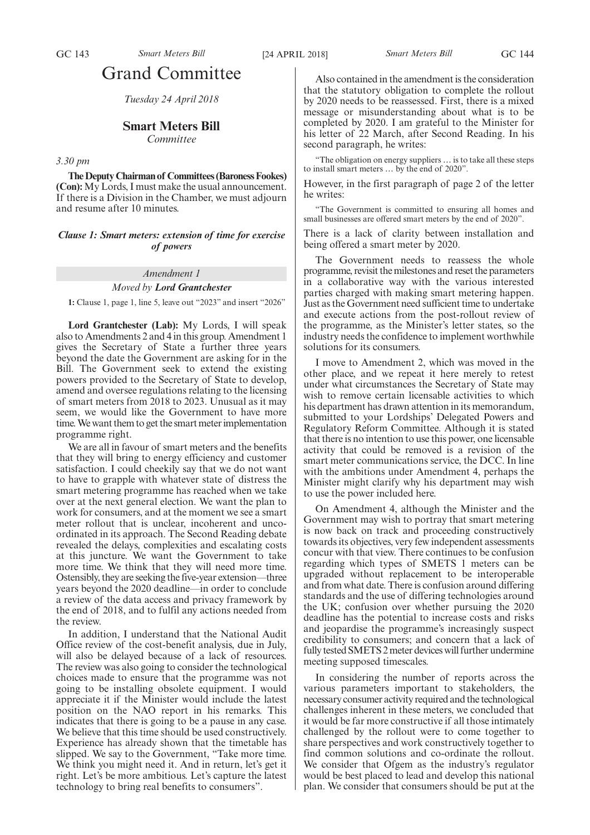## Grand Committee

*Tuesday 24 April 2018*

#### **Smart Meters Bill**

*Committee*

#### *3.30 pm*

**The Deputy Chairman of Committees (Baroness Fookes) (Con):** My Lords, I must make the usual announcement. If there is a Division in the Chamber, we must adjourn and resume after 10 minutes.

*Clause 1: Smart meters: extension of time for exercise of powers*

*Amendment 1*

#### *Moved by Lord Grantchester*

**1:** Clause 1, page 1, line 5, leave out "2023" and insert "2026"

**Lord Grantchester (Lab):** My Lords, I will speak also to Amendments 2 and 4 in this group. Amendment 1 gives the Secretary of State a further three years beyond the date the Government are asking for in the Bill. The Government seek to extend the existing powers provided to the Secretary of State to develop, amend and oversee regulations relating to the licensing of smart meters from 2018 to 2023. Unusual as it may seem, we would like the Government to have more time. We want them to get the smart meter implementation programme right.

We are all in favour of smart meters and the benefits that they will bring to energy efficiency and customer satisfaction. I could cheekily say that we do not want to have to grapple with whatever state of distress the smart metering programme has reached when we take over at the next general election. We want the plan to work for consumers, and at the moment we see a smart meter rollout that is unclear, incoherent and uncoordinated in its approach. The Second Reading debate revealed the delays, complexities and escalating costs at this juncture. We want the Government to take more time. We think that they will need more time. Ostensibly, they are seeking the five-year extension—three years beyond the 2020 deadline—in order to conclude a review of the data access and privacy framework by the end of 2018, and to fulfil any actions needed from the review.

In addition, I understand that the National Audit Office review of the cost-benefit analysis, due in July, will also be delayed because of a lack of resources. The review was also going to consider the technological choices made to ensure that the programme was not going to be installing obsolete equipment. I would appreciate it if the Minister would include the latest position on the NAO report in his remarks. This indicates that there is going to be a pause in any case. We believe that this time should be used constructively. Experience has already shown that the timetable has slipped. We say to the Government, "Take more time. We think you might need it. And in return, let's get it right. Let's be more ambitious. Let's capture the latest technology to bring real benefits to consumers".

Also contained in the amendment is the consideration that the statutory obligation to complete the rollout by 2020 needs to be reassessed. First, there is a mixed message or misunderstanding about what is to be completed by 2020. I am grateful to the Minister for his letter of 22 March, after Second Reading. In his second paragraph, he writes:

"The obligation on energy suppliers … is to take all these steps to install smart meters … by the end of 2020".

However, in the first paragraph of page 2 of the letter he writes:

"The Government is committed to ensuring all homes and small businesses are offered smart meters by the end of 2020".

There is a lack of clarity between installation and being offered a smart meter by 2020.

The Government needs to reassess the whole programme, revisit the milestones and reset the parameters in a collaborative way with the various interested parties charged with making smart metering happen. Just as the Government need sufficient time to undertake and execute actions from the post-rollout review of the programme, as the Minister's letter states, so the industry needs the confidence to implement worthwhile solutions for its consumers.

I move to Amendment 2, which was moved in the other place, and we repeat it here merely to retest under what circumstances the Secretary of State may wish to remove certain licensable activities to which his department has drawn attention in its memorandum, submitted to your Lordships' Delegated Powers and Regulatory Reform Committee. Although it is stated that there is no intention to use this power, one licensable activity that could be removed is a revision of the smart meter communications service, the DCC. In line with the ambitions under Amendment 4, perhaps the Minister might clarify why his department may wish to use the power included here.

On Amendment 4, although the Minister and the Government may wish to portray that smart metering is now back on track and proceeding constructively towards its objectives, very few independent assessments concur with that view. There continues to be confusion regarding which types of SMETS 1 meters can be upgraded without replacement to be interoperable and from what date. There is confusion around differing standards and the use of differing technologies around the UK; confusion over whether pursuing the 2020 deadline has the potential to increase costs and risks and jeopardise the programme's increasingly suspect credibility to consumers; and concern that a lack of fully tested SMETS 2 meter devices will further undermine meeting supposed timescales.

In considering the number of reports across the various parameters important to stakeholders, the necessary consumer activity required and the technological challenges inherent in these meters, we concluded that it would be far more constructive if all those intimately challenged by the rollout were to come together to share perspectives and work constructively together to find common solutions and co-ordinate the rollout. We consider that Ofgem as the industry's regulator would be best placed to lead and develop this national plan. We consider that consumers should be put at the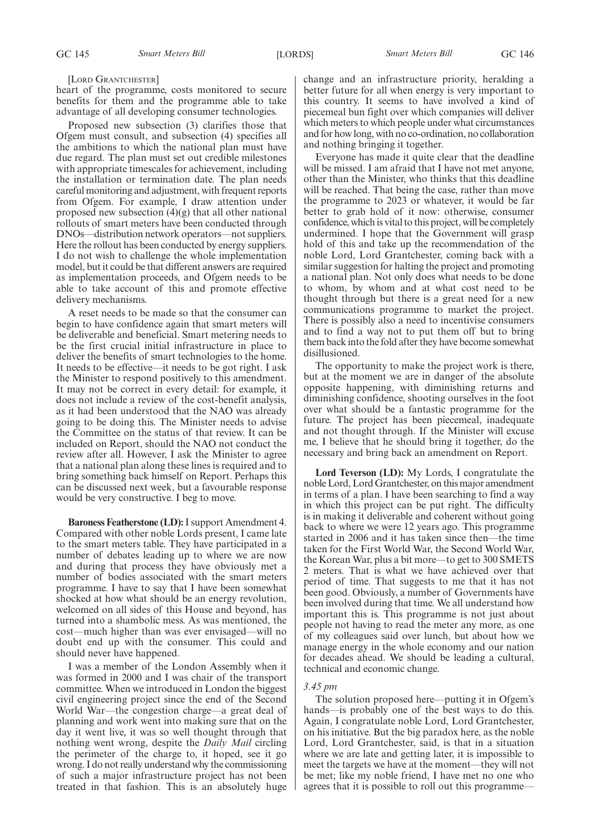#### [LORD GRANTCHESTER]

heart of the programme, costs monitored to secure benefits for them and the programme able to take advantage of all developing consumer technologies.

Proposed new subsection (3) clarifies those that Ofgem must consult, and subsection (4) specifies all the ambitions to which the national plan must have due regard. The plan must set out credible milestones with appropriate timescales for achievement, including the installation or termination date. The plan needs careful monitoring and adjustment, with frequent reports from Ofgem. For example, I draw attention under proposed new subsection (4)(g) that all other national rollouts of smart meters have been conducted through DNOs—distribution network operators—not suppliers. Here the rollout has been conducted by energy suppliers. I do not wish to challenge the whole implementation model, but it could be that different answers are required as implementation proceeds, and Ofgem needs to be able to take account of this and promote effective delivery mechanisms.

A reset needs to be made so that the consumer can begin to have confidence again that smart meters will be deliverable and beneficial. Smart metering needs to be the first crucial initial infrastructure in place to deliver the benefits of smart technologies to the home. It needs to be effective—it needs to be got right. I ask the Minister to respond positively to this amendment. It may not be correct in every detail: for example, it does not include a review of the cost-benefit analysis, as it had been understood that the NAO was already going to be doing this. The Minister needs to advise the Committee on the status of that review. It can be included on Report, should the NAO not conduct the review after all. However, I ask the Minister to agree that a national plan along these lines is required and to bring something back himself on Report. Perhaps this can be discussed next week, but a favourable response would be very constructive. I beg to move.

**Baroness Featherstone (LD):**I support Amendment 4. Compared with other noble Lords present, I came late to the smart meters table. They have participated in a number of debates leading up to where we are now and during that process they have obviously met a number of bodies associated with the smart meters programme. I have to say that I have been somewhat shocked at how what should be an energy revolution, welcomed on all sides of this House and beyond, has turned into a shambolic mess. As was mentioned, the cost—much higher than was ever envisaged—will no doubt end up with the consumer. This could and should never have happened.

I was a member of the London Assembly when it was formed in 2000 and I was chair of the transport committee. When we introduced in London the biggest civil engineering project since the end of the Second World War—the congestion charge—a great deal of planning and work went into making sure that on the day it went live, it was so well thought through that nothing went wrong, despite the *Daily Mail* circling the perimeter of the charge to, it hoped, see it go wrong. I do not really understand why the commissioning of such a major infrastructure project has not been treated in that fashion. This is an absolutely huge

change and an infrastructure priority, heralding a better future for all when energy is very important to this country. It seems to have involved a kind of piecemeal bun fight over which companies will deliver which meters to which people under what circumstances and for how long, with no co-ordination, no collaboration and nothing bringing it together.

Everyone has made it quite clear that the deadline will be missed. I am afraid that I have not met anyone, other than the Minister, who thinks that this deadline will be reached. That being the case, rather than move the programme to 2023 or whatever, it would be far better to grab hold of it now: otherwise, consumer confidence, which is vital to this project, will be completely undermined. I hope that the Government will grasp hold of this and take up the recommendation of the noble Lord, Lord Grantchester, coming back with a similar suggestion for halting the project and promoting a national plan. Not only does what needs to be done to whom, by whom and at what cost need to be thought through but there is a great need for a new communications programme to market the project. There is possibly also a need to incentivise consumers and to find a way not to put them off but to bring them back into the fold after they have become somewhat disillusioned.

The opportunity to make the project work is there, but at the moment we are in danger of the absolute opposite happening, with diminishing returns and diminishing confidence, shooting ourselves in the foot over what should be a fantastic programme for the future. The project has been piecemeal, inadequate and not thought through. If the Minister will excuse me, I believe that he should bring it together, do the necessary and bring back an amendment on Report.

**Lord Teverson (LD):** My Lords, I congratulate the noble Lord, Lord Grantchester, on this major amendment in terms of a plan. I have been searching to find a way in which this project can be put right. The difficulty is in making it deliverable and coherent without going back to where we were 12 years ago. This programme started in 2006 and it has taken since then—the time taken for the First World War, the Second World War, the Korean War, plus a bit more—to get to 300 SMETS 2 meters. That is what we have achieved over that period of time. That suggests to me that it has not been good. Obviously, a number of Governments have been involved during that time. We all understand how important this is. This programme is not just about people not having to read the meter any more, as one of my colleagues said over lunch, but about how we manage energy in the whole economy and our nation for decades ahead. We should be leading a cultural, technical and economic change.

#### *3.45 pm*

The solution proposed here—putting it in Ofgem's hands—is probably one of the best ways to do this. Again, I congratulate noble Lord, Lord Grantchester, on his initiative. But the big paradox here, as the noble Lord, Lord Grantchester, said, is that in a situation where we are late and getting later, it is impossible to meet the targets we have at the moment—they will not be met; like my noble friend, I have met no one who agrees that it is possible to roll out this programme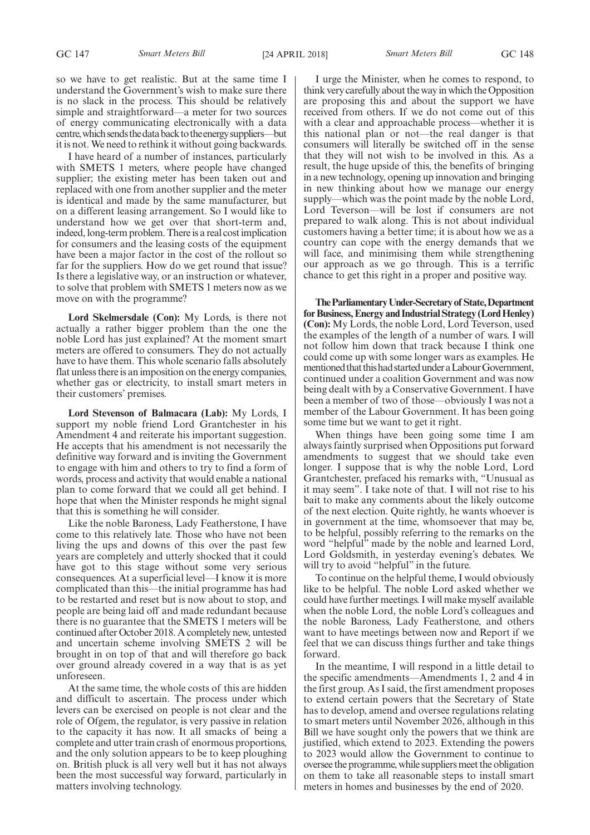so we have to get realistic. But at the same time I understand the Government's wish to make sure there is no slack in the process. This should be relatively simple and straightforward—a meter for two sources of energy communicating electronically with a data centre, which sends the data back to the energy suppliers—but it is not. We need to rethink it without going backwards.

I have heard of a number of instances, particularly with SMETS 1 meters, where people have changed supplier; the existing meter has been taken out and replaced with one from another supplier and the meter is identical and made by the same manufacturer, but on a different leasing arrangement. So I would like to understand how we get over that short-term and, indeed, long-term problem. There is a real cost implication for consumers and the leasing costs of the equipment have been a major factor in the cost of the rollout so far for the suppliers. How do we get round that issue? Is there a legislative way, or an instruction or whatever, to solve that problem with SMETS 1 meters now as we move on with the programme?

**Lord Skelmersdale (Con):** My Lords, is there not actually a rather bigger problem than the one the noble Lord has just explained? At the moment smart meters are offered to consumers. They do not actually have to have them. This whole scenario falls absolutely flat unless there is an imposition on the energy companies, whether gas or electricity, to install smart meters in their customers' premises.

**Lord Stevenson of Balmacara (Lab):** My Lords, I support my noble friend Lord Grantchester in his Amendment 4 and reiterate his important suggestion. He accepts that his amendment is not necessarily the definitive way forward and is inviting the Government to engage with him and others to try to find a form of words, process and activity that would enable a national plan to come forward that we could all get behind. I hope that when the Minister responds he might signal that this is something he will consider.

Like the noble Baroness, Lady Featherstone, I have come to this relatively late. Those who have not been living the ups and downs of this over the past few years are completely and utterly shocked that it could have got to this stage without some very serious consequences. At a superficial level—I know it is more complicated than this—the initial programme has had to be restarted and reset but is now about to stop, and people are being laid off and made redundant because there is no guarantee that the SMETS 1 meters will be continued after October 2018. A completely new, untested and uncertain scheme involving SMETS 2 will be brought in on top of that and will therefore go back over ground already covered in a way that is as yet unforeseen.

At the same time, the whole costs of this are hidden and difficult to ascertain. The process under which levers can be exercised on people is not clear and the role of Ofgem, the regulator, is very passive in relation to the capacity it has now. It all smacks of being a complete and utter train crash of enormous proportions, and the only solution appears to be to keep ploughing on. British pluck is all very well but it has not always been the most successful way forward, particularly in matters involving technology.

I urge the Minister, when he comes to respond, to think very carefully about the way in which the Opposition are proposing this and about the support we have received from others. If we do not come out of this with a clear and approachable process—whether it is this national plan or not—the real danger is that consumers will literally be switched off in the sense that they will not wish to be involved in this. As a result, the huge upside of this, the benefits of bringing in a new technology, opening up innovation and bringing in new thinking about how we manage our energy supply—which was the point made by the noble Lord, Lord Teverson—will be lost if consumers are not prepared to walk along. This is not about individual customers having a better time; it is about how we as a country can cope with the energy demands that we will face, and minimising them while strengthening our approach as we go through. This is a terrific chance to get this right in a proper and positive way.

**TheParliamentaryUnder-Secretaryof State,Department for Business, Energy and Industrial Strategy (Lord Henley) (Con):** My Lords, the noble Lord, Lord Teverson, used the examples of the length of a number of wars. I will not follow him down that track because I think one could come up with some longer wars as examples. He mentioned that this had started under a Labour Government, continued under a coalition Government and was now being dealt with by a Conservative Government. I have been a member of two of those—obviously I was not a member of the Labour Government. It has been going some time but we want to get it right.

When things have been going some time I am always faintly surprised when Oppositions put forward amendments to suggest that we should take even longer. I suppose that is why the noble Lord, Lord Grantchester, prefaced his remarks with, "Unusual as it may seem". I take note of that. I will not rise to his bait to make any comments about the likely outcome of the next election. Quite rightly, he wants whoever is in government at the time, whomsoever that may be, to be helpful, possibly referring to the remarks on the word "helpful" made by the noble and learned Lord, Lord Goldsmith, in yesterday evening's debates. We will try to avoid "helpful" in the future.

To continue on the helpful theme, I would obviously like to be helpful. The noble Lord asked whether we could have further meetings. I will make myself available when the noble Lord, the noble Lord's colleagues and the noble Baroness, Lady Featherstone, and others want to have meetings between now and Report if we feel that we can discuss things further and take things forward.

In the meantime, I will respond in a little detail to the specific amendments—Amendments 1, 2 and 4 in the first group. As I said, the first amendment proposes to extend certain powers that the Secretary of State has to develop, amend and oversee regulations relating to smart meters until November 2026, although in this Bill we have sought only the powers that we think are justified, which extend to 2023. Extending the powers to 2023 would allow the Government to continue to oversee the programme, while suppliers meet the obligation on them to take all reasonable steps to install smart meters in homes and businesses by the end of 2020.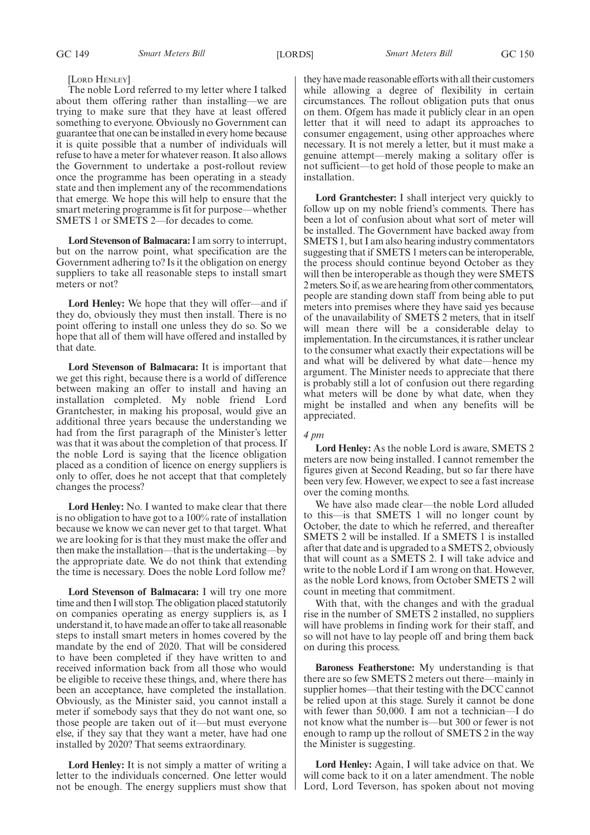#### [LORD HENLEY]

The noble Lord referred to my letter where I talked about them offering rather than installing—we are trying to make sure that they have at least offered something to everyone. Obviously no Government can guarantee that one can be installed in every home because it is quite possible that a number of individuals will refuse to have a meter for whatever reason. It also allows the Government to undertake a post-rollout review once the programme has been operating in a steady state and then implement any of the recommendations that emerge. We hope this will help to ensure that the smart metering programme is fit for purpose—whether SMETS 1 or SMETS 2—for decades to come.

**Lord Stevenson of Balmacara:**I am sorry to interrupt, but on the narrow point, what specification are the Government adhering to? Is it the obligation on energy suppliers to take all reasonable steps to install smart meters or not?

**Lord Henley:** We hope that they will offer—and if they do, obviously they must then install. There is no point offering to install one unless they do so. So we hope that all of them will have offered and installed by that date.

**Lord Stevenson of Balmacara:** It is important that we get this right, because there is a world of difference between making an offer to install and having an installation completed. My noble friend Lord Grantchester, in making his proposal, would give an additional three years because the understanding we had from the first paragraph of the Minister's letter was that it was about the completion of that process. If the noble Lord is saying that the licence obligation placed as a condition of licence on energy suppliers is only to offer, does he not accept that that completely changes the process?

**Lord Henley:** No. I wanted to make clear that there is no obligation to have got to a 100% rate of installation because we know we can never get to that target. What we are looking for is that they must make the offer and then make the installation—that is the undertaking—by the appropriate date. We do not think that extending the time is necessary. Does the noble Lord follow me?

**Lord Stevenson of Balmacara:** I will try one more time and then I will stop. The obligation placed statutorily on companies operating as energy suppliers is, as I understand it, to have made an offer to take all reasonable steps to install smart meters in homes covered by the mandate by the end of 2020. That will be considered to have been completed if they have written to and received information back from all those who would be eligible to receive these things, and, where there has been an acceptance, have completed the installation. Obviously, as the Minister said, you cannot install a meter if somebody says that they do not want one, so those people are taken out of it—but must everyone else, if they say that they want a meter, have had one installed by 2020? That seems extraordinary.

**Lord Henley:** It is not simply a matter of writing a letter to the individuals concerned. One letter would not be enough. The energy suppliers must show that they have made reasonable efforts with all their customers while allowing a degree of flexibility in certain circumstances. The rollout obligation puts that onus on them. Ofgem has made it publicly clear in an open letter that it will need to adapt its approaches to consumer engagement, using other approaches where necessary. It is not merely a letter, but it must make a genuine attempt—merely making a solitary offer is not sufficient—to get hold of those people to make an installation.

**Lord Grantchester:** I shall interject very quickly to follow up on my noble friend's comments. There has been a lot of confusion about what sort of meter will be installed. The Government have backed away from SMETS 1, but I am also hearing industry commentators suggesting that if SMETS 1 meters can be interoperable, the process should continue beyond October as they will then be interoperable as though they were SMETS 2 meters. So if, as we are hearing from other commentators, people are standing down staff from being able to put meters into premises where they have said yes because of the unavailability of SMETS 2 meters, that in itself will mean there will be a considerable delay to implementation. In the circumstances, it is rather unclear to the consumer what exactly their expectations will be and what will be delivered by what date—hence my argument. The Minister needs to appreciate that there is probably still a lot of confusion out there regarding what meters will be done by what date, when they might be installed and when any benefits will be appreciated.

#### *4 pm*

**Lord Henley:** As the noble Lord is aware, SMETS 2 meters are now being installed. I cannot remember the figures given at Second Reading, but so far there have been very few. However, we expect to see a fast increase over the coming months.

We have also made clear—the noble Lord alluded to this—is that SMETS 1 will no longer count by October, the date to which he referred, and thereafter SMETS 2 will be installed. If a SMETS 1 is installed after that date and is upgraded to a SMETS 2, obviously that will count as a SMETS 2. I will take advice and write to the noble Lord if I am wrong on that. However, as the noble Lord knows, from October SMETS 2 will count in meeting that commitment.

With that, with the changes and with the gradual rise in the number of SMETS 2 installed, no suppliers will have problems in finding work for their staff, and so will not have to lay people off and bring them back on during this process.

**Baroness Featherstone:** My understanding is that there are so few SMETS 2 meters out there—mainly in supplier homes—that their testing with the DCC cannot be relied upon at this stage. Surely it cannot be done with fewer than 50,000. I am not a technician—I do not know what the number is—but 300 or fewer is not enough to ramp up the rollout of SMETS 2 in the way the Minister is suggesting.

**Lord Henley:** Again, I will take advice on that. We will come back to it on a later amendment. The noble Lord, Lord Teverson, has spoken about not moving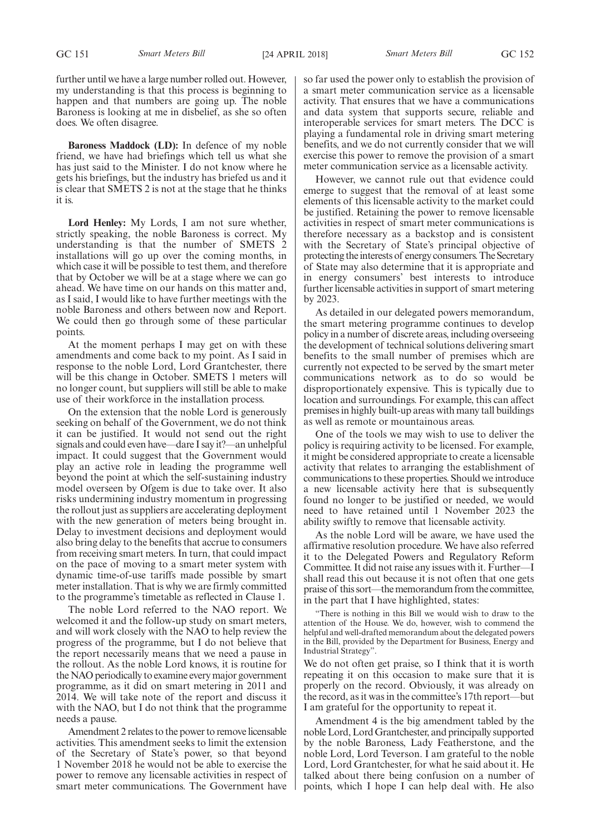further until we have a large number rolled out. However, my understanding is that this process is beginning to happen and that numbers are going up. The noble Baroness is looking at me in disbelief, as she so often does. We often disagree.

**Baroness Maddock (LD):** In defence of my noble friend, we have had briefings which tell us what she has just said to the Minister. I do not know where he gets his briefings, but the industry has briefed us and it is clear that SMETS 2 is not at the stage that he thinks it is.

**Lord Henley:** My Lords, I am not sure whether, strictly speaking, the noble Baroness is correct. My understanding is that the number of SMETS 2 installations will go up over the coming months, in which case it will be possible to test them, and therefore that by October we will be at a stage where we can go ahead. We have time on our hands on this matter and, as I said, I would like to have further meetings with the noble Baroness and others between now and Report. We could then go through some of these particular points.

At the moment perhaps I may get on with these amendments and come back to my point. As I said in response to the noble Lord, Lord Grantchester, there will be this change in October. SMETS 1 meters will no longer count, but suppliers will still be able to make use of their workforce in the installation process.

On the extension that the noble Lord is generously seeking on behalf of the Government, we do not think it can be justified. It would not send out the right signals and could even have—dare I say it?—an unhelpful impact. It could suggest that the Government would play an active role in leading the programme well beyond the point at which the self-sustaining industry model overseen by Ofgem is due to take over. It also risks undermining industry momentum in progressing the rollout just as suppliers are accelerating deployment with the new generation of meters being brought in. Delay to investment decisions and deployment would also bring delay to the benefits that accrue to consumers from receiving smart meters. In turn, that could impact on the pace of moving to a smart meter system with dynamic time-of-use tariffs made possible by smart meter installation. That is why we are firmly committed to the programme's timetable as reflected in Clause 1.

The noble Lord referred to the NAO report. We welcomed it and the follow-up study on smart meters, and will work closely with the NAO to help review the progress of the programme, but I do not believe that the report necessarily means that we need a pause in the rollout. As the noble Lord knows, it is routine for the NAO periodically to examine every major government programme, as it did on smart metering in 2011 and 2014. We will take note of the report and discuss it with the NAO, but I do not think that the programme needs a pause.

Amendment 2 relates to the power to remove licensable activities. This amendment seeks to limit the extension of the Secretary of State's power, so that beyond 1 November 2018 he would not be able to exercise the power to remove any licensable activities in respect of smart meter communications. The Government have so far used the power only to establish the provision of a smart meter communication service as a licensable activity. That ensures that we have a communications and data system that supports secure, reliable and interoperable services for smart meters. The DCC is playing a fundamental role in driving smart metering benefits, and we do not currently consider that we will exercise this power to remove the provision of a smart meter communication service as a licensable activity.

However, we cannot rule out that evidence could emerge to suggest that the removal of at least some elements of this licensable activity to the market could be justified. Retaining the power to remove licensable activities in respect of smart meter communications is therefore necessary as a backstop and is consistent with the Secretary of State's principal objective of protecting the interests of energy consumers. The Secretary of State may also determine that it is appropriate and in energy consumers' best interests to introduce further licensable activities in support of smart metering by 2023.

As detailed in our delegated powers memorandum, the smart metering programme continues to develop policy in a number of discrete areas, including overseeing the development of technical solutions delivering smart benefits to the small number of premises which are currently not expected to be served by the smart meter communications network as to do so would be disproportionately expensive. This is typically due to location and surroundings. For example, this can affect premises in highly built-up areas with many tall buildings as well as remote or mountainous areas.

One of the tools we may wish to use to deliver the policy is requiring activity to be licensed. For example, it might be considered appropriate to create a licensable activity that relates to arranging the establishment of communications to these properties. Should we introduce a new licensable activity here that is subsequently found no longer to be justified or needed, we would need to have retained until 1 November 2023 the ability swiftly to remove that licensable activity.

As the noble Lord will be aware, we have used the affirmative resolution procedure. We have also referred it to the Delegated Powers and Regulatory Reform Committee. It did not raise any issues with it. Further—I shall read this out because it is not often that one gets praise of this sort—the memorandum from the committee, in the part that I have highlighted, states:

"There is nothing in this Bill we would wish to draw to the attention of the House. We do, however, wish to commend the helpful and well-drafted memorandum about the delegated powers in the Bill, provided by the Department for Business, Energy and Industrial Strategy".

We do not often get praise, so I think that it is worth repeating it on this occasion to make sure that it is properly on the record. Obviously, it was already on the record, as it was in the committee's 17th report—but I am grateful for the opportunity to repeat it.

Amendment 4 is the big amendment tabled by the noble Lord, Lord Grantchester, and principally supported by the noble Baroness, Lady Featherstone, and the noble Lord, Lord Teverson. I am grateful to the noble Lord, Lord Grantchester, for what he said about it. He talked about there being confusion on a number of points, which I hope I can help deal with. He also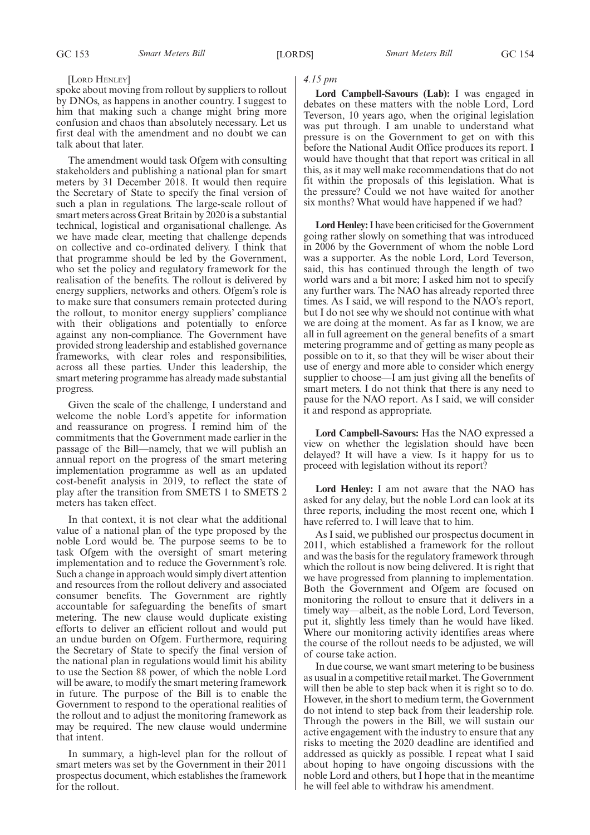#### [LORD HENLEY]

spoke about moving from rollout by suppliers to rollout by DNOs, as happens in another country. I suggest to him that making such a change might bring more confusion and chaos than absolutely necessary. Let us first deal with the amendment and no doubt we can talk about that later.

The amendment would task Ofgem with consulting stakeholders and publishing a national plan for smart meters by 31 December 2018. It would then require the Secretary of State to specify the final version of such a plan in regulations. The large-scale rollout of smart meters across Great Britain by 2020 is a substantial technical, logistical and organisational challenge. As we have made clear, meeting that challenge depends on collective and co-ordinated delivery. I think that that programme should be led by the Government, who set the policy and regulatory framework for the realisation of the benefits. The rollout is delivered by energy suppliers, networks and others. Ofgem's role is to make sure that consumers remain protected during the rollout, to monitor energy suppliers' compliance with their obligations and potentially to enforce against any non-compliance. The Government have provided strong leadership and established governance frameworks, with clear roles and responsibilities, across all these parties. Under this leadership, the smart metering programme has already made substantial progress.

Given the scale of the challenge, I understand and welcome the noble Lord's appetite for information and reassurance on progress. I remind him of the commitments that the Government made earlier in the passage of the Bill—namely, that we will publish an annual report on the progress of the smart metering implementation programme as well as an updated cost-benefit analysis in 2019, to reflect the state of play after the transition from SMETS 1 to SMETS 2 meters has taken effect.

In that context, it is not clear what the additional value of a national plan of the type proposed by the noble Lord would be. The purpose seems to be to task Ofgem with the oversight of smart metering implementation and to reduce the Government's role. Such a change in approach would simply divert attention and resources from the rollout delivery and associated consumer benefits. The Government are rightly accountable for safeguarding the benefits of smart metering. The new clause would duplicate existing efforts to deliver an efficient rollout and would put an undue burden on Ofgem. Furthermore, requiring the Secretary of State to specify the final version of the national plan in regulations would limit his ability to use the Section 88 power, of which the noble Lord will be aware, to modify the smart metering framework in future. The purpose of the Bill is to enable the Government to respond to the operational realities of the rollout and to adjust the monitoring framework as may be required. The new clause would undermine that intent.

In summary, a high-level plan for the rollout of smart meters was set by the Government in their 2011 prospectus document, which establishes the framework for the rollout.

#### *4.15 pm*

**Lord Campbell-Savours (Lab):** I was engaged in debates on these matters with the noble Lord, Lord Teverson, 10 years ago, when the original legislation was put through. I am unable to understand what pressure is on the Government to get on with this before the National Audit Office produces its report. I would have thought that that report was critical in all this, as it may well make recommendations that do not fit within the proposals of this legislation. What is the pressure? Could we not have waited for another six months? What would have happened if we had?

**Lord Henley:**I have been criticised for the Government going rather slowly on something that was introduced in 2006 by the Government of whom the noble Lord was a supporter. As the noble Lord, Lord Teverson, said, this has continued through the length of two world wars and a bit more; I asked him not to specify any further wars. The NAO has already reported three times. As I said, we will respond to the NAO's report, but I do not see why we should not continue with what we are doing at the moment. As far as I know, we are all in full agreement on the general benefits of a smart metering programme and of getting as many people as possible on to it, so that they will be wiser about their use of energy and more able to consider which energy supplier to choose—I am just giving all the benefits of smart meters. I do not think that there is any need to pause for the NAO report. As I said, we will consider it and respond as appropriate.

**Lord Campbell-Savours:** Has the NAO expressed a view on whether the legislation should have been delayed? It will have a view. Is it happy for us to proceed with legislation without its report?

**Lord Henley:** I am not aware that the NAO has asked for any delay, but the noble Lord can look at its three reports, including the most recent one, which I have referred to. I will leave that to him.

As I said, we published our prospectus document in 2011, which established a framework for the rollout and was the basis for the regulatory framework through which the rollout is now being delivered. It is right that we have progressed from planning to implementation. Both the Government and Ofgem are focused on monitoring the rollout to ensure that it delivers in a timely way—albeit, as the noble Lord, Lord Teverson, put it, slightly less timely than he would have liked. Where our monitoring activity identifies areas where the course of the rollout needs to be adjusted, we will of course take action.

In due course, we want smart metering to be business as usual in a competitive retail market. The Government will then be able to step back when it is right so to do. However, in the short to medium term, the Government do not intend to step back from their leadership role. Through the powers in the Bill, we will sustain our active engagement with the industry to ensure that any risks to meeting the 2020 deadline are identified and addressed as quickly as possible. I repeat what I said about hoping to have ongoing discussions with the noble Lord and others, but I hope that in the meantime he will feel able to withdraw his amendment.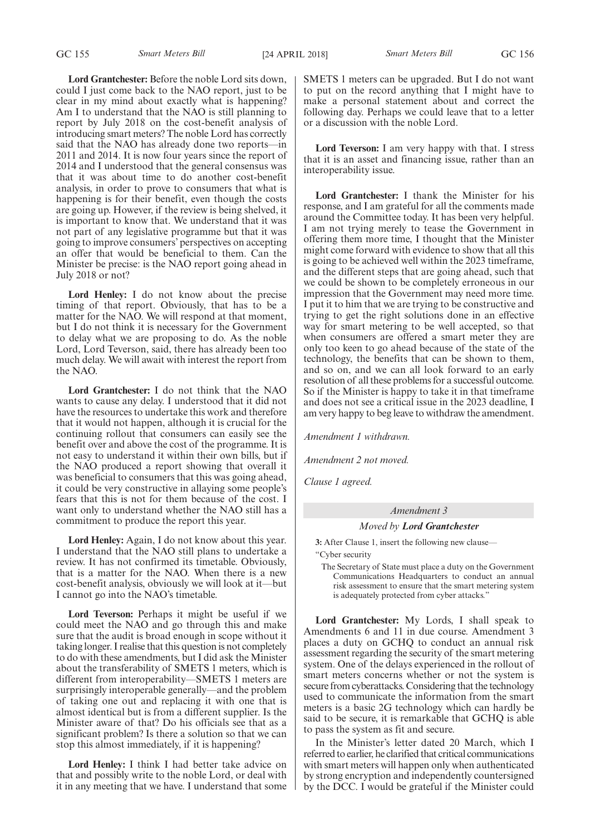**Lord Grantchester:** Before the noble Lord sits down, could I just come back to the NAO report, just to be clear in my mind about exactly what is happening? Am I to understand that the NAO is still planning to report by July 2018 on the cost-benefit analysis of introducing smart meters? The noble Lord has correctly said that the NAO has already done two reports—in 2011 and 2014. It is now four years since the report of 2014 and I understood that the general consensus was that it was about time to do another cost-benefit analysis, in order to prove to consumers that what is happening is for their benefit, even though the costs are going up. However, if the review is being shelved, it is important to know that. We understand that it was not part of any legislative programme but that it was going to improve consumers' perspectives on accepting an offer that would be beneficial to them. Can the Minister be precise: is the NAO report going ahead in July 2018 or not?

**Lord Henley:** I do not know about the precise timing of that report. Obviously, that has to be a matter for the NAO. We will respond at that moment, but I do not think it is necessary for the Government to delay what we are proposing to do. As the noble Lord, Lord Teverson, said, there has already been too much delay. We will await with interest the report from the NAO.

**Lord Grantchester:** I do not think that the NAO wants to cause any delay. I understood that it did not have the resources to undertake this work and therefore that it would not happen, although it is crucial for the continuing rollout that consumers can easily see the benefit over and above the cost of the programme. It is not easy to understand it within their own bills, but if the NAO produced a report showing that overall it was beneficial to consumers that this was going ahead, it could be very constructive in allaying some people's fears that this is not for them because of the cost. I want only to understand whether the NAO still has a commitment to produce the report this year.

**Lord Henley:** Again, I do not know about this year. I understand that the NAO still plans to undertake a review. It has not confirmed its timetable. Obviously, that is a matter for the NAO. When there is a new cost-benefit analysis, obviously we will look at it—but I cannot go into the NAO's timetable.

**Lord Teverson:** Perhaps it might be useful if we could meet the NAO and go through this and make sure that the audit is broad enough in scope without it taking longer. I realise that this question is not completely to do with these amendments, but I did ask the Minister about the transferability of SMETS 1 meters, which is different from interoperability—SMETS 1 meters are surprisingly interoperable generally—and the problem of taking one out and replacing it with one that is almost identical but is from a different supplier. Is the Minister aware of that? Do his officials see that as a significant problem? Is there a solution so that we can stop this almost immediately, if it is happening?

**Lord Henley:** I think I had better take advice on that and possibly write to the noble Lord, or deal with it in any meeting that we have. I understand that some SMETS 1 meters can be upgraded. But I do not want to put on the record anything that I might have to make a personal statement about and correct the following day. Perhaps we could leave that to a letter or a discussion with the noble Lord.

**Lord Teverson:** I am very happy with that. I stress that it is an asset and financing issue, rather than an interoperability issue.

**Lord Grantchester:** I thank the Minister for his response, and I am grateful for all the comments made around the Committee today. It has been very helpful. I am not trying merely to tease the Government in offering them more time, I thought that the Minister might come forward with evidence to show that all this is going to be achieved well within the 2023 timeframe, and the different steps that are going ahead, such that we could be shown to be completely erroneous in our impression that the Government may need more time. I put it to him that we are trying to be constructive and trying to get the right solutions done in an effective way for smart metering to be well accepted, so that when consumers are offered a smart meter they are only too keen to go ahead because of the state of the technology, the benefits that can be shown to them, and so on, and we can all look forward to an early resolution of all these problems for a successful outcome. So if the Minister is happy to take it in that timeframe and does not see a critical issue in the 2023 deadline, I am very happy to beg leave to withdraw the amendment.

*Amendment 1 withdrawn.*

*Amendment 2 not moved.*

*Clause 1 agreed.*

#### *Amendment 3*

#### *Moved by Lord Grantchester*

**3:** After Clause 1, insert the following new clause—

"Cyber security

The Secretary of State must place a duty on the Government Communications Headquarters to conduct an annual risk assessment to ensure that the smart metering system is adequately protected from cyber attacks."

**Lord Grantchester:** My Lords, I shall speak to Amendments 6 and 11 in due course. Amendment 3 places a duty on GCHQ to conduct an annual risk assessment regarding the security of the smart metering system. One of the delays experienced in the rollout of smart meters concerns whether or not the system is secure from cyberattacks. Considering that the technology used to communicate the information from the smart meters is a basic 2G technology which can hardly be said to be secure, it is remarkable that GCHQ is able to pass the system as fit and secure.

In the Minister's letter dated 20 March, which I referred to earlier, he clarified that critical communications with smart meters will happen only when authenticated by strong encryption and independently countersigned by the DCC. I would be grateful if the Minister could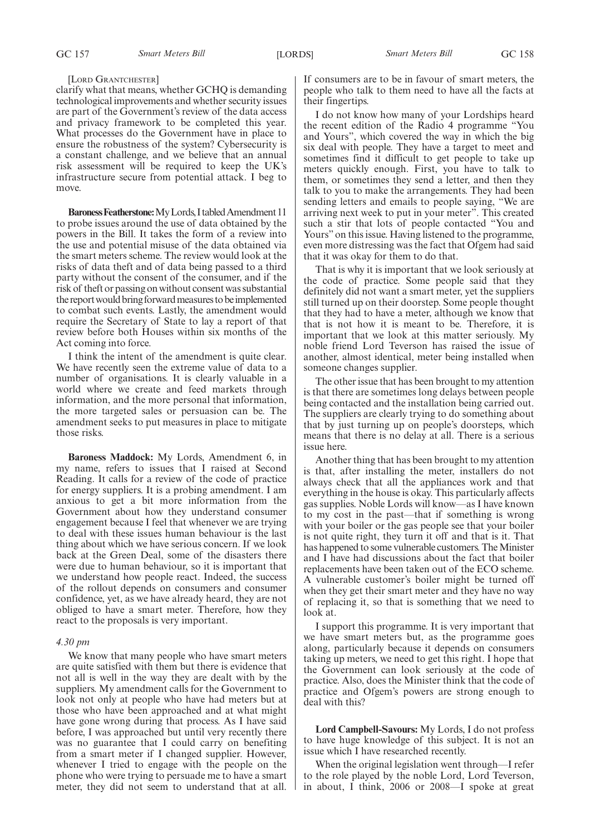GC 157 *Smart Meters Bill* [LORDS] *Smart Meters Bill* GC 158

#### [LORD GRANTCHESTER]

clarify what that means, whether GCHQ is demanding technological improvements and whether security issues are part of the Government's review of the data access and privacy framework to be completed this year. What processes do the Government have in place to ensure the robustness of the system? Cybersecurity is a constant challenge, and we believe that an annual risk assessment will be required to keep the UK's infrastructure secure from potential attack. I beg to move.

**Baroness Featherstone:** My Lords, I tabled Amendment 11 to probe issues around the use of data obtained by the powers in the Bill. It takes the form of a review into the use and potential misuse of the data obtained via the smart meters scheme. The review would look at the risks of data theft and of data being passed to a third party without the consent of the consumer, and if the risk of theft or passing on without consent was substantial the report would bring forward measures to be implemented to combat such events. Lastly, the amendment would require the Secretary of State to lay a report of that review before both Houses within six months of the Act coming into force.

I think the intent of the amendment is quite clear. We have recently seen the extreme value of data to a number of organisations. It is clearly valuable in a world where we create and feed markets through information, and the more personal that information, the more targeted sales or persuasion can be. The amendment seeks to put measures in place to mitigate those risks.

**Baroness Maddock:** My Lords, Amendment 6, in my name, refers to issues that I raised at Second Reading. It calls for a review of the code of practice for energy suppliers. It is a probing amendment. I am anxious to get a bit more information from the Government about how they understand consumer engagement because I feel that whenever we are trying to deal with these issues human behaviour is the last thing about which we have serious concern. If we look back at the Green Deal, some of the disasters there were due to human behaviour, so it is important that we understand how people react. Indeed, the success of the rollout depends on consumers and consumer confidence, yet, as we have already heard, they are not obliged to have a smart meter. Therefore, how they react to the proposals is very important.

#### *4.30 pm*

We know that many people who have smart meters are quite satisfied with them but there is evidence that not all is well in the way they are dealt with by the suppliers. My amendment calls for the Government to look not only at people who have had meters but at those who have been approached and at what might have gone wrong during that process. As I have said before, I was approached but until very recently there was no guarantee that I could carry on benefiting from a smart meter if I changed supplier. However, whenever I tried to engage with the people on the phone who were trying to persuade me to have a smart meter, they did not seem to understand that at all. If consumers are to be in favour of smart meters, the people who talk to them need to have all the facts at their fingertips.

I do not know how many of your Lordships heard the recent edition of the Radio 4 programme "You and Yours", which covered the way in which the big six deal with people. They have a target to meet and sometimes find it difficult to get people to take up meters quickly enough. First, you have to talk to them, or sometimes they send a letter, and then they talk to you to make the arrangements. They had been sending letters and emails to people saying, "We are arriving next week to put in your meter". This created such a stir that lots of people contacted "You and Yours" on this issue. Having listened to the programme, even more distressing was the fact that Ofgem had said that it was okay for them to do that.

That is why it is important that we look seriously at the code of practice. Some people said that they definitely did not want a smart meter, yet the suppliers still turned up on their doorstep. Some people thought that they had to have a meter, although we know that that is not how it is meant to be. Therefore, it is important that we look at this matter seriously. My noble friend Lord Teverson has raised the issue of another, almost identical, meter being installed when someone changes supplier.

The other issue that has been brought to my attention is that there are sometimes long delays between people being contacted and the installation being carried out. The suppliers are clearly trying to do something about that by just turning up on people's doorsteps, which means that there is no delay at all. There is a serious issue here.

Another thing that has been brought to my attention is that, after installing the meter, installers do not always check that all the appliances work and that everything in the house is okay. This particularly affects gas supplies. Noble Lords will know—as I have known to my cost in the past—that if something is wrong with your boiler or the gas people see that your boiler is not quite right, they turn it off and that is it. That has happened to some vulnerable customers. The Minister and I have had discussions about the fact that boiler replacements have been taken out of the ECO scheme. A vulnerable customer's boiler might be turned off when they get their smart meter and they have no way of replacing it, so that is something that we need to look at.

I support this programme. It is very important that we have smart meters but, as the programme goes along, particularly because it depends on consumers taking up meters, we need to get this right. I hope that the Government can look seriously at the code of practice. Also, does the Minister think that the code of practice and Ofgem's powers are strong enough to deal with this?

**Lord Campbell-Savours:** My Lords, I do not profess to have huge knowledge of this subject. It is not an issue which I have researched recently.

When the original legislation went through—I refer to the role played by the noble Lord, Lord Teverson, in about, I think, 2006 or 2008—I spoke at great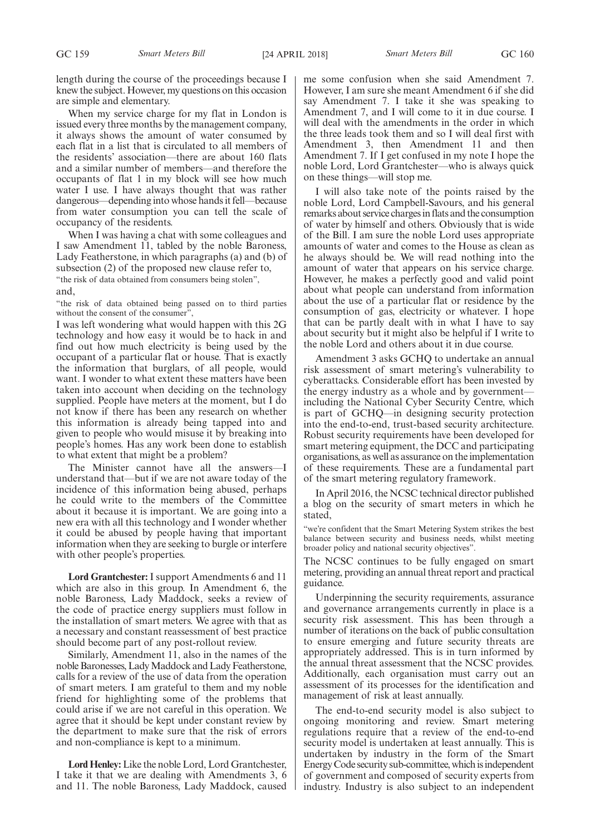When my service charge for my flat in London is issued every three months by the management company, it always shows the amount of water consumed by each flat in a list that is circulated to all members of the residents' association—there are about 160 flats and a similar number of members—and therefore the occupants of flat 1 in my block will see how much water I use. I have always thought that was rather dangerous—depending into whose hands it fell—because from water consumption you can tell the scale of occupancy of the residents.

When I was having a chat with some colleagues and I saw Amendment 11, tabled by the noble Baroness, Lady Featherstone, in which paragraphs (a) and (b) of subsection (2) of the proposed new clause refer to, "the risk of data obtained from consumers being stolen", and,

"the risk of data obtained being passed on to third parties without the consent of the consumer",

I was left wondering what would happen with this 2G technology and how easy it would be to hack in and find out how much electricity is being used by the occupant of a particular flat or house. That is exactly the information that burglars, of all people, would want. I wonder to what extent these matters have been taken into account when deciding on the technology supplied. People have meters at the moment, but I do not know if there has been any research on whether this information is already being tapped into and given to people who would misuse it by breaking into people's homes. Has any work been done to establish to what extent that might be a problem?

The Minister cannot have all the answers—I understand that—but if we are not aware today of the incidence of this information being abused, perhaps he could write to the members of the Committee about it because it is important. We are going into a new era with all this technology and I wonder whether it could be abused by people having that important information when they are seeking to burgle or interfere with other people's properties.

**Lord Grantchester:** I support Amendments 6 and 11 which are also in this group. In Amendment 6, the noble Baroness, Lady Maddock, seeks a review of the code of practice energy suppliers must follow in the installation of smart meters. We agree with that as a necessary and constant reassessment of best practice should become part of any post-rollout review.

Similarly, Amendment 11, also in the names of the noble Baronesses, Lady Maddock and Lady Featherstone, calls for a review of the use of data from the operation of smart meters. I am grateful to them and my noble friend for highlighting some of the problems that could arise if we are not careful in this operation. We agree that it should be kept under constant review by the department to make sure that the risk of errors and non-compliance is kept to a minimum.

**Lord Henley:**Like the noble Lord, Lord Grantchester, I take it that we are dealing with Amendments 3, 6 and 11. The noble Baroness, Lady Maddock, caused

me some confusion when she said Amendment 7. However, I am sure she meant Amendment 6 if she did say Amendment 7. I take it she was speaking to Amendment 7, and I will come to it in due course. I will deal with the amendments in the order in which the three leads took them and so I will deal first with Amendment 3, then Amendment 11 and then Amendment 7. If I get confused in my note I hope the noble Lord, Lord Grantchester—who is always quick on these things—will stop me.

I will also take note of the points raised by the noble Lord, Lord Campbell-Savours, and his general remarks about service charges in flats and the consumption of water by himself and others. Obviously that is wide of the Bill. I am sure the noble Lord uses appropriate amounts of water and comes to the House as clean as he always should be. We will read nothing into the amount of water that appears on his service charge. However, he makes a perfectly good and valid point about what people can understand from information about the use of a particular flat or residence by the consumption of gas, electricity or whatever. I hope that can be partly dealt with in what I have to say about security but it might also be helpful if I write to the noble Lord and others about it in due course.

Amendment 3 asks GCHQ to undertake an annual risk assessment of smart metering's vulnerability to cyberattacks. Considerable effort has been invested by the energy industry as a whole and by government including the National Cyber Security Centre, which is part of GCHQ—in designing security protection into the end-to-end, trust-based security architecture. Robust security requirements have been developed for smart metering equipment, the DCC and participating organisations, as well as assurance on the implementation of these requirements. These are a fundamental part of the smart metering regulatory framework.

In April 2016, the NCSC technical director published a blog on the security of smart meters in which he stated,

"we're confident that the Smart Metering System strikes the best balance between security and business needs, whilst meeting broader policy and national security objectives".

The NCSC continues to be fully engaged on smart metering, providing an annual threat report and practical guidance.

Underpinning the security requirements, assurance and governance arrangements currently in place is a security risk assessment. This has been through a number of iterations on the back of public consultation to ensure emerging and future security threats are appropriately addressed. This is in turn informed by the annual threat assessment that the NCSC provides. Additionally, each organisation must carry out an assessment of its processes for the identification and management of risk at least annually.

The end-to-end security model is also subject to ongoing monitoring and review. Smart metering regulations require that a review of the end-to-end security model is undertaken at least annually. This is undertaken by industry in the form of the Smart Energy Code security sub-committee, which is independent of government and composed of security experts from industry. Industry is also subject to an independent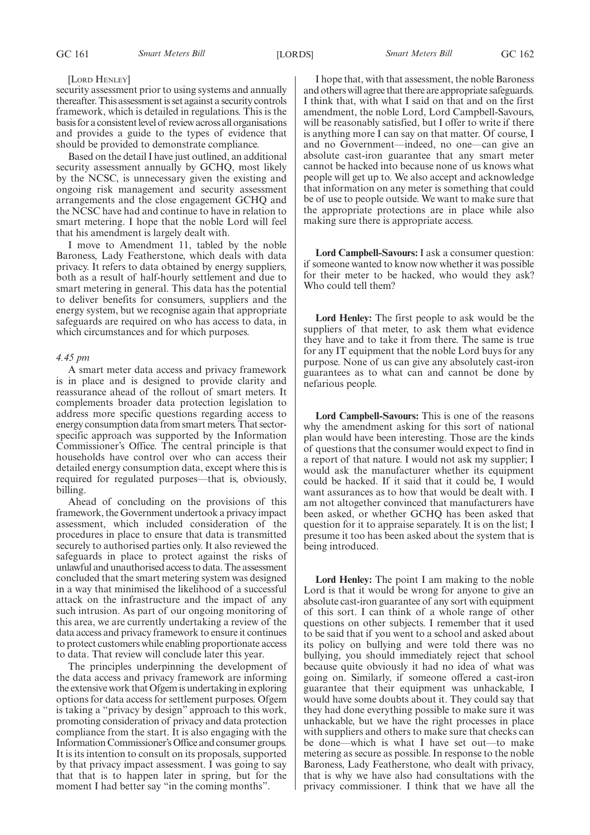#### [LORD HENLEY]

security assessment prior to using systems and annually thereafter. This assessment is set against a security controls framework, which is detailed in regulations. This is the basis for a consistent level of review across all organisations and provides a guide to the types of evidence that should be provided to demonstrate compliance.

Based on the detail I have just outlined, an additional security assessment annually by GCHQ, most likely by the NCSC, is unnecessary given the existing and ongoing risk management and security assessment arrangements and the close engagement GCHQ and the NCSC have had and continue to have in relation to smart metering. I hope that the noble Lord will feel that his amendment is largely dealt with.

I move to Amendment 11, tabled by the noble Baroness, Lady Featherstone, which deals with data privacy. It refers to data obtained by energy suppliers, both as a result of half-hourly settlement and due to smart metering in general. This data has the potential to deliver benefits for consumers, suppliers and the energy system, but we recognise again that appropriate safeguards are required on who has access to data, in which circumstances and for which purposes.

#### *4.45 pm*

A smart meter data access and privacy framework is in place and is designed to provide clarity and reassurance ahead of the rollout of smart meters. It complements broader data protection legislation to address more specific questions regarding access to energy consumption data from smart meters. That sectorspecific approach was supported by the Information Commissioner's Office. The central principle is that households have control over who can access their detailed energy consumption data, except where this is required for regulated purposes—that is, obviously, billing.

Ahead of concluding on the provisions of this framework, the Government undertook a privacy impact assessment, which included consideration of the procedures in place to ensure that data is transmitted securely to authorised parties only. It also reviewed the safeguards in place to protect against the risks of unlawful and unauthorised access to data. The assessment concluded that the smart metering system was designed in a way that minimised the likelihood of a successful attack on the infrastructure and the impact of any such intrusion. As part of our ongoing monitoring of this area, we are currently undertaking a review of the data access and privacy framework to ensure it continues to protect customers while enabling proportionate access to data. That review will conclude later this year.

The principles underpinning the development of the data access and privacy framework are informing the extensive work that Ofgem is undertaking in exploring options for data access for settlement purposes. Ofgem is taking a "privacy by design" approach to this work, promoting consideration of privacy and data protection compliance from the start. It is also engaging with the Information Commissioner's Office and consumer groups. It is its intention to consult on its proposals, supported by that privacy impact assessment. I was going to say that that is to happen later in spring, but for the moment I had better say "in the coming months".

I hope that, with that assessment, the noble Baroness and others will agree that there are appropriate safeguards. I think that, with what I said on that and on the first amendment, the noble Lord, Lord Campbell-Savours, will be reasonably satisfied, but I offer to write if there is anything more I can say on that matter. Of course, I and no Government—indeed, no one—can give an absolute cast-iron guarantee that any smart meter cannot be hacked into because none of us knows what people will get up to. We also accept and acknowledge that information on any meter is something that could be of use to people outside. We want to make sure that the appropriate protections are in place while also making sure there is appropriate access.

**Lord Campbell-Savours:** I ask a consumer question: if someone wanted to know now whether it was possible for their meter to be hacked, who would they ask? Who could tell them?

**Lord Henley:** The first people to ask would be the suppliers of that meter, to ask them what evidence they have and to take it from there. The same is true for any IT equipment that the noble Lord buys for any purpose. None of us can give any absolutely cast-iron guarantees as to what can and cannot be done by nefarious people.

**Lord Campbell-Savours:** This is one of the reasons why the amendment asking for this sort of national plan would have been interesting. Those are the kinds of questions that the consumer would expect to find in a report of that nature. I would not ask my supplier; I would ask the manufacturer whether its equipment could be hacked. If it said that it could be, I would want assurances as to how that would be dealt with. I am not altogether convinced that manufacturers have been asked, or whether GCHQ has been asked that question for it to appraise separately. It is on the list; I presume it too has been asked about the system that is being introduced.

**Lord Henley:** The point I am making to the noble Lord is that it would be wrong for anyone to give an absolute cast-iron guarantee of any sort with equipment of this sort. I can think of a whole range of other questions on other subjects. I remember that it used to be said that if you went to a school and asked about its policy on bullying and were told there was no bullying, you should immediately reject that school because quite obviously it had no idea of what was going on. Similarly, if someone offered a cast-iron guarantee that their equipment was unhackable, I would have some doubts about it. They could say that they had done everything possible to make sure it was unhackable, but we have the right processes in place with suppliers and others to make sure that checks can be done—which is what I have set out—to make metering as secure as possible. In response to the noble Baroness, Lady Featherstone, who dealt with privacy, that is why we have also had consultations with the privacy commissioner. I think that we have all the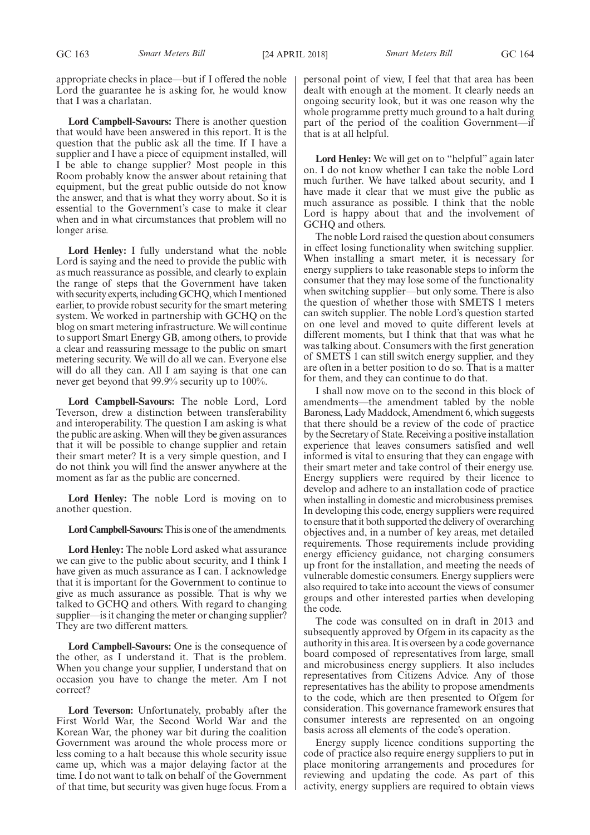appropriate checks in place—but if I offered the noble Lord the guarantee he is asking for, he would know that I was a charlatan.

**Lord Campbell-Savours:** There is another question that would have been answered in this report. It is the question that the public ask all the time. If I have a supplier and I have a piece of equipment installed, will I be able to change supplier? Most people in this Room probably know the answer about retaining that equipment, but the great public outside do not know the answer, and that is what they worry about. So it is essential to the Government's case to make it clear when and in what circumstances that problem will no longer arise.

**Lord Henley:** I fully understand what the noble Lord is saying and the need to provide the public with as much reassurance as possible, and clearly to explain the range of steps that the Government have taken with security experts, including GCHQ, which I mentioned earlier, to provide robust security for the smart metering system. We worked in partnership with GCHQ on the blog on smart metering infrastructure. We will continue to support Smart Energy GB, among others, to provide a clear and reassuring message to the public on smart metering security. We will do all we can. Everyone else will do all they can. All I am saying is that one can never get beyond that 99.9% security up to 100%.

**Lord Campbell-Savours:** The noble Lord, Lord Teverson, drew a distinction between transferability and interoperability. The question I am asking is what the public are asking. When will they be given assurances that it will be possible to change supplier and retain their smart meter? It is a very simple question, and I do not think you will find the answer anywhere at the moment as far as the public are concerned.

**Lord Henley:** The noble Lord is moving on to another question.

**Lord Campbell-Savours:**This is one of the amendments.

**Lord Henley:** The noble Lord asked what assurance we can give to the public about security, and I think I have given as much assurance as I can. I acknowledge that it is important for the Government to continue to give as much assurance as possible. That is why we talked to GCHQ and others. With regard to changing supplier—is it changing the meter or changing supplier? They are two different matters.

**Lord Campbell-Savours:** One is the consequence of the other, as I understand it. That is the problem. When you change your supplier, I understand that on occasion you have to change the meter. Am I not correct?

**Lord Teverson:** Unfortunately, probably after the First World War, the Second World War and the Korean War, the phoney war bit during the coalition Government was around the whole process more or less coming to a halt because this whole security issue came up, which was a major delaying factor at the time. I do not want to talk on behalf of the Government of that time, but security was given huge focus. From a personal point of view, I feel that that area has been dealt with enough at the moment. It clearly needs an ongoing security look, but it was one reason why the whole programme pretty much ground to a halt during part of the period of the coalition Government—if that is at all helpful.

**Lord Henley:** We will get on to "helpful" again later on. I do not know whether I can take the noble Lord much further. We have talked about security, and I have made it clear that we must give the public as much assurance as possible. I think that the noble Lord is happy about that and the involvement of GCHQ and others.

The noble Lord raised the question about consumers in effect losing functionality when switching supplier. When installing a smart meter, it is necessary for energy suppliers to take reasonable steps to inform the consumer that they may lose some of the functionality when switching supplier—but only some. There is also the question of whether those with SMETS 1 meters can switch supplier. The noble Lord's question started on one level and moved to quite different levels at different moments, but I think that that was what he was talking about. Consumers with the first generation of SMETS 1 can still switch energy supplier, and they are often in a better position to do so. That is a matter for them, and they can continue to do that.

I shall now move on to the second in this block of amendments—the amendment tabled by the noble Baroness, Lady Maddock, Amendment 6, which suggests that there should be a review of the code of practice by the Secretary of State. Receiving a positive installation experience that leaves consumers satisfied and well informed is vital to ensuring that they can engage with their smart meter and take control of their energy use. Energy suppliers were required by their licence to develop and adhere to an installation code of practice when installing in domestic and microbusiness premises. In developing this code, energy suppliers were required to ensure that it both supported the delivery of overarching objectives and, in a number of key areas, met detailed requirements. Those requirements include providing energy efficiency guidance, not charging consumers up front for the installation, and meeting the needs of vulnerable domestic consumers. Energy suppliers were also required to take into account the views of consumer groups and other interested parties when developing the code.

The code was consulted on in draft in 2013 and subsequently approved by Ofgem in its capacity as the authority in this area. It is overseen by a code governance board composed of representatives from large, small and microbusiness energy suppliers. It also includes representatives from Citizens Advice. Any of those representatives has the ability to propose amendments to the code, which are then presented to Ofgem for consideration. This governance framework ensures that consumer interests are represented on an ongoing basis across all elements of the code's operation.

Energy supply licence conditions supporting the code of practice also require energy suppliers to put in place monitoring arrangements and procedures for reviewing and updating the code. As part of this activity, energy suppliers are required to obtain views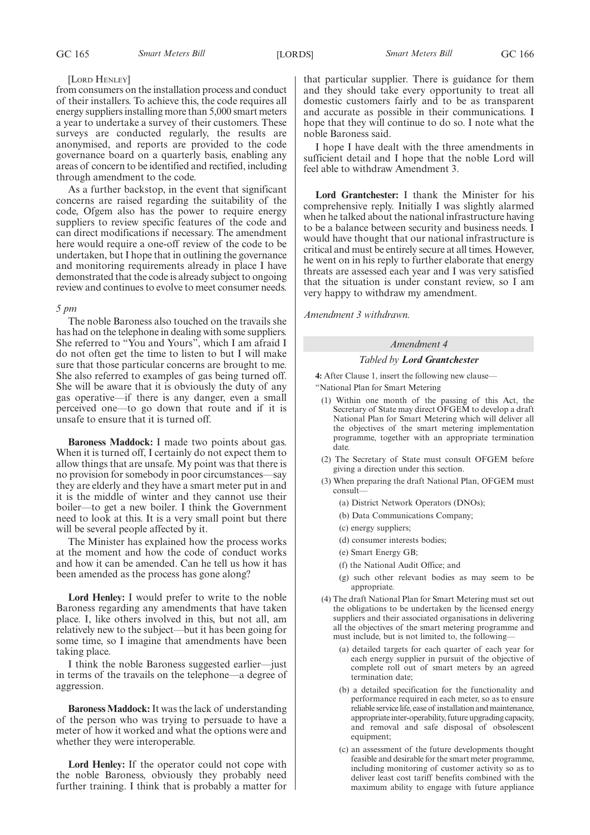#### [LORD HENLEY]

from consumers on the installation process and conduct of their installers. To achieve this, the code requires all energy suppliers installing more than 5,000 smart meters a year to undertake a survey of their customers. These surveys are conducted regularly, the results are anonymised, and reports are provided to the code governance board on a quarterly basis, enabling any areas of concern to be identified and rectified, including through amendment to the code.

As a further backstop, in the event that significant concerns are raised regarding the suitability of the code, Ofgem also has the power to require energy suppliers to review specific features of the code and can direct modifications if necessary. The amendment here would require a one-off review of the code to be undertaken, but I hope that in outlining the governance and monitoring requirements already in place I have demonstrated that the code is already subject to ongoing review and continues to evolve to meet consumer needs.

#### *5 pm*

The noble Baroness also touched on the travails she has had on the telephone in dealing with some suppliers. She referred to "You and Yours", which I am afraid I do not often get the time to listen to but I will make sure that those particular concerns are brought to me. She also referred to examples of gas being turned off. She will be aware that it is obviously the duty of any gas operative—if there is any danger, even a small perceived one—to go down that route and if it is unsafe to ensure that it is turned off.

**Baroness Maddock:** I made two points about gas. When it is turned off, I certainly do not expect them to allow things that are unsafe. My point was that there is no provision for somebody in poor circumstances—say they are elderly and they have a smart meter put in and it is the middle of winter and they cannot use their boiler—to get a new boiler. I think the Government need to look at this. It is a very small point but there will be several people affected by it.

The Minister has explained how the process works at the moment and how the code of conduct works and how it can be amended. Can he tell us how it has been amended as the process has gone along?

**Lord Henley:** I would prefer to write to the noble Baroness regarding any amendments that have taken place. I, like others involved in this, but not all, am relatively new to the subject—but it has been going for some time, so I imagine that amendments have been taking place.

I think the noble Baroness suggested earlier—just in terms of the travails on the telephone—a degree of aggression.

**Baroness Maddock:**It was the lack of understanding of the person who was trying to persuade to have a meter of how it worked and what the options were and whether they were interoperable.

**Lord Henley:** If the operator could not cope with the noble Baroness, obviously they probably need further training. I think that is probably a matter for that particular supplier. There is guidance for them and they should take every opportunity to treat all domestic customers fairly and to be as transparent and accurate as possible in their communications. I hope that they will continue to do so. I note what the noble Baroness said.

I hope I have dealt with the three amendments in sufficient detail and I hope that the noble Lord will feel able to withdraw Amendment 3.

**Lord Grantchester:** I thank the Minister for his comprehensive reply. Initially I was slightly alarmed when he talked about the national infrastructure having to be a balance between security and business needs. I would have thought that our national infrastructure is critical and must be entirely secure at all times. However, he went on in his reply to further elaborate that energy threats are assessed each year and I was very satisfied that the situation is under constant review, so I am very happy to withdraw my amendment.

*Amendment 3 withdrawn.*

### *Amendment 4*

#### *Tabled by Lord Grantchester*

**4:** After Clause 1, insert the following new clause—

"National Plan for Smart Metering

- (1) Within one month of the passing of this Act, the Secretary of State may direct OFGEM to develop a draft National Plan for Smart Metering which will deliver all the objectives of the smart metering implementation programme, together with an appropriate termination date.
- (2) The Secretary of State must consult OFGEM before giving a direction under this section.
- (3) When preparing the draft National Plan, OFGEM must consult—
	- (a) District Network Operators (DNOs);
	- (b) Data Communications Company;
	- (c) energy suppliers;
	- (d) consumer interests bodies;
	- (e) Smart Energy GB;
	- (f) the National Audit Office; and
	- (g) such other relevant bodies as may seem to be appropriate.
- (4) The draft National Plan for Smart Metering must set out the obligations to be undertaken by the licensed energy suppliers and their associated organisations in delivering all the objectives of the smart metering programme and must include, but is not limited to, the following—
	- (a) detailed targets for each quarter of each year for each energy supplier in pursuit of the objective of complete roll out of smart meters by an agreed termination date;
	- (b) a detailed specification for the functionality and performance required in each meter, so as to ensure reliable service life, ease of installation and maintenance, appropriate inter-operability, future upgrading capacity, and removal and safe disposal of obsolescent equipment;
	- (c) an assessment of the future developments thought feasible and desirable for the smart meter programme, including monitoring of customer activity so as to deliver least cost tariff benefits combined with the maximum ability to engage with future appliance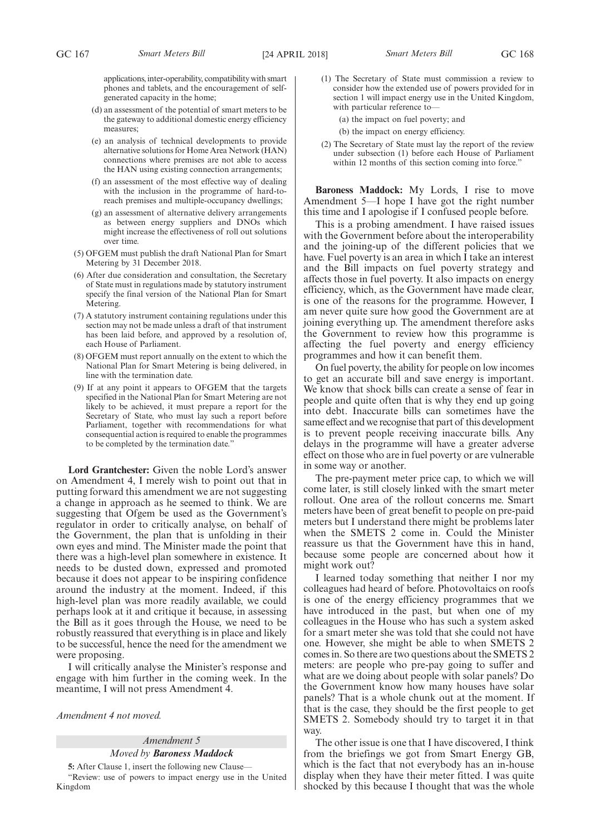applications, inter-operability, compatibility with smart phones and tablets, and the encouragement of selfgenerated capacity in the home;

- (d) an assessment of the potential of smart meters to be the gateway to additional domestic energy efficiency measures;
- (e) an analysis of technical developments to provide alternative solutions for Home Area Network (HAN) connections where premises are not able to access the HAN using existing connection arrangements;
- (f) an assessment of the most effective way of dealing with the inclusion in the programme of hard-toreach premises and multiple-occupancy dwellings;
- (g) an assessment of alternative delivery arrangements as between energy suppliers and DNOs which might increase the effectiveness of roll out solutions over time.
- (5) OFGEM must publish the draft National Plan for Smart Metering by 31 December 2018.
- (6) After due consideration and consultation, the Secretary of State must in regulations made by statutory instrument specify the final version of the National Plan for Smart Metering.
- (7) A statutory instrument containing regulations under this section may not be made unless a draft of that instrument has been laid before, and approved by a resolution of, each House of Parliament.
- (8) OFGEM must report annually on the extent to which the National Plan for Smart Metering is being delivered, in line with the termination date.
- (9) If at any point it appears to OFGEM that the targets specified in the National Plan for Smart Metering are not likely to be achieved, it must prepare a report for the Secretary of State, who must lay such a report before Parliament, together with recommendations for what consequential action is required to enable the programmes to be completed by the termination date."

**Lord Grantchester:** Given the noble Lord's answer on Amendment 4, I merely wish to point out that in putting forward this amendment we are not suggesting a change in approach as he seemed to think. We are suggesting that Ofgem be used as the Government's regulator in order to critically analyse, on behalf of the Government, the plan that is unfolding in their own eyes and mind. The Minister made the point that there was a high-level plan somewhere in existence. It needs to be dusted down, expressed and promoted because it does not appear to be inspiring confidence around the industry at the moment. Indeed, if this high-level plan was more readily available, we could perhaps look at it and critique it because, in assessing the Bill as it goes through the House, we need to be robustly reassured that everything is in place and likely to be successful, hence the need for the amendment we were proposing.

I will critically analyse the Minister's response and engage with him further in the coming week. In the meantime, I will not press Amendment 4.

*Amendment 4 not moved.*

#### *Amendment 5 Moved by Baroness Maddock*

**5:** After Clause 1, insert the following new Clause—

"Review: use of powers to impact energy use in the United Kingdom

- 
- 
- (1) The Secretary of State must commission a review to consider how the extended use of powers provided for in section 1 will impact energy use in the United Kingdom, with particular reference to—

(a) the impact on fuel poverty; and

- (b) the impact on energy efficiency.
- (2) The Secretary of State must lay the report of the review under subsection (1) before each House of Parliament within 12 months of this section coming into force."

**Baroness Maddock:** My Lords, I rise to move Amendment 5—I hope I have got the right number this time and I apologise if I confused people before.

This is a probing amendment. I have raised issues with the Government before about the interoperability and the joining-up of the different policies that we have. Fuel poverty is an area in which I take an interest and the Bill impacts on fuel poverty strategy and affects those in fuel poverty. It also impacts on energy efficiency, which, as the Government have made clear, is one of the reasons for the programme. However, I am never quite sure how good the Government are at joining everything up. The amendment therefore asks the Government to review how this programme is affecting the fuel poverty and energy efficiency programmes and how it can benefit them.

On fuel poverty, the ability for people on low incomes to get an accurate bill and save energy is important. We know that shock bills can create a sense of fear in people and quite often that is why they end up going into debt. Inaccurate bills can sometimes have the same effect and we recognise that part of this development is to prevent people receiving inaccurate bills. Any delays in the programme will have a greater adverse effect on those who are in fuel poverty or are vulnerable in some way or another.

The pre-payment meter price cap, to which we will come later, is still closely linked with the smart meter rollout. One area of the rollout concerns me. Smart meters have been of great benefit to people on pre-paid meters but I understand there might be problems later when the SMETS 2 come in. Could the Minister reassure us that the Government have this in hand, because some people are concerned about how it might work out?

I learned today something that neither I nor my colleagues had heard of before. Photovoltaics on roofs is one of the energy efficiency programmes that we have introduced in the past, but when one of my colleagues in the House who has such a system asked for a smart meter she was told that she could not have one. However, she might be able to when SMETS 2 comes in. So there are two questions about the SMETS 2 meters: are people who pre-pay going to suffer and what are we doing about people with solar panels? Do the Government know how many houses have solar panels? That is a whole chunk out at the moment. If that is the case, they should be the first people to get SMETS 2. Somebody should try to target it in that way.

The other issue is one that I have discovered, I think from the briefings we got from Smart Energy GB, which is the fact that not everybody has an in-house display when they have their meter fitted. I was quite shocked by this because I thought that was the whole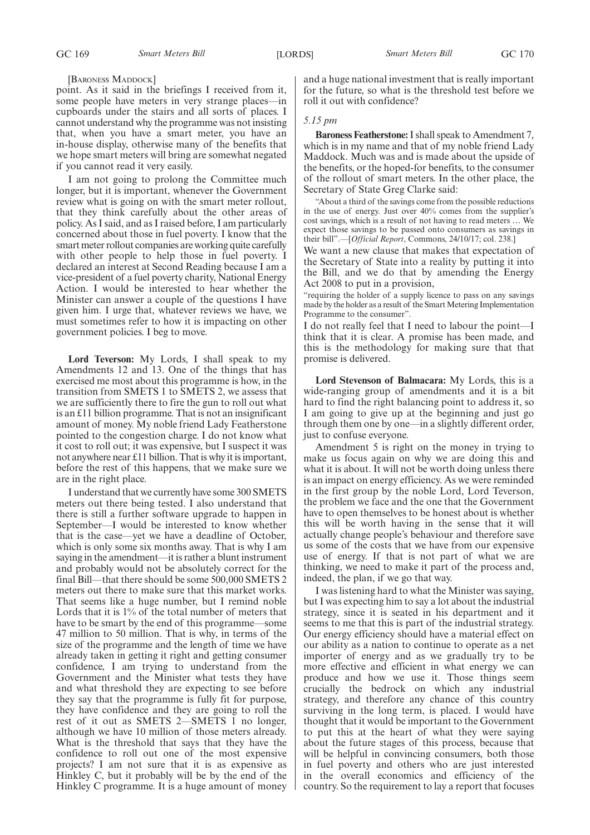#### [BARONESS MADDOCK]

point. As it said in the briefings I received from it, some people have meters in very strange places—in cupboards under the stairs and all sorts of places. I cannot understand why the programme was not insisting that, when you have a smart meter, you have an in-house display, otherwise many of the benefits that we hope smart meters will bring are somewhat negated if you cannot read it very easily.

I am not going to prolong the Committee much longer, but it is important, whenever the Government review what is going on with the smart meter rollout, that they think carefully about the other areas of policy. As I said, and as I raised before, I am particularly concerned about those in fuel poverty. I know that the smart meter rollout companies are working quite carefully with other people to help those in fuel poverty. I declared an interest at Second Reading because I am a vice-president of a fuel poverty charity, National Energy Action. I would be interested to hear whether the Minister can answer a couple of the questions I have given him. I urge that, whatever reviews we have, we must sometimes refer to how it is impacting on other government policies. I beg to move.

**Lord Teverson:** My Lords, I shall speak to my Amendments 12 and 13. One of the things that has exercised me most about this programme is how, in the transition from SMETS 1 to SMETS 2, we assess that we are sufficiently there to fire the gun to roll out what is an £11 billion programme. That is not an insignificant amount of money. My noble friend Lady Featherstone pointed to the congestion charge. I do not know what it cost to roll out; it was expensive, but I suspect it was not anywhere near £11 billion. That is why it is important, before the rest of this happens, that we make sure we are in the right place.

I understand that we currently have some 300 SMETS meters out there being tested. I also understand that there is still a further software upgrade to happen in September—I would be interested to know whether that is the case—yet we have a deadline of October, which is only some six months away. That is why I am saying in the amendment—it is rather a blunt instrument and probably would not be absolutely correct for the final Bill—that there should be some 500,000 SMETS 2 meters out there to make sure that this market works. That seems like a huge number, but I remind noble Lords that it is 1% of the total number of meters that have to be smart by the end of this programme—some 47 million to 50 million. That is why, in terms of the size of the programme and the length of time we have already taken in getting it right and getting consumer confidence, I am trying to understand from the Government and the Minister what tests they have and what threshold they are expecting to see before they say that the programme is fully fit for purpose, they have confidence and they are going to roll the rest of it out as SMETS 2—SMETS 1 no longer, although we have 10 million of those meters already. What is the threshold that says that they have the confidence to roll out one of the most expensive projects? I am not sure that it is as expensive as Hinkley C, but it probably will be by the end of the Hinkley C programme. It is a huge amount of money and a huge national investment that is really important for the future, so what is the threshold test before we roll it out with confidence?

#### *5.15 pm*

**Baroness Featherstone:**I shall speak to Amendment 7, which is in my name and that of my noble friend Lady Maddock. Much was and is made about the upside of the benefits, or the hoped-for benefits, to the consumer of the rollout of smart meters. In the other place, the Secretary of State Greg Clarke said:

"About a third of the savings come from the possible reductions in the use of energy. Just over 40% comes from the supplier's cost savings, which is a result of not having to read meters … We expect those savings to be passed onto consumers as savings in their bill".—[*Official Report*, Commons, 24/10/17; col. 238.]

We want a new clause that makes that expectation of the Secretary of State into a reality by putting it into the Bill, and we do that by amending the Energy Act 2008 to put in a provision,

"requiring the holder of a supply licence to pass on any savings made by the holder as a result of the Smart Metering Implementation Programme to the consumer".

I do not really feel that I need to labour the point—I think that it is clear. A promise has been made, and this is the methodology for making sure that that promise is delivered.

**Lord Stevenson of Balmacara:** My Lords, this is a wide-ranging group of amendments and it is a bit hard to find the right balancing point to address it, so I am going to give up at the beginning and just go through them one by one—in a slightly different order, just to confuse everyone.

Amendment 5 is right on the money in trying to make us focus again on why we are doing this and what it is about. It will not be worth doing unless there is an impact on energy efficiency. As we were reminded in the first group by the noble Lord, Lord Teverson, the problem we face and the one that the Government have to open themselves to be honest about is whether this will be worth having in the sense that it will actually change people's behaviour and therefore save us some of the costs that we have from our expensive use of energy. If that is not part of what we are thinking, we need to make it part of the process and, indeed, the plan, if we go that way.

I was listening hard to what the Minister was saying, but I was expecting him to say a lot about the industrial strategy, since it is seated in his department and it seems to me that this is part of the industrial strategy. Our energy efficiency should have a material effect on our ability as a nation to continue to operate as a net importer of energy and as we gradually try to be more effective and efficient in what energy we can produce and how we use it. Those things seem crucially the bedrock on which any industrial strategy, and therefore any chance of this country surviving in the long term, is placed. I would have thought that it would be important to the Government to put this at the heart of what they were saying about the future stages of this process, because that will be helpful in convincing consumers, both those in fuel poverty and others who are just interested in the overall economics and efficiency of the country. So the requirement to lay a report that focuses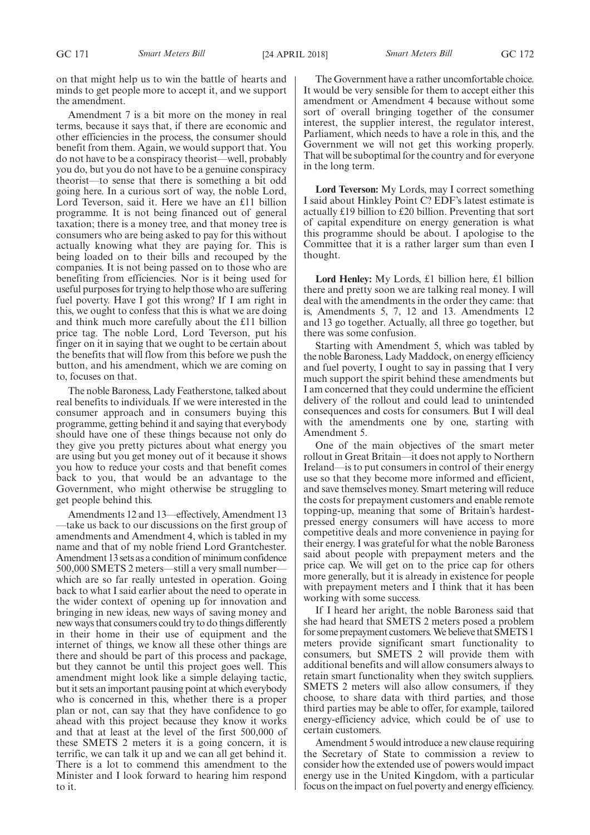on that might help us to win the battle of hearts and minds to get people more to accept it, and we support the amendment.

Amendment 7 is a bit more on the money in real terms, because it says that, if there are economic and other efficiencies in the process, the consumer should benefit from them. Again, we would support that. You do not have to be a conspiracy theorist—well, probably you do, but you do not have to be a genuine conspiracy theorist—to sense that there is something a bit odd going here. In a curious sort of way, the noble Lord, Lord Teverson, said it. Here we have an £11 billion programme. It is not being financed out of general taxation; there is a money tree, and that money tree is consumers who are being asked to pay for this without actually knowing what they are paying for. This is being loaded on to their bills and recouped by the companies. It is not being passed on to those who are benefiting from efficiencies. Nor is it being used for useful purposes for trying to help those who are suffering fuel poverty. Have I got this wrong? If I am right in this, we ought to confess that this is what we are doing and think much more carefully about the £11 billion price tag. The noble Lord, Lord Teverson, put his finger on it in saying that we ought to be certain about the benefits that will flow from this before we push the button, and his amendment, which we are coming on to, focuses on that.

The noble Baroness, Lady Featherstone, talked about real benefits to individuals. If we were interested in the consumer approach and in consumers buying this programme, getting behind it and saying that everybody should have one of these things because not only do they give you pretty pictures about what energy you are using but you get money out of it because it shows you how to reduce your costs and that benefit comes back to you, that would be an advantage to the Government, who might otherwise be struggling to get people behind this.

Amendments 12 and 13—effectively, Amendment 13 —take us back to our discussions on the first group of amendments and Amendment 4, which is tabled in my name and that of my noble friend Lord Grantchester. Amendment 13 sets as a condition of minimum confidence 500,000 SMETS 2 meters—still a very small number which are so far really untested in operation. Going back to what I said earlier about the need to operate in the wider context of opening up for innovation and bringing in new ideas, new ways of saving money and new ways that consumers could try to do things differently in their home in their use of equipment and the internet of things, we know all these other things are there and should be part of this process and package, but they cannot be until this project goes well. This amendment might look like a simple delaying tactic, but it sets an important pausing point at which everybody who is concerned in this, whether there is a proper plan or not, can say that they have confidence to go ahead with this project because they know it works and that at least at the level of the first 500,000 of these SMETS 2 meters it is a going concern, it is terrific, we can talk it up and we can all get behind it. There is a lot to commend this amendment to the Minister and I look forward to hearing him respond to it.

The Government have a rather uncomfortable choice. It would be very sensible for them to accept either this amendment or Amendment 4 because without some sort of overall bringing together of the consumer interest, the supplier interest, the regulator interest, Parliament, which needs to have a role in this, and the Government we will not get this working properly. That will be suboptimal for the country and for everyone in the long term.

**Lord Teverson:** My Lords, may I correct something I said about Hinkley Point C? EDF's latest estimate is actually £19 billion to £20 billion. Preventing that sort of capital expenditure on energy generation is what this programme should be about. I apologise to the Committee that it is a rather larger sum than even I thought.

**Lord Henley:** My Lords, £1 billion here, £1 billion there and pretty soon we are talking real money. I will deal with the amendments in the order they came: that is, Amendments 5, 7, 12 and 13. Amendments 12 and 13 go together. Actually, all three go together, but there was some confusion.

Starting with Amendment 5, which was tabled by the noble Baroness, Lady Maddock, on energy efficiency and fuel poverty, I ought to say in passing that I very much support the spirit behind these amendments but I am concerned that they could undermine the efficient delivery of the rollout and could lead to unintended consequences and costs for consumers. But I will deal with the amendments one by one, starting with Amendment 5.

One of the main objectives of the smart meter rollout in Great Britain—it does not apply to Northern Ireland—is to put consumers in control of their energy use so that they become more informed and efficient, and save themselves money. Smart metering will reduce the costs for prepayment customers and enable remote topping-up, meaning that some of Britain's hardestpressed energy consumers will have access to more competitive deals and more convenience in paying for their energy. I was grateful for what the noble Baroness said about people with prepayment meters and the price cap. We will get on to the price cap for others more generally, but it is already in existence for people with prepayment meters and I think that it has been working with some success.

If I heard her aright, the noble Baroness said that she had heard that SMETS 2 meters posed a problem for some prepayment customers. We believe that SMETS 1 meters provide significant smart functionality to consumers, but SMETS 2 will provide them with additional benefits and will allow consumers always to retain smart functionality when they switch suppliers. SMETS 2 meters will also allow consumers, if they choose, to share data with third parties, and those third parties may be able to offer, for example, tailored energy-efficiency advice, which could be of use to certain customers.

Amendment 5 would introduce a new clause requiring the Secretary of State to commission a review to consider how the extended use of powers would impact energy use in the United Kingdom, with a particular focus on the impact on fuel poverty and energy efficiency.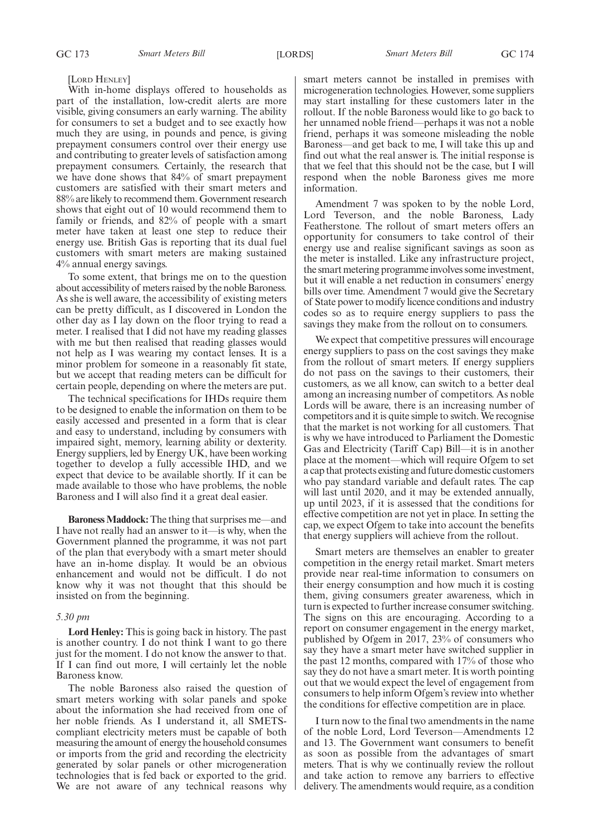#### [LORD HENLEY]

With in-home displays offered to households as part of the installation, low-credit alerts are more visible, giving consumers an early warning. The ability for consumers to set a budget and to see exactly how much they are using, in pounds and pence, is giving prepayment consumers control over their energy use and contributing to greater levels of satisfaction among prepayment consumers. Certainly, the research that we have done shows that 84% of smart prepayment customers are satisfied with their smart meters and 88% are likely to recommend them. Government research shows that eight out of 10 would recommend them to family or friends, and 82% of people with a smart meter have taken at least one step to reduce their energy use. British Gas is reporting that its dual fuel customers with smart meters are making sustained 4% annual energy savings.

To some extent, that brings me on to the question about accessibility of meters raised by the noble Baroness. As she is well aware, the accessibility of existing meters can be pretty difficult, as I discovered in London the other day as I lay down on the floor trying to read a meter. I realised that I did not have my reading glasses with me but then realised that reading glasses would not help as I was wearing my contact lenses. It is a minor problem for someone in a reasonably fit state, but we accept that reading meters can be difficult for certain people, depending on where the meters are put.

The technical specifications for IHDs require them to be designed to enable the information on them to be easily accessed and presented in a form that is clear and easy to understand, including by consumers with impaired sight, memory, learning ability or dexterity. Energy suppliers, led by Energy UK, have been working together to develop a fully accessible IHD, and we expect that device to be available shortly. If it can be made available to those who have problems, the noble Baroness and I will also find it a great deal easier.

**Baroness Maddock:**The thing that surprises me—and I have not really had an answer to it—is why, when the Government planned the programme, it was not part of the plan that everybody with a smart meter should have an in-home display. It would be an obvious enhancement and would not be difficult. I do not know why it was not thought that this should be insisted on from the beginning.

#### *5.30 pm*

**Lord Henley:** This is going back in history. The past is another country. I do not think I want to go there just for the moment. I do not know the answer to that. If I can find out more, I will certainly let the noble Baroness know.

The noble Baroness also raised the question of smart meters working with solar panels and spoke about the information she had received from one of her noble friends. As I understand it, all SMETScompliant electricity meters must be capable of both measuring the amount of energy the household consumes or imports from the grid and recording the electricity generated by solar panels or other microgeneration technologies that is fed back or exported to the grid. We are not aware of any technical reasons why

smart meters cannot be installed in premises with microgeneration technologies. However, some suppliers may start installing for these customers later in the rollout. If the noble Baroness would like to go back to her unnamed noble friend—perhaps it was not a noble friend, perhaps it was someone misleading the noble Baroness—and get back to me, I will take this up and find out what the real answer is. The initial response is that we feel that this should not be the case, but I will respond when the noble Baroness gives me more information.

Amendment 7 was spoken to by the noble Lord, Lord Teverson, and the noble Baroness, Lady Featherstone. The rollout of smart meters offers an opportunity for consumers to take control of their energy use and realise significant savings as soon as the meter is installed. Like any infrastructure project, the smart metering programme involves some investment, but it will enable a net reduction in consumers' energy bills over time. Amendment 7 would give the Secretary of State power to modify licence conditions and industry codes so as to require energy suppliers to pass the savings they make from the rollout on to consumers.

We expect that competitive pressures will encourage energy suppliers to pass on the cost savings they make from the rollout of smart meters. If energy suppliers do not pass on the savings to their customers, their customers, as we all know, can switch to a better deal among an increasing number of competitors. As noble Lords will be aware, there is an increasing number of competitors and it is quite simple to switch. We recognise that the market is not working for all customers. That is why we have introduced to Parliament the Domestic Gas and Electricity (Tariff Cap) Bill—it is in another place at the moment—which will require Ofgem to set a cap that protects existing and future domestic customers who pay standard variable and default rates. The cap will last until 2020, and it may be extended annually, up until 2023, if it is assessed that the conditions for effective competition are not yet in place. In setting the cap, we expect Ofgem to take into account the benefits that energy suppliers will achieve from the rollout.

Smart meters are themselves an enabler to greater competition in the energy retail market. Smart meters provide near real-time information to consumers on their energy consumption and how much it is costing them, giving consumers greater awareness, which in turn is expected to further increase consumer switching. The signs on this are encouraging. According to a report on consumer engagement in the energy market, published by Ofgem in 2017, 23% of consumers who say they have a smart meter have switched supplier in the past 12 months, compared with 17% of those who say they do not have a smart meter. It is worth pointing out that we would expect the level of engagement from consumers to help inform Ofgem's review into whether the conditions for effective competition are in place.

I turn now to the final two amendments in the name of the noble Lord, Lord Teverson—Amendments 12 and 13. The Government want consumers to benefit as soon as possible from the advantages of smart meters. That is why we continually review the rollout and take action to remove any barriers to effective delivery. The amendments would require, as a condition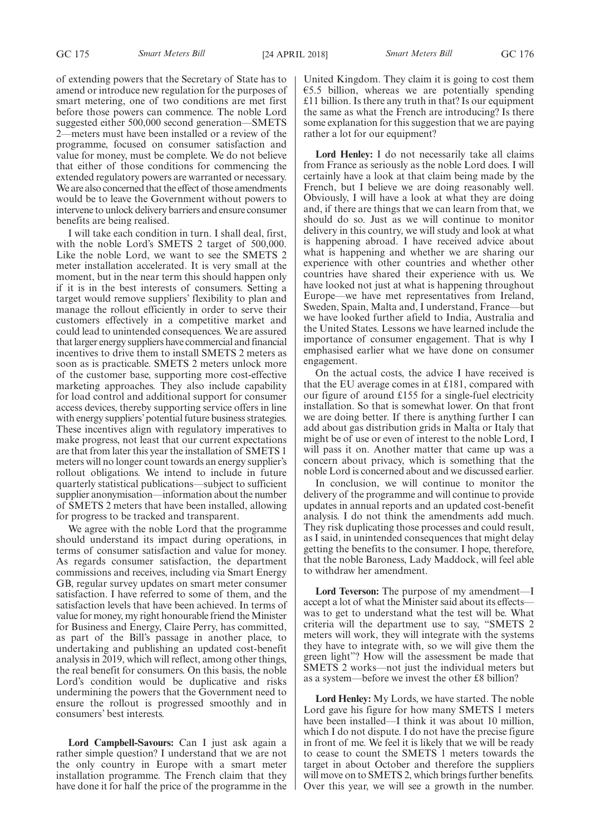of extending powers that the Secretary of State has to amend or introduce new regulation for the purposes of smart metering, one of two conditions are met first before those powers can commence. The noble Lord suggested either 500,000 second generation—SMETS 2—meters must have been installed or a review of the programme, focused on consumer satisfaction and value for money, must be complete. We do not believe that either of those conditions for commencing the extended regulatory powers are warranted or necessary. We are also concerned that the effect of those amendments would be to leave the Government without powers to intervene to unlock delivery barriers and ensure consumer benefits are being realised.

I will take each condition in turn. I shall deal, first, with the noble Lord's SMETS 2 target of 500,000. Like the noble Lord, we want to see the SMETS 2 meter installation accelerated. It is very small at the moment, but in the near term this should happen only if it is in the best interests of consumers. Setting a target would remove suppliers' flexibility to plan and manage the rollout efficiently in order to serve their customers effectively in a competitive market and could lead to unintended consequences. We are assured that larger energy suppliers have commercial and financial incentives to drive them to install SMETS 2 meters as soon as is practicable. SMETS 2 meters unlock more of the customer base, supporting more cost-effective marketing approaches. They also include capability for load control and additional support for consumer access devices, thereby supporting service offers in line with energy suppliers'potential future business strategies. These incentives align with regulatory imperatives to make progress, not least that our current expectations are that from later this year the installation of SMETS 1 meters will no longer count towards an energy supplier's rollout obligations. We intend to include in future quarterly statistical publications—subject to sufficient supplier anonymisation—information about the number of SMETS 2 meters that have been installed, allowing for progress to be tracked and transparent.

We agree with the noble Lord that the programme should understand its impact during operations, in terms of consumer satisfaction and value for money. As regards consumer satisfaction, the department commissions and receives, including via Smart Energy GB, regular survey updates on smart meter consumer satisfaction. I have referred to some of them, and the satisfaction levels that have been achieved. In terms of value for money, my right honourable friend the Minister for Business and Energy, Claire Perry, has committed, as part of the Bill's passage in another place, to undertaking and publishing an updated cost-benefit analysis in 2019, which will reflect, among other things, the real benefit for consumers. On this basis, the noble Lord's condition would be duplicative and risks undermining the powers that the Government need to ensure the rollout is progressed smoothly and in consumers' best interests.

**Lord Campbell-Savours:** Can I just ask again a rather simple question? I understand that we are not the only country in Europe with a smart meter installation programme. The French claim that they have done it for half the price of the programme in the

United Kingdom. They claim it is going to cost them  $€5.5$  billion, whereas we are potentially spending £11 billion. Is there any truth in that? Is our equipment the same as what the French are introducing? Is there some explanation for this suggestion that we are paying rather a lot for our equipment?

**Lord Henley:** I do not necessarily take all claims from France as seriously as the noble Lord does. I will certainly have a look at that claim being made by the French, but I believe we are doing reasonably well. Obviously, I will have a look at what they are doing and, if there are things that we can learn from that, we should do so. Just as we will continue to monitor delivery in this country, we will study and look at what is happening abroad. I have received advice about what is happening and whether we are sharing our experience with other countries and whether other countries have shared their experience with us. We have looked not just at what is happening throughout Europe—we have met representatives from Ireland, Sweden, Spain, Malta and, I understand, France—but we have looked further afield to India, Australia and the United States. Lessons we have learned include the importance of consumer engagement. That is why I emphasised earlier what we have done on consumer engagement.

On the actual costs, the advice I have received is that the EU average comes in at £181, compared with our figure of around £155 for a single-fuel electricity installation. So that is somewhat lower. On that front we are doing better. If there is anything further I can add about gas distribution grids in Malta or Italy that might be of use or even of interest to the noble Lord, I will pass it on. Another matter that came up was a concern about privacy, which is something that the noble Lord is concerned about and we discussed earlier.

In conclusion, we will continue to monitor the delivery of the programme and will continue to provide updates in annual reports and an updated cost-benefit analysis. I do not think the amendments add much. They risk duplicating those processes and could result, as I said, in unintended consequences that might delay getting the benefits to the consumer. I hope, therefore, that the noble Baroness, Lady Maddock, will feel able to withdraw her amendment.

**Lord Teverson:** The purpose of my amendment—I accept a lot of what the Minister said about its effects was to get to understand what the test will be. What criteria will the department use to say, "SMETS 2 meters will work, they will integrate with the systems they have to integrate with, so we will give them the green light"? How will the assessment be made that SMETS 2 works—not just the individual meters but as a system—before we invest the other £8 billion?

**Lord Henley:** My Lords, we have started. The noble Lord gave his figure for how many SMETS 1 meters have been installed—I think it was about 10 million, which I do not dispute. I do not have the precise figure in front of me. We feel it is likely that we will be ready to cease to count the SMETS 1 meters towards the target in about October and therefore the suppliers will move on to SMETS 2, which brings further benefits. Over this year, we will see a growth in the number.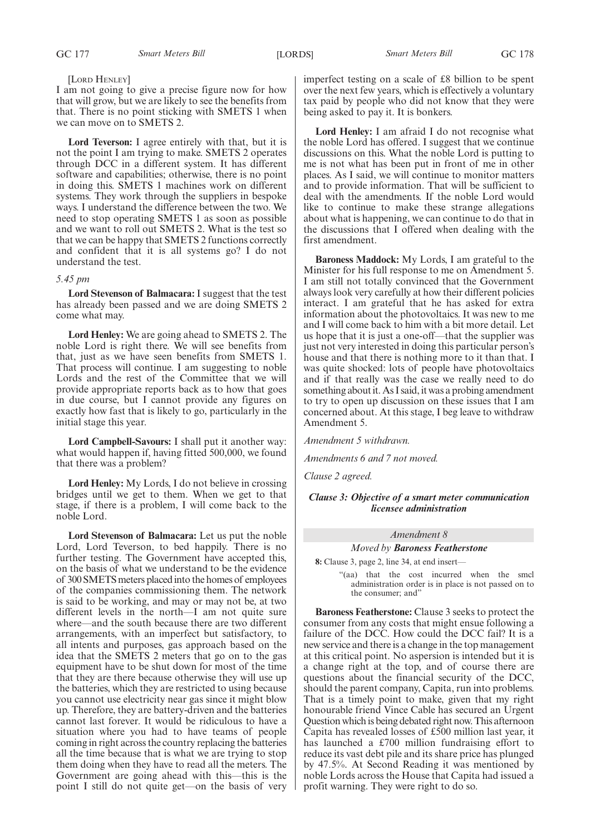#### [LORD HENLEY]

I am not going to give a precise figure now for how that will grow, but we are likely to see the benefits from that. There is no point sticking with SMETS 1 when we can move on to SMETS 2.

**Lord Teverson:** I agree entirely with that, but it is not the point I am trying to make. SMETS 2 operates through DCC in a different system. It has different software and capabilities; otherwise, there is no point in doing this. SMETS 1 machines work on different systems. They work through the suppliers in bespoke ways. I understand the difference between the two. We need to stop operating SMETS 1 as soon as possible and we want to roll out SMETS 2. What is the test so that we can be happy that SMETS 2 functions correctly and confident that it is all systems go? I do not understand the test.

#### *5.45 pm*

**Lord Stevenson of Balmacara:** I suggest that the test has already been passed and we are doing SMETS 2 come what may.

**Lord Henley:** We are going ahead to SMETS 2. The noble Lord is right there. We will see benefits from that, just as we have seen benefits from SMETS 1. That process will continue. I am suggesting to noble Lords and the rest of the Committee that we will provide appropriate reports back as to how that goes in due course, but I cannot provide any figures on exactly how fast that is likely to go, particularly in the initial stage this year.

**Lord Campbell-Savours:** I shall put it another way: what would happen if, having fitted 500,000, we found that there was a problem?

**Lord Henley:** My Lords, I do not believe in crossing bridges until we get to them. When we get to that stage, if there is a problem, I will come back to the noble Lord.

**Lord Stevenson of Balmacara:** Let us put the noble Lord, Lord Teverson, to bed happily. There is no further testing. The Government have accepted this, on the basis of what we understand to be the evidence of 300 SMETS meters placed into the homes of employees of the companies commissioning them. The network is said to be working, and may or may not be, at two different levels in the north—I am not quite sure where—and the south because there are two different arrangements, with an imperfect but satisfactory, to all intents and purposes, gas approach based on the idea that the SMETS 2 meters that go on to the gas equipment have to be shut down for most of the time that they are there because otherwise they will use up the batteries, which they are restricted to using because you cannot use electricity near gas since it might blow up. Therefore, they are battery-driven and the batteries cannot last forever. It would be ridiculous to have a situation where you had to have teams of people coming in right across the country replacing the batteries all the time because that is what we are trying to stop them doing when they have to read all the meters. The Government are going ahead with this—this is the point I still do not quite get—on the basis of very imperfect testing on a scale of £8 billion to be spent over the next few years, which is effectively a voluntary tax paid by people who did not know that they were being asked to pay it. It is bonkers.

**Lord Henley:** I am afraid I do not recognise what the noble Lord has offered. I suggest that we continue discussions on this. What the noble Lord is putting to me is not what has been put in front of me in other places. As I said, we will continue to monitor matters and to provide information. That will be sufficient to deal with the amendments. If the noble Lord would like to continue to make these strange allegations about what is happening, we can continue to do that in the discussions that I offered when dealing with the first amendment.

**Baroness Maddock:** My Lords, I am grateful to the Minister for his full response to me on Amendment 5. I am still not totally convinced that the Government always look very carefully at how their different policies interact. I am grateful that he has asked for extra information about the photovoltaics. It was new to me and I will come back to him with a bit more detail. Let us hope that it is just a one-off—that the supplier was just not very interested in doing this particular person's house and that there is nothing more to it than that. I was quite shocked: lots of people have photovoltaics and if that really was the case we really need to do something about it. As I said, it was a probing amendment to try to open up discussion on these issues that I am concerned about. At this stage, I beg leave to withdraw Amendment 5.

*Amendment 5 withdrawn.*

*Amendments 6 and 7 not moved.*

*Clause 2 agreed.*

*Clause 3: Objective of a smart meter communication licensee administration*

#### *Amendment 8*

#### *Moved by Baroness Featherstone*

**8:** Clause 3, page 2, line 34, at end insert—

"(aa) that the cost incurred when the smcl administration order is in place is not passed on to the consumer; and"

**Baroness Featherstone:** Clause 3 seeks to protect the consumer from any costs that might ensue following a failure of the DCC. How could the DCC fail? It is a new service and there is a change in the top management at this critical point. No aspersion is intended but it is a change right at the top, and of course there are questions about the financial security of the DCC, should the parent company, Capita, run into problems. That is a timely point to make, given that my right honourable friend Vince Cable has secured an Urgent Question which is being debated right now. This afternoon Capita has revealed losses of £500 million last year, it has launched a £700 million fundraising effort to reduce its vast debt pile and its share price has plunged by 47.5%. At Second Reading it was mentioned by noble Lords across the House that Capita had issued a profit warning. They were right to do so.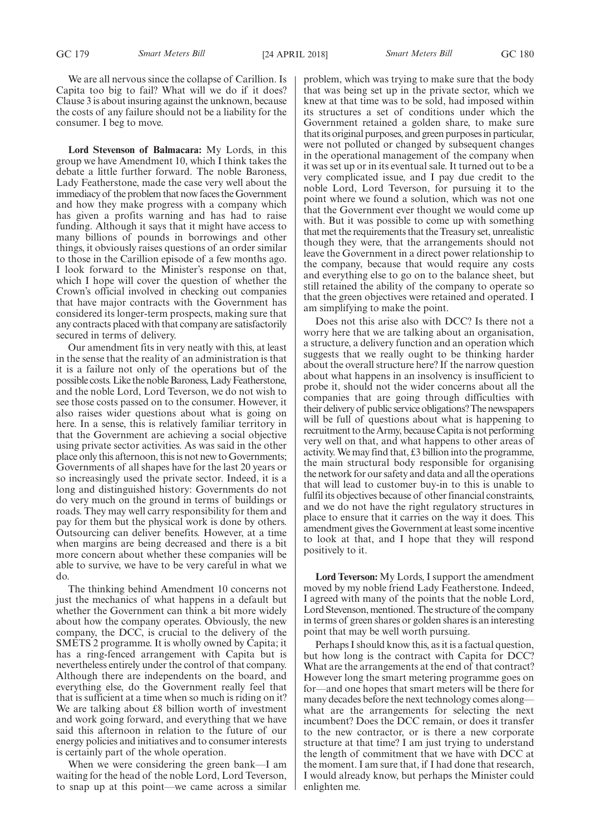We are all nervous since the collapse of Carillion. Is Capita too big to fail? What will we do if it does? Clause 3 is about insuring against the unknown, because the costs of any failure should not be a liability for the consumer. I beg to move.

**Lord Stevenson of Balmacara:** My Lords, in this group we have Amendment 10, which I think takes the debate a little further forward. The noble Baroness, Lady Featherstone, made the case very well about the immediacy of the problem that now faces the Government and how they make progress with a company which has given a profits warning and has had to raise funding. Although it says that it might have access to many billions of pounds in borrowings and other things, it obviously raises questions of an order similar to those in the Carillion episode of a few months ago. I look forward to the Minister's response on that, which I hope will cover the question of whether the Crown's official involved in checking out companies that have major contracts with the Government has considered its longer-term prospects, making sure that any contracts placed with that company are satisfactorily secured in terms of delivery.

Our amendment fits in very neatly with this, at least in the sense that the reality of an administration is that it is a failure not only of the operations but of the possible costs. Like the noble Baroness, Lady Featherstone, and the noble Lord, Lord Teverson, we do not wish to see those costs passed on to the consumer. However, it also raises wider questions about what is going on here. In a sense, this is relatively familiar territory in that the Government are achieving a social objective using private sector activities. As was said in the other place only this afternoon, this is not new to Governments; Governments of all shapes have for the last 20 years or so increasingly used the private sector. Indeed, it is a long and distinguished history: Governments do not do very much on the ground in terms of buildings or roads. They may well carry responsibility for them and pay for them but the physical work is done by others. Outsourcing can deliver benefits. However, at a time when margins are being decreased and there is a bit more concern about whether these companies will be able to survive, we have to be very careful in what we do.

The thinking behind Amendment 10 concerns not just the mechanics of what happens in a default but whether the Government can think a bit more widely about how the company operates. Obviously, the new company, the DCC, is crucial to the delivery of the SMETS 2 programme. It is wholly owned by Capita; it has a ring-fenced arrangement with Capita but is nevertheless entirely under the control of that company. Although there are independents on the board, and everything else, do the Government really feel that that is sufficient at a time when so much is riding on it? We are talking about £8 billion worth of investment and work going forward, and everything that we have said this afternoon in relation to the future of our energy policies and initiatives and to consumer interests is certainly part of the whole operation.

When we were considering the green bank—I am waiting for the head of the noble Lord, Lord Teverson, to snap up at this point—we came across a similar problem, which was trying to make sure that the body that was being set up in the private sector, which we knew at that time was to be sold, had imposed within its structures a set of conditions under which the Government retained a golden share, to make sure that its original purposes, and green purposes in particular, were not polluted or changed by subsequent changes in the operational management of the company when it was set up or in its eventual sale. It turned out to be a very complicated issue, and I pay due credit to the noble Lord, Lord Teverson, for pursuing it to the point where we found a solution, which was not one that the Government ever thought we would come up with. But it was possible to come up with something that met the requirements that the Treasury set, unrealistic though they were, that the arrangements should not leave the Government in a direct power relationship to the company, because that would require any costs and everything else to go on to the balance sheet, but still retained the ability of the company to operate so that the green objectives were retained and operated. I am simplifying to make the point.

Does not this arise also with DCC? Is there not a worry here that we are talking about an organisation, a structure, a delivery function and an operation which suggests that we really ought to be thinking harder about the overall structure here? If the narrow question about what happens in an insolvency is insufficient to probe it, should not the wider concerns about all the companies that are going through difficulties with their delivery of public service obligations? The newspapers will be full of questions about what is happening to recruitment to the Army, because Capita is not performing very well on that, and what happens to other areas of activity. We may find that, £3 billion into the programme, the main structural body responsible for organising the network for our safety and data and all the operations that will lead to customer buy-in to this is unable to fulfil its objectives because of other financial constraints, and we do not have the right regulatory structures in place to ensure that it carries on the way it does. This amendment gives the Government at least some incentive to look at that, and I hope that they will respond positively to it.

**Lord Teverson:** My Lords, I support the amendment moved by my noble friend Lady Featherstone. Indeed, I agreed with many of the points that the noble Lord, Lord Stevenson, mentioned. The structure of the company in terms of green shares or golden shares is an interesting point that may be well worth pursuing.

Perhaps I should know this, as it is a factual question, but how long is the contract with Capita for DCC? What are the arrangements at the end of that contract? However long the smart metering programme goes on for—and one hopes that smart meters will be there for many decades before the next technology comes along what are the arrangements for selecting the next incumbent? Does the DCC remain, or does it transfer to the new contractor, or is there a new corporate structure at that time? I am just trying to understand the length of commitment that we have with DCC at the moment. I am sure that, if I had done that research, I would already know, but perhaps the Minister could enlighten me.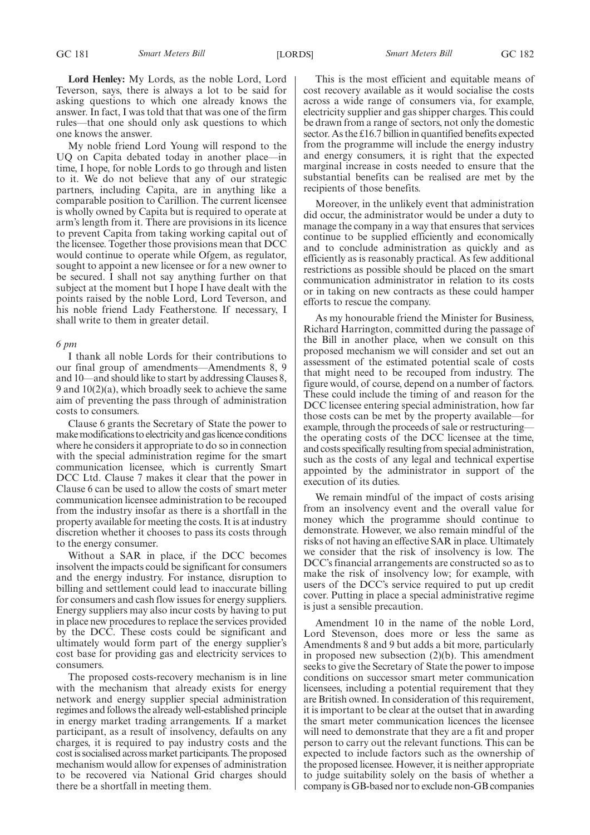**Lord Henley:** My Lords, as the noble Lord, Lord Teverson, says, there is always a lot to be said for asking questions to which one already knows the answer. In fact, I was told that that was one of the firm rules—that one should only ask questions to which one knows the answer.

My noble friend Lord Young will respond to the UQ on Capita debated today in another place—in time, I hope, for noble Lords to go through and listen to it. We do not believe that any of our strategic partners, including Capita, are in anything like a comparable position to Carillion. The current licensee is wholly owned by Capita but is required to operate at arm's length from it. There are provisions in its licence to prevent Capita from taking working capital out of the licensee. Together those provisions mean that DCC would continue to operate while Ofgem, as regulator, sought to appoint a new licensee or for a new owner to be secured. I shall not say anything further on that subject at the moment but I hope I have dealt with the points raised by the noble Lord, Lord Teverson, and his noble friend Lady Featherstone. If necessary, I shall write to them in greater detail.

#### *6 pm*

I thank all noble Lords for their contributions to our final group of amendments—Amendments 8, 9 and 10—and should like to start by addressing Clauses 8, 9 and 10(2)(a), which broadly seek to achieve the same aim of preventing the pass through of administration costs to consumers.

Clause 6 grants the Secretary of State the power to make modifications to electricity and gas licence conditions where he considers it appropriate to do so in connection with the special administration regime for the smart communication licensee, which is currently Smart DCC Ltd. Clause 7 makes it clear that the power in Clause 6 can be used to allow the costs of smart meter communication licensee administration to be recouped from the industry insofar as there is a shortfall in the property available for meeting the costs. It is at industry discretion whether it chooses to pass its costs through to the energy consumer.

Without a SAR in place, if the DCC becomes insolvent the impacts could be significant for consumers and the energy industry. For instance, disruption to billing and settlement could lead to inaccurate billing for consumers and cash flow issues for energy suppliers. Energy suppliers may also incur costs by having to put in place new procedures to replace the services provided by the DCC. These costs could be significant and ultimately would form part of the energy supplier's cost base for providing gas and electricity services to consumers.

The proposed costs-recovery mechanism is in line with the mechanism that already exists for energy network and energy supplier special administration regimes and follows the already well-established principle in energy market trading arrangements. If a market participant, as a result of insolvency, defaults on any charges, it is required to pay industry costs and the cost is socialised across market participants. The proposed mechanism would allow for expenses of administration to be recovered via National Grid charges should there be a shortfall in meeting them.

This is the most efficient and equitable means of cost recovery available as it would socialise the costs across a wide range of consumers via, for example, electricity supplier and gas shipper charges. This could be drawn from a range of sectors, not only the domestic sector. As the £16.7 billion in quantified benefits expected from the programme will include the energy industry and energy consumers, it is right that the expected marginal increase in costs needed to ensure that the substantial benefits can be realised are met by the recipients of those benefits.

Moreover, in the unlikely event that administration did occur, the administrator would be under a duty to manage the company in a way that ensures that services continue to be supplied efficiently and economically and to conclude administration as quickly and as efficiently as is reasonably practical. As few additional restrictions as possible should be placed on the smart communication administrator in relation to its costs or in taking on new contracts as these could hamper efforts to rescue the company.

As my honourable friend the Minister for Business, Richard Harrington, committed during the passage of the Bill in another place, when we consult on this proposed mechanism we will consider and set out an assessment of the estimated potential scale of costs that might need to be recouped from industry. The figure would, of course, depend on a number of factors. These could include the timing of and reason for the DCC licensee entering special administration, how far those costs can be met by the property available—for example, through the proceeds of sale or restructuring the operating costs of the DCC licensee at the time, and costs specifically resulting from special administration, such as the costs of any legal and technical expertise appointed by the administrator in support of the execution of its duties.

We remain mindful of the impact of costs arising from an insolvency event and the overall value for money which the programme should continue to demonstrate. However, we also remain mindful of the risks of not having an effective SAR in place. Ultimately we consider that the risk of insolvency is low. The DCC's financial arrangements are constructed so as to make the risk of insolvency low; for example, with users of the DCC's service required to put up credit cover. Putting in place a special administrative regime is just a sensible precaution.

Amendment 10 in the name of the noble Lord, Lord Stevenson, does more or less the same as Amendments 8 and 9 but adds a bit more, particularly in proposed new subsection (2)(b). This amendment seeks to give the Secretary of State the power to impose conditions on successor smart meter communication licensees, including a potential requirement that they are British owned. In consideration of this requirement, it is important to be clear at the outset that in awarding the smart meter communication licences the licensee will need to demonstrate that they are a fit and proper person to carry out the relevant functions. This can be expected to include factors such as the ownership of the proposed licensee. However, it is neither appropriate to judge suitability solely on the basis of whether a company is GB-based nor to exclude non-GB companies